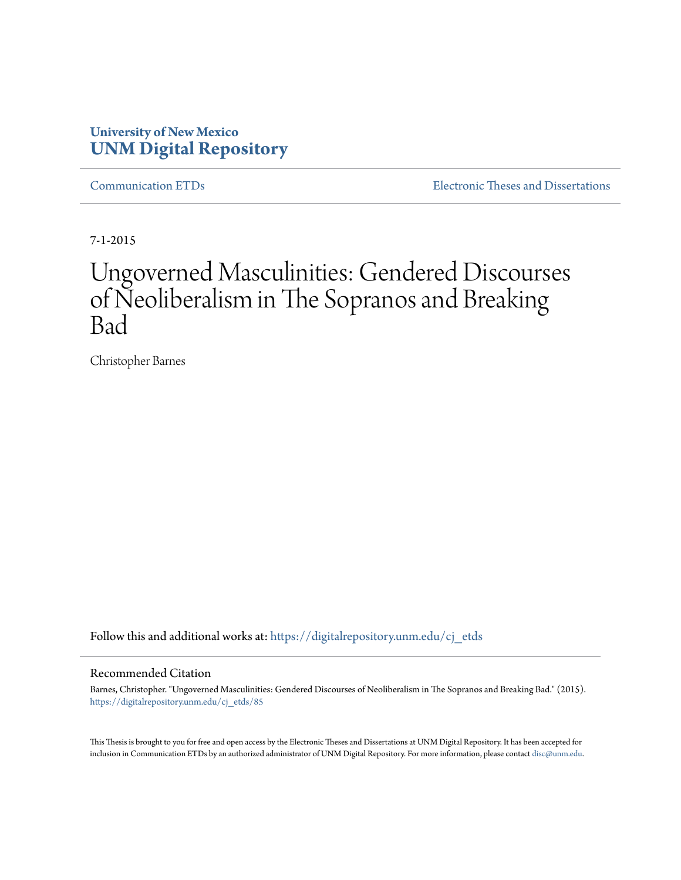# **University of New Mexico [UNM Digital Repository](https://digitalrepository.unm.edu?utm_source=digitalrepository.unm.edu%2Fcj_etds%2F85&utm_medium=PDF&utm_campaign=PDFCoverPages)**

[Communication ETDs](https://digitalrepository.unm.edu/cj_etds?utm_source=digitalrepository.unm.edu%2Fcj_etds%2F85&utm_medium=PDF&utm_campaign=PDFCoverPages) [Electronic Theses and Dissertations](https://digitalrepository.unm.edu/etds?utm_source=digitalrepository.unm.edu%2Fcj_etds%2F85&utm_medium=PDF&utm_campaign=PDFCoverPages)

7-1-2015

# Ungoverned Masculinities: Gendered Discourses of Neoliberalism in The Sopranos and Breaking Bad

Christopher Barnes

Follow this and additional works at: [https://digitalrepository.unm.edu/cj\\_etds](https://digitalrepository.unm.edu/cj_etds?utm_source=digitalrepository.unm.edu%2Fcj_etds%2F85&utm_medium=PDF&utm_campaign=PDFCoverPages)

#### Recommended Citation

Barnes, Christopher. "Ungoverned Masculinities: Gendered Discourses of Neoliberalism in The Sopranos and Breaking Bad." (2015). [https://digitalrepository.unm.edu/cj\\_etds/85](https://digitalrepository.unm.edu/cj_etds/85?utm_source=digitalrepository.unm.edu%2Fcj_etds%2F85&utm_medium=PDF&utm_campaign=PDFCoverPages)

This Thesis is brought to you for free and open access by the Electronic Theses and Dissertations at UNM Digital Repository. It has been accepted for inclusion in Communication ETDs by an authorized administrator of UNM Digital Repository. For more information, please contact [disc@unm.edu.](mailto:disc@unm.edu)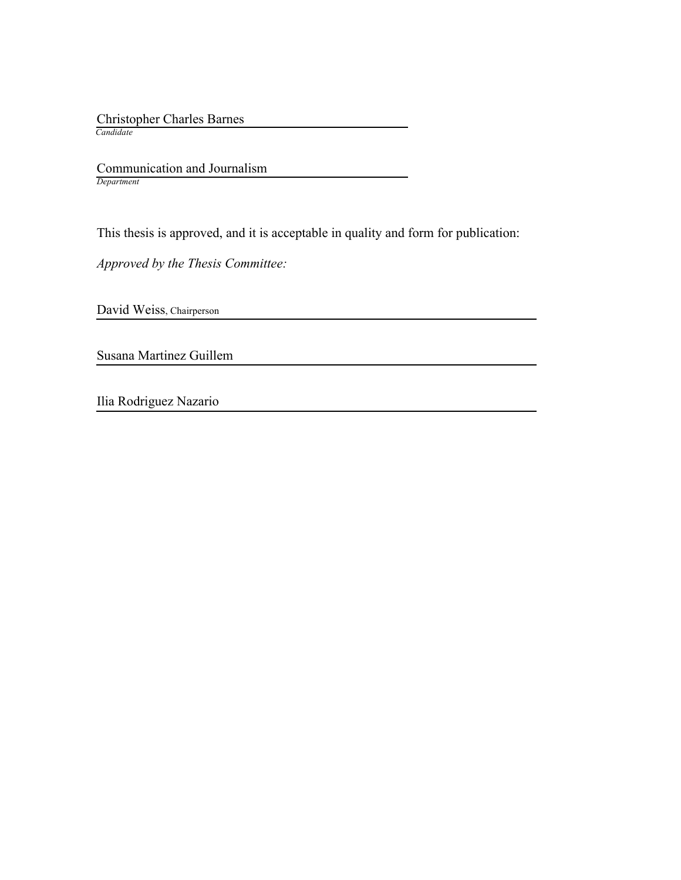Christopher Charles Barnes

*Candidate*

 Communication and Journalism *Department*

This thesis is approved, and it is acceptable in quality and form for publication:

*Approved by the Thesis Committee:*

David Weiss, Chairperson

Susana Martinez Guillem

Ilia Rodriguez Nazario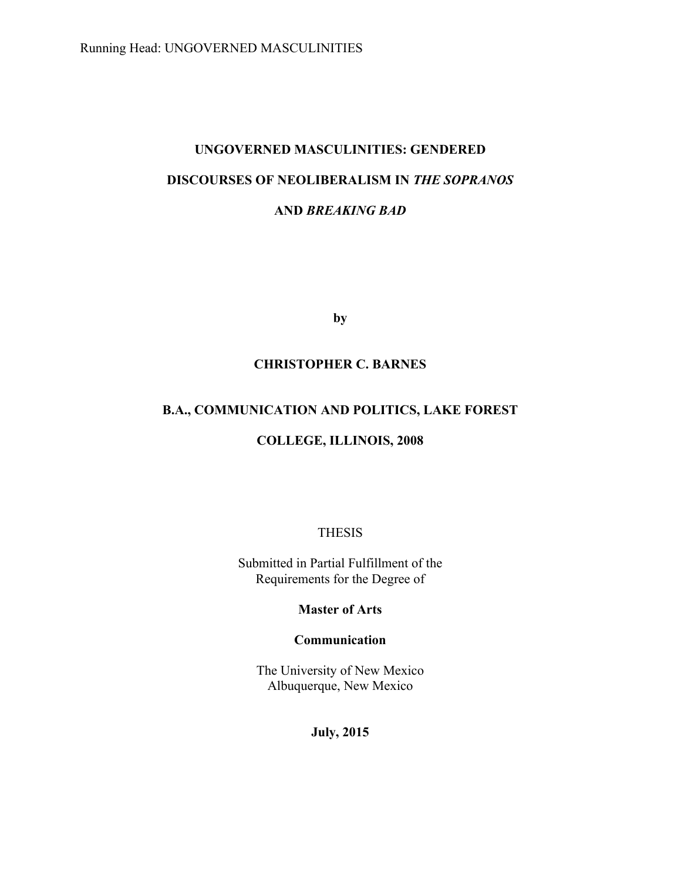# **UNGOVERNED MASCULINITIES: GENDERED DISCOURSES OF NEOLIBERALISM IN** *THE SOPRANOS* **AND** *BREAKING BAD*

**by**

# **CHRISTOPHER C. BARNES**

# **B.A., COMMUNICATION AND POLITICS, LAKE FOREST**

# **COLLEGE, ILLINOIS, 2008**

### THESIS

Submitted in Partial Fulfillment of the Requirements for the Degree of

**Master of Arts** 

# **Communication**

The University of New Mexico Albuquerque, New Mexico

**July, 2015**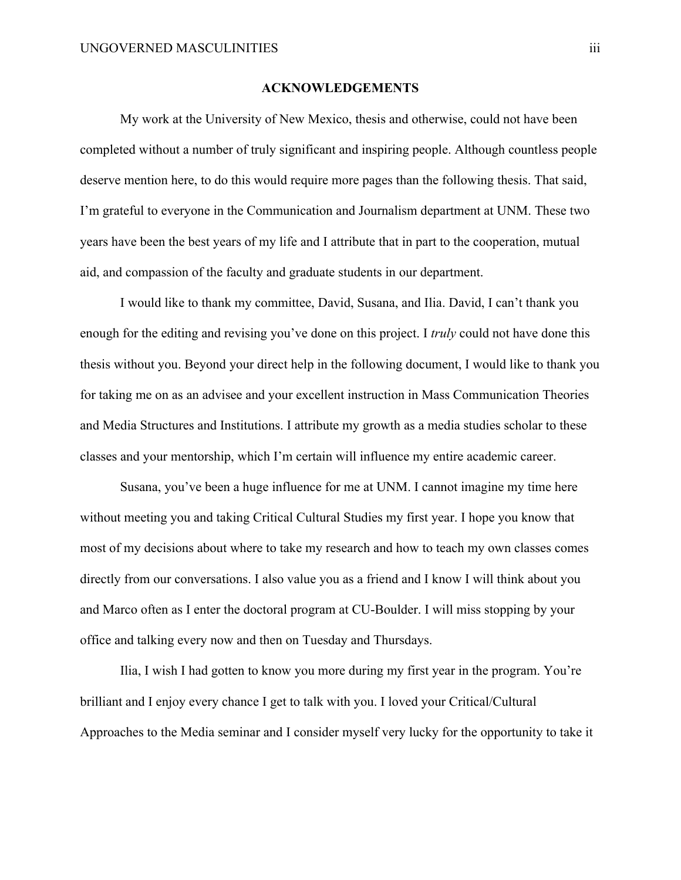#### **ACKNOWLEDGEMENTS**

My work at the University of New Mexico, thesis and otherwise, could not have been completed without a number of truly significant and inspiring people. Although countless people deserve mention here, to do this would require more pages than the following thesis. That said, I'm grateful to everyone in the Communication and Journalism department at UNM. These two years have been the best years of my life and I attribute that in part to the cooperation, mutual aid, and compassion of the faculty and graduate students in our department.

I would like to thank my committee, David, Susana, and Ilia. David, I can't thank you enough for the editing and revising you've done on this project. I *truly* could not have done this thesis without you. Beyond your direct help in the following document, I would like to thank you for taking me on as an advisee and your excellent instruction in Mass Communication Theories and Media Structures and Institutions. I attribute my growth as a media studies scholar to these classes and your mentorship, which I'm certain will influence my entire academic career.

Susana, you've been a huge influence for me at UNM. I cannot imagine my time here without meeting you and taking Critical Cultural Studies my first year. I hope you know that most of my decisions about where to take my research and how to teach my own classes comes directly from our conversations. I also value you as a friend and I know I will think about you and Marco often as I enter the doctoral program at CU-Boulder. I will miss stopping by your office and talking every now and then on Tuesday and Thursdays.

Ilia, I wish I had gotten to know you more during my first year in the program. You're brilliant and I enjoy every chance I get to talk with you. I loved your Critical/Cultural Approaches to the Media seminar and I consider myself very lucky for the opportunity to take it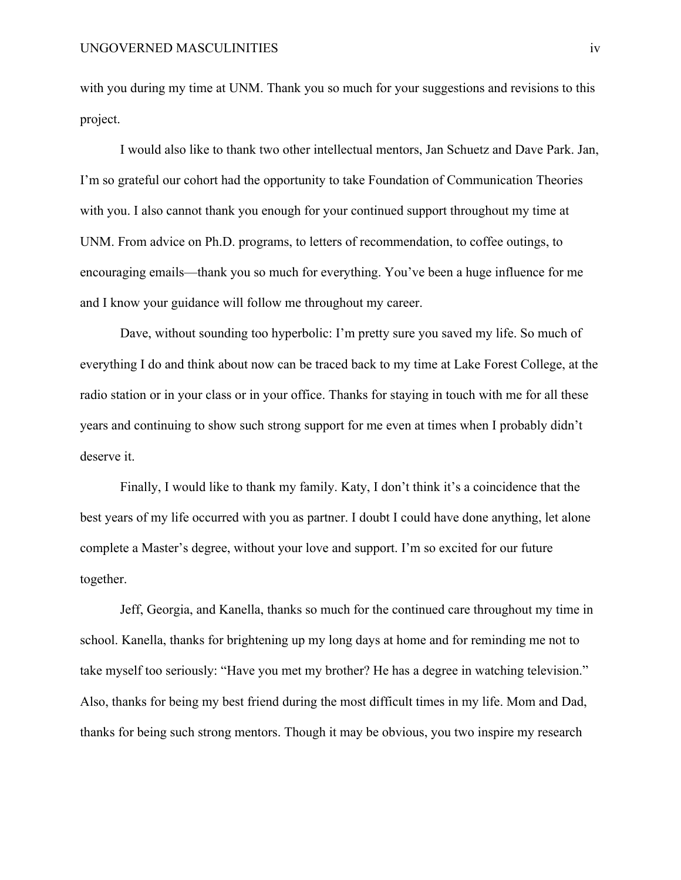with you during my time at UNM. Thank you so much for your suggestions and revisions to this project.

I would also like to thank two other intellectual mentors, Jan Schuetz and Dave Park. Jan, I'm so grateful our cohort had the opportunity to take Foundation of Communication Theories with you. I also cannot thank you enough for your continued support throughout my time at UNM. From advice on Ph.D. programs, to letters of recommendation, to coffee outings, to encouraging emails—thank you so much for everything. You've been a huge influence for me and I know your guidance will follow me throughout my career.

Dave, without sounding too hyperbolic: I'm pretty sure you saved my life. So much of everything I do and think about now can be traced back to my time at Lake Forest College, at the radio station or in your class or in your office. Thanks for staying in touch with me for all these years and continuing to show such strong support for me even at times when I probably didn't deserve it.

Finally, I would like to thank my family. Katy, I don't think it's a coincidence that the best years of my life occurred with you as partner. I doubt I could have done anything, let alone complete a Master's degree, without your love and support. I'm so excited for our future together.

Jeff, Georgia, and Kanella, thanks so much for the continued care throughout my time in school. Kanella, thanks for brightening up my long days at home and for reminding me not to take myself too seriously: "Have you met my brother? He has a degree in watching television." Also, thanks for being my best friend during the most difficult times in my life. Mom and Dad, thanks for being such strong mentors. Though it may be obvious, you two inspire my research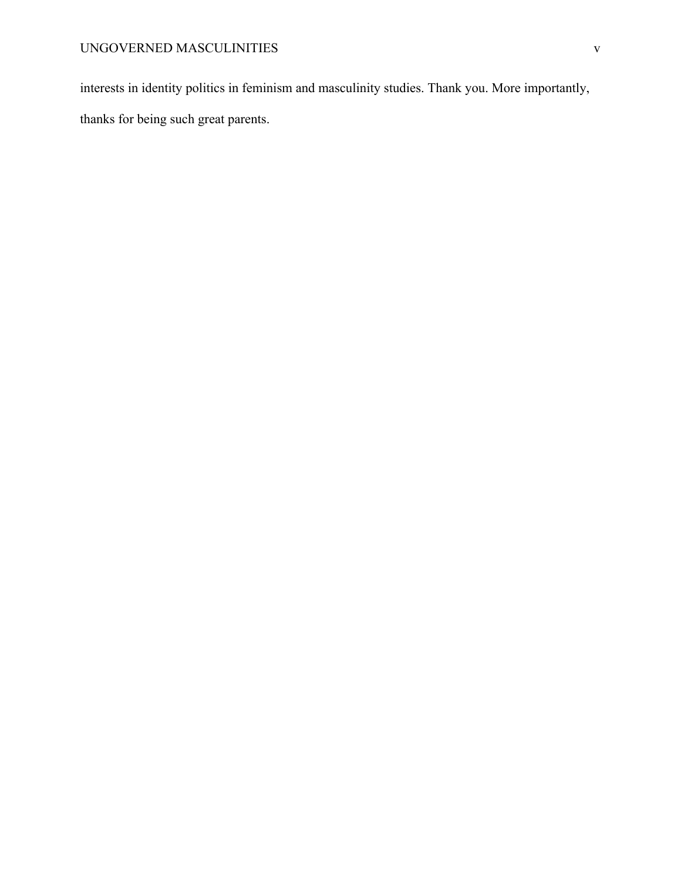interests in identity politics in feminism and masculinity studies. Thank you. More importantly, thanks for being such great parents.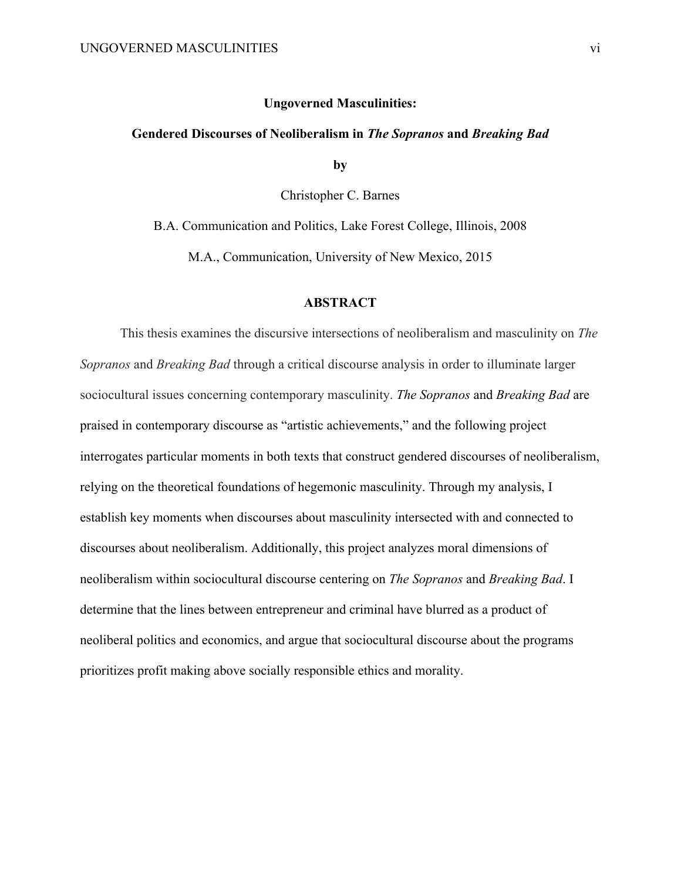#### **Ungoverned Masculinities:**

#### **Gendered Discourses of Neoliberalism in** *The Sopranos* **and** *Breaking Bad*

**by**

Christopher C. Barnes

B.A. Communication and Politics, Lake Forest College, Illinois, 2008 M.A., Communication, University of New Mexico, 2015

#### **ABSTRACT**

This thesis examines the discursive intersections of neoliberalism and masculinity on *The Sopranos* and *Breaking Bad* through a critical discourse analysis in order to illuminate larger sociocultural issues concerning contemporary masculinity. *The Sopranos* and *Breaking Bad* are praised in contemporary discourse as "artistic achievements," and the following project interrogates particular moments in both texts that construct gendered discourses of neoliberalism, relying on the theoretical foundations of hegemonic masculinity. Through my analysis, I establish key moments when discourses about masculinity intersected with and connected to discourses about neoliberalism. Additionally, this project analyzes moral dimensions of neoliberalism within sociocultural discourse centering on *The Sopranos* and *Breaking Bad*. I determine that the lines between entrepreneur and criminal have blurred as a product of neoliberal politics and economics, and argue that sociocultural discourse about the programs prioritizes profit making above socially responsible ethics and morality.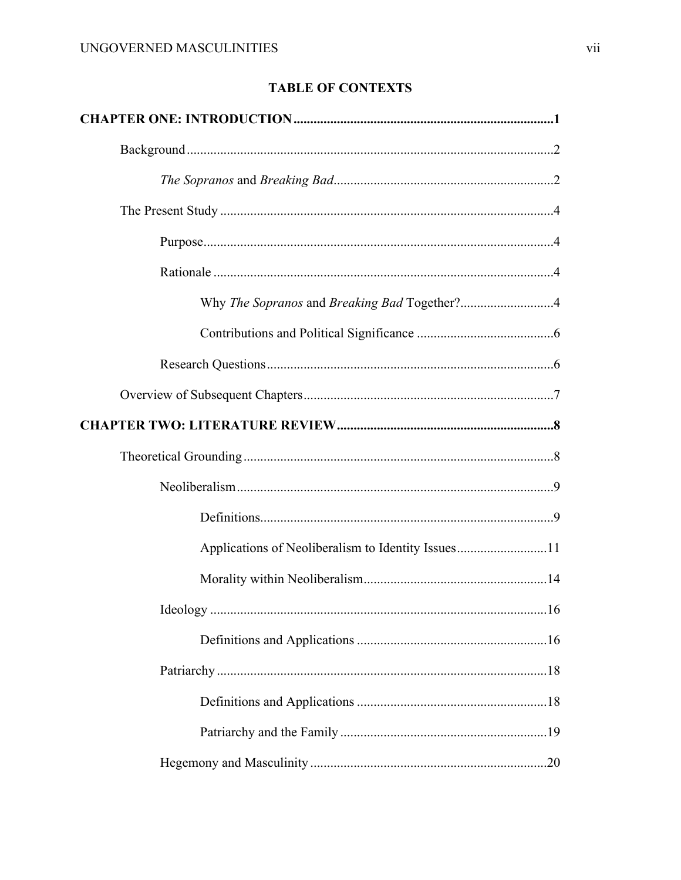| Applications of Neoliberalism to Identity Issues11 |
|----------------------------------------------------|
|                                                    |
|                                                    |
|                                                    |
|                                                    |
|                                                    |
|                                                    |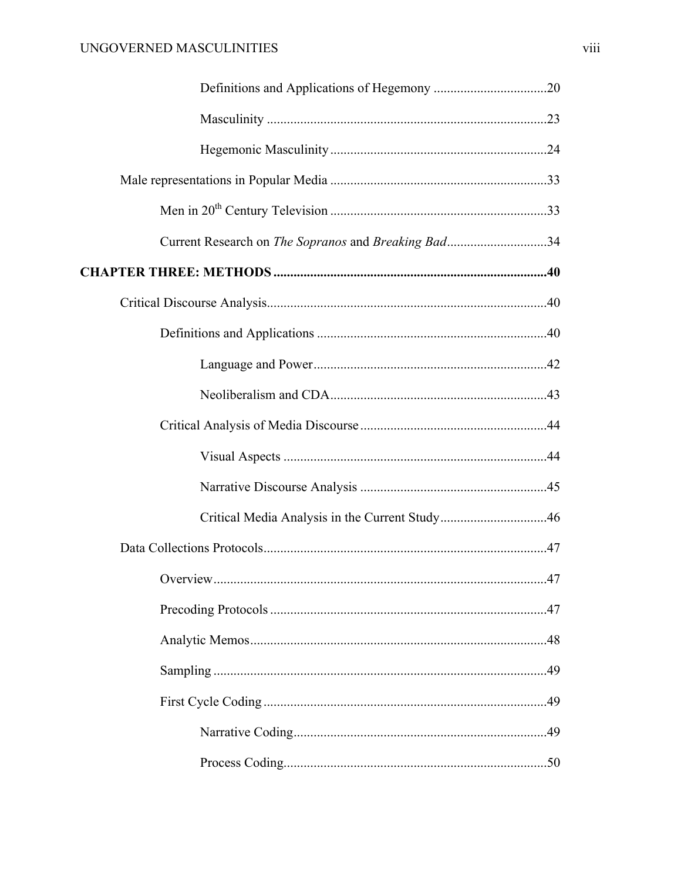| Current Research on The Sopranos and Breaking Bad34 |     |
|-----------------------------------------------------|-----|
|                                                     |     |
|                                                     |     |
|                                                     |     |
|                                                     |     |
|                                                     |     |
|                                                     |     |
|                                                     |     |
|                                                     |     |
| Critical Media Analysis in the Current Study46      |     |
|                                                     |     |
|                                                     | .47 |
|                                                     |     |
|                                                     |     |
|                                                     |     |
|                                                     |     |
|                                                     |     |
|                                                     |     |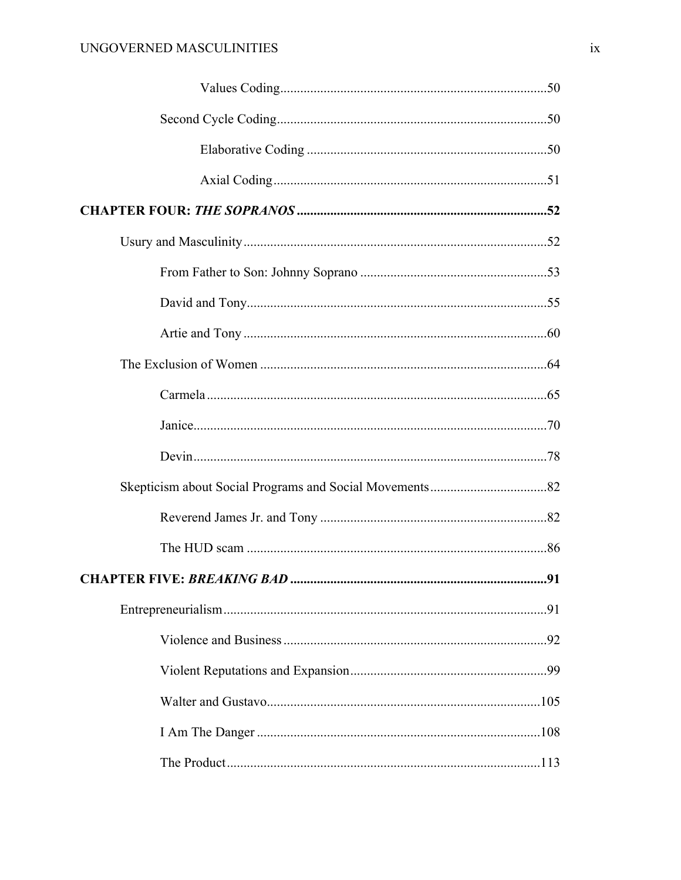| .91 |
|-----|
|     |
|     |
|     |
|     |
|     |
|     |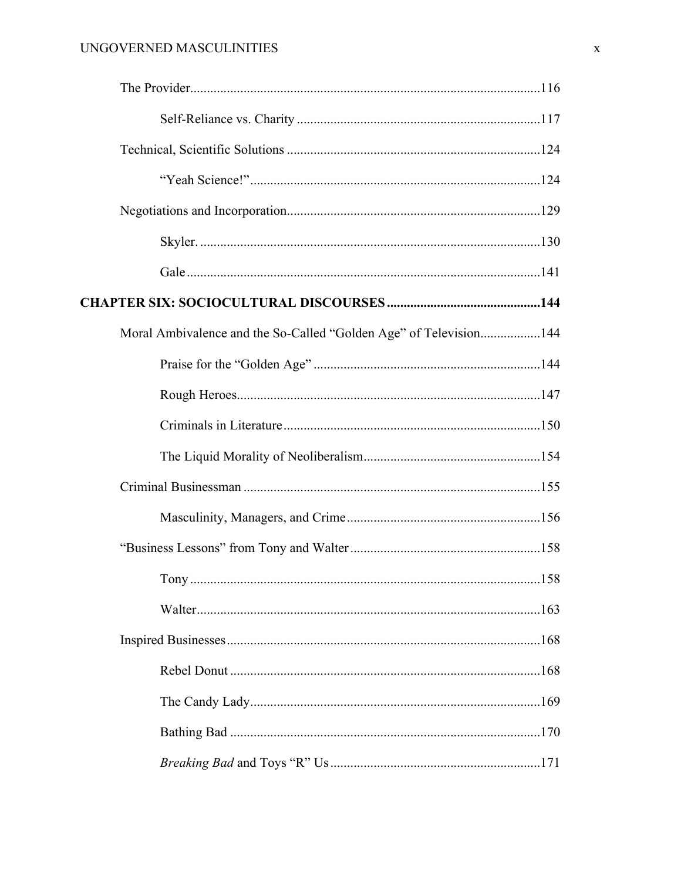| Moral Ambivalence and the So-Called "Golden Age" of Television144 |  |
|-------------------------------------------------------------------|--|
|                                                                   |  |
|                                                                   |  |
|                                                                   |  |
|                                                                   |  |
|                                                                   |  |
|                                                                   |  |
|                                                                   |  |
|                                                                   |  |
|                                                                   |  |
|                                                                   |  |
|                                                                   |  |
|                                                                   |  |
|                                                                   |  |
|                                                                   |  |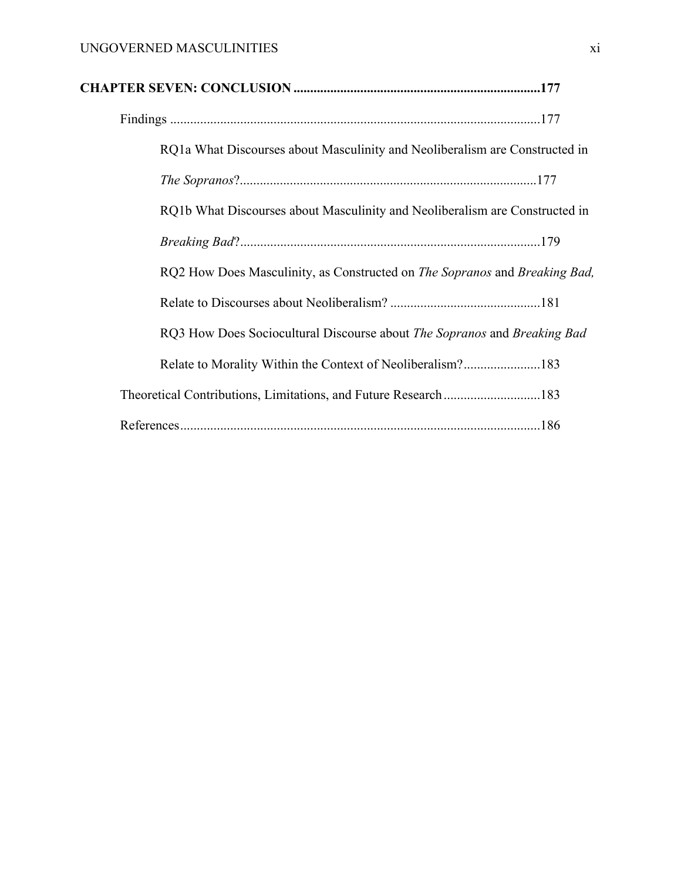| RQ1a What Discourses about Masculinity and Neoliberalism are Constructed in |  |
|-----------------------------------------------------------------------------|--|
|                                                                             |  |
| RQ1b What Discourses about Masculinity and Neoliberalism are Constructed in |  |
|                                                                             |  |
| RQ2 How Does Masculinity, as Constructed on The Sopranos and Breaking Bad,  |  |
|                                                                             |  |
| RQ3 How Does Sociocultural Discourse about The Sopranos and Breaking Bad    |  |
|                                                                             |  |
|                                                                             |  |
|                                                                             |  |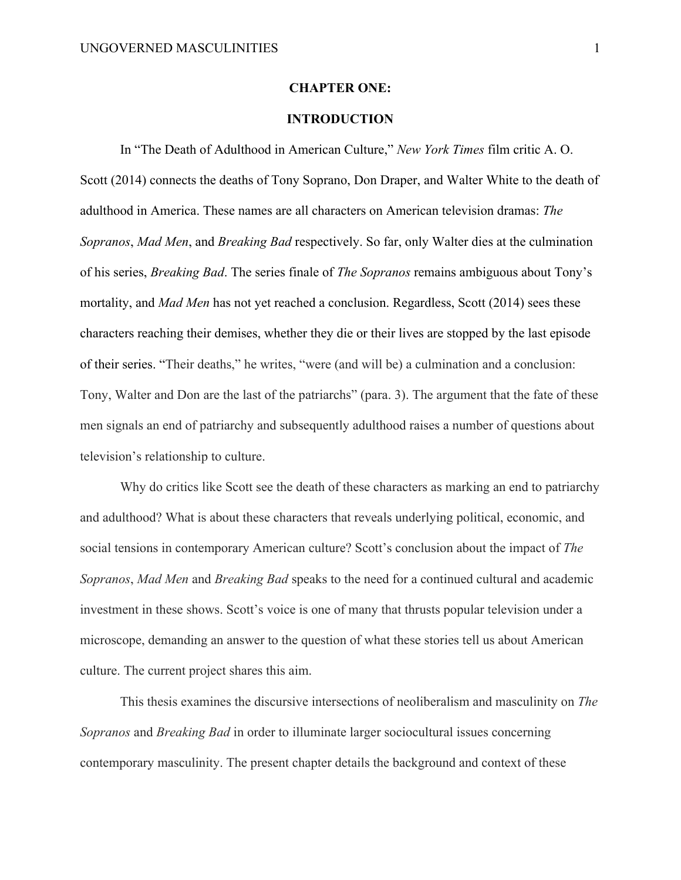#### **CHAPTER ONE:**

## **INTRODUCTION**

In "The Death of Adulthood in American Culture," *New York Times* film critic A. O. Scott (2014) connects the deaths of Tony Soprano, Don Draper, and Walter White to the death of adulthood in America. These names are all characters on American television dramas: *The Sopranos*, *Mad Men*, and *Breaking Bad* respectively. So far, only Walter dies at the culmination of his series, *Breaking Bad*. The series finale of *The Sopranos* remains ambiguous about Tony's mortality, and *Mad Men* has not yet reached a conclusion. Regardless, Scott (2014) sees these characters reaching their demises, whether they die or their lives are stopped by the last episode of their series. "Their deaths," he writes, "were (and will be) a culmination and a conclusion: Tony, Walter and Don are the last of the patriarchs" (para. 3). The argument that the fate of these men signals an end of patriarchy and subsequently adulthood raises a number of questions about television's relationship to culture.

Why do critics like Scott see the death of these characters as marking an end to patriarchy and adulthood? What is about these characters that reveals underlying political, economic, and social tensions in contemporary American culture? Scott's conclusion about the impact of *The Sopranos*, *Mad Men* and *Breaking Bad* speaks to the need for a continued cultural and academic investment in these shows. Scott's voice is one of many that thrusts popular television under a microscope, demanding an answer to the question of what these stories tell us about American culture. The current project shares this aim.

This thesis examines the discursive intersections of neoliberalism and masculinity on *The Sopranos* and *Breaking Bad* in order to illuminate larger sociocultural issues concerning contemporary masculinity. The present chapter details the background and context of these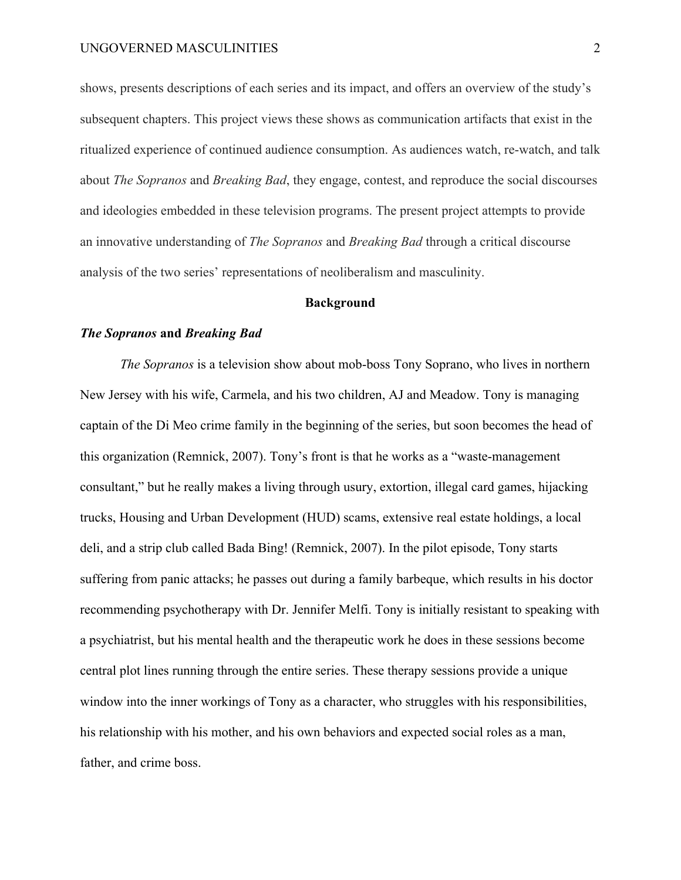shows, presents descriptions of each series and its impact, and offers an overview of the study's subsequent chapters. This project views these shows as communication artifacts that exist in the ritualized experience of continued audience consumption. As audiences watch, re-watch, and talk about *The Sopranos* and *Breaking Bad*, they engage, contest, and reproduce the social discourses and ideologies embedded in these television programs. The present project attempts to provide an innovative understanding of *The Sopranos* and *Breaking Bad* through a critical discourse analysis of the two series' representations of neoliberalism and masculinity.

#### **Background**

#### *The Sopranos* **and** *Breaking Bad*

*The Sopranos* is a television show about mob-boss Tony Soprano, who lives in northern New Jersey with his wife, Carmela, and his two children, AJ and Meadow. Tony is managing captain of the Di Meo crime family in the beginning of the series, but soon becomes the head of this organization (Remnick, 2007). Tony's front is that he works as a "waste-management consultant," but he really makes a living through usury, extortion, illegal card games, hijacking trucks, Housing and Urban Development (HUD) scams, extensive real estate holdings, a local deli, and a strip club called Bada Bing! (Remnick, 2007). In the pilot episode, Tony starts suffering from panic attacks; he passes out during a family barbeque, which results in his doctor recommending psychotherapy with Dr. Jennifer Melfi. Tony is initially resistant to speaking with a psychiatrist, but his mental health and the therapeutic work he does in these sessions become central plot lines running through the entire series. These therapy sessions provide a unique window into the inner workings of Tony as a character, who struggles with his responsibilities, his relationship with his mother, and his own behaviors and expected social roles as a man, father, and crime boss.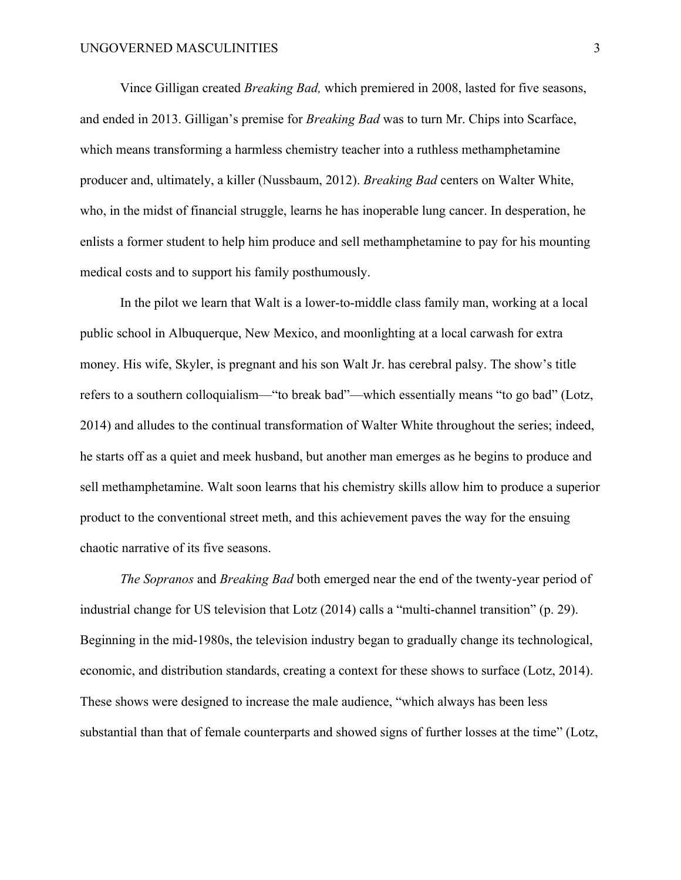Vince Gilligan created *Breaking Bad,* which premiered in 2008, lasted for five seasons, and ended in 2013. Gilligan's premise for *Breaking Bad* was to turn Mr. Chips into Scarface, which means transforming a harmless chemistry teacher into a ruthless methamphetamine producer and, ultimately, a killer (Nussbaum, 2012). *Breaking Bad* centers on Walter White, who, in the midst of financial struggle, learns he has inoperable lung cancer. In desperation, he enlists a former student to help him produce and sell methamphetamine to pay for his mounting medical costs and to support his family posthumously.

In the pilot we learn that Walt is a lower-to-middle class family man, working at a local public school in Albuquerque, New Mexico, and moonlighting at a local carwash for extra money. His wife, Skyler, is pregnant and his son Walt Jr. has cerebral palsy. The show's title refers to a southern colloquialism—"to break bad"—which essentially means "to go bad" (Lotz, 2014) and alludes to the continual transformation of Walter White throughout the series; indeed, he starts off as a quiet and meek husband, but another man emerges as he begins to produce and sell methamphetamine. Walt soon learns that his chemistry skills allow him to produce a superior product to the conventional street meth, and this achievement paves the way for the ensuing chaotic narrative of its five seasons.

*The Sopranos* and *Breaking Bad* both emerged near the end of the twenty-year period of industrial change for US television that Lotz (2014) calls a "multi-channel transition" (p. 29). Beginning in the mid-1980s, the television industry began to gradually change its technological, economic, and distribution standards, creating a context for these shows to surface (Lotz, 2014). These shows were designed to increase the male audience, "which always has been less substantial than that of female counterparts and showed signs of further losses at the time" (Lotz,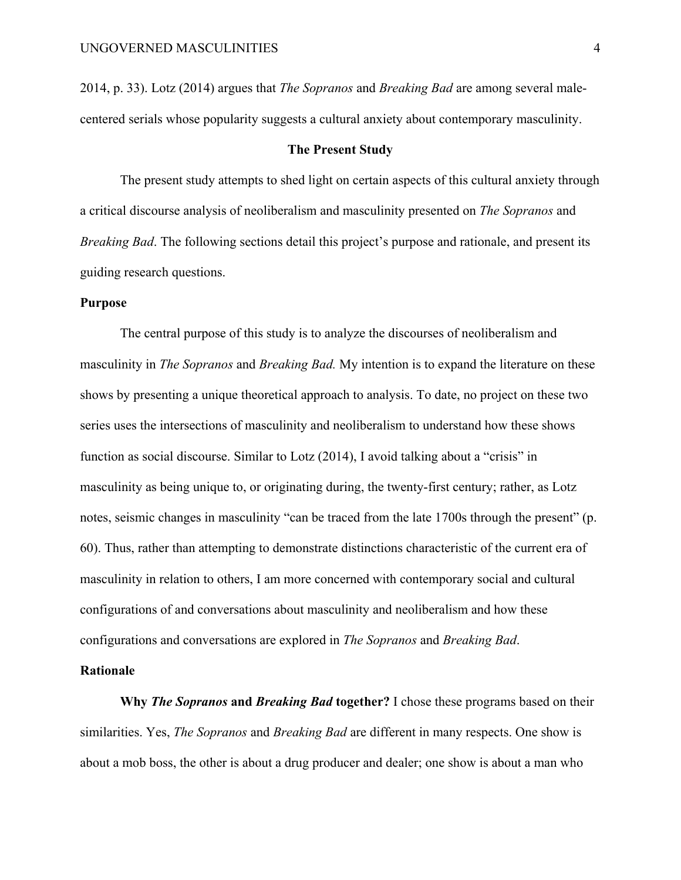2014, p. 33). Lotz (2014) argues that *The Sopranos* and *Breaking Bad* are among several malecentered serials whose popularity suggests a cultural anxiety about contemporary masculinity.

## **The Present Study**

The present study attempts to shed light on certain aspects of this cultural anxiety through a critical discourse analysis of neoliberalism and masculinity presented on *The Sopranos* and *Breaking Bad*. The following sections detail this project's purpose and rationale, and present its guiding research questions.

#### **Purpose**

The central purpose of this study is to analyze the discourses of neoliberalism and masculinity in *The Sopranos* and *Breaking Bad.* My intention is to expand the literature on these shows by presenting a unique theoretical approach to analysis. To date, no project on these two series uses the intersections of masculinity and neoliberalism to understand how these shows function as social discourse. Similar to Lotz (2014), I avoid talking about a "crisis" in masculinity as being unique to, or originating during, the twenty-first century; rather, as Lotz notes, seismic changes in masculinity "can be traced from the late 1700s through the present" (p. 60). Thus, rather than attempting to demonstrate distinctions characteristic of the current era of masculinity in relation to others, I am more concerned with contemporary social and cultural configurations of and conversations about masculinity and neoliberalism and how these configurations and conversations are explored in *The Sopranos* and *Breaking Bad*.

#### **Rationale**

**Why** *The Sopranos* **and** *Breaking Bad* **together?** I chose these programs based on their similarities. Yes, *The Sopranos* and *Breaking Bad* are different in many respects. One show is about a mob boss, the other is about a drug producer and dealer; one show is about a man who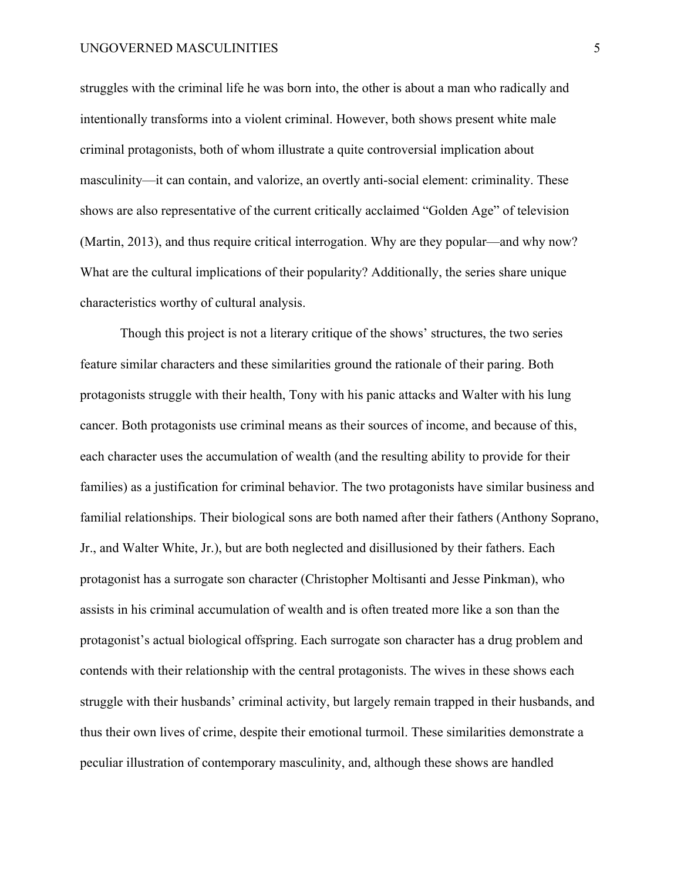struggles with the criminal life he was born into, the other is about a man who radically and intentionally transforms into a violent criminal. However, both shows present white male criminal protagonists, both of whom illustrate a quite controversial implication about masculinity—it can contain, and valorize, an overtly anti-social element: criminality. These shows are also representative of the current critically acclaimed "Golden Age" of television (Martin, 2013), and thus require critical interrogation. Why are they popular—and why now? What are the cultural implications of their popularity? Additionally, the series share unique characteristics worthy of cultural analysis.

Though this project is not a literary critique of the shows' structures, the two series feature similar characters and these similarities ground the rationale of their paring. Both protagonists struggle with their health, Tony with his panic attacks and Walter with his lung cancer. Both protagonists use criminal means as their sources of income, and because of this, each character uses the accumulation of wealth (and the resulting ability to provide for their families) as a justification for criminal behavior. The two protagonists have similar business and familial relationships. Their biological sons are both named after their fathers (Anthony Soprano, Jr., and Walter White, Jr.), but are both neglected and disillusioned by their fathers. Each protagonist has a surrogate son character (Christopher Moltisanti and Jesse Pinkman), who assists in his criminal accumulation of wealth and is often treated more like a son than the protagonist's actual biological offspring. Each surrogate son character has a drug problem and contends with their relationship with the central protagonists. The wives in these shows each struggle with their husbands' criminal activity, but largely remain trapped in their husbands, and thus their own lives of crime, despite their emotional turmoil. These similarities demonstrate a peculiar illustration of contemporary masculinity, and, although these shows are handled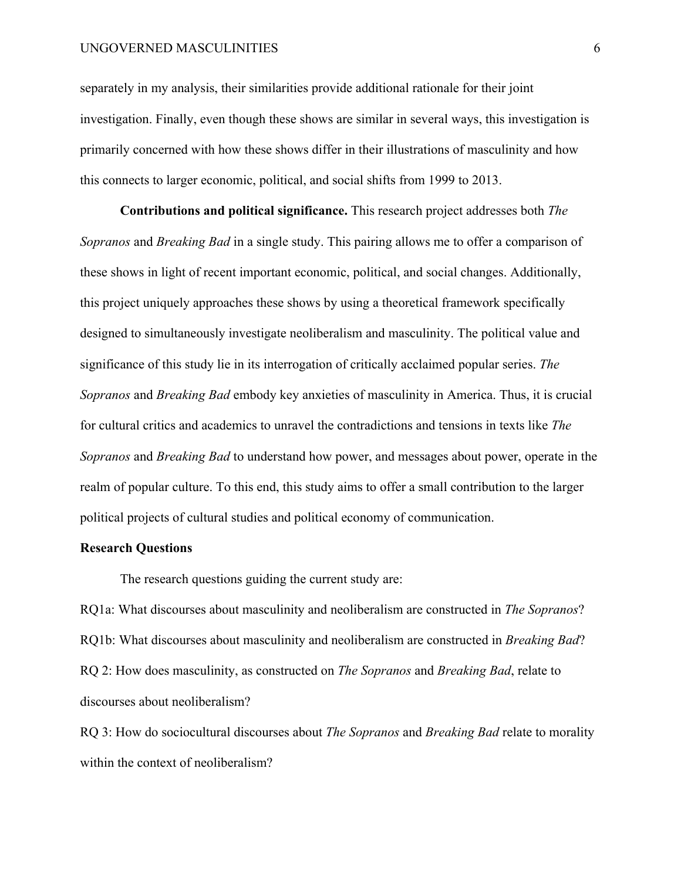separately in my analysis, their similarities provide additional rationale for their joint investigation. Finally, even though these shows are similar in several ways, this investigation is primarily concerned with how these shows differ in their illustrations of masculinity and how this connects to larger economic, political, and social shifts from 1999 to 2013.

**Contributions and political significance.** This research project addresses both *The Sopranos* and *Breaking Bad* in a single study. This pairing allows me to offer a comparison of these shows in light of recent important economic, political, and social changes. Additionally, this project uniquely approaches these shows by using a theoretical framework specifically designed to simultaneously investigate neoliberalism and masculinity. The political value and significance of this study lie in its interrogation of critically acclaimed popular series. *The Sopranos* and *Breaking Bad* embody key anxieties of masculinity in America. Thus, it is crucial for cultural critics and academics to unravel the contradictions and tensions in texts like *The Sopranos* and *Breaking Bad* to understand how power, and messages about power, operate in the realm of popular culture. To this end, this study aims to offer a small contribution to the larger political projects of cultural studies and political economy of communication.

## **Research Questions**

The research questions guiding the current study are:

RQ1a: What discourses about masculinity and neoliberalism are constructed in *The Sopranos*? RQ1b: What discourses about masculinity and neoliberalism are constructed in *Breaking Bad*? RQ 2: How does masculinity, as constructed on *The Sopranos* and *Breaking Bad*, relate to discourses about neoliberalism?

RQ 3: How do sociocultural discourses about *The Sopranos* and *Breaking Bad* relate to morality within the context of neoliberalism?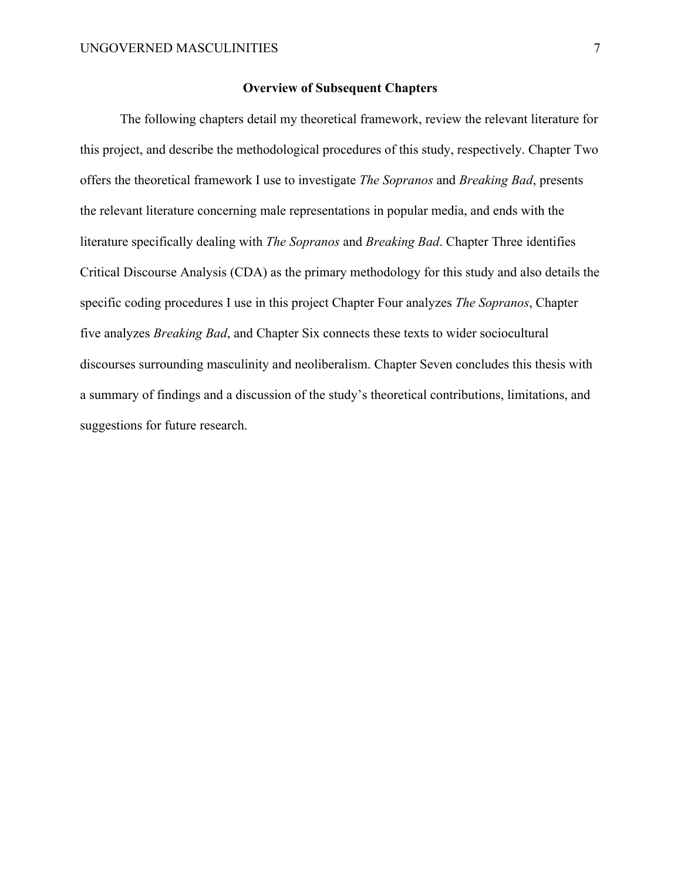#### **Overview of Subsequent Chapters**

The following chapters detail my theoretical framework, review the relevant literature for this project, and describe the methodological procedures of this study, respectively. Chapter Two offers the theoretical framework I use to investigate *The Sopranos* and *Breaking Bad*, presents the relevant literature concerning male representations in popular media, and ends with the literature specifically dealing with *The Sopranos* and *Breaking Bad*. Chapter Three identifies Critical Discourse Analysis (CDA) as the primary methodology for this study and also details the specific coding procedures I use in this project Chapter Four analyzes *The Sopranos*, Chapter five analyzes *Breaking Bad*, and Chapter Six connects these texts to wider sociocultural discourses surrounding masculinity and neoliberalism. Chapter Seven concludes this thesis with a summary of findings and a discussion of the study's theoretical contributions, limitations, and suggestions for future research.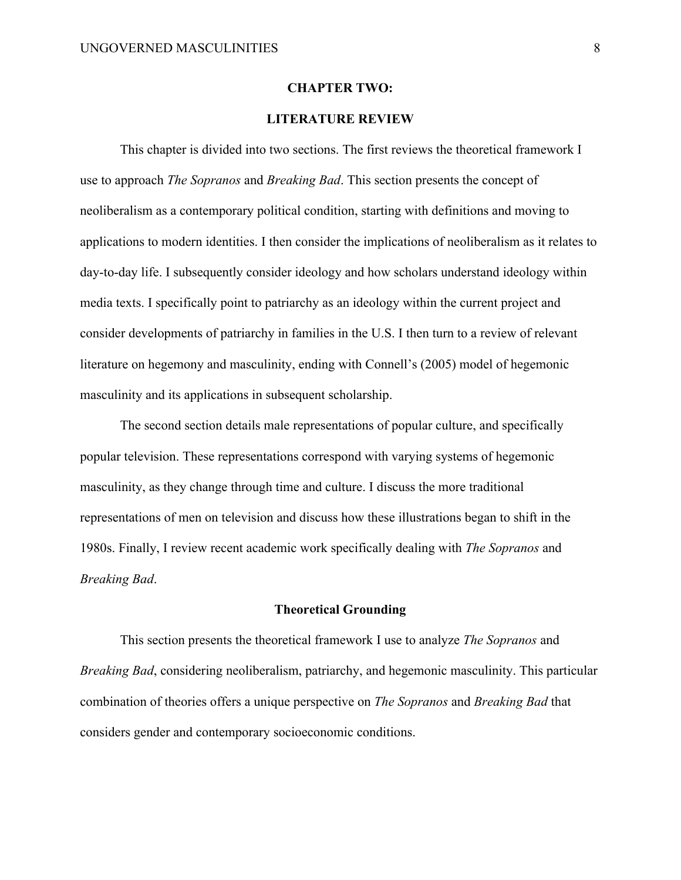#### **CHAPTER TWO:**

## **LITERATURE REVIEW**

This chapter is divided into two sections. The first reviews the theoretical framework I use to approach *The Sopranos* and *Breaking Bad*. This section presents the concept of neoliberalism as a contemporary political condition, starting with definitions and moving to applications to modern identities. I then consider the implications of neoliberalism as it relates to day-to-day life. I subsequently consider ideology and how scholars understand ideology within media texts. I specifically point to patriarchy as an ideology within the current project and consider developments of patriarchy in families in the U.S. I then turn to a review of relevant literature on hegemony and masculinity, ending with Connell's (2005) model of hegemonic masculinity and its applications in subsequent scholarship.

The second section details male representations of popular culture, and specifically popular television. These representations correspond with varying systems of hegemonic masculinity, as they change through time and culture. I discuss the more traditional representations of men on television and discuss how these illustrations began to shift in the 1980s. Finally, I review recent academic work specifically dealing with *The Sopranos* and *Breaking Bad*.

#### **Theoretical Grounding**

This section presents the theoretical framework I use to analyze *The Sopranos* and *Breaking Bad*, considering neoliberalism, patriarchy, and hegemonic masculinity. This particular combination of theories offers a unique perspective on *The Sopranos* and *Breaking Bad* that considers gender and contemporary socioeconomic conditions.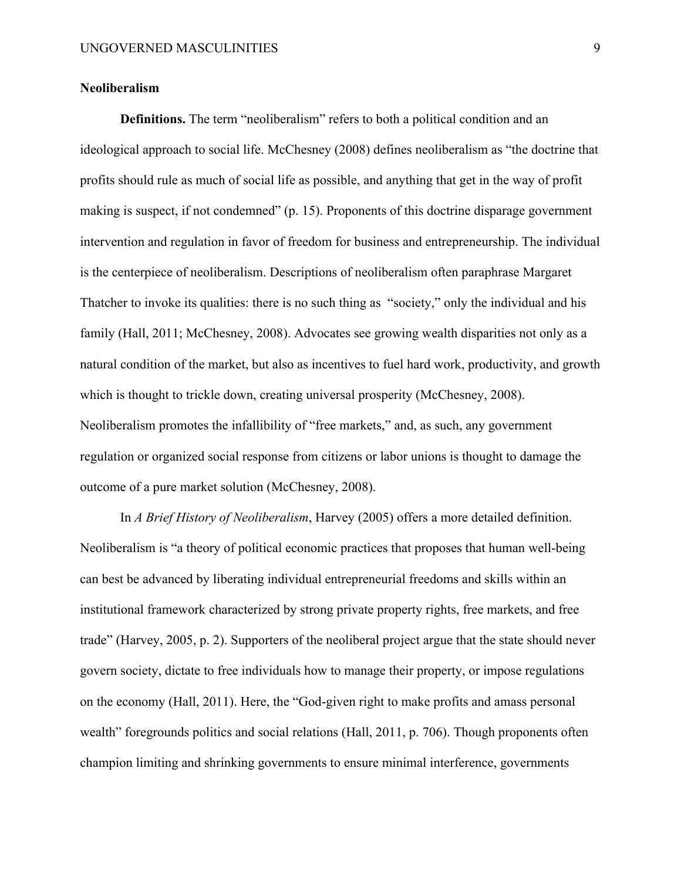#### **Neoliberalism**

**Definitions.** The term "neoliberalism" refers to both a political condition and an ideological approach to social life. McChesney (2008) defines neoliberalism as "the doctrine that profits should rule as much of social life as possible, and anything that get in the way of profit making is suspect, if not condemned" (p. 15). Proponents of this doctrine disparage government intervention and regulation in favor of freedom for business and entrepreneurship. The individual is the centerpiece of neoliberalism. Descriptions of neoliberalism often paraphrase Margaret Thatcher to invoke its qualities: there is no such thing as "society," only the individual and his family (Hall, 2011; McChesney, 2008). Advocates see growing wealth disparities not only as a natural condition of the market, but also as incentives to fuel hard work, productivity, and growth which is thought to trickle down, creating universal prosperity (McChesney, 2008). Neoliberalism promotes the infallibility of "free markets," and, as such, any government regulation or organized social response from citizens or labor unions is thought to damage the outcome of a pure market solution (McChesney, 2008).

In *A Brief History of Neoliberalism*, Harvey (2005) offers a more detailed definition. Neoliberalism is "a theory of political economic practices that proposes that human well-being can best be advanced by liberating individual entrepreneurial freedoms and skills within an institutional framework characterized by strong private property rights, free markets, and free trade" (Harvey, 2005, p. 2). Supporters of the neoliberal project argue that the state should never govern society, dictate to free individuals how to manage their property, or impose regulations on the economy (Hall, 2011). Here, the "God-given right to make profits and amass personal wealth" foregrounds politics and social relations (Hall, 2011, p. 706). Though proponents often champion limiting and shrinking governments to ensure minimal interference, governments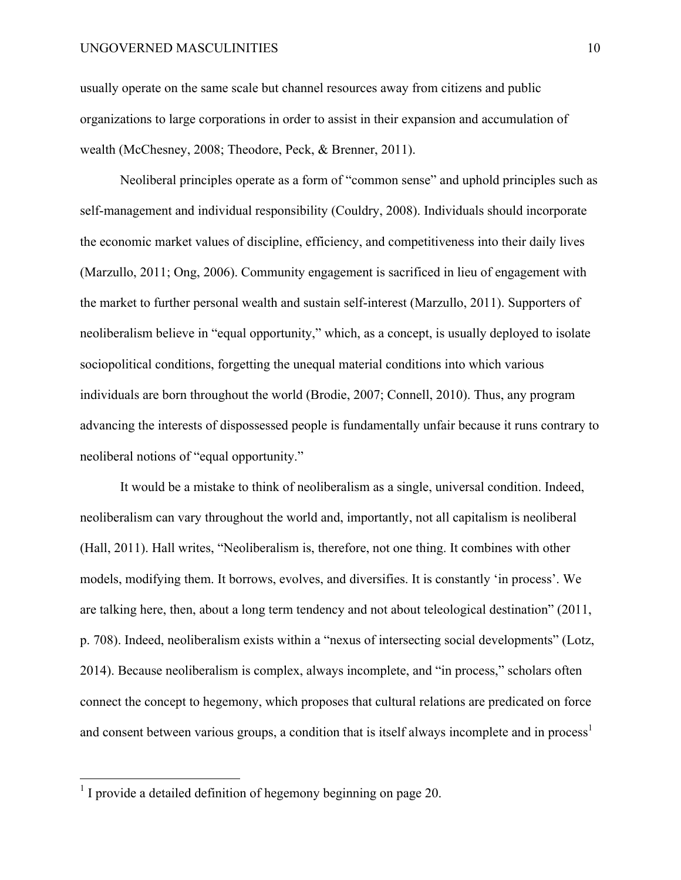usually operate on the same scale but channel resources away from citizens and public organizations to large corporations in order to assist in their expansion and accumulation of wealth (McChesney, 2008; Theodore, Peck, & Brenner, 2011).

Neoliberal principles operate as a form of "common sense" and uphold principles such as self-management and individual responsibility (Couldry, 2008). Individuals should incorporate the economic market values of discipline, efficiency, and competitiveness into their daily lives (Marzullo, 2011; Ong, 2006). Community engagement is sacrificed in lieu of engagement with the market to further personal wealth and sustain self-interest (Marzullo, 2011). Supporters of neoliberalism believe in "equal opportunity," which, as a concept, is usually deployed to isolate sociopolitical conditions, forgetting the unequal material conditions into which various individuals are born throughout the world (Brodie, 2007; Connell, 2010). Thus, any program advancing the interests of dispossessed people is fundamentally unfair because it runs contrary to neoliberal notions of "equal opportunity."

It would be a mistake to think of neoliberalism as a single, universal condition. Indeed, neoliberalism can vary throughout the world and, importantly, not all capitalism is neoliberal (Hall, 2011). Hall writes, "Neoliberalism is, therefore, not one thing. It combines with other models, modifying them. It borrows, evolves, and diversifies. It is constantly 'in process'. We are talking here, then, about a long term tendency and not about teleological destination" (2011, p. 708). Indeed, neoliberalism exists within a "nexus of intersecting social developments" (Lotz, 2014). Because neoliberalism is complex, always incomplete, and "in process," scholars often connect the concept to hegemony, which proposes that cultural relations are predicated on force and consent between various groups, a condition that is itself always incomplete and in process<sup>1</sup>

 $1$  I provide a detailed definition of hegemony beginning on page 20.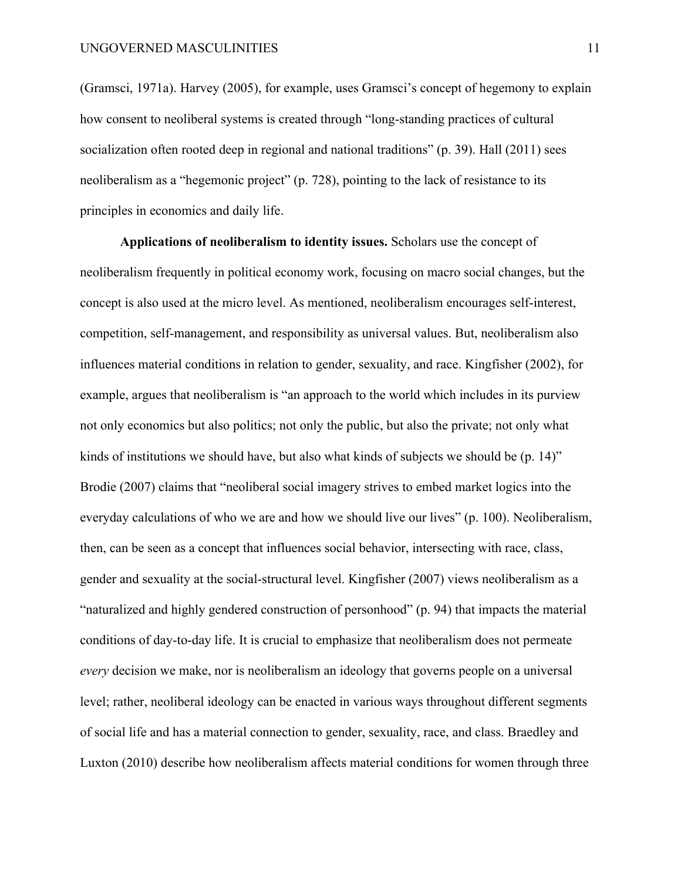(Gramsci, 1971a). Harvey (2005), for example, uses Gramsci's concept of hegemony to explain how consent to neoliberal systems is created through "long-standing practices of cultural socialization often rooted deep in regional and national traditions" (p. 39). Hall (2011) sees neoliberalism as a "hegemonic project" (p. 728), pointing to the lack of resistance to its principles in economics and daily life.

**Applications of neoliberalism to identity issues.** Scholars use the concept of neoliberalism frequently in political economy work, focusing on macro social changes, but the concept is also used at the micro level. As mentioned, neoliberalism encourages self-interest, competition, self-management, and responsibility as universal values. But, neoliberalism also influences material conditions in relation to gender, sexuality, and race. Kingfisher (2002), for example, argues that neoliberalism is "an approach to the world which includes in its purview not only economics but also politics; not only the public, but also the private; not only what kinds of institutions we should have, but also what kinds of subjects we should be (p. 14)" Brodie (2007) claims that "neoliberal social imagery strives to embed market logics into the everyday calculations of who we are and how we should live our lives" (p. 100). Neoliberalism, then, can be seen as a concept that influences social behavior, intersecting with race, class, gender and sexuality at the social-structural level. Kingfisher (2007) views neoliberalism as a "naturalized and highly gendered construction of personhood" (p. 94) that impacts the material conditions of day-to-day life. It is crucial to emphasize that neoliberalism does not permeate *every* decision we make, nor is neoliberalism an ideology that governs people on a universal level; rather, neoliberal ideology can be enacted in various ways throughout different segments of social life and has a material connection to gender, sexuality, race, and class. Braedley and Luxton (2010) describe how neoliberalism affects material conditions for women through three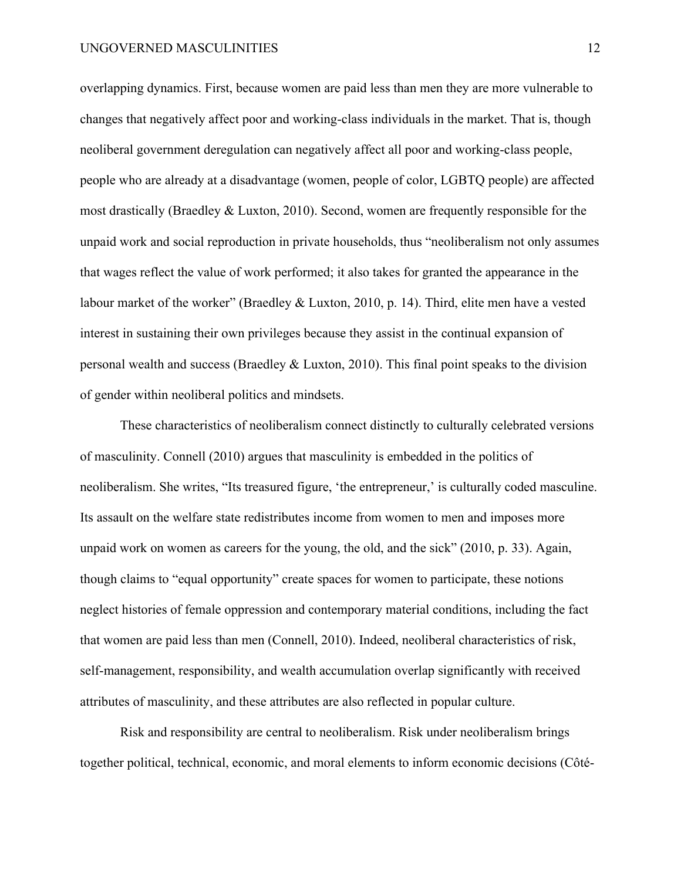overlapping dynamics. First, because women are paid less than men they are more vulnerable to changes that negatively affect poor and working-class individuals in the market. That is, though neoliberal government deregulation can negatively affect all poor and working-class people, people who are already at a disadvantage (women, people of color, LGBTQ people) are affected most drastically (Braedley & Luxton, 2010). Second, women are frequently responsible for the unpaid work and social reproduction in private households, thus "neoliberalism not only assumes that wages reflect the value of work performed; it also takes for granted the appearance in the labour market of the worker" (Braedley & Luxton, 2010, p. 14). Third, elite men have a vested interest in sustaining their own privileges because they assist in the continual expansion of personal wealth and success (Braedley & Luxton, 2010). This final point speaks to the division of gender within neoliberal politics and mindsets.

These characteristics of neoliberalism connect distinctly to culturally celebrated versions of masculinity. Connell (2010) argues that masculinity is embedded in the politics of neoliberalism. She writes, "Its treasured figure, 'the entrepreneur,' is culturally coded masculine. Its assault on the welfare state redistributes income from women to men and imposes more unpaid work on women as careers for the young, the old, and the sick" (2010, p. 33). Again, though claims to "equal opportunity" create spaces for women to participate, these notions neglect histories of female oppression and contemporary material conditions, including the fact that women are paid less than men (Connell, 2010). Indeed, neoliberal characteristics of risk, self-management, responsibility, and wealth accumulation overlap significantly with received attributes of masculinity, and these attributes are also reflected in popular culture.

Risk and responsibility are central to neoliberalism. Risk under neoliberalism brings together political, technical, economic, and moral elements to inform economic decisions (Côté-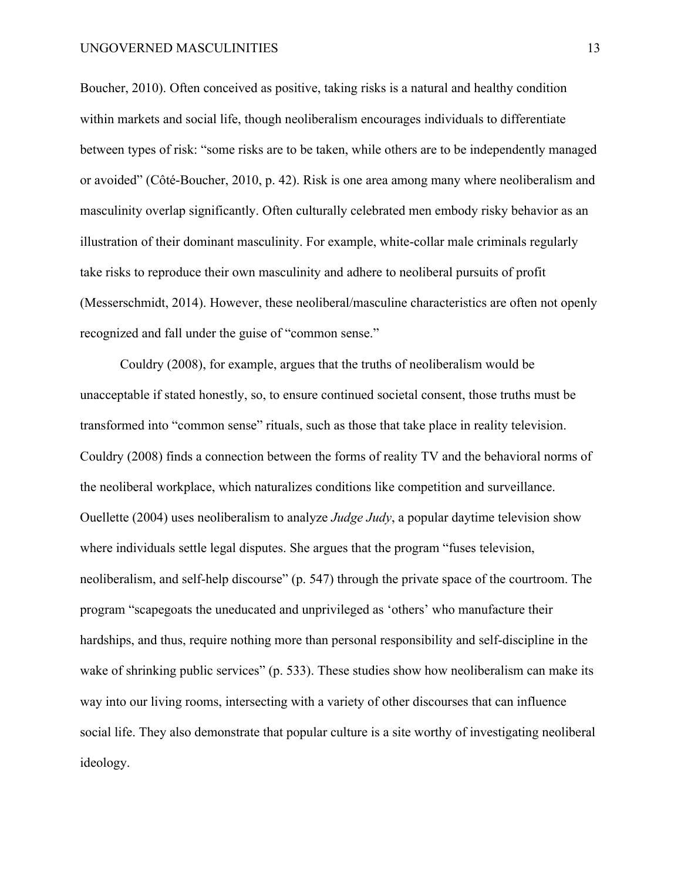Boucher, 2010). Often conceived as positive, taking risks is a natural and healthy condition within markets and social life, though neoliberalism encourages individuals to differentiate between types of risk: "some risks are to be taken, while others are to be independently managed or avoided" (Côté-Boucher, 2010, p. 42). Risk is one area among many where neoliberalism and masculinity overlap significantly. Often culturally celebrated men embody risky behavior as an illustration of their dominant masculinity. For example, white-collar male criminals regularly take risks to reproduce their own masculinity and adhere to neoliberal pursuits of profit (Messerschmidt, 2014). However, these neoliberal/masculine characteristics are often not openly recognized and fall under the guise of "common sense."

Couldry (2008), for example, argues that the truths of neoliberalism would be unacceptable if stated honestly, so, to ensure continued societal consent, those truths must be transformed into "common sense" rituals, such as those that take place in reality television. Couldry (2008) finds a connection between the forms of reality TV and the behavioral norms of the neoliberal workplace, which naturalizes conditions like competition and surveillance. Ouellette (2004) uses neoliberalism to analyze *Judge Judy*, a popular daytime television show where individuals settle legal disputes. She argues that the program "fuses television, neoliberalism, and self-help discourse" (p. 547) through the private space of the courtroom. The program "scapegoats the uneducated and unprivileged as 'others' who manufacture their hardships, and thus, require nothing more than personal responsibility and self-discipline in the wake of shrinking public services" (p. 533). These studies show how neoliberalism can make its way into our living rooms, intersecting with a variety of other discourses that can influence social life. They also demonstrate that popular culture is a site worthy of investigating neoliberal ideology.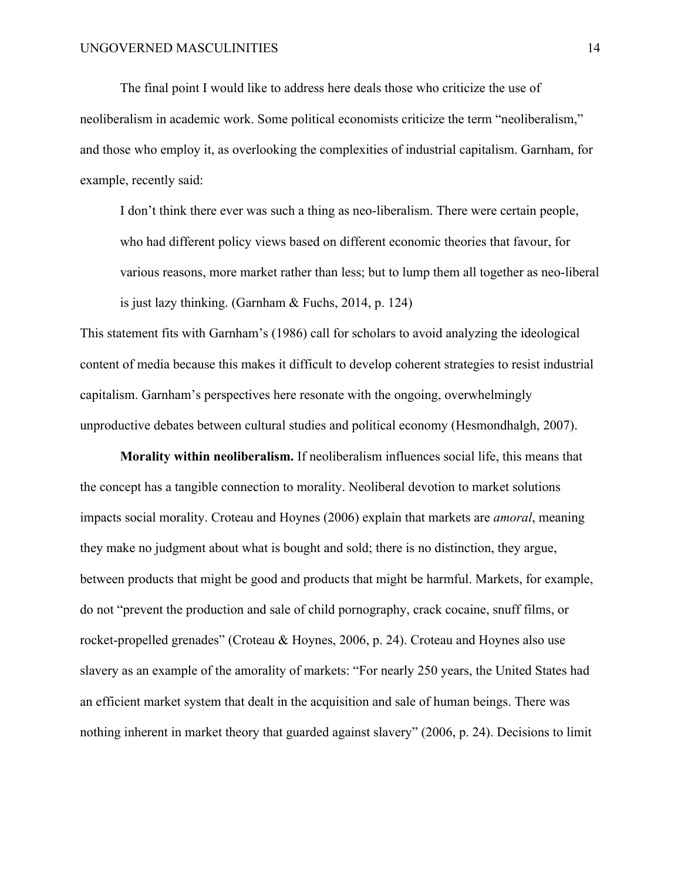The final point I would like to address here deals those who criticize the use of neoliberalism in academic work. Some political economists criticize the term "neoliberalism," and those who employ it, as overlooking the complexities of industrial capitalism. Garnham, for example, recently said:

I don't think there ever was such a thing as neo-liberalism. There were certain people, who had different policy views based on different economic theories that favour, for various reasons, more market rather than less; but to lump them all together as neo-liberal is just lazy thinking. (Garnham & Fuchs, 2014, p. 124)

This statement fits with Garnham's (1986) call for scholars to avoid analyzing the ideological content of media because this makes it difficult to develop coherent strategies to resist industrial capitalism. Garnham's perspectives here resonate with the ongoing, overwhelmingly unproductive debates between cultural studies and political economy (Hesmondhalgh, 2007).

**Morality within neoliberalism.** If neoliberalism influences social life, this means that the concept has a tangible connection to morality. Neoliberal devotion to market solutions impacts social morality. Croteau and Hoynes (2006) explain that markets are *amoral*, meaning they make no judgment about what is bought and sold; there is no distinction, they argue, between products that might be good and products that might be harmful. Markets, for example, do not "prevent the production and sale of child pornography, crack cocaine, snuff films, or rocket-propelled grenades" (Croteau & Hoynes, 2006, p. 24). Croteau and Hoynes also use slavery as an example of the amorality of markets: "For nearly 250 years, the United States had an efficient market system that dealt in the acquisition and sale of human beings. There was nothing inherent in market theory that guarded against slavery" (2006, p. 24). Decisions to limit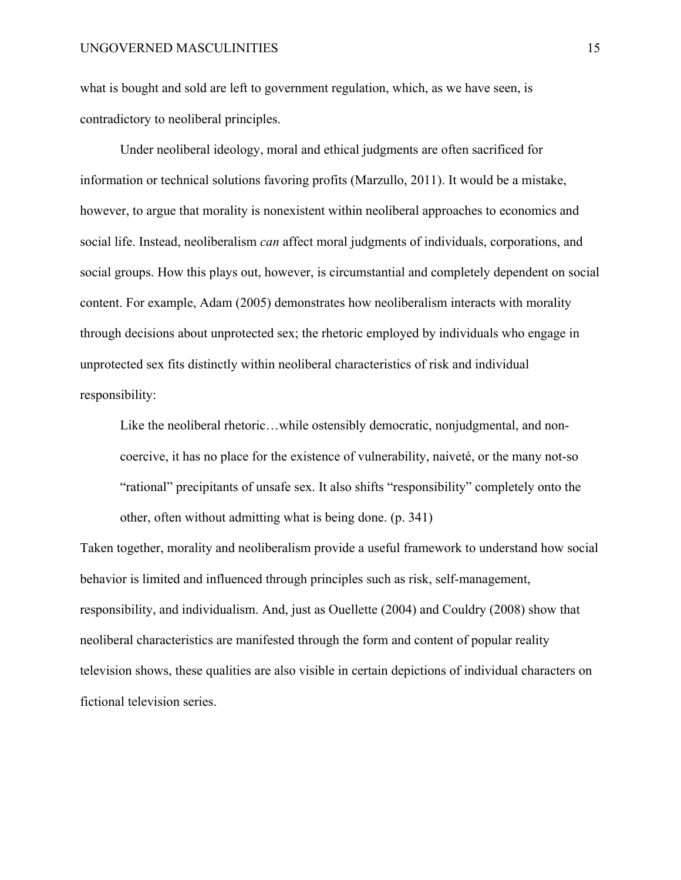what is bought and sold are left to government regulation, which, as we have seen, is contradictory to neoliberal principles.

Under neoliberal ideology, moral and ethical judgments are often sacrificed for information or technical solutions favoring profits (Marzullo, 2011). It would be a mistake, however, to argue that morality is nonexistent within neoliberal approaches to economics and social life. Instead, neoliberalism *can* affect moral judgments of individuals, corporations, and social groups. How this plays out, however, is circumstantial and completely dependent on social content. For example, Adam (2005) demonstrates how neoliberalism interacts with morality through decisions about unprotected sex; the rhetoric employed by individuals who engage in unprotected sex fits distinctly within neoliberal characteristics of risk and individual responsibility:

Like the neoliberal rhetoric...while ostensibly democratic, nonjudgmental, and noncoercive, it has no place for the existence of vulnerability, naiveté, or the many not-so "rational" precipitants of unsafe sex. It also shifts "responsibility" completely onto the other, often without admitting what is being done. (p. 341)

Taken together, morality and neoliberalism provide a useful framework to understand how social behavior is limited and influenced through principles such as risk, self-management, responsibility, and individualism. And, just as Ouellette (2004) and Couldry (2008) show that neoliberal characteristics are manifested through the form and content of popular reality television shows, these qualities are also visible in certain depictions of individual characters on fictional television series.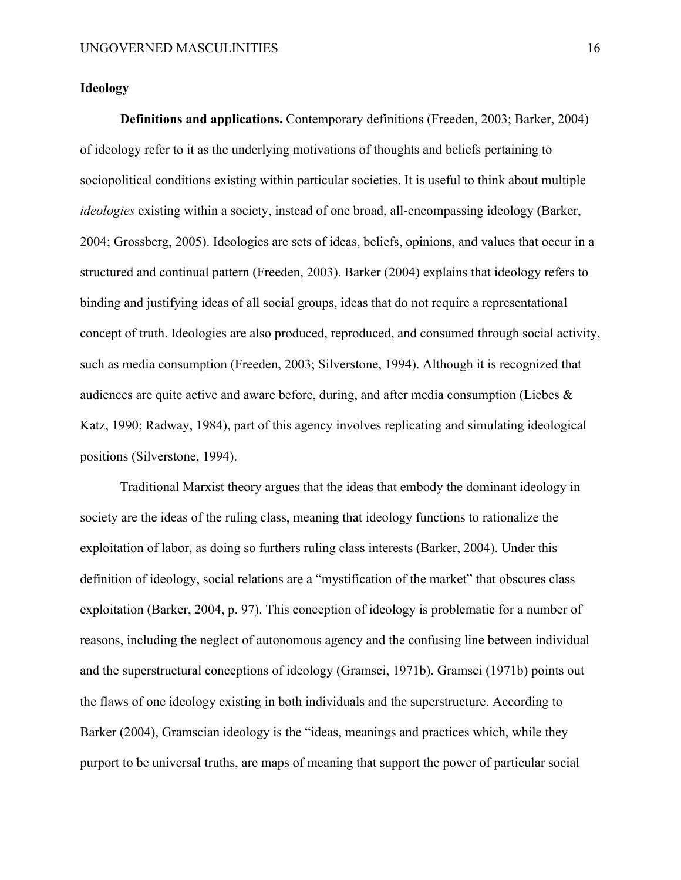#### **Ideology**

**Definitions and applications.** Contemporary definitions (Freeden, 2003; Barker, 2004) of ideology refer to it as the underlying motivations of thoughts and beliefs pertaining to sociopolitical conditions existing within particular societies. It is useful to think about multiple *ideologies* existing within a society, instead of one broad, all-encompassing ideology (Barker, 2004; Grossberg, 2005). Ideologies are sets of ideas, beliefs, opinions, and values that occur in a structured and continual pattern (Freeden, 2003). Barker (2004) explains that ideology refers to binding and justifying ideas of all social groups, ideas that do not require a representational concept of truth. Ideologies are also produced, reproduced, and consumed through social activity, such as media consumption (Freeden, 2003; Silverstone, 1994). Although it is recognized that audiences are quite active and aware before, during, and after media consumption (Liebes & Katz, 1990; Radway, 1984), part of this agency involves replicating and simulating ideological positions (Silverstone, 1994).

Traditional Marxist theory argues that the ideas that embody the dominant ideology in society are the ideas of the ruling class, meaning that ideology functions to rationalize the exploitation of labor, as doing so furthers ruling class interests (Barker, 2004). Under this definition of ideology, social relations are a "mystification of the market" that obscures class exploitation (Barker, 2004, p. 97). This conception of ideology is problematic for a number of reasons, including the neglect of autonomous agency and the confusing line between individual and the superstructural conceptions of ideology (Gramsci, 1971b). Gramsci (1971b) points out the flaws of one ideology existing in both individuals and the superstructure. According to Barker (2004), Gramscian ideology is the "ideas, meanings and practices which, while they purport to be universal truths, are maps of meaning that support the power of particular social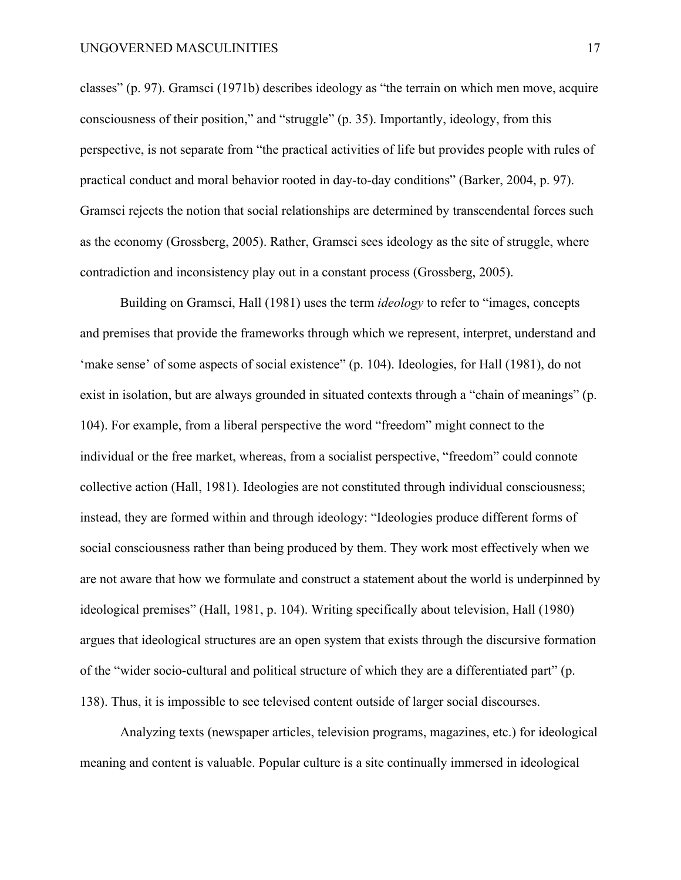classes" (p. 97). Gramsci (1971b) describes ideology as "the terrain on which men move, acquire consciousness of their position," and "struggle" (p. 35). Importantly, ideology, from this perspective, is not separate from "the practical activities of life but provides people with rules of practical conduct and moral behavior rooted in day-to-day conditions" (Barker, 2004, p. 97). Gramsci rejects the notion that social relationships are determined by transcendental forces such as the economy (Grossberg, 2005). Rather, Gramsci sees ideology as the site of struggle, where contradiction and inconsistency play out in a constant process (Grossberg, 2005).

Building on Gramsci, Hall (1981) uses the term *ideology* to refer to "images, concepts and premises that provide the frameworks through which we represent, interpret, understand and 'make sense' of some aspects of social existence" (p. 104). Ideologies, for Hall (1981), do not exist in isolation, but are always grounded in situated contexts through a "chain of meanings" (p. 104). For example, from a liberal perspective the word "freedom" might connect to the individual or the free market, whereas, from a socialist perspective, "freedom" could connote collective action (Hall, 1981). Ideologies are not constituted through individual consciousness; instead, they are formed within and through ideology: "Ideologies produce different forms of social consciousness rather than being produced by them. They work most effectively when we are not aware that how we formulate and construct a statement about the world is underpinned by ideological premises" (Hall, 1981, p. 104). Writing specifically about television, Hall (1980) argues that ideological structures are an open system that exists through the discursive formation of the "wider socio-cultural and political structure of which they are a differentiated part" (p. 138). Thus, it is impossible to see televised content outside of larger social discourses.

Analyzing texts (newspaper articles, television programs, magazines, etc.) for ideological meaning and content is valuable. Popular culture is a site continually immersed in ideological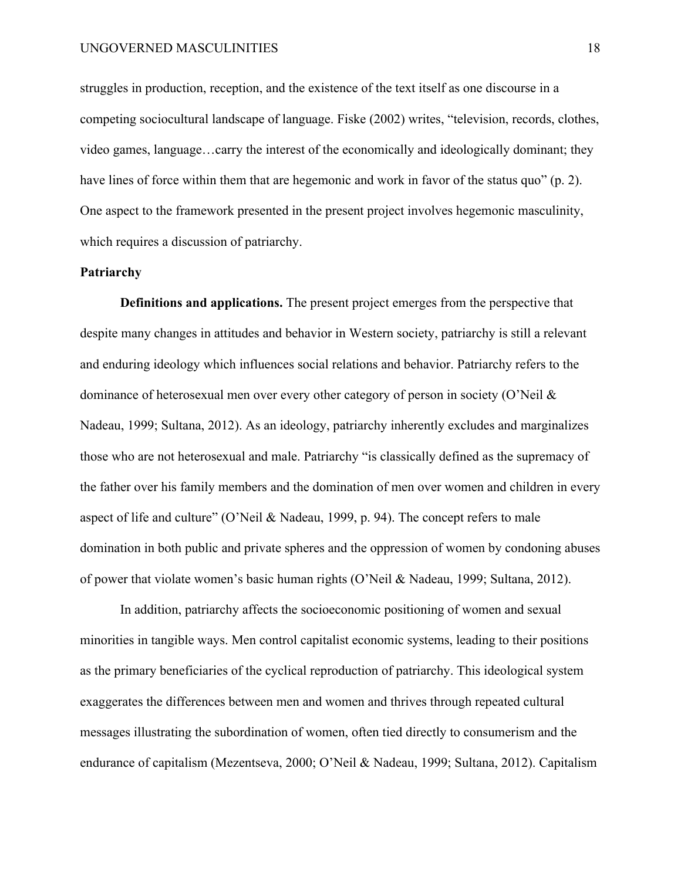struggles in production, reception, and the existence of the text itself as one discourse in a competing sociocultural landscape of language. Fiske (2002) writes, "television, records, clothes, video games, language…carry the interest of the economically and ideologically dominant; they have lines of force within them that are hegemonic and work in favor of the status quo" (p. 2). One aspect to the framework presented in the present project involves hegemonic masculinity, which requires a discussion of patriarchy.

## **Patriarchy**

**Definitions and applications.** The present project emerges from the perspective that despite many changes in attitudes and behavior in Western society, patriarchy is still a relevant and enduring ideology which influences social relations and behavior. Patriarchy refers to the dominance of heterosexual men over every other category of person in society (O'Neil & Nadeau, 1999; Sultana, 2012). As an ideology, patriarchy inherently excludes and marginalizes those who are not heterosexual and male. Patriarchy "is classically defined as the supremacy of the father over his family members and the domination of men over women and children in every aspect of life and culture" (O'Neil & Nadeau, 1999, p. 94). The concept refers to male domination in both public and private spheres and the oppression of women by condoning abuses of power that violate women's basic human rights (O'Neil & Nadeau, 1999; Sultana, 2012).

In addition, patriarchy affects the socioeconomic positioning of women and sexual minorities in tangible ways. Men control capitalist economic systems, leading to their positions as the primary beneficiaries of the cyclical reproduction of patriarchy. This ideological system exaggerates the differences between men and women and thrives through repeated cultural messages illustrating the subordination of women, often tied directly to consumerism and the endurance of capitalism (Mezentseva, 2000; O'Neil & Nadeau, 1999; Sultana, 2012). Capitalism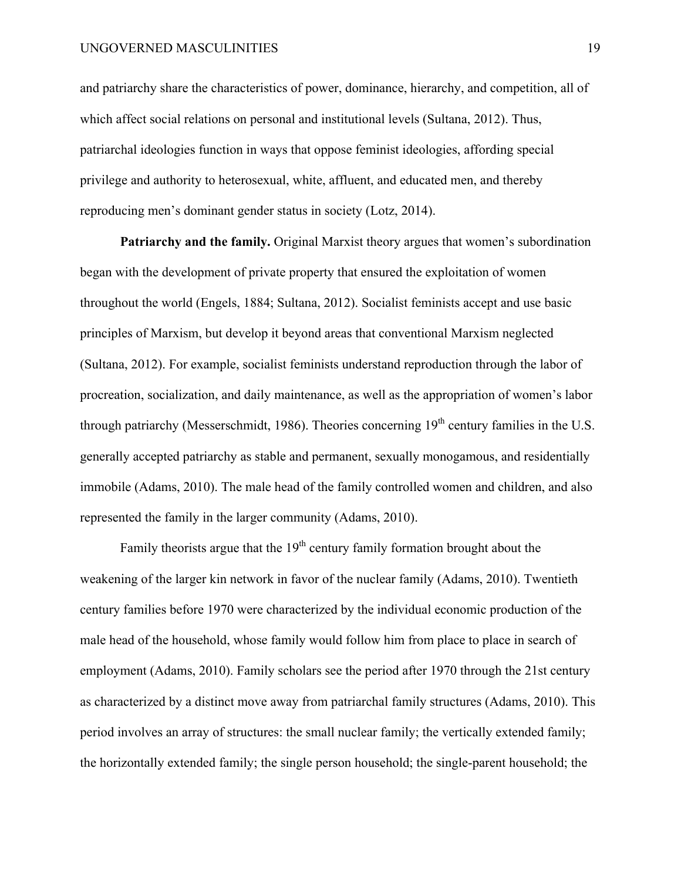and patriarchy share the characteristics of power, dominance, hierarchy, and competition, all of which affect social relations on personal and institutional levels (Sultana, 2012). Thus, patriarchal ideologies function in ways that oppose feminist ideologies, affording special privilege and authority to heterosexual, white, affluent, and educated men, and thereby reproducing men's dominant gender status in society (Lotz, 2014).

**Patriarchy and the family.** Original Marxist theory argues that women's subordination began with the development of private property that ensured the exploitation of women throughout the world (Engels, 1884; Sultana, 2012). Socialist feminists accept and use basic principles of Marxism, but develop it beyond areas that conventional Marxism neglected (Sultana, 2012). For example, socialist feminists understand reproduction through the labor of procreation, socialization, and daily maintenance, as well as the appropriation of women's labor through patriarchy (Messerschmidt, 1986). Theories concerning  $19<sup>th</sup>$  century families in the U.S. generally accepted patriarchy as stable and permanent, sexually monogamous, and residentially immobile (Adams, 2010). The male head of the family controlled women and children, and also represented the family in the larger community (Adams, 2010).

Family theorists argue that the  $19<sup>th</sup>$  century family formation brought about the weakening of the larger kin network in favor of the nuclear family (Adams, 2010). Twentieth century families before 1970 were characterized by the individual economic production of the male head of the household, whose family would follow him from place to place in search of employment (Adams, 2010). Family scholars see the period after 1970 through the 21st century as characterized by a distinct move away from patriarchal family structures (Adams, 2010). This period involves an array of structures: the small nuclear family; the vertically extended family; the horizontally extended family; the single person household; the single-parent household; the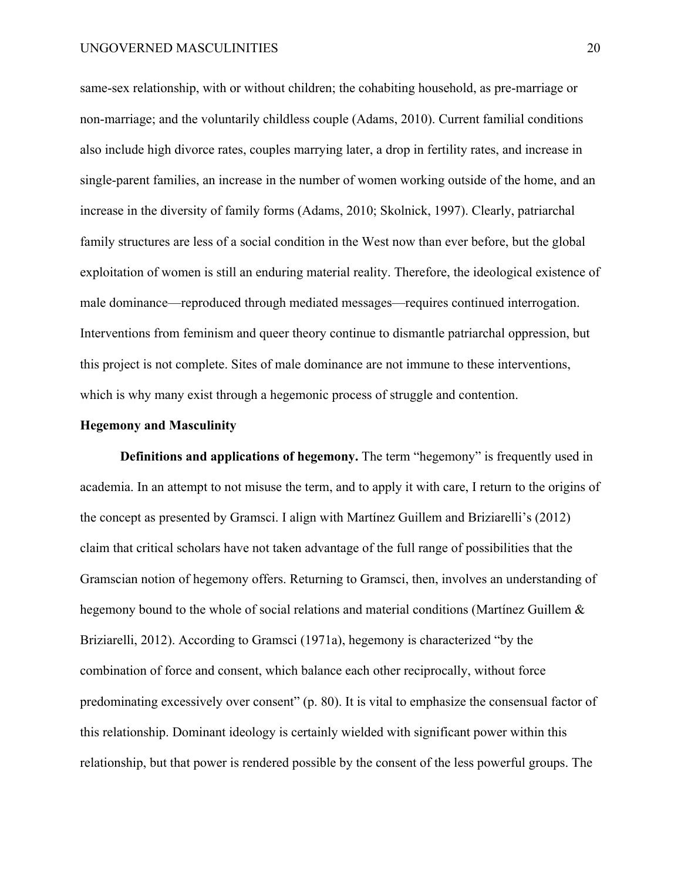same-sex relationship, with or without children; the cohabiting household, as pre-marriage or non-marriage; and the voluntarily childless couple (Adams, 2010). Current familial conditions also include high divorce rates, couples marrying later, a drop in fertility rates, and increase in single-parent families, an increase in the number of women working outside of the home, and an increase in the diversity of family forms (Adams, 2010; Skolnick, 1997). Clearly, patriarchal family structures are less of a social condition in the West now than ever before, but the global exploitation of women is still an enduring material reality. Therefore, the ideological existence of male dominance—reproduced through mediated messages—requires continued interrogation. Interventions from feminism and queer theory continue to dismantle patriarchal oppression, but this project is not complete. Sites of male dominance are not immune to these interventions, which is why many exist through a hegemonic process of struggle and contention.

#### **Hegemony and Masculinity**

**Definitions and applications of hegemony.** The term "hegemony" is frequently used in academia. In an attempt to not misuse the term, and to apply it with care, I return to the origins of the concept as presented by Gramsci. I align with Martínez Guillem and Briziarelli's (2012) claim that critical scholars have not taken advantage of the full range of possibilities that the Gramscian notion of hegemony offers. Returning to Gramsci, then, involves an understanding of hegemony bound to the whole of social relations and material conditions (Martínez Guillem & Briziarelli, 2012). According to Gramsci (1971a), hegemony is characterized "by the combination of force and consent, which balance each other reciprocally, without force predominating excessively over consent" (p. 80). It is vital to emphasize the consensual factor of this relationship. Dominant ideology is certainly wielded with significant power within this relationship, but that power is rendered possible by the consent of the less powerful groups. The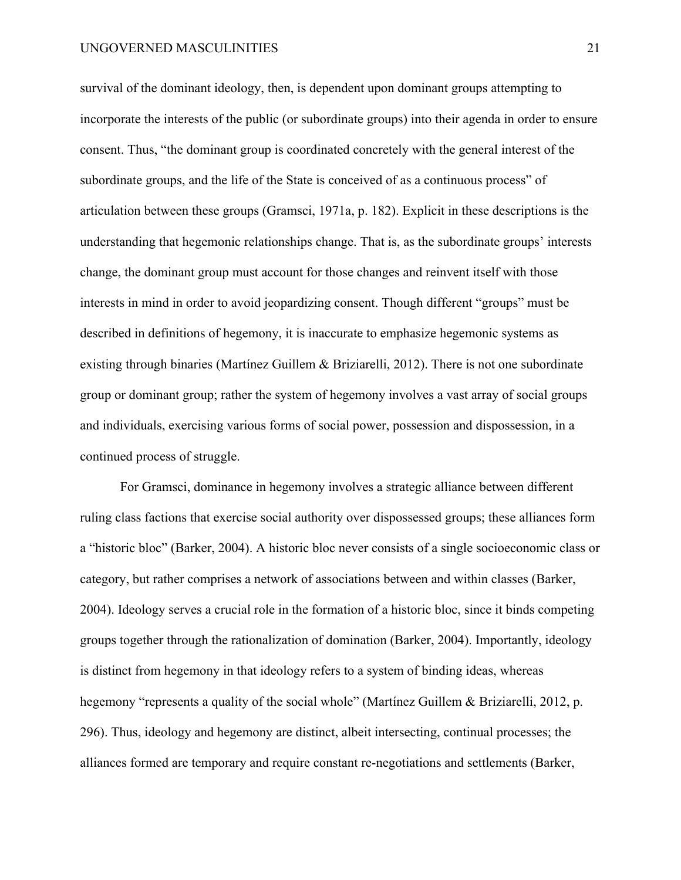survival of the dominant ideology, then, is dependent upon dominant groups attempting to incorporate the interests of the public (or subordinate groups) into their agenda in order to ensure consent. Thus, "the dominant group is coordinated concretely with the general interest of the subordinate groups, and the life of the State is conceived of as a continuous process" of articulation between these groups (Gramsci, 1971a, p. 182). Explicit in these descriptions is the understanding that hegemonic relationships change. That is, as the subordinate groups' interests change, the dominant group must account for those changes and reinvent itself with those interests in mind in order to avoid jeopardizing consent. Though different "groups" must be described in definitions of hegemony, it is inaccurate to emphasize hegemonic systems as existing through binaries (Martínez Guillem & Briziarelli, 2012). There is not one subordinate group or dominant group; rather the system of hegemony involves a vast array of social groups and individuals, exercising various forms of social power, possession and dispossession, in a continued process of struggle.

For Gramsci, dominance in hegemony involves a strategic alliance between different ruling class factions that exercise social authority over dispossessed groups; these alliances form a "historic bloc" (Barker, 2004). A historic bloc never consists of a single socioeconomic class or category, but rather comprises a network of associations between and within classes (Barker, 2004). Ideology serves a crucial role in the formation of a historic bloc, since it binds competing groups together through the rationalization of domination (Barker, 2004). Importantly, ideology is distinct from hegemony in that ideology refers to a system of binding ideas, whereas hegemony "represents a quality of the social whole" (Martínez Guillem & Briziarelli, 2012, p. 296). Thus, ideology and hegemony are distinct, albeit intersecting, continual processes; the alliances formed are temporary and require constant re-negotiations and settlements (Barker,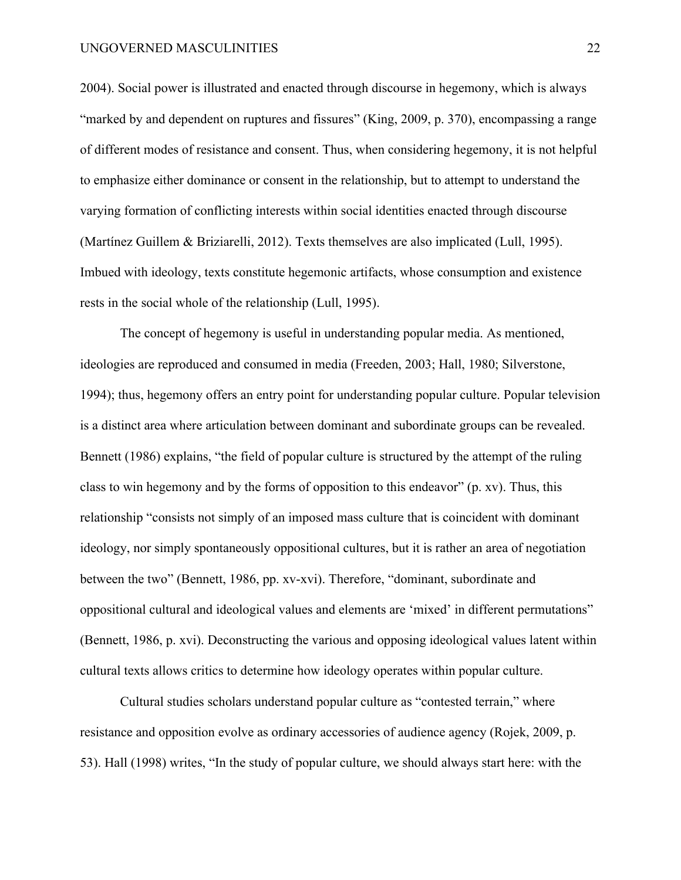2004). Social power is illustrated and enacted through discourse in hegemony, which is always "marked by and dependent on ruptures and fissures" (King, 2009, p. 370), encompassing a range of different modes of resistance and consent. Thus, when considering hegemony, it is not helpful to emphasize either dominance or consent in the relationship, but to attempt to understand the varying formation of conflicting interests within social identities enacted through discourse (Martínez Guillem & Briziarelli, 2012). Texts themselves are also implicated (Lull, 1995). Imbued with ideology, texts constitute hegemonic artifacts, whose consumption and existence rests in the social whole of the relationship (Lull, 1995).

The concept of hegemony is useful in understanding popular media. As mentioned, ideologies are reproduced and consumed in media (Freeden, 2003; Hall, 1980; Silverstone, 1994); thus, hegemony offers an entry point for understanding popular culture. Popular television is a distinct area where articulation between dominant and subordinate groups can be revealed. Bennett (1986) explains, "the field of popular culture is structured by the attempt of the ruling class to win hegemony and by the forms of opposition to this endeavor" (p. xv). Thus, this relationship "consists not simply of an imposed mass culture that is coincident with dominant ideology, nor simply spontaneously oppositional cultures, but it is rather an area of negotiation between the two" (Bennett, 1986, pp. xv-xvi). Therefore, "dominant, subordinate and oppositional cultural and ideological values and elements are 'mixed' in different permutations" (Bennett, 1986, p. xvi). Deconstructing the various and opposing ideological values latent within cultural texts allows critics to determine how ideology operates within popular culture.

Cultural studies scholars understand popular culture as "contested terrain," where resistance and opposition evolve as ordinary accessories of audience agency (Rojek, 2009, p. 53). Hall (1998) writes, "In the study of popular culture, we should always start here: with the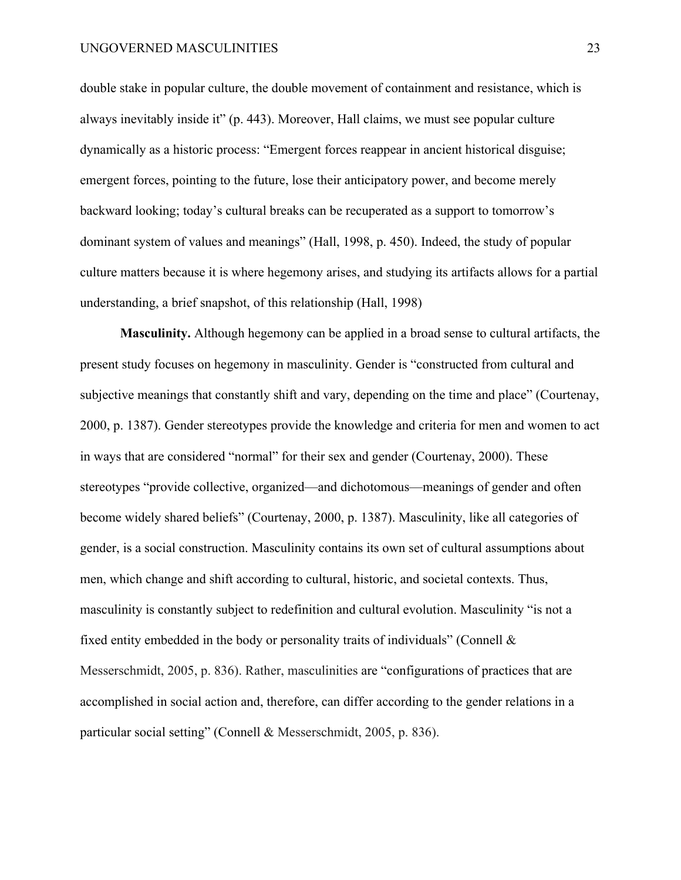double stake in popular culture, the double movement of containment and resistance, which is always inevitably inside it" (p. 443). Moreover, Hall claims, we must see popular culture dynamically as a historic process: "Emergent forces reappear in ancient historical disguise; emergent forces, pointing to the future, lose their anticipatory power, and become merely backward looking; today's cultural breaks can be recuperated as a support to tomorrow's dominant system of values and meanings" (Hall, 1998, p. 450). Indeed, the study of popular culture matters because it is where hegemony arises, and studying its artifacts allows for a partial understanding, a brief snapshot, of this relationship (Hall, 1998)

**Masculinity.** Although hegemony can be applied in a broad sense to cultural artifacts, the present study focuses on hegemony in masculinity. Gender is "constructed from cultural and subjective meanings that constantly shift and vary, depending on the time and place" (Courtenay, 2000, p. 1387). Gender stereotypes provide the knowledge and criteria for men and women to act in ways that are considered "normal" for their sex and gender (Courtenay, 2000). These stereotypes "provide collective, organized—and dichotomous—meanings of gender and often become widely shared beliefs" (Courtenay, 2000, p. 1387). Masculinity, like all categories of gender, is a social construction. Masculinity contains its own set of cultural assumptions about men, which change and shift according to cultural, historic, and societal contexts. Thus, masculinity is constantly subject to redefinition and cultural evolution. Masculinity "is not a fixed entity embedded in the body or personality traits of individuals" (Connell  $\&$ Messerschmidt, 2005, p. 836). Rather, masculinities are "configurations of practices that are accomplished in social action and, therefore, can differ according to the gender relations in a particular social setting" (Connell & Messerschmidt, 2005, p. 836).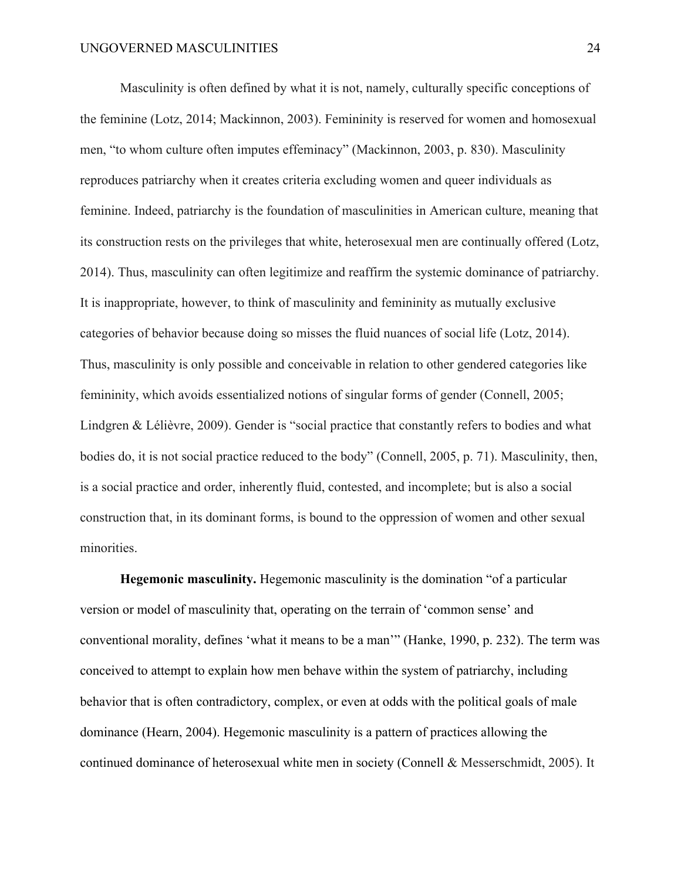Masculinity is often defined by what it is not, namely, culturally specific conceptions of the feminine (Lotz, 2014; Mackinnon, 2003). Femininity is reserved for women and homosexual men, "to whom culture often imputes effeminacy" (Mackinnon, 2003, p. 830). Masculinity reproduces patriarchy when it creates criteria excluding women and queer individuals as feminine. Indeed, patriarchy is the foundation of masculinities in American culture, meaning that its construction rests on the privileges that white, heterosexual men are continually offered (Lotz, 2014). Thus, masculinity can often legitimize and reaffirm the systemic dominance of patriarchy. It is inappropriate, however, to think of masculinity and femininity as mutually exclusive categories of behavior because doing so misses the fluid nuances of social life (Lotz, 2014). Thus, masculinity is only possible and conceivable in relation to other gendered categories like femininity, which avoids essentialized notions of singular forms of gender (Connell, 2005; Lindgren & Lélièvre, 2009). Gender is "social practice that constantly refers to bodies and what bodies do, it is not social practice reduced to the body" (Connell, 2005, p. 71). Masculinity, then, is a social practice and order, inherently fluid, contested, and incomplete; but is also a social construction that, in its dominant forms, is bound to the oppression of women and other sexual minorities.

**Hegemonic masculinity.** Hegemonic masculinity is the domination "of a particular version or model of masculinity that, operating on the terrain of 'common sense' and conventional morality, defines 'what it means to be a man'" (Hanke, 1990, p. 232). The term was conceived to attempt to explain how men behave within the system of patriarchy, including behavior that is often contradictory, complex, or even at odds with the political goals of male dominance (Hearn, 2004). Hegemonic masculinity is a pattern of practices allowing the continued dominance of heterosexual white men in society (Connell & Messerschmidt, 2005). It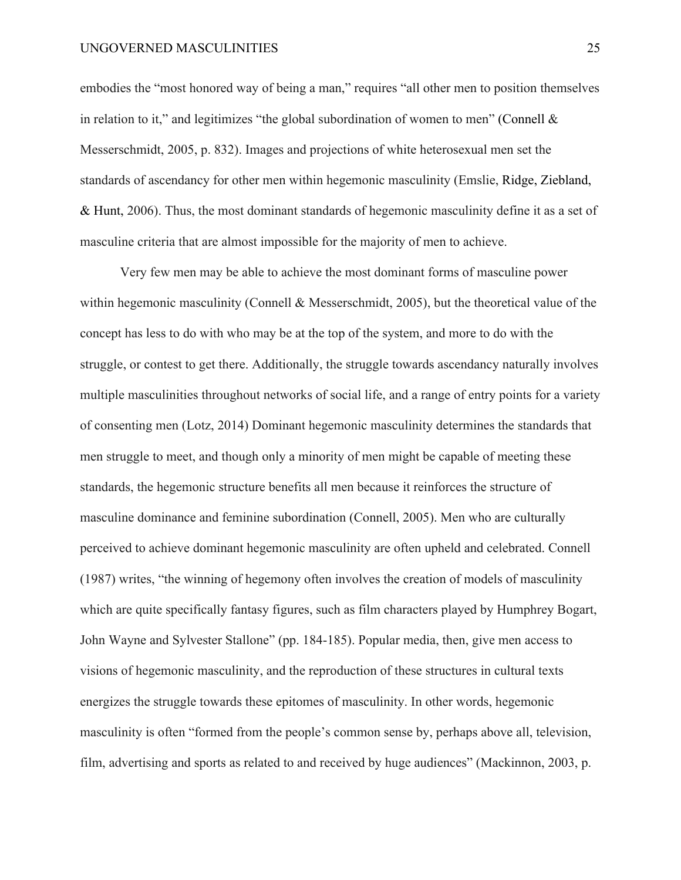#### UNGOVERNED MASCULINITIES 25

embodies the "most honored way of being a man," requires "all other men to position themselves in relation to it," and legitimizes "the global subordination of women to men" (Connell  $\&$ Messerschmidt, 2005, p. 832). Images and projections of white heterosexual men set the standards of ascendancy for other men within hegemonic masculinity (Emslie, Ridge, Ziebland, & Hunt, 2006). Thus, the most dominant standards of hegemonic masculinity define it as a set of masculine criteria that are almost impossible for the majority of men to achieve.

Very few men may be able to achieve the most dominant forms of masculine power within hegemonic masculinity (Connell & Messerschmidt, 2005), but the theoretical value of the concept has less to do with who may be at the top of the system, and more to do with the struggle, or contest to get there. Additionally, the struggle towards ascendancy naturally involves multiple masculinities throughout networks of social life, and a range of entry points for a variety of consenting men (Lotz, 2014) Dominant hegemonic masculinity determines the standards that men struggle to meet, and though only a minority of men might be capable of meeting these standards, the hegemonic structure benefits all men because it reinforces the structure of masculine dominance and feminine subordination (Connell, 2005). Men who are culturally perceived to achieve dominant hegemonic masculinity are often upheld and celebrated. Connell (1987) writes, "the winning of hegemony often involves the creation of models of masculinity which are quite specifically fantasy figures, such as film characters played by Humphrey Bogart, John Wayne and Sylvester Stallone" (pp. 184-185). Popular media, then, give men access to visions of hegemonic masculinity, and the reproduction of these structures in cultural texts energizes the struggle towards these epitomes of masculinity. In other words, hegemonic masculinity is often "formed from the people's common sense by, perhaps above all, television, film, advertising and sports as related to and received by huge audiences" (Mackinnon, 2003, p.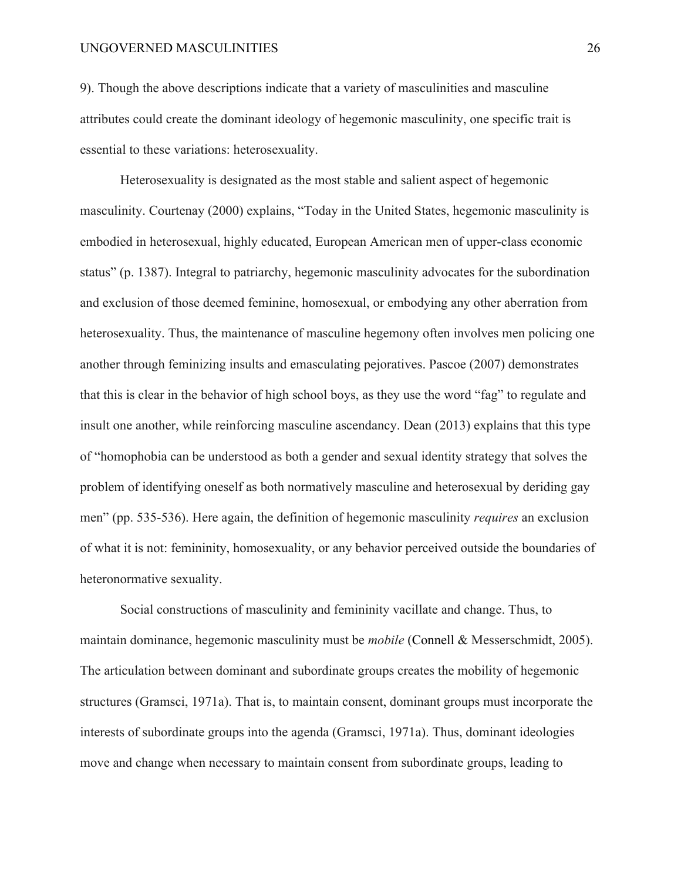9). Though the above descriptions indicate that a variety of masculinities and masculine attributes could create the dominant ideology of hegemonic masculinity, one specific trait is essential to these variations: heterosexuality.

Heterosexuality is designated as the most stable and salient aspect of hegemonic masculinity. Courtenay (2000) explains, "Today in the United States, hegemonic masculinity is embodied in heterosexual, highly educated, European American men of upper-class economic status" (p. 1387). Integral to patriarchy, hegemonic masculinity advocates for the subordination and exclusion of those deemed feminine, homosexual, or embodying any other aberration from heterosexuality. Thus, the maintenance of masculine hegemony often involves men policing one another through feminizing insults and emasculating pejoratives. Pascoe (2007) demonstrates that this is clear in the behavior of high school boys, as they use the word "fag" to regulate and insult one another, while reinforcing masculine ascendancy. Dean (2013) explains that this type of "homophobia can be understood as both a gender and sexual identity strategy that solves the problem of identifying oneself as both normatively masculine and heterosexual by deriding gay men" (pp. 535-536). Here again, the definition of hegemonic masculinity *requires* an exclusion of what it is not: femininity, homosexuality, or any behavior perceived outside the boundaries of heteronormative sexuality.

Social constructions of masculinity and femininity vacillate and change. Thus, to maintain dominance, hegemonic masculinity must be *mobile* (Connell & Messerschmidt, 2005). The articulation between dominant and subordinate groups creates the mobility of hegemonic structures (Gramsci, 1971a). That is, to maintain consent, dominant groups must incorporate the interests of subordinate groups into the agenda (Gramsci, 1971a). Thus, dominant ideologies move and change when necessary to maintain consent from subordinate groups, leading to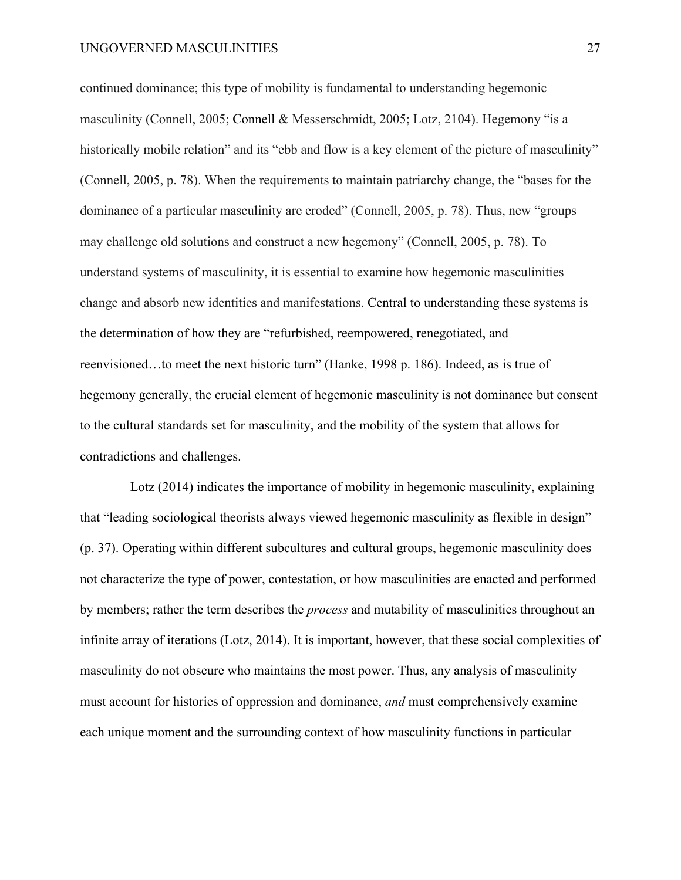continued dominance; this type of mobility is fundamental to understanding hegemonic masculinity (Connell, 2005; Connell & Messerschmidt, 2005; Lotz, 2104). Hegemony "is a historically mobile relation" and its "ebb and flow is a key element of the picture of masculinity" (Connell, 2005, p. 78). When the requirements to maintain patriarchy change, the "bases for the dominance of a particular masculinity are eroded" (Connell, 2005, p. 78). Thus, new "groups may challenge old solutions and construct a new hegemony" (Connell, 2005, p. 78). To understand systems of masculinity, it is essential to examine how hegemonic masculinities change and absorb new identities and manifestations. Central to understanding these systems is the determination of how they are "refurbished, reempowered, renegotiated, and reenvisioned…to meet the next historic turn" (Hanke, 1998 p. 186). Indeed, as is true of hegemony generally, the crucial element of hegemonic masculinity is not dominance but consent to the cultural standards set for masculinity, and the mobility of the system that allows for contradictions and challenges.

 Lotz (2014) indicates the importance of mobility in hegemonic masculinity, explaining that "leading sociological theorists always viewed hegemonic masculinity as flexible in design" (p. 37). Operating within different subcultures and cultural groups, hegemonic masculinity does not characterize the type of power, contestation, or how masculinities are enacted and performed by members; rather the term describes the *process* and mutability of masculinities throughout an infinite array of iterations (Lotz, 2014). It is important, however, that these social complexities of masculinity do not obscure who maintains the most power. Thus, any analysis of masculinity must account for histories of oppression and dominance, *and* must comprehensively examine each unique moment and the surrounding context of how masculinity functions in particular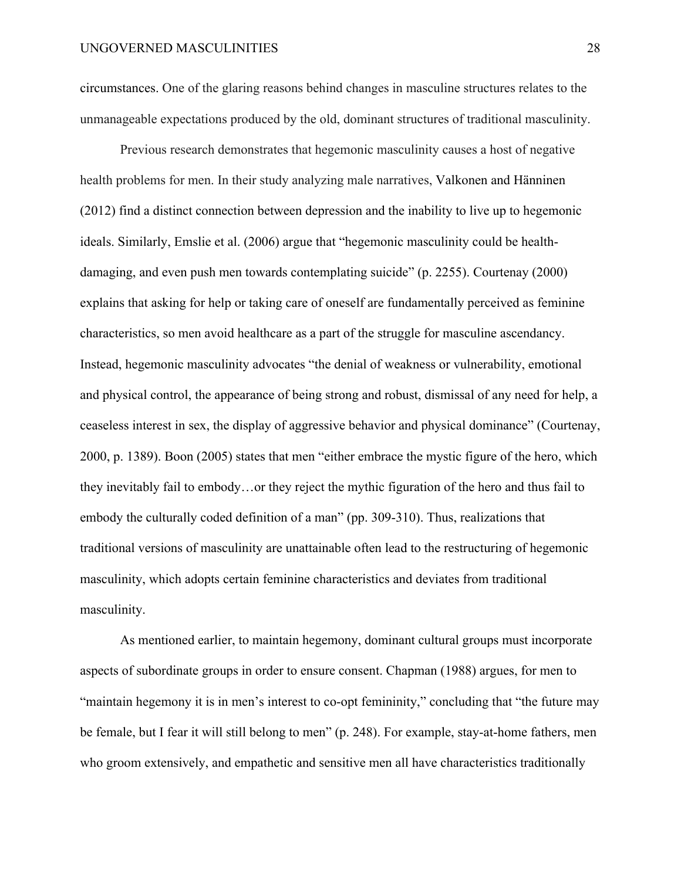circumstances. One of the glaring reasons behind changes in masculine structures relates to the unmanageable expectations produced by the old, dominant structures of traditional masculinity.

Previous research demonstrates that hegemonic masculinity causes a host of negative health problems for men. In their study analyzing male narratives, Valkonen and Hänninen (2012) find a distinct connection between depression and the inability to live up to hegemonic ideals. Similarly, Emslie et al. (2006) argue that "hegemonic masculinity could be healthdamaging, and even push men towards contemplating suicide" (p. 2255). Courtenay (2000) explains that asking for help or taking care of oneself are fundamentally perceived as feminine characteristics, so men avoid healthcare as a part of the struggle for masculine ascendancy. Instead, hegemonic masculinity advocates "the denial of weakness or vulnerability, emotional and physical control, the appearance of being strong and robust, dismissal of any need for help, a ceaseless interest in sex, the display of aggressive behavior and physical dominance" (Courtenay, 2000, p. 1389). Boon (2005) states that men "either embrace the mystic figure of the hero, which they inevitably fail to embody…or they reject the mythic figuration of the hero and thus fail to embody the culturally coded definition of a man" (pp. 309-310). Thus, realizations that traditional versions of masculinity are unattainable often lead to the restructuring of hegemonic masculinity, which adopts certain feminine characteristics and deviates from traditional masculinity.

As mentioned earlier, to maintain hegemony, dominant cultural groups must incorporate aspects of subordinate groups in order to ensure consent. Chapman (1988) argues, for men to "maintain hegemony it is in men's interest to co-opt femininity," concluding that "the future may be female, but I fear it will still belong to men" (p. 248). For example, stay-at-home fathers, men who groom extensively, and empathetic and sensitive men all have characteristics traditionally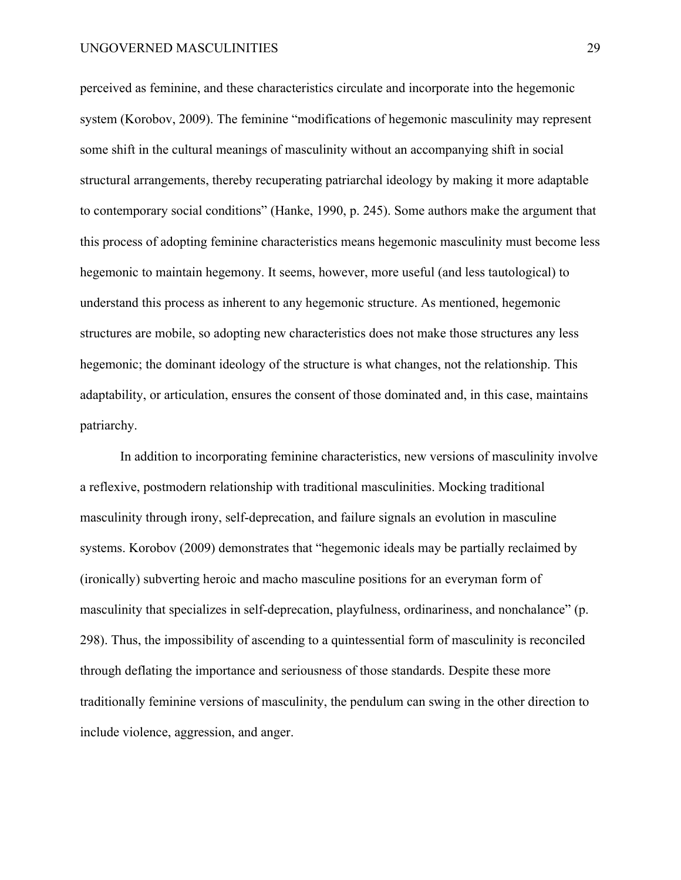perceived as feminine, and these characteristics circulate and incorporate into the hegemonic system (Korobov, 2009). The feminine "modifications of hegemonic masculinity may represent some shift in the cultural meanings of masculinity without an accompanying shift in social structural arrangements, thereby recuperating patriarchal ideology by making it more adaptable to contemporary social conditions" (Hanke, 1990, p. 245). Some authors make the argument that this process of adopting feminine characteristics means hegemonic masculinity must become less hegemonic to maintain hegemony. It seems, however, more useful (and less tautological) to understand this process as inherent to any hegemonic structure. As mentioned, hegemonic structures are mobile, so adopting new characteristics does not make those structures any less hegemonic; the dominant ideology of the structure is what changes, not the relationship. This adaptability, or articulation, ensures the consent of those dominated and, in this case, maintains patriarchy.

In addition to incorporating feminine characteristics, new versions of masculinity involve a reflexive, postmodern relationship with traditional masculinities. Mocking traditional masculinity through irony, self-deprecation, and failure signals an evolution in masculine systems. Korobov (2009) demonstrates that "hegemonic ideals may be partially reclaimed by (ironically) subverting heroic and macho masculine positions for an everyman form of masculinity that specializes in self-deprecation, playfulness, ordinariness, and nonchalance" (p. 298). Thus, the impossibility of ascending to a quintessential form of masculinity is reconciled through deflating the importance and seriousness of those standards. Despite these more traditionally feminine versions of masculinity, the pendulum can swing in the other direction to include violence, aggression, and anger.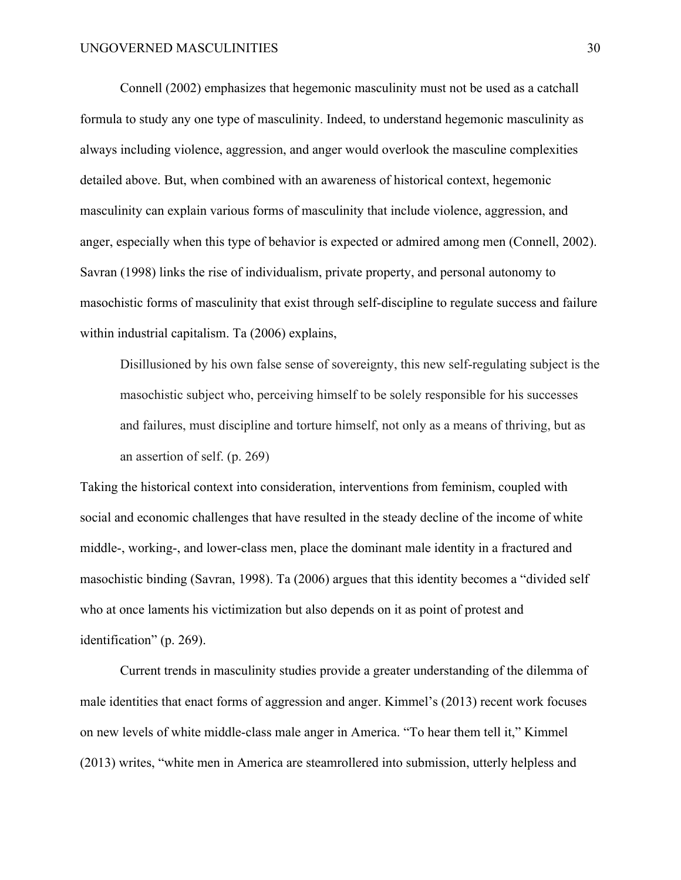Connell (2002) emphasizes that hegemonic masculinity must not be used as a catchall formula to study any one type of masculinity. Indeed, to understand hegemonic masculinity as always including violence, aggression, and anger would overlook the masculine complexities detailed above. But, when combined with an awareness of historical context, hegemonic masculinity can explain various forms of masculinity that include violence, aggression, and anger, especially when this type of behavior is expected or admired among men (Connell, 2002). Savran (1998) links the rise of individualism, private property, and personal autonomy to masochistic forms of masculinity that exist through self-discipline to regulate success and failure within industrial capitalism. Ta (2006) explains,

Disillusioned by his own false sense of sovereignty, this new self-regulating subject is the masochistic subject who, perceiving himself to be solely responsible for his successes and failures, must discipline and torture himself, not only as a means of thriving, but as an assertion of self. (p. 269)

Taking the historical context into consideration, interventions from feminism, coupled with social and economic challenges that have resulted in the steady decline of the income of white middle-, working-, and lower-class men, place the dominant male identity in a fractured and masochistic binding (Savran, 1998). Ta (2006) argues that this identity becomes a "divided self who at once laments his victimization but also depends on it as point of protest and identification" (p. 269).

Current trends in masculinity studies provide a greater understanding of the dilemma of male identities that enact forms of aggression and anger. Kimmel's (2013) recent work focuses on new levels of white middle-class male anger in America. "To hear them tell it," Kimmel (2013) writes, "white men in America are steamrollered into submission, utterly helpless and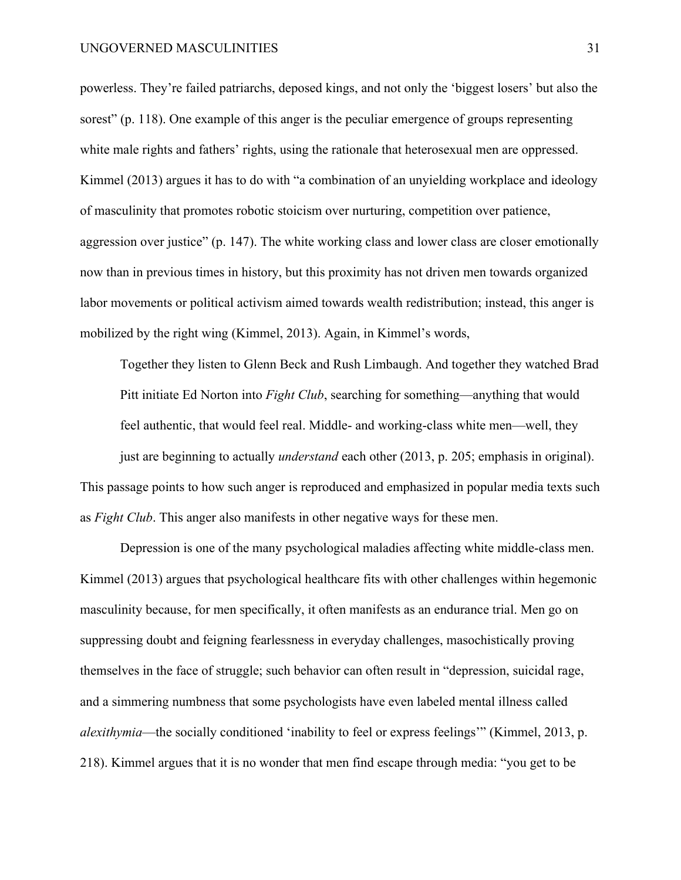powerless. They're failed patriarchs, deposed kings, and not only the 'biggest losers' but also the sorest" (p. 118). One example of this anger is the peculiar emergence of groups representing white male rights and fathers' rights, using the rationale that heterosexual men are oppressed. Kimmel (2013) argues it has to do with "a combination of an unyielding workplace and ideology of masculinity that promotes robotic stoicism over nurturing, competition over patience, aggression over justice" (p. 147). The white working class and lower class are closer emotionally now than in previous times in history, but this proximity has not driven men towards organized labor movements or political activism aimed towards wealth redistribution; instead, this anger is mobilized by the right wing (Kimmel, 2013). Again, in Kimmel's words,

Together they listen to Glenn Beck and Rush Limbaugh. And together they watched Brad Pitt initiate Ed Norton into *Fight Club*, searching for something—anything that would feel authentic, that would feel real. Middle- and working-class white men—well, they just are beginning to actually *understand* each other (2013, p. 205; emphasis in original). This passage points to how such anger is reproduced and emphasized in popular media texts such as *Fight Club*. This anger also manifests in other negative ways for these men.

Depression is one of the many psychological maladies affecting white middle-class men. Kimmel (2013) argues that psychological healthcare fits with other challenges within hegemonic masculinity because, for men specifically, it often manifests as an endurance trial. Men go on suppressing doubt and feigning fearlessness in everyday challenges, masochistically proving themselves in the face of struggle; such behavior can often result in "depression, suicidal rage, and a simmering numbness that some psychologists have even labeled mental illness called *alexithymia*—the socially conditioned 'inability to feel or express feelings'" (Kimmel, 2013, p. 218). Kimmel argues that it is no wonder that men find escape through media: "you get to be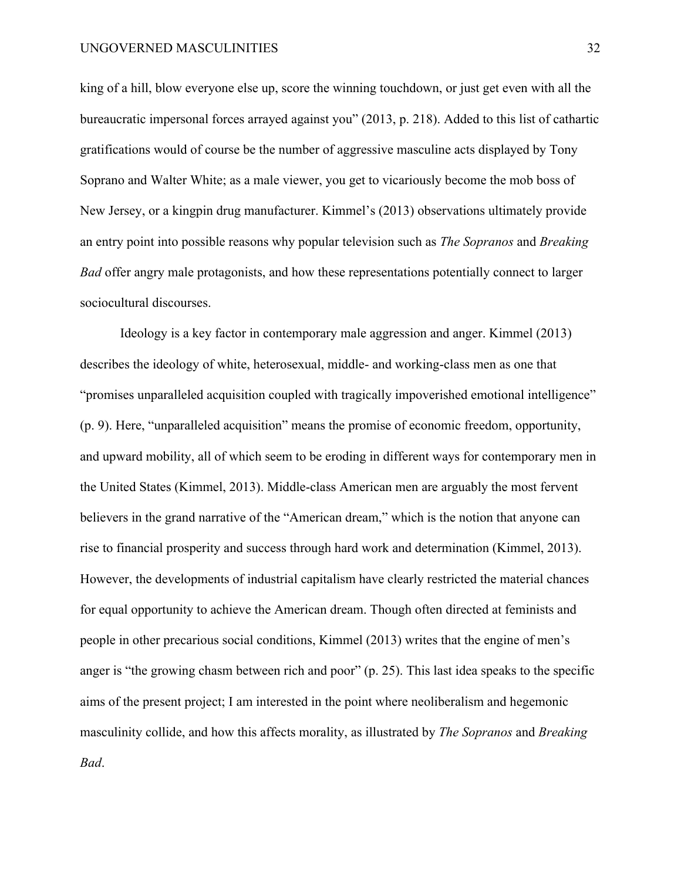#### UNGOVERNED MASCULINITIES 32

king of a hill, blow everyone else up, score the winning touchdown, or just get even with all the bureaucratic impersonal forces arrayed against you" (2013, p. 218). Added to this list of cathartic gratifications would of course be the number of aggressive masculine acts displayed by Tony Soprano and Walter White; as a male viewer, you get to vicariously become the mob boss of New Jersey, or a kingpin drug manufacturer. Kimmel's (2013) observations ultimately provide an entry point into possible reasons why popular television such as *The Sopranos* and *Breaking Bad* offer angry male protagonists, and how these representations potentially connect to larger sociocultural discourses.

Ideology is a key factor in contemporary male aggression and anger. Kimmel (2013) describes the ideology of white, heterosexual, middle- and working-class men as one that "promises unparalleled acquisition coupled with tragically impoverished emotional intelligence" (p. 9). Here, "unparalleled acquisition" means the promise of economic freedom, opportunity, and upward mobility, all of which seem to be eroding in different ways for contemporary men in the United States (Kimmel, 2013). Middle-class American men are arguably the most fervent believers in the grand narrative of the "American dream," which is the notion that anyone can rise to financial prosperity and success through hard work and determination (Kimmel, 2013). However, the developments of industrial capitalism have clearly restricted the material chances for equal opportunity to achieve the American dream. Though often directed at feminists and people in other precarious social conditions, Kimmel (2013) writes that the engine of men's anger is "the growing chasm between rich and poor" (p. 25). This last idea speaks to the specific aims of the present project; I am interested in the point where neoliberalism and hegemonic masculinity collide, and how this affects morality, as illustrated by *The Sopranos* and *Breaking Bad*.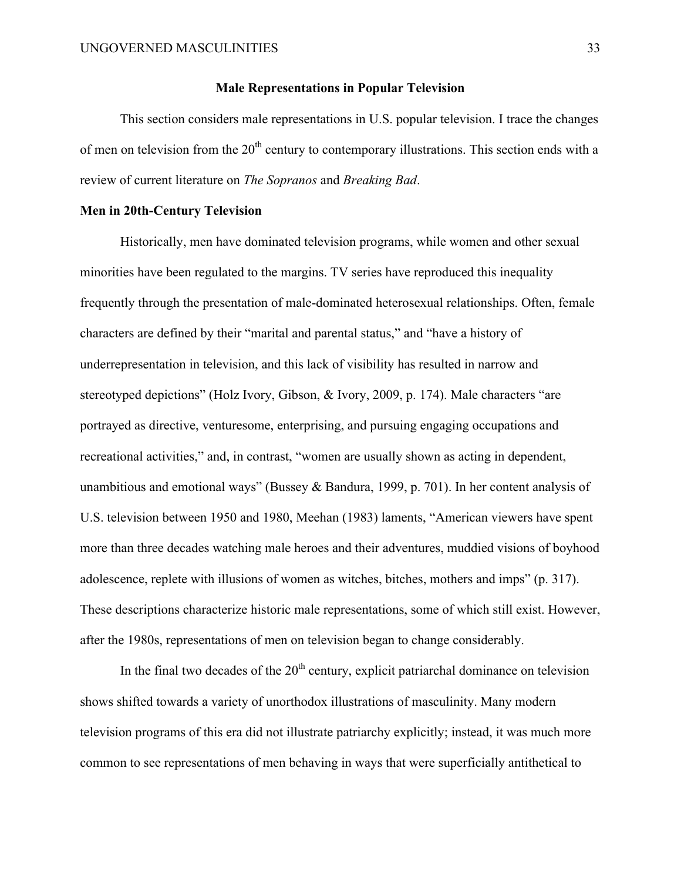#### **Male Representations in Popular Television**

This section considers male representations in U.S. popular television. I trace the changes of men on television from the  $20<sup>th</sup>$  century to contemporary illustrations. This section ends with a review of current literature on *The Sopranos* and *Breaking Bad*.

# **Men in 20th-Century Television**

Historically, men have dominated television programs, while women and other sexual minorities have been regulated to the margins. TV series have reproduced this inequality frequently through the presentation of male-dominated heterosexual relationships. Often, female characters are defined by their "marital and parental status," and "have a history of underrepresentation in television, and this lack of visibility has resulted in narrow and stereotyped depictions" (Holz Ivory, Gibson, & Ivory, 2009, p. 174). Male characters "are portrayed as directive, venturesome, enterprising, and pursuing engaging occupations and recreational activities," and, in contrast, "women are usually shown as acting in dependent, unambitious and emotional ways" (Bussey & Bandura, 1999, p. 701). In her content analysis of U.S. television between 1950 and 1980, Meehan (1983) laments, "American viewers have spent more than three decades watching male heroes and their adventures, muddied visions of boyhood adolescence, replete with illusions of women as witches, bitches, mothers and imps" (p. 317). These descriptions characterize historic male representations, some of which still exist. However, after the 1980s, representations of men on television began to change considerably.

In the final two decades of the  $20<sup>th</sup>$  century, explicit patriarchal dominance on television shows shifted towards a variety of unorthodox illustrations of masculinity. Many modern television programs of this era did not illustrate patriarchy explicitly; instead, it was much more common to see representations of men behaving in ways that were superficially antithetical to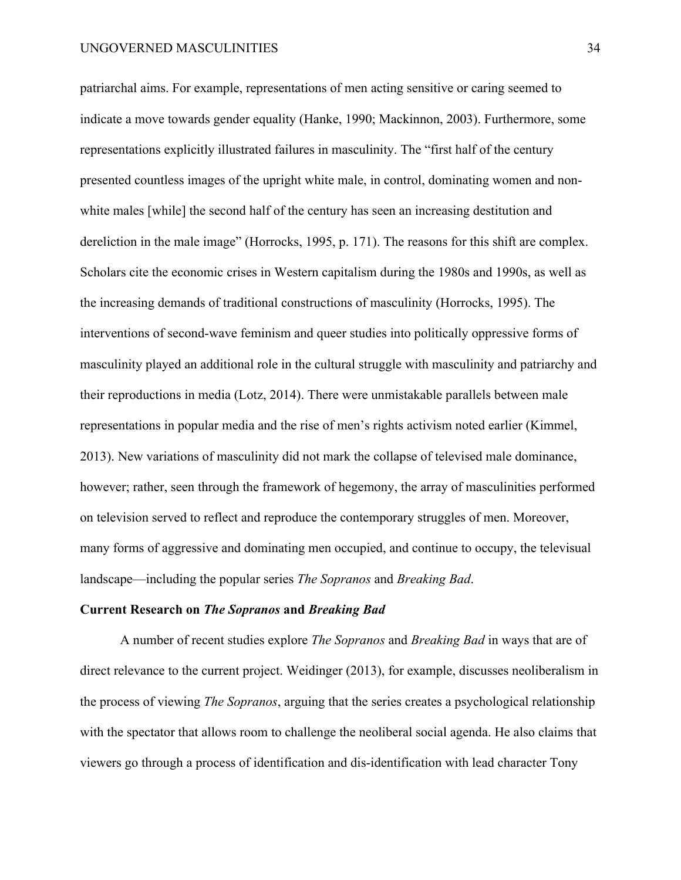patriarchal aims. For example, representations of men acting sensitive or caring seemed to indicate a move towards gender equality (Hanke, 1990; Mackinnon, 2003). Furthermore, some representations explicitly illustrated failures in masculinity. The "first half of the century presented countless images of the upright white male, in control, dominating women and nonwhite males [while] the second half of the century has seen an increasing destitution and dereliction in the male image" (Horrocks, 1995, p. 171). The reasons for this shift are complex. Scholars cite the economic crises in Western capitalism during the 1980s and 1990s, as well as the increasing demands of traditional constructions of masculinity (Horrocks, 1995). The interventions of second-wave feminism and queer studies into politically oppressive forms of masculinity played an additional role in the cultural struggle with masculinity and patriarchy and their reproductions in media (Lotz, 2014). There were unmistakable parallels between male representations in popular media and the rise of men's rights activism noted earlier (Kimmel, 2013). New variations of masculinity did not mark the collapse of televised male dominance, however; rather, seen through the framework of hegemony, the array of masculinities performed on television served to reflect and reproduce the contemporary struggles of men. Moreover, many forms of aggressive and dominating men occupied, and continue to occupy, the televisual landscape—including the popular series *The Sopranos* and *Breaking Bad*.

# **Current Research on** *The Sopranos* **and** *Breaking Bad*

A number of recent studies explore *The Sopranos* and *Breaking Bad* in ways that are of direct relevance to the current project. Weidinger (2013), for example, discusses neoliberalism in the process of viewing *The Sopranos*, arguing that the series creates a psychological relationship with the spectator that allows room to challenge the neoliberal social agenda. He also claims that viewers go through a process of identification and dis-identification with lead character Tony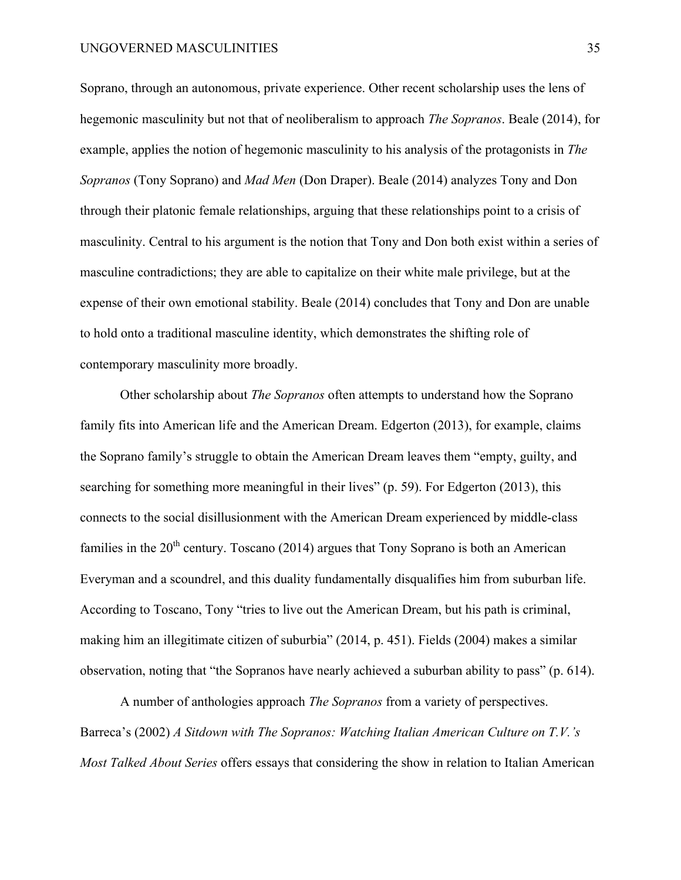#### UNGOVERNED MASCULINITIES 35

Soprano, through an autonomous, private experience. Other recent scholarship uses the lens of hegemonic masculinity but not that of neoliberalism to approach *The Sopranos*. Beale (2014), for example, applies the notion of hegemonic masculinity to his analysis of the protagonists in *The Sopranos* (Tony Soprano) and *Mad Men* (Don Draper). Beale (2014) analyzes Tony and Don through their platonic female relationships, arguing that these relationships point to a crisis of masculinity. Central to his argument is the notion that Tony and Don both exist within a series of masculine contradictions; they are able to capitalize on their white male privilege, but at the expense of their own emotional stability. Beale (2014) concludes that Tony and Don are unable to hold onto a traditional masculine identity, which demonstrates the shifting role of contemporary masculinity more broadly.

Other scholarship about *The Sopranos* often attempts to understand how the Soprano family fits into American life and the American Dream. Edgerton (2013), for example, claims the Soprano family's struggle to obtain the American Dream leaves them "empty, guilty, and searching for something more meaningful in their lives" (p. 59). For Edgerton (2013), this connects to the social disillusionment with the American Dream experienced by middle-class families in the  $20<sup>th</sup>$  century. Toscano (2014) argues that Tony Soprano is both an American Everyman and a scoundrel, and this duality fundamentally disqualifies him from suburban life. According to Toscano, Tony "tries to live out the American Dream, but his path is criminal, making him an illegitimate citizen of suburbia" (2014, p. 451). Fields (2004) makes a similar observation, noting that "the Sopranos have nearly achieved a suburban ability to pass" (p. 614).

A number of anthologies approach *The Sopranos* from a variety of perspectives. Barreca's (2002) *A Sitdown with The Sopranos: Watching Italian American Culture on T.V.'s Most Talked About Series* offers essays that considering the show in relation to Italian American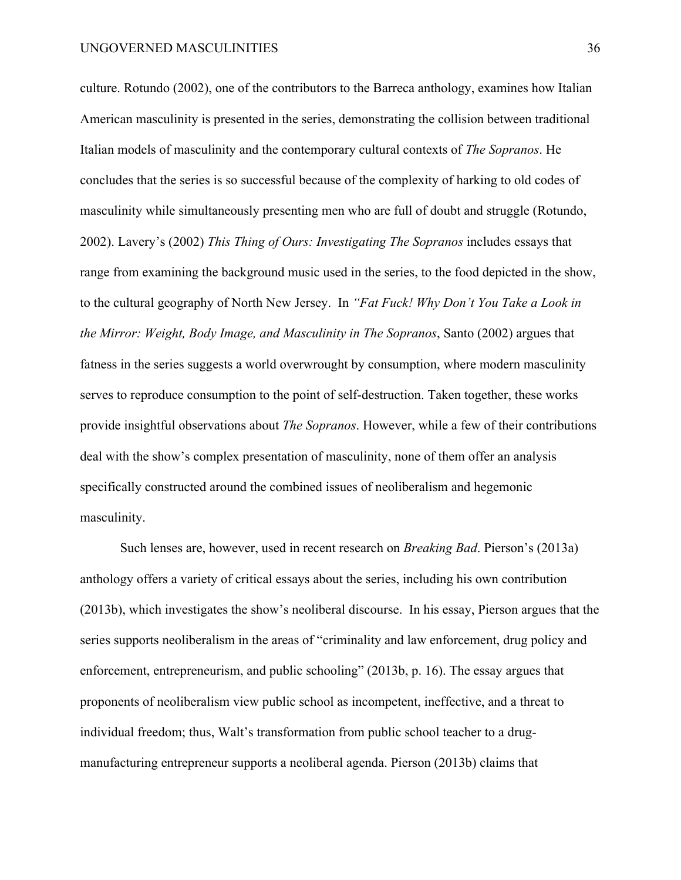culture. Rotundo (2002), one of the contributors to the Barreca anthology, examines how Italian American masculinity is presented in the series, demonstrating the collision between traditional Italian models of masculinity and the contemporary cultural contexts of *The Sopranos*. He concludes that the series is so successful because of the complexity of harking to old codes of masculinity while simultaneously presenting men who are full of doubt and struggle (Rotundo, 2002). Lavery's (2002) *This Thing of Ours: Investigating The Sopranos* includes essays that range from examining the background music used in the series, to the food depicted in the show, to the cultural geography of North New Jersey. In *"Fat Fuck! Why Don't You Take a Look in the Mirror: Weight, Body Image, and Masculinity in The Sopranos*, Santo (2002) argues that fatness in the series suggests a world overwrought by consumption, where modern masculinity serves to reproduce consumption to the point of self-destruction. Taken together, these works provide insightful observations about *The Sopranos*. However, while a few of their contributions deal with the show's complex presentation of masculinity, none of them offer an analysis specifically constructed around the combined issues of neoliberalism and hegemonic masculinity.

Such lenses are, however, used in recent research on *Breaking Bad*. Pierson's (2013a) anthology offers a variety of critical essays about the series, including his own contribution (2013b), which investigates the show's neoliberal discourse. In his essay, Pierson argues that the series supports neoliberalism in the areas of "criminality and law enforcement, drug policy and enforcement, entrepreneurism, and public schooling" (2013b, p. 16). The essay argues that proponents of neoliberalism view public school as incompetent, ineffective, and a threat to individual freedom; thus, Walt's transformation from public school teacher to a drugmanufacturing entrepreneur supports a neoliberal agenda. Pierson (2013b) claims that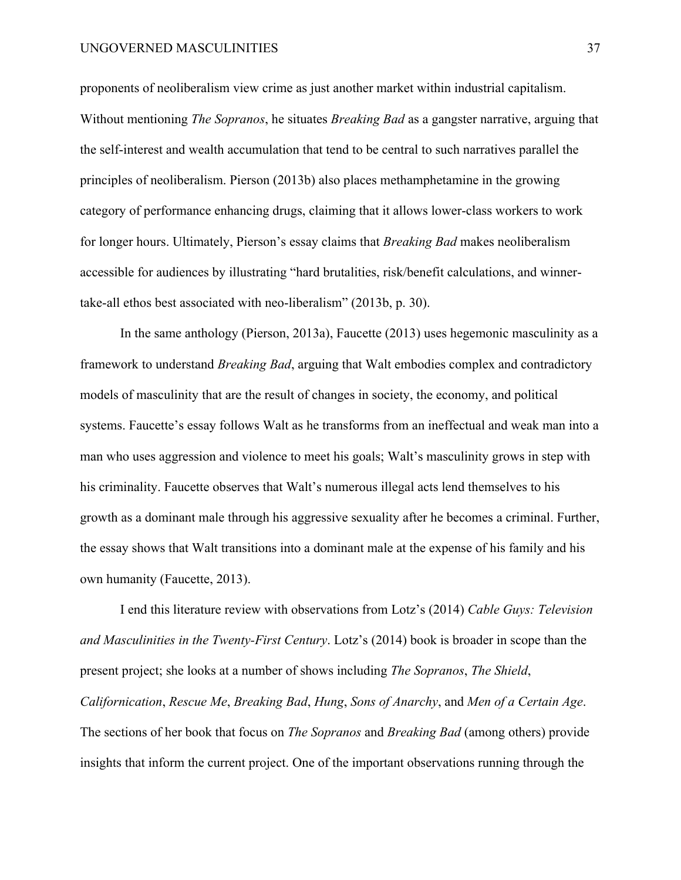proponents of neoliberalism view crime as just another market within industrial capitalism. Without mentioning *The Sopranos*, he situates *Breaking Bad* as a gangster narrative, arguing that the self-interest and wealth accumulation that tend to be central to such narratives parallel the principles of neoliberalism. Pierson (2013b) also places methamphetamine in the growing category of performance enhancing drugs, claiming that it allows lower-class workers to work for longer hours. Ultimately, Pierson's essay claims that *Breaking Bad* makes neoliberalism accessible for audiences by illustrating "hard brutalities, risk/benefit calculations, and winnertake-all ethos best associated with neo-liberalism" (2013b, p. 30).

In the same anthology (Pierson, 2013a), Faucette (2013) uses hegemonic masculinity as a framework to understand *Breaking Bad*, arguing that Walt embodies complex and contradictory models of masculinity that are the result of changes in society, the economy, and political systems. Faucette's essay follows Walt as he transforms from an ineffectual and weak man into a man who uses aggression and violence to meet his goals; Walt's masculinity grows in step with his criminality. Faucette observes that Walt's numerous illegal acts lend themselves to his growth as a dominant male through his aggressive sexuality after he becomes a criminal. Further, the essay shows that Walt transitions into a dominant male at the expense of his family and his own humanity (Faucette, 2013).

I end this literature review with observations from Lotz's (2014) *Cable Guys: Television and Masculinities in the Twenty-First Century*. Lotz's (2014) book is broader in scope than the present project; she looks at a number of shows including *The Sopranos*, *The Shield*, *Californication*, *Rescue Me*, *Breaking Bad*, *Hung*, *Sons of Anarchy*, and *Men of a Certain Age*. The sections of her book that focus on *The Sopranos* and *Breaking Bad* (among others) provide insights that inform the current project. One of the important observations running through the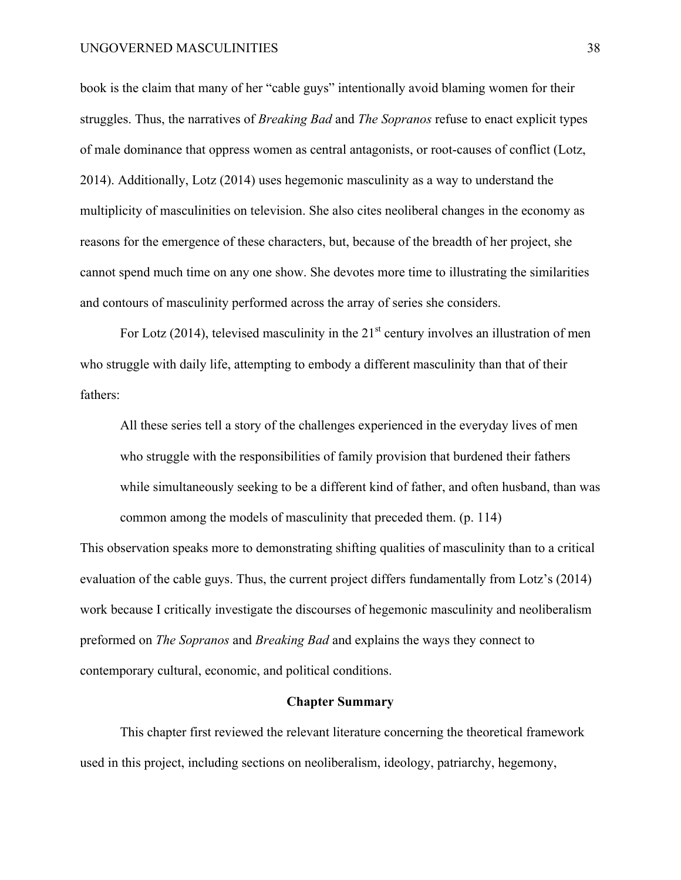#### UNGOVERNED MASCULINITIES 38

book is the claim that many of her "cable guys" intentionally avoid blaming women for their struggles. Thus, the narratives of *Breaking Bad* and *The Sopranos* refuse to enact explicit types of male dominance that oppress women as central antagonists, or root-causes of conflict (Lotz, 2014). Additionally, Lotz (2014) uses hegemonic masculinity as a way to understand the multiplicity of masculinities on television. She also cites neoliberal changes in the economy as reasons for the emergence of these characters, but, because of the breadth of her project, she cannot spend much time on any one show. She devotes more time to illustrating the similarities and contours of masculinity performed across the array of series she considers.

For Lotz (2014), televised masculinity in the  $21<sup>st</sup>$  century involves an illustration of men who struggle with daily life, attempting to embody a different masculinity than that of their fathers:

All these series tell a story of the challenges experienced in the everyday lives of men who struggle with the responsibilities of family provision that burdened their fathers while simultaneously seeking to be a different kind of father, and often husband, than was common among the models of masculinity that preceded them. (p. 114)

This observation speaks more to demonstrating shifting qualities of masculinity than to a critical evaluation of the cable guys. Thus, the current project differs fundamentally from Lotz's (2014) work because I critically investigate the discourses of hegemonic masculinity and neoliberalism preformed on *The Sopranos* and *Breaking Bad* and explains the ways they connect to contemporary cultural, economic, and political conditions.

#### **Chapter Summary**

This chapter first reviewed the relevant literature concerning the theoretical framework used in this project, including sections on neoliberalism, ideology, patriarchy, hegemony,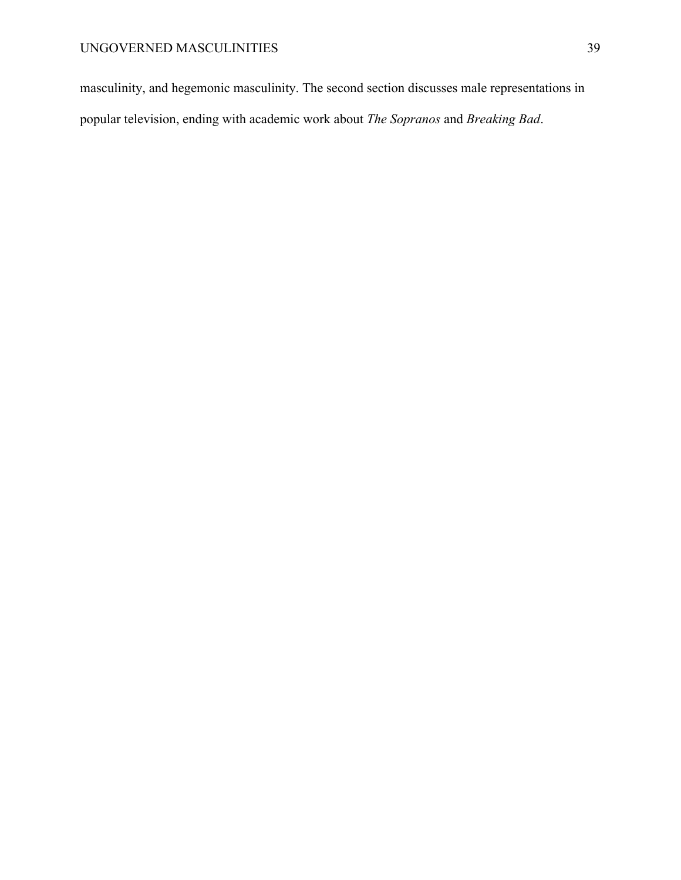masculinity, and hegemonic masculinity. The second section discusses male representations in popular television, ending with academic work about *The Sopranos* and *Breaking Bad*.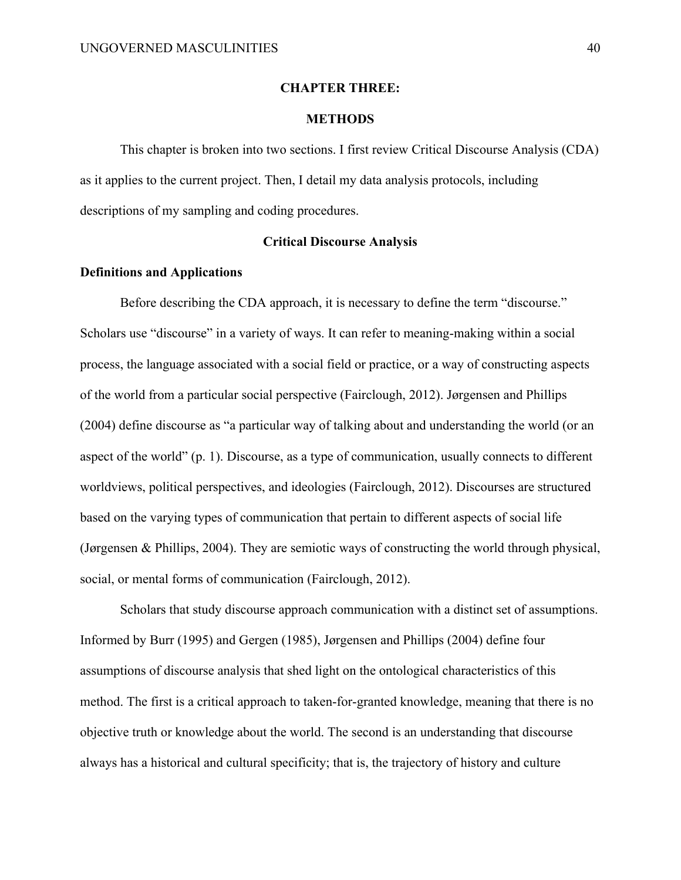# **CHAPTER THREE:**

#### **METHODS**

This chapter is broken into two sections. I first review Critical Discourse Analysis (CDA) as it applies to the current project. Then, I detail my data analysis protocols, including descriptions of my sampling and coding procedures.

# **Critical Discourse Analysis**

# **Definitions and Applications**

Before describing the CDA approach, it is necessary to define the term "discourse." Scholars use "discourse" in a variety of ways. It can refer to meaning-making within a social process, the language associated with a social field or practice, or a way of constructing aspects of the world from a particular social perspective (Fairclough, 2012). Jørgensen and Phillips (2004) define discourse as "a particular way of talking about and understanding the world (or an aspect of the world" (p. 1). Discourse, as a type of communication, usually connects to different worldviews, political perspectives, and ideologies (Fairclough, 2012). Discourses are structured based on the varying types of communication that pertain to different aspects of social life (Jørgensen & Phillips, 2004). They are semiotic ways of constructing the world through physical, social, or mental forms of communication (Fairclough, 2012).

Scholars that study discourse approach communication with a distinct set of assumptions. Informed by Burr (1995) and Gergen (1985), Jørgensen and Phillips (2004) define four assumptions of discourse analysis that shed light on the ontological characteristics of this method. The first is a critical approach to taken-for-granted knowledge, meaning that there is no objective truth or knowledge about the world. The second is an understanding that discourse always has a historical and cultural specificity; that is, the trajectory of history and culture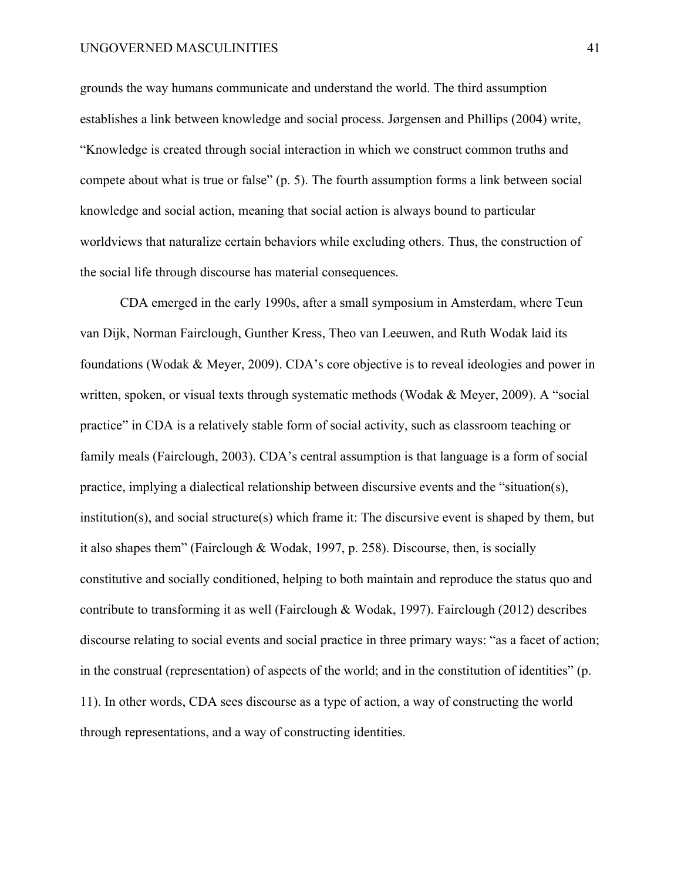### UNGOVERNED MASCULINITIES 41

grounds the way humans communicate and understand the world. The third assumption establishes a link between knowledge and social process. Jørgensen and Phillips (2004) write, "Knowledge is created through social interaction in which we construct common truths and compete about what is true or false" (p. 5). The fourth assumption forms a link between social knowledge and social action, meaning that social action is always bound to particular worldviews that naturalize certain behaviors while excluding others. Thus, the construction of the social life through discourse has material consequences.

CDA emerged in the early 1990s, after a small symposium in Amsterdam, where Teun van Dijk, Norman Fairclough, Gunther Kress, Theo van Leeuwen, and Ruth Wodak laid its foundations (Wodak & Meyer, 2009). CDA's core objective is to reveal ideologies and power in written, spoken, or visual texts through systematic methods (Wodak & Meyer, 2009). A "social practice" in CDA is a relatively stable form of social activity, such as classroom teaching or family meals (Fairclough, 2003). CDA's central assumption is that language is a form of social practice, implying a dialectical relationship between discursive events and the "situation(s), institution(s), and social structure(s) which frame it: The discursive event is shaped by them, but it also shapes them" (Fairclough & Wodak, 1997, p. 258). Discourse, then, is socially constitutive and socially conditioned, helping to both maintain and reproduce the status quo and contribute to transforming it as well (Fairclough & Wodak, 1997). Fairclough (2012) describes discourse relating to social events and social practice in three primary ways: "as a facet of action; in the construal (representation) of aspects of the world; and in the constitution of identities" (p. 11). In other words, CDA sees discourse as a type of action, a way of constructing the world through representations, and a way of constructing identities.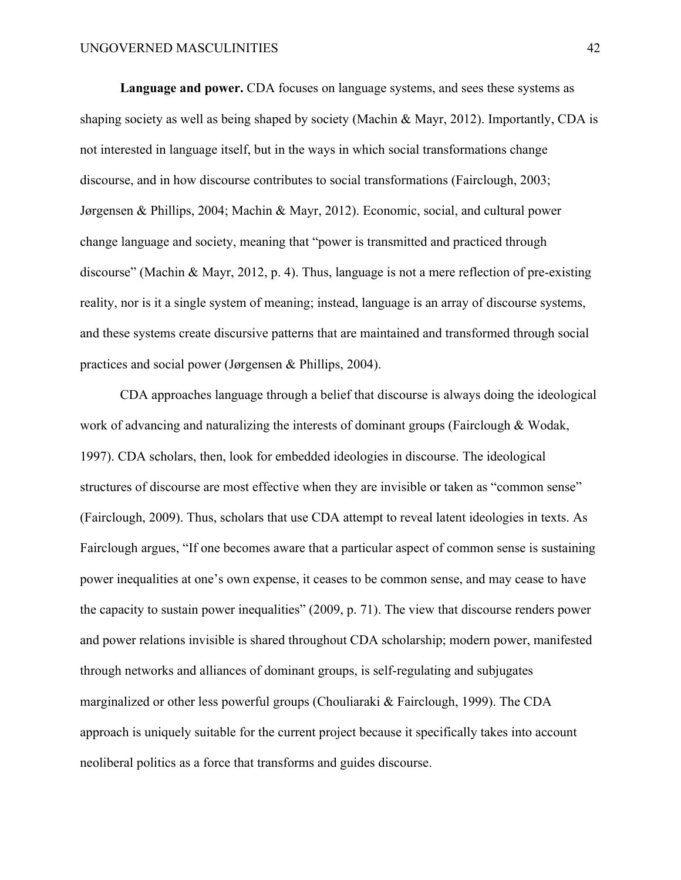**Language and power.** CDA focuses on language systems, and sees these systems as shaping society as well as being shaped by society (Machin & Mayr, 2012). Importantly, CDA is not interested in language itself, but in the ways in which social transformations change discourse, and in how discourse contributes to social transformations (Fairclough, 2003; Jørgensen & Phillips, 2004; Machin & Mayr, 2012). Economic, social, and cultural power change language and society, meaning that "power is transmitted and practiced through discourse" (Machin & Mayr, 2012, p. 4). Thus, language is not a mere reflection of pre-existing reality, nor is it a single system of meaning; instead, language is an array of discourse systems, and these systems create discursive patterns that are maintained and transformed through social practices and social power (Jørgensen & Phillips, 2004).

CDA approaches language through a belief that discourse is always doing the ideological work of advancing and naturalizing the interests of dominant groups (Fairclough & Wodak, 1997). CDA scholars, then, look for embedded ideologies in discourse. The ideological structures of discourse are most effective when they are invisible or taken as "common sense" (Fairclough, 2009). Thus, scholars that use CDA attempt to reveal latent ideologies in texts. As Fairclough argues, "If one becomes aware that a particular aspect of common sense is sustaining power inequalities at one's own expense, it ceases to be common sense, and may cease to have the capacity to sustain power inequalities" (2009, p. 71). The view that discourse renders power and power relations invisible is shared throughout CDA scholarship; modern power, manifested through networks and alliances of dominant groups, is self-regulating and subjugates marginalized or other less powerful groups (Chouliaraki & Fairclough, 1999). The CDA approach is uniquely suitable for the current project because it specifically takes into account neoliberal politics as a force that transforms and guides discourse.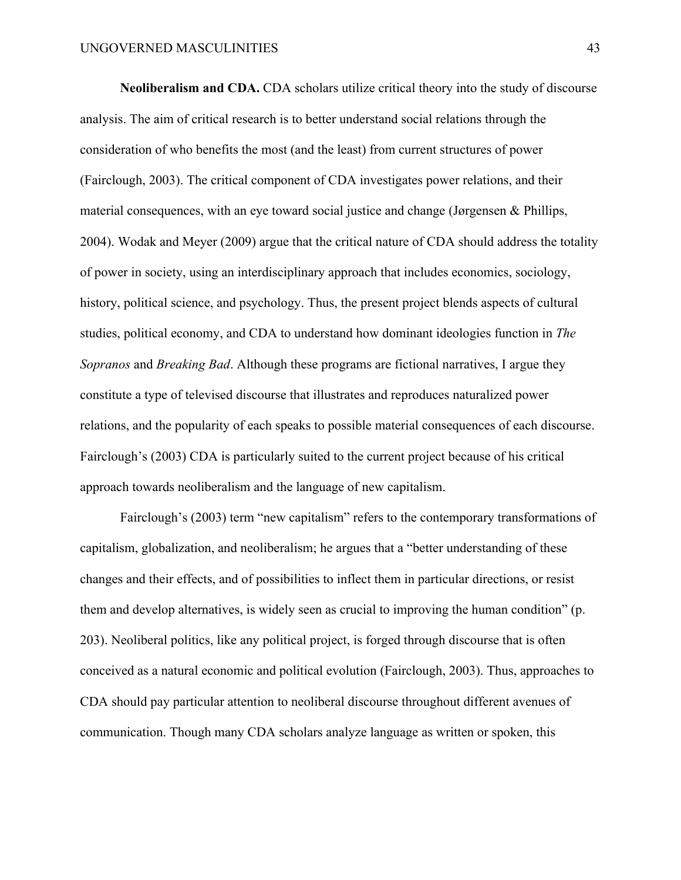**Neoliberalism and CDA.** CDA scholars utilize critical theory into the study of discourse analysis. The aim of critical research is to better understand social relations through the consideration of who benefits the most (and the least) from current structures of power (Fairclough, 2003). The critical component of CDA investigates power relations, and their material consequences, with an eye toward social justice and change (Jørgensen & Phillips, 2004). Wodak and Meyer (2009) argue that the critical nature of CDA should address the totality of power in society, using an interdisciplinary approach that includes economics, sociology, history, political science, and psychology. Thus, the present project blends aspects of cultural studies, political economy, and CDA to understand how dominant ideologies function in *The Sopranos* and *Breaking Bad*. Although these programs are fictional narratives, I argue they constitute a type of televised discourse that illustrates and reproduces naturalized power relations, and the popularity of each speaks to possible material consequences of each discourse. Fairclough's (2003) CDA is particularly suited to the current project because of his critical approach towards neoliberalism and the language of new capitalism.

Fairclough's (2003) term "new capitalism" refers to the contemporary transformations of capitalism, globalization, and neoliberalism; he argues that a "better understanding of these changes and their effects, and of possibilities to inflect them in particular directions, or resist them and develop alternatives, is widely seen as crucial to improving the human condition" (p. 203). Neoliberal politics, like any political project, is forged through discourse that is often conceived as a natural economic and political evolution (Fairclough, 2003). Thus, approaches to CDA should pay particular attention to neoliberal discourse throughout different avenues of communication. Though many CDA scholars analyze language as written or spoken, this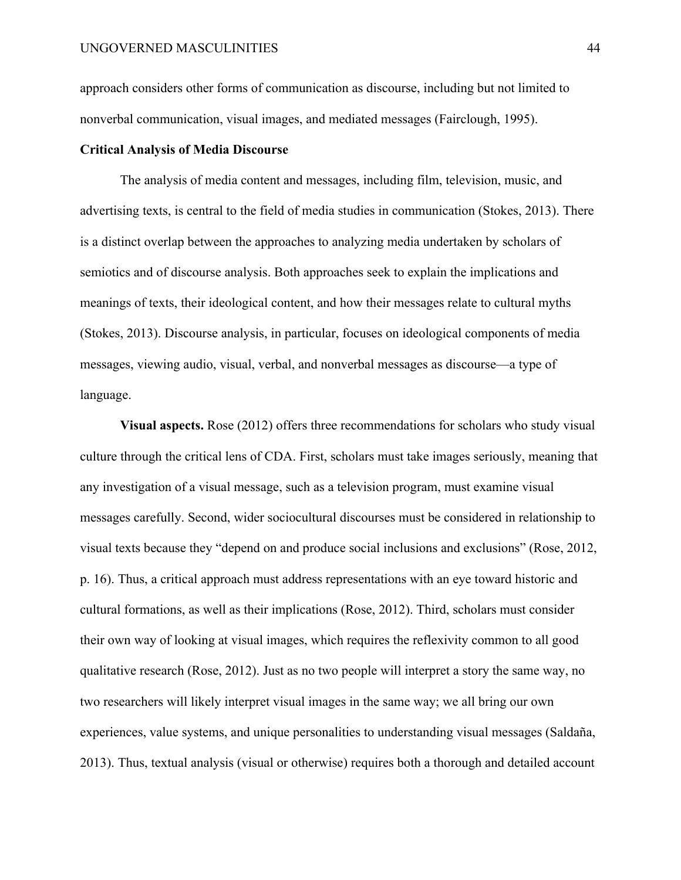approach considers other forms of communication as discourse, including but not limited to nonverbal communication, visual images, and mediated messages (Fairclough, 1995).

### **Critical Analysis of Media Discourse**

The analysis of media content and messages, including film, television, music, and advertising texts, is central to the field of media studies in communication (Stokes, 2013). There is a distinct overlap between the approaches to analyzing media undertaken by scholars of semiotics and of discourse analysis. Both approaches seek to explain the implications and meanings of texts, their ideological content, and how their messages relate to cultural myths (Stokes, 2013). Discourse analysis, in particular, focuses on ideological components of media messages, viewing audio, visual, verbal, and nonverbal messages as discourse—a type of language.

**Visual aspects.** Rose (2012) offers three recommendations for scholars who study visual culture through the critical lens of CDA. First, scholars must take images seriously, meaning that any investigation of a visual message, such as a television program, must examine visual messages carefully. Second, wider sociocultural discourses must be considered in relationship to visual texts because they "depend on and produce social inclusions and exclusions" (Rose, 2012, p. 16). Thus, a critical approach must address representations with an eye toward historic and cultural formations, as well as their implications (Rose, 2012). Third, scholars must consider their own way of looking at visual images, which requires the reflexivity common to all good qualitative research (Rose, 2012). Just as no two people will interpret a story the same way, no two researchers will likely interpret visual images in the same way; we all bring our own experiences, value systems, and unique personalities to understanding visual messages (Saldaña, 2013). Thus, textual analysis (visual or otherwise) requires both a thorough and detailed account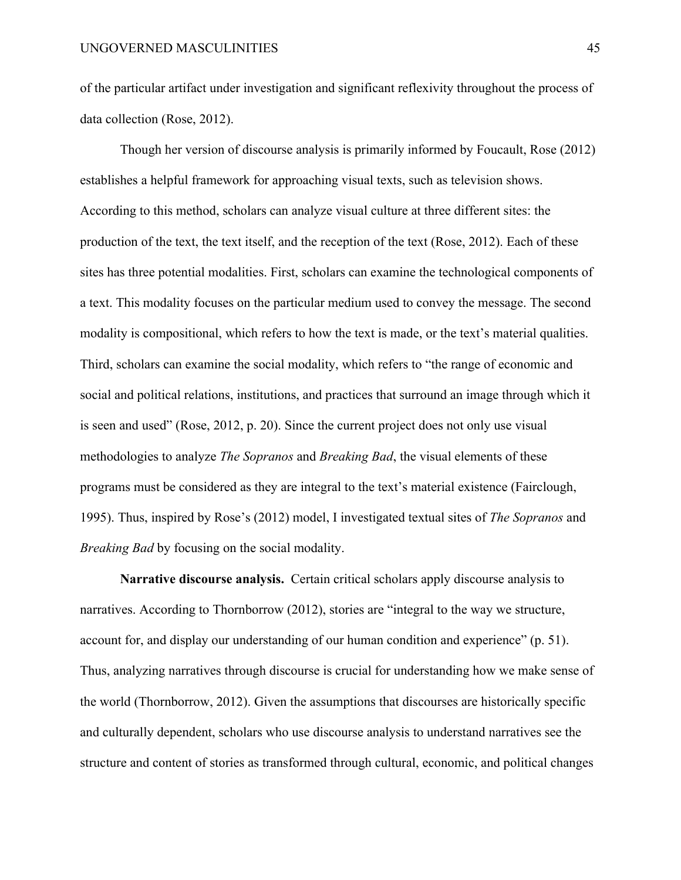of the particular artifact under investigation and significant reflexivity throughout the process of data collection (Rose, 2012).

Though her version of discourse analysis is primarily informed by Foucault, Rose (2012) establishes a helpful framework for approaching visual texts, such as television shows. According to this method, scholars can analyze visual culture at three different sites: the production of the text, the text itself, and the reception of the text (Rose, 2012). Each of these sites has three potential modalities. First, scholars can examine the technological components of a text. This modality focuses on the particular medium used to convey the message. The second modality is compositional, which refers to how the text is made, or the text's material qualities. Third, scholars can examine the social modality, which refers to "the range of economic and social and political relations, institutions, and practices that surround an image through which it is seen and used" (Rose, 2012, p. 20). Since the current project does not only use visual methodologies to analyze *The Sopranos* and *Breaking Bad*, the visual elements of these programs must be considered as they are integral to the text's material existence (Fairclough, 1995). Thus, inspired by Rose's (2012) model, I investigated textual sites of *The Sopranos* and *Breaking Bad* by focusing on the social modality.

**Narrative discourse analysis.** Certain critical scholars apply discourse analysis to narratives. According to Thornborrow (2012), stories are "integral to the way we structure, account for, and display our understanding of our human condition and experience" (p. 51). Thus, analyzing narratives through discourse is crucial for understanding how we make sense of the world (Thornborrow, 2012). Given the assumptions that discourses are historically specific and culturally dependent, scholars who use discourse analysis to understand narratives see the structure and content of stories as transformed through cultural, economic, and political changes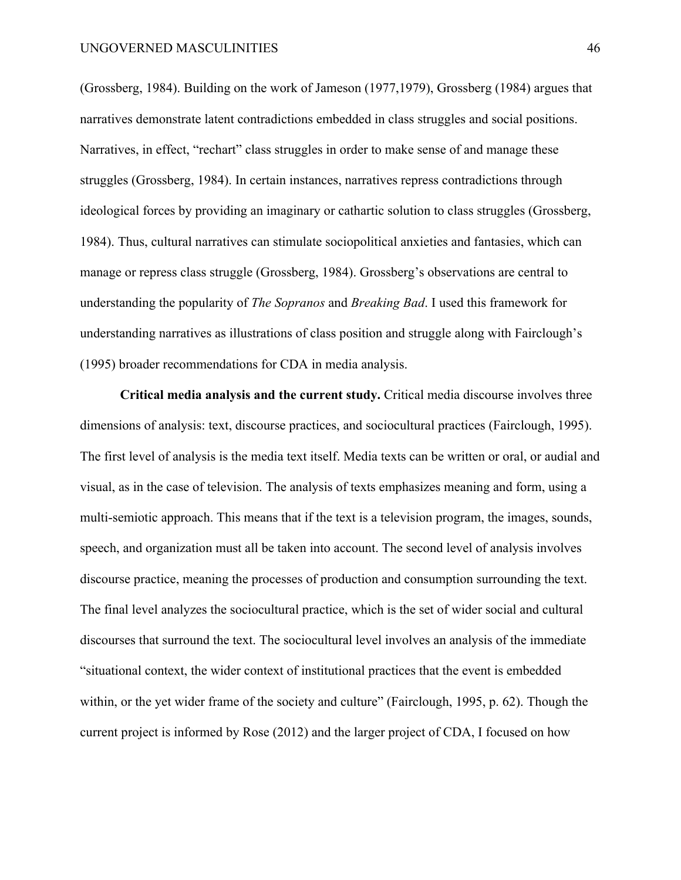(Grossberg, 1984). Building on the work of Jameson (1977,1979), Grossberg (1984) argues that narratives demonstrate latent contradictions embedded in class struggles and social positions. Narratives, in effect, "rechart" class struggles in order to make sense of and manage these struggles (Grossberg, 1984). In certain instances, narratives repress contradictions through ideological forces by providing an imaginary or cathartic solution to class struggles (Grossberg, 1984). Thus, cultural narratives can stimulate sociopolitical anxieties and fantasies, which can manage or repress class struggle (Grossberg, 1984). Grossberg's observations are central to understanding the popularity of *The Sopranos* and *Breaking Bad*. I used this framework for understanding narratives as illustrations of class position and struggle along with Fairclough's (1995) broader recommendations for CDA in media analysis.

**Critical media analysis and the current study.** Critical media discourse involves three dimensions of analysis: text, discourse practices, and sociocultural practices (Fairclough, 1995). The first level of analysis is the media text itself. Media texts can be written or oral, or audial and visual, as in the case of television. The analysis of texts emphasizes meaning and form, using a multi-semiotic approach. This means that if the text is a television program, the images, sounds, speech, and organization must all be taken into account. The second level of analysis involves discourse practice, meaning the processes of production and consumption surrounding the text. The final level analyzes the sociocultural practice, which is the set of wider social and cultural discourses that surround the text. The sociocultural level involves an analysis of the immediate "situational context, the wider context of institutional practices that the event is embedded within, or the yet wider frame of the society and culture" (Fairclough, 1995, p. 62). Though the current project is informed by Rose (2012) and the larger project of CDA, I focused on how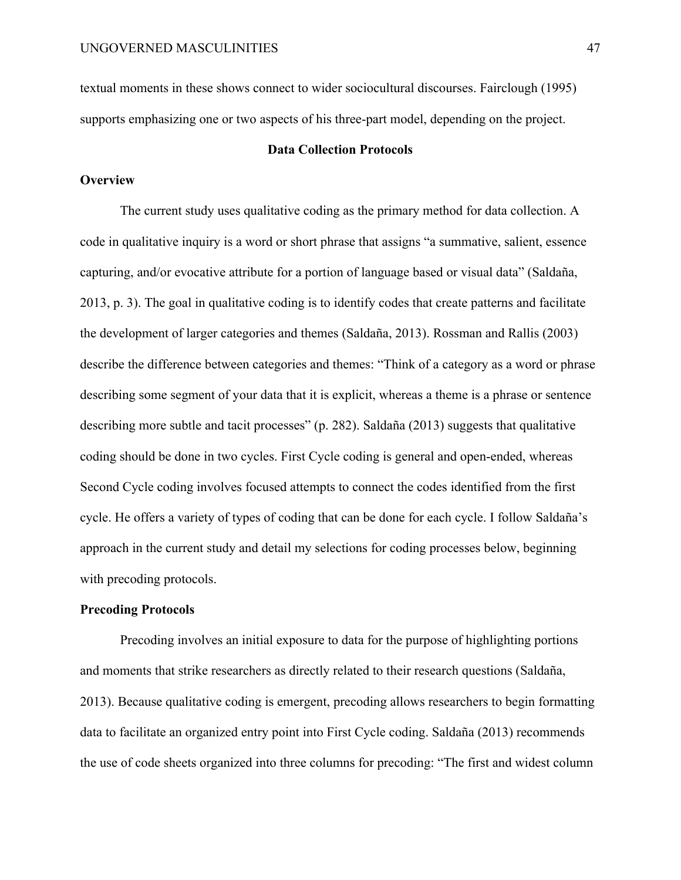textual moments in these shows connect to wider sociocultural discourses. Fairclough (1995) supports emphasizing one or two aspects of his three-part model, depending on the project.

### **Data Collection Protocols**

# **Overview**

The current study uses qualitative coding as the primary method for data collection. A code in qualitative inquiry is a word or short phrase that assigns "a summative, salient, essence capturing, and/or evocative attribute for a portion of language based or visual data" (Saldaña, 2013, p. 3). The goal in qualitative coding is to identify codes that create patterns and facilitate the development of larger categories and themes (Saldaña, 2013). Rossman and Rallis (2003) describe the difference between categories and themes: "Think of a category as a word or phrase describing some segment of your data that it is explicit, whereas a theme is a phrase or sentence describing more subtle and tacit processes" (p. 282). Saldaña (2013) suggests that qualitative coding should be done in two cycles. First Cycle coding is general and open-ended, whereas Second Cycle coding involves focused attempts to connect the codes identified from the first cycle. He offers a variety of types of coding that can be done for each cycle. I follow Saldaña's approach in the current study and detail my selections for coding processes below, beginning with precoding protocols.

# **Precoding Protocols**

Precoding involves an initial exposure to data for the purpose of highlighting portions and moments that strike researchers as directly related to their research questions (Saldaña, 2013). Because qualitative coding is emergent, precoding allows researchers to begin formatting data to facilitate an organized entry point into First Cycle coding. Saldaña (2013) recommends the use of code sheets organized into three columns for precoding: "The first and widest column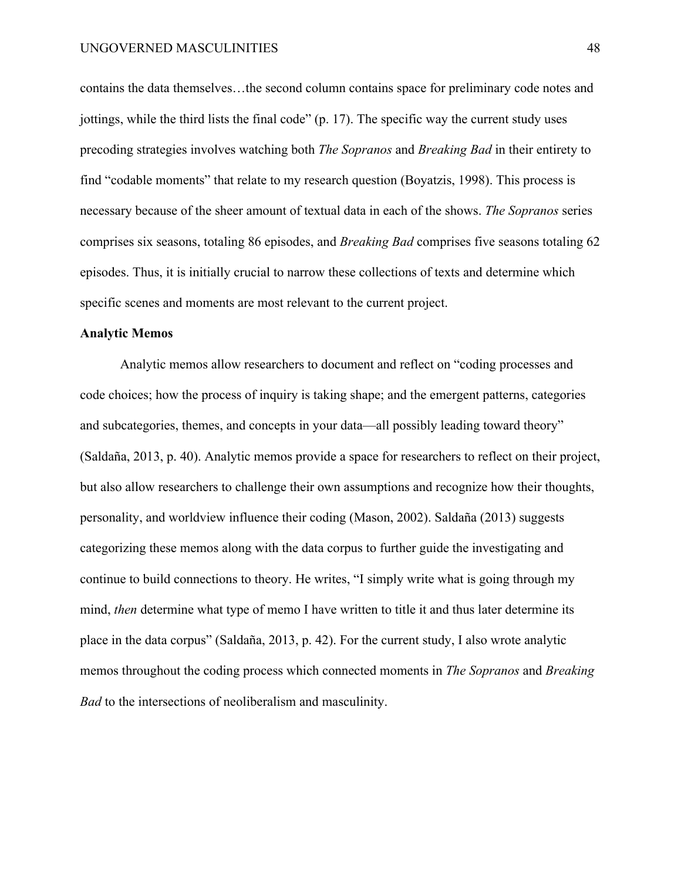contains the data themselves…the second column contains space for preliminary code notes and jottings, while the third lists the final code" (p. 17). The specific way the current study uses precoding strategies involves watching both *The Sopranos* and *Breaking Bad* in their entirety to find "codable moments" that relate to my research question (Boyatzis, 1998). This process is necessary because of the sheer amount of textual data in each of the shows. *The Sopranos* series comprises six seasons, totaling 86 episodes, and *Breaking Bad* comprises five seasons totaling 62 episodes. Thus, it is initially crucial to narrow these collections of texts and determine which specific scenes and moments are most relevant to the current project.

### **Analytic Memos**

Analytic memos allow researchers to document and reflect on "coding processes and code choices; how the process of inquiry is taking shape; and the emergent patterns, categories and subcategories, themes, and concepts in your data—all possibly leading toward theory" (Saldaña, 2013, p. 40). Analytic memos provide a space for researchers to reflect on their project, but also allow researchers to challenge their own assumptions and recognize how their thoughts, personality, and worldview influence their coding (Mason, 2002). Saldaña (2013) suggests categorizing these memos along with the data corpus to further guide the investigating and continue to build connections to theory. He writes, "I simply write what is going through my mind, *then* determine what type of memo I have written to title it and thus later determine its place in the data corpus" (Saldaña, 2013, p. 42). For the current study, I also wrote analytic memos throughout the coding process which connected moments in *The Sopranos* and *Breaking Bad* to the intersections of neoliberalism and masculinity.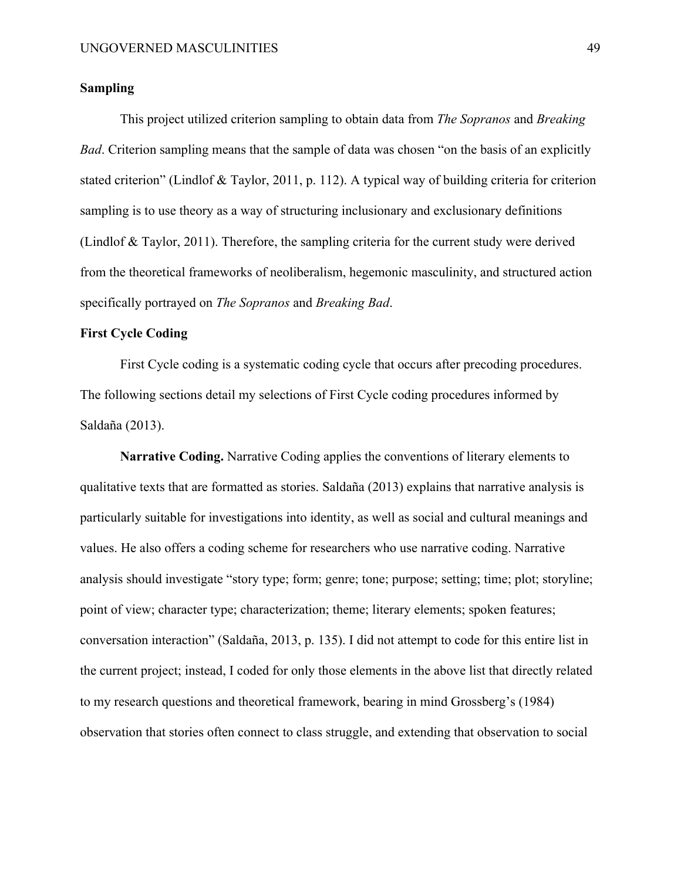# **Sampling**

This project utilized criterion sampling to obtain data from *The Sopranos* and *Breaking Bad*. Criterion sampling means that the sample of data was chosen "on the basis of an explicitly stated criterion" (Lindlof & Taylor, 2011, p. 112). A typical way of building criteria for criterion sampling is to use theory as a way of structuring inclusionary and exclusionary definitions (Lindlof & Taylor, 2011). Therefore, the sampling criteria for the current study were derived from the theoretical frameworks of neoliberalism, hegemonic masculinity, and structured action specifically portrayed on *The Sopranos* and *Breaking Bad*.

# **First Cycle Coding**

First Cycle coding is a systematic coding cycle that occurs after precoding procedures. The following sections detail my selections of First Cycle coding procedures informed by Saldaña (2013).

**Narrative Coding.** Narrative Coding applies the conventions of literary elements to qualitative texts that are formatted as stories. Saldaña (2013) explains that narrative analysis is particularly suitable for investigations into identity, as well as social and cultural meanings and values. He also offers a coding scheme for researchers who use narrative coding. Narrative analysis should investigate "story type; form; genre; tone; purpose; setting; time; plot; storyline; point of view; character type; characterization; theme; literary elements; spoken features; conversation interaction" (Saldaña, 2013, p. 135). I did not attempt to code for this entire list in the current project; instead, I coded for only those elements in the above list that directly related to my research questions and theoretical framework, bearing in mind Grossberg's (1984) observation that stories often connect to class struggle, and extending that observation to social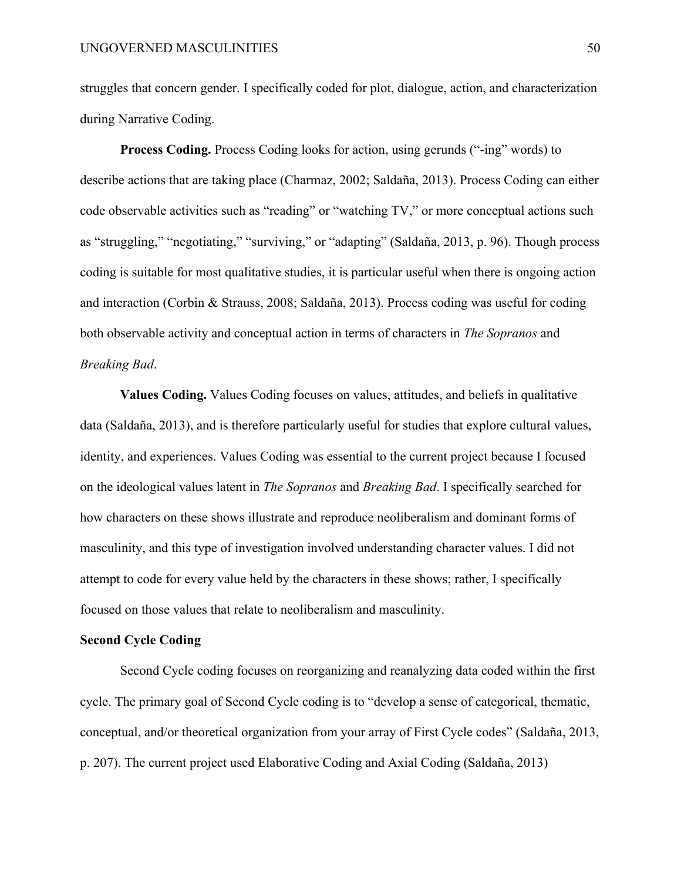struggles that concern gender. I specifically coded for plot, dialogue, action, and characterization during Narrative Coding.

**Process Coding.** Process Coding looks for action, using gerunds ("-ing" words) to describe actions that are taking place (Charmaz, 2002; Saldaña, 2013). Process Coding can either code observable activities such as "reading" or "watching TV," or more conceptual actions such as "struggling," "negotiating," "surviving," or "adapting" (Saldaña, 2013, p. 96). Though process coding is suitable for most qualitative studies, it is particular useful when there is ongoing action and interaction (Corbin & Strauss, 2008; Saldaña, 2013). Process coding was useful for coding both observable activity and conceptual action in terms of characters in *The Sopranos* and *Breaking Bad*.

**Values Coding.** Values Coding focuses on values, attitudes, and beliefs in qualitative data (Saldaña, 2013), and is therefore particularly useful for studies that explore cultural values, identity, and experiences. Values Coding was essential to the current project because I focused on the ideological values latent in *The Sopranos* and *Breaking Bad*. I specifically searched for how characters on these shows illustrate and reproduce neoliberalism and dominant forms of masculinity, and this type of investigation involved understanding character values. I did not attempt to code for every value held by the characters in these shows; rather, I specifically focused on those values that relate to neoliberalism and masculinity.

# **Second Cycle Coding**

Second Cycle coding focuses on reorganizing and reanalyzing data coded within the first cycle. The primary goal of Second Cycle coding is to "develop a sense of categorical, thematic, conceptual, and/or theoretical organization from your array of First Cycle codes" (Saldaña, 2013, p. 207). The current project used Elaborative Coding and Axial Coding (Saldaña, 2013)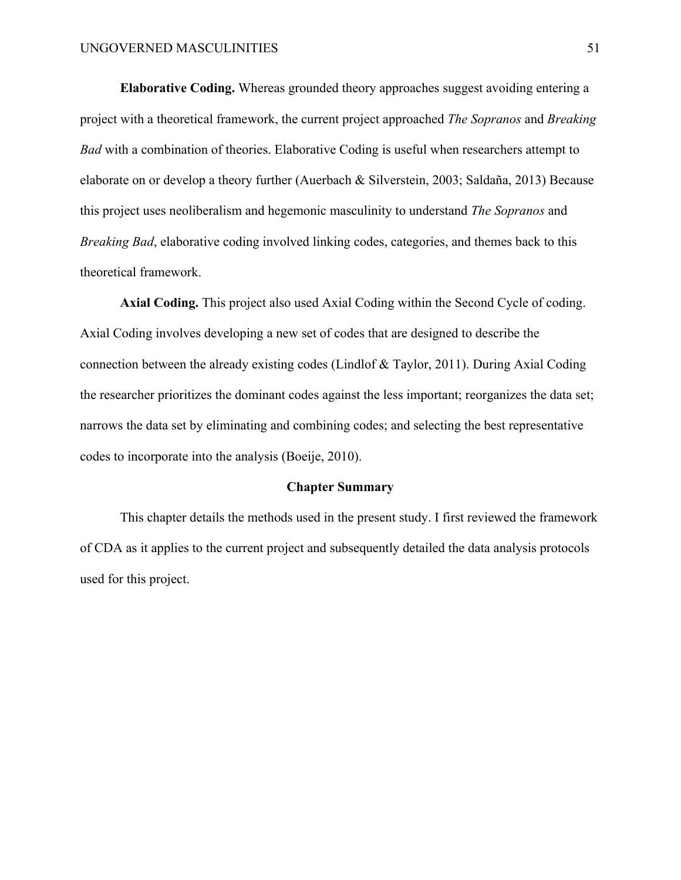**Elaborative Coding.** Whereas grounded theory approaches suggest avoiding entering a project with a theoretical framework, the current project approached *The Sopranos* and *Breaking Bad* with a combination of theories. Elaborative Coding is useful when researchers attempt to elaborate on or develop a theory further (Auerbach & Silverstein, 2003; Saldaña, 2013) Because this project uses neoliberalism and hegemonic masculinity to understand *The Sopranos* and *Breaking Bad*, elaborative coding involved linking codes, categories, and themes back to this theoretical framework.

**Axial Coding.** This project also used Axial Coding within the Second Cycle of coding. Axial Coding involves developing a new set of codes that are designed to describe the connection between the already existing codes (Lindlof & Taylor, 2011). During Axial Coding the researcher prioritizes the dominant codes against the less important; reorganizes the data set; narrows the data set by eliminating and combining codes; and selecting the best representative codes to incorporate into the analysis (Boeije, 2010).

# **Chapter Summary**

This chapter details the methods used in the present study. I first reviewed the framework of CDA as it applies to the current project and subsequently detailed the data analysis protocols used for this project.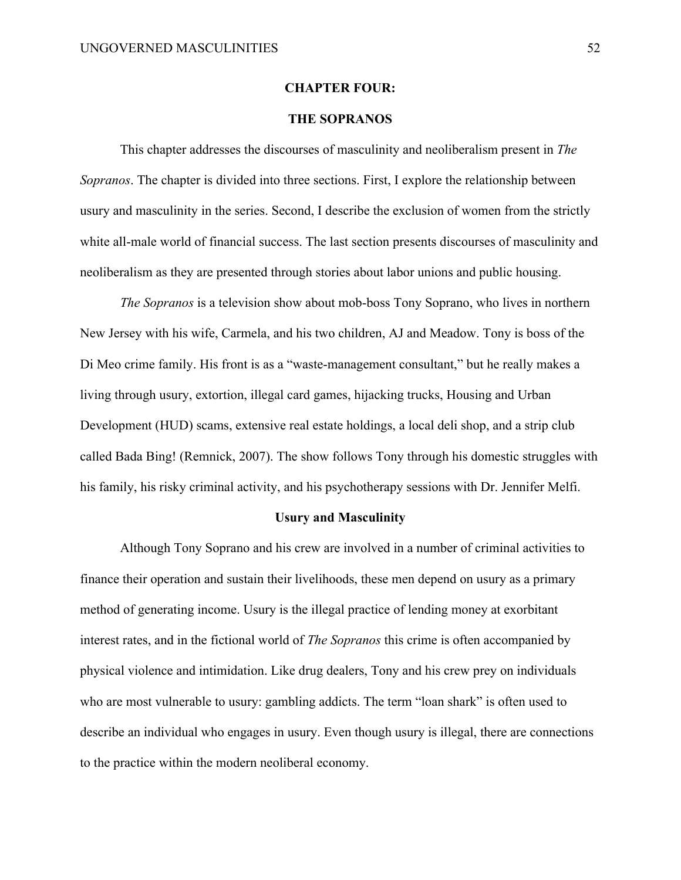### **CHAPTER FOUR:**

# **THE SOPRANOS**

This chapter addresses the discourses of masculinity and neoliberalism present in *The Sopranos*. The chapter is divided into three sections. First, I explore the relationship between usury and masculinity in the series. Second, I describe the exclusion of women from the strictly white all-male world of financial success. The last section presents discourses of masculinity and neoliberalism as they are presented through stories about labor unions and public housing.

*The Sopranos* is a television show about mob-boss Tony Soprano, who lives in northern New Jersey with his wife, Carmela, and his two children, AJ and Meadow. Tony is boss of the Di Meo crime family. His front is as a "waste-management consultant," but he really makes a living through usury, extortion, illegal card games, hijacking trucks, Housing and Urban Development (HUD) scams, extensive real estate holdings, a local deli shop, and a strip club called Bada Bing! (Remnick, 2007). The show follows Tony through his domestic struggles with his family, his risky criminal activity, and his psychotherapy sessions with Dr. Jennifer Melfi.

### **Usury and Masculinity**

Although Tony Soprano and his crew are involved in a number of criminal activities to finance their operation and sustain their livelihoods, these men depend on usury as a primary method of generating income. Usury is the illegal practice of lending money at exorbitant interest rates, and in the fictional world of *The Sopranos* this crime is often accompanied by physical violence and intimidation. Like drug dealers, Tony and his crew prey on individuals who are most vulnerable to usury: gambling addicts. The term "loan shark" is often used to describe an individual who engages in usury. Even though usury is illegal, there are connections to the practice within the modern neoliberal economy.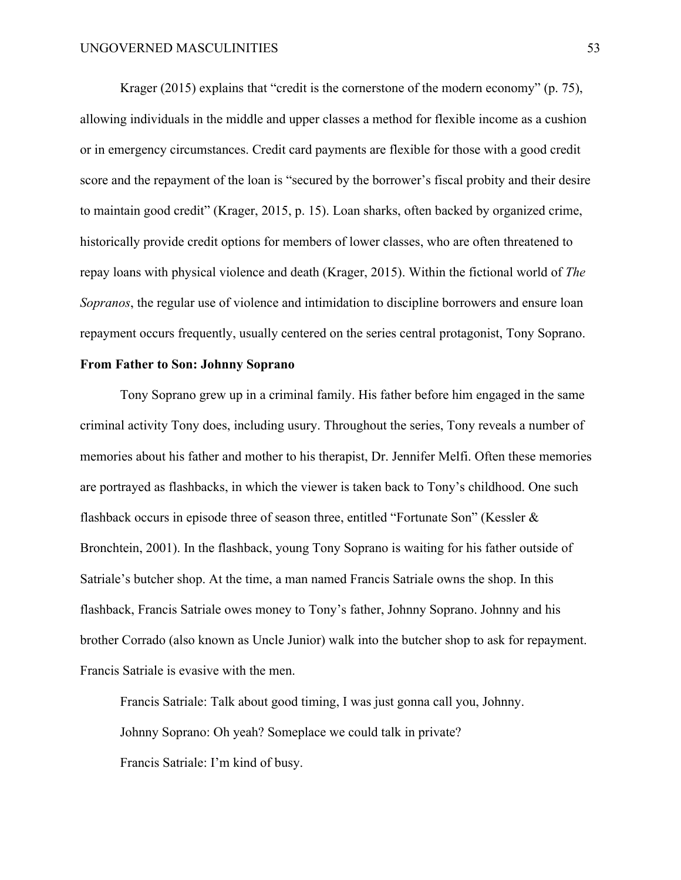Krager (2015) explains that "credit is the cornerstone of the modern economy" (p. 75), allowing individuals in the middle and upper classes a method for flexible income as a cushion or in emergency circumstances. Credit card payments are flexible for those with a good credit score and the repayment of the loan is "secured by the borrower's fiscal probity and their desire to maintain good credit" (Krager, 2015, p. 15). Loan sharks, often backed by organized crime, historically provide credit options for members of lower classes, who are often threatened to repay loans with physical violence and death (Krager, 2015). Within the fictional world of *The Sopranos*, the regular use of violence and intimidation to discipline borrowers and ensure loan repayment occurs frequently, usually centered on the series central protagonist, Tony Soprano.

# **From Father to Son: Johnny Soprano**

Tony Soprano grew up in a criminal family. His father before him engaged in the same criminal activity Tony does, including usury. Throughout the series, Tony reveals a number of memories about his father and mother to his therapist, Dr. Jennifer Melfi. Often these memories are portrayed as flashbacks, in which the viewer is taken back to Tony's childhood. One such flashback occurs in episode three of season three, entitled "Fortunate Son" (Kessler & Bronchtein, 2001). In the flashback, young Tony Soprano is waiting for his father outside of Satriale's butcher shop. At the time, a man named Francis Satriale owns the shop. In this flashback, Francis Satriale owes money to Tony's father, Johnny Soprano. Johnny and his brother Corrado (also known as Uncle Junior) walk into the butcher shop to ask for repayment. Francis Satriale is evasive with the men.

Francis Satriale: Talk about good timing, I was just gonna call you, Johnny. Johnny Soprano: Oh yeah? Someplace we could talk in private? Francis Satriale: I'm kind of busy.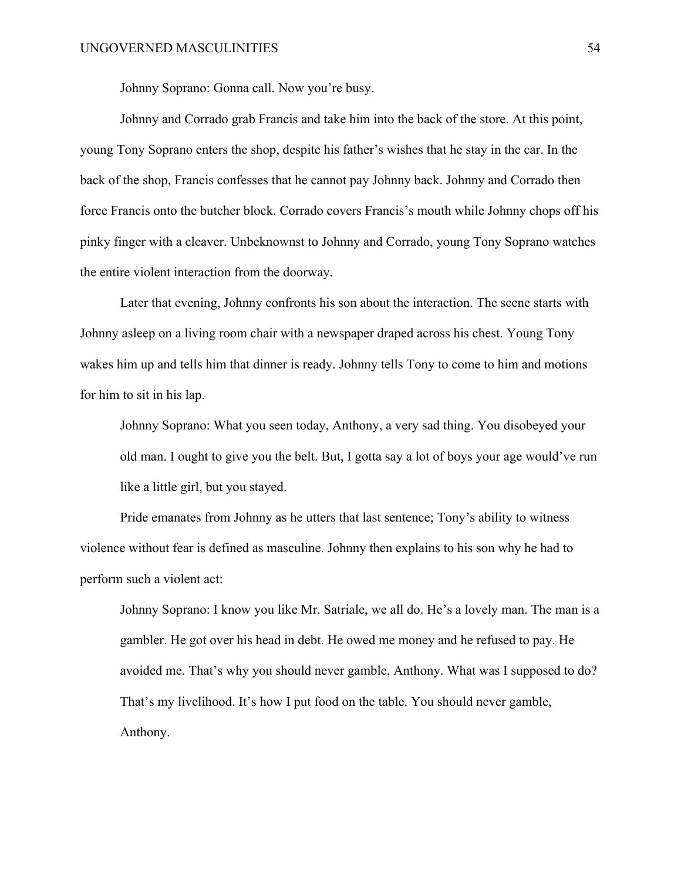Johnny Soprano: Gonna call. Now you're busy.

Johnny and Corrado grab Francis and take him into the back of the store. At this point, young Tony Soprano enters the shop, despite his father's wishes that he stay in the car. In the back of the shop, Francis confesses that he cannot pay Johnny back. Johnny and Corrado then force Francis onto the butcher block. Corrado covers Francis's mouth while Johnny chops off his pinky finger with a cleaver. Unbeknownst to Johnny and Corrado, young Tony Soprano watches the entire violent interaction from the doorway.

Later that evening, Johnny confronts his son about the interaction. The scene starts with Johnny asleep on a living room chair with a newspaper draped across his chest. Young Tony wakes him up and tells him that dinner is ready. Johnny tells Tony to come to him and motions for him to sit in his lap.

Johnny Soprano: What you seen today, Anthony, a very sad thing. You disobeyed your old man. I ought to give you the belt. But, I gotta say a lot of boys your age would've run like a little girl, but you stayed.

Pride emanates from Johnny as he utters that last sentence; Tony's ability to witness violence without fear is defined as masculine. Johnny then explains to his son why he had to perform such a violent act:

Johnny Soprano: I know you like Mr. Satriale, we all do. He's a lovely man. The man is a gambler. He got over his head in debt. He owed me money and he refused to pay. He avoided me. That's why you should never gamble, Anthony. What was I supposed to do? That's my livelihood. It's how I put food on the table. You should never gamble, Anthony.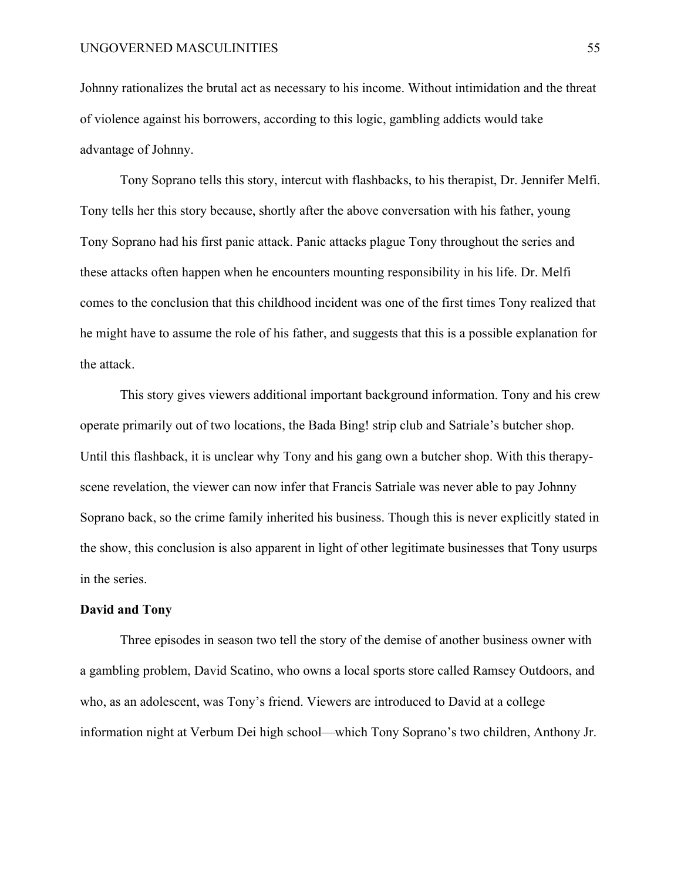Johnny rationalizes the brutal act as necessary to his income. Without intimidation and the threat of violence against his borrowers, according to this logic, gambling addicts would take advantage of Johnny.

Tony Soprano tells this story, intercut with flashbacks, to his therapist, Dr. Jennifer Melfi. Tony tells her this story because, shortly after the above conversation with his father, young Tony Soprano had his first panic attack. Panic attacks plague Tony throughout the series and these attacks often happen when he encounters mounting responsibility in his life. Dr. Melfi comes to the conclusion that this childhood incident was one of the first times Tony realized that he might have to assume the role of his father, and suggests that this is a possible explanation for the attack.

This story gives viewers additional important background information. Tony and his crew operate primarily out of two locations, the Bada Bing! strip club and Satriale's butcher shop. Until this flashback, it is unclear why Tony and his gang own a butcher shop. With this therapyscene revelation, the viewer can now infer that Francis Satriale was never able to pay Johnny Soprano back, so the crime family inherited his business. Though this is never explicitly stated in the show, this conclusion is also apparent in light of other legitimate businesses that Tony usurps in the series.

# **David and Tony**

Three episodes in season two tell the story of the demise of another business owner with a gambling problem, David Scatino, who owns a local sports store called Ramsey Outdoors, and who, as an adolescent, was Tony's friend. Viewers are introduced to David at a college information night at Verbum Dei high school—which Tony Soprano's two children, Anthony Jr.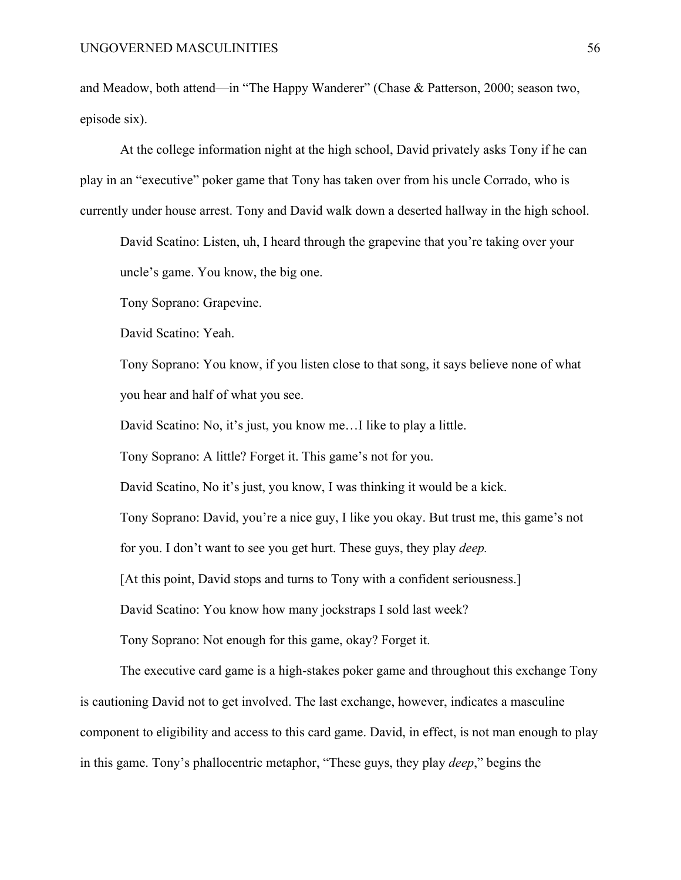and Meadow, both attend—in "The Happy Wanderer" (Chase & Patterson, 2000; season two, episode six).

At the college information night at the high school, David privately asks Tony if he can play in an "executive" poker game that Tony has taken over from his uncle Corrado, who is currently under house arrest. Tony and David walk down a deserted hallway in the high school.

David Scatino: Listen, uh, I heard through the grapevine that you're taking over your uncle's game. You know, the big one.

Tony Soprano: Grapevine.

David Scatino: Yeah.

Tony Soprano: You know, if you listen close to that song, it says believe none of what you hear and half of what you see.

David Scatino: No, it's just, you know me...I like to play a little.

Tony Soprano: A little? Forget it. This game's not for you.

David Scatino, No it's just, you know, I was thinking it would be a kick.

Tony Soprano: David, you're a nice guy, I like you okay. But trust me, this game's not

for you. I don't want to see you get hurt. These guys, they play *deep.*

[At this point, David stops and turns to Tony with a confident seriousness.]

David Scatino: You know how many jockstraps I sold last week?

Tony Soprano: Not enough for this game, okay? Forget it.

The executive card game is a high-stakes poker game and throughout this exchange Tony is cautioning David not to get involved. The last exchange, however, indicates a masculine component to eligibility and access to this card game. David, in effect, is not man enough to play in this game. Tony's phallocentric metaphor, "These guys, they play *deep*," begins the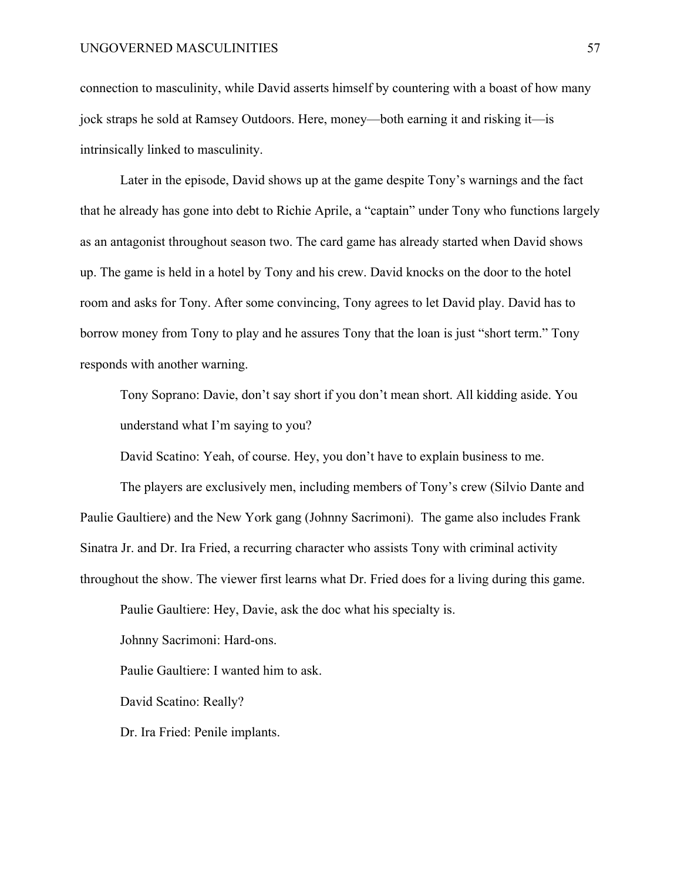connection to masculinity, while David asserts himself by countering with a boast of how many jock straps he sold at Ramsey Outdoors. Here, money—both earning it and risking it—is intrinsically linked to masculinity.

Later in the episode, David shows up at the game despite Tony's warnings and the fact that he already has gone into debt to Richie Aprile, a "captain" under Tony who functions largely as an antagonist throughout season two. The card game has already started when David shows up. The game is held in a hotel by Tony and his crew. David knocks on the door to the hotel room and asks for Tony. After some convincing, Tony agrees to let David play. David has to borrow money from Tony to play and he assures Tony that the loan is just "short term." Tony responds with another warning.

Tony Soprano: Davie, don't say short if you don't mean short. All kidding aside. You understand what I'm saying to you?

David Scatino: Yeah, of course. Hey, you don't have to explain business to me.

The players are exclusively men, including members of Tony's crew (Silvio Dante and Paulie Gaultiere) and the New York gang (Johnny Sacrimoni). The game also includes Frank Sinatra Jr. and Dr. Ira Fried, a recurring character who assists Tony with criminal activity throughout the show. The viewer first learns what Dr. Fried does for a living during this game.

Paulie Gaultiere: Hey, Davie, ask the doc what his specialty is.

Johnny Sacrimoni: Hard-ons.

Paulie Gaultiere: I wanted him to ask.

David Scatino: Really?

Dr. Ira Fried: Penile implants.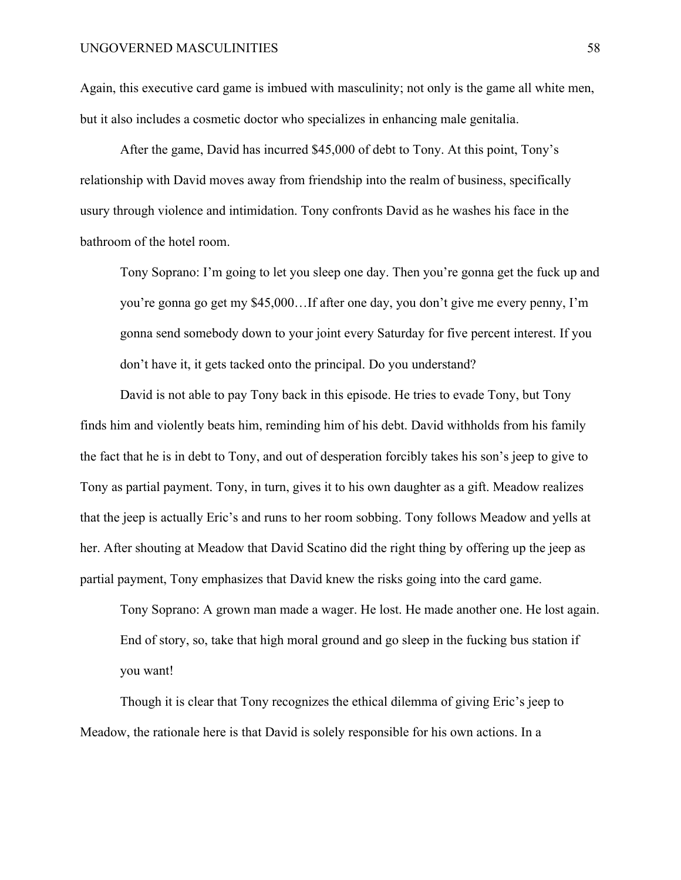Again, this executive card game is imbued with masculinity; not only is the game all white men, but it also includes a cosmetic doctor who specializes in enhancing male genitalia.

After the game, David has incurred \$45,000 of debt to Tony. At this point, Tony's relationship with David moves away from friendship into the realm of business, specifically usury through violence and intimidation. Tony confronts David as he washes his face in the bathroom of the hotel room.

Tony Soprano: I'm going to let you sleep one day. Then you're gonna get the fuck up and you're gonna go get my \$45,000…If after one day, you don't give me every penny, I'm gonna send somebody down to your joint every Saturday for five percent interest. If you don't have it, it gets tacked onto the principal. Do you understand?

David is not able to pay Tony back in this episode. He tries to evade Tony, but Tony finds him and violently beats him, reminding him of his debt. David withholds from his family the fact that he is in debt to Tony, and out of desperation forcibly takes his son's jeep to give to Tony as partial payment. Tony, in turn, gives it to his own daughter as a gift. Meadow realizes that the jeep is actually Eric's and runs to her room sobbing. Tony follows Meadow and yells at her. After shouting at Meadow that David Scatino did the right thing by offering up the jeep as partial payment, Tony emphasizes that David knew the risks going into the card game.

Tony Soprano: A grown man made a wager. He lost. He made another one. He lost again. End of story, so, take that high moral ground and go sleep in the fucking bus station if you want!

Though it is clear that Tony recognizes the ethical dilemma of giving Eric's jeep to Meadow, the rationale here is that David is solely responsible for his own actions. In a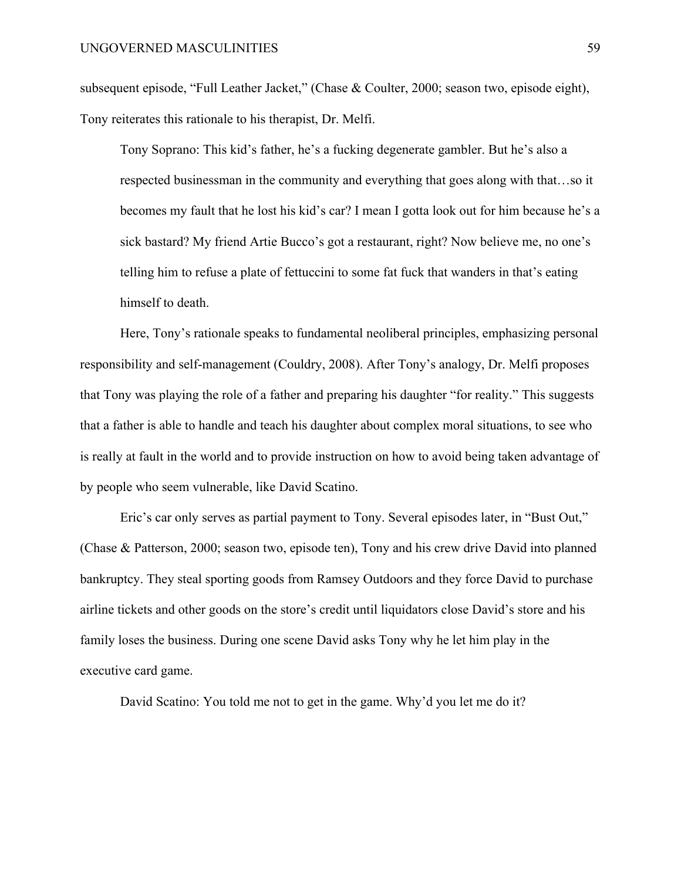subsequent episode, "Full Leather Jacket," (Chase & Coulter, 2000; season two, episode eight), Tony reiterates this rationale to his therapist, Dr. Melfi.

Tony Soprano: This kid's father, he's a fucking degenerate gambler. But he's also a respected businessman in the community and everything that goes along with that…so it becomes my fault that he lost his kid's car? I mean I gotta look out for him because he's a sick bastard? My friend Artie Bucco's got a restaurant, right? Now believe me, no one's telling him to refuse a plate of fettuccini to some fat fuck that wanders in that's eating himself to death.

Here, Tony's rationale speaks to fundamental neoliberal principles, emphasizing personal responsibility and self-management (Couldry, 2008). After Tony's analogy, Dr. Melfi proposes that Tony was playing the role of a father and preparing his daughter "for reality." This suggests that a father is able to handle and teach his daughter about complex moral situations, to see who is really at fault in the world and to provide instruction on how to avoid being taken advantage of by people who seem vulnerable, like David Scatino.

Eric's car only serves as partial payment to Tony. Several episodes later, in "Bust Out," (Chase & Patterson, 2000; season two, episode ten), Tony and his crew drive David into planned bankruptcy. They steal sporting goods from Ramsey Outdoors and they force David to purchase airline tickets and other goods on the store's credit until liquidators close David's store and his family loses the business. During one scene David asks Tony why he let him play in the executive card game.

David Scatino: You told me not to get in the game. Why'd you let me do it?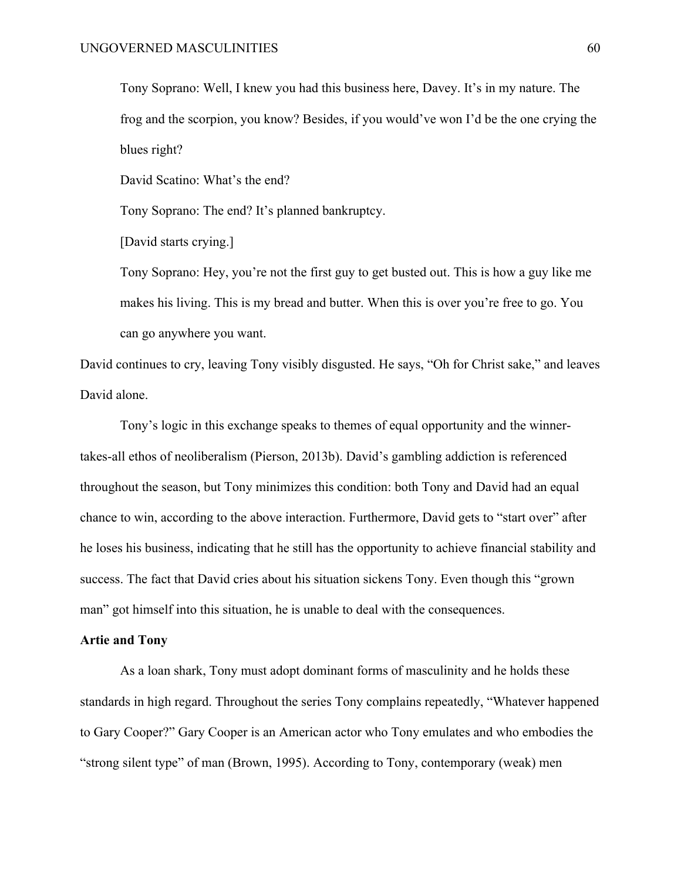Tony Soprano: Well, I knew you had this business here, Davey. It's in my nature. The frog and the scorpion, you know? Besides, if you would've won I'd be the one crying the blues right?

David Scatino: What's the end?

Tony Soprano: The end? It's planned bankruptcy.

[David starts crying.]

Tony Soprano: Hey, you're not the first guy to get busted out. This is how a guy like me makes his living. This is my bread and butter. When this is over you're free to go. You can go anywhere you want.

David continues to cry, leaving Tony visibly disgusted. He says, "Oh for Christ sake," and leaves David alone.

Tony's logic in this exchange speaks to themes of equal opportunity and the winnertakes-all ethos of neoliberalism (Pierson, 2013b). David's gambling addiction is referenced throughout the season, but Tony minimizes this condition: both Tony and David had an equal chance to win, according to the above interaction. Furthermore, David gets to "start over" after he loses his business, indicating that he still has the opportunity to achieve financial stability and success. The fact that David cries about his situation sickens Tony. Even though this "grown man" got himself into this situation, he is unable to deal with the consequences.

#### **Artie and Tony**

As a loan shark, Tony must adopt dominant forms of masculinity and he holds these standards in high regard. Throughout the series Tony complains repeatedly, "Whatever happened to Gary Cooper?" Gary Cooper is an American actor who Tony emulates and who embodies the "strong silent type" of man (Brown, 1995). According to Tony, contemporary (weak) men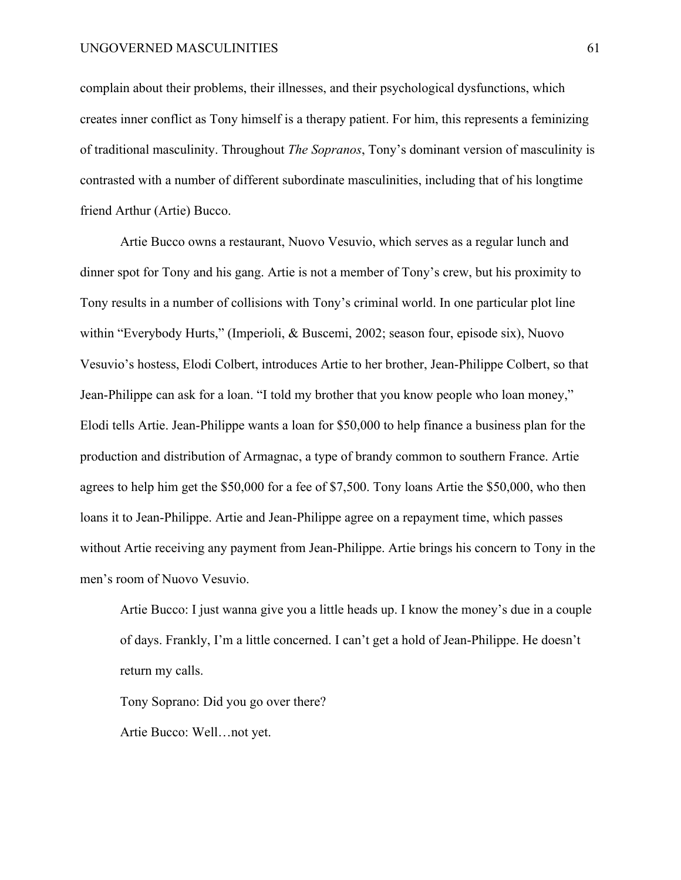complain about their problems, their illnesses, and their psychological dysfunctions, which creates inner conflict as Tony himself is a therapy patient. For him, this represents a feminizing of traditional masculinity. Throughout *The Sopranos*, Tony's dominant version of masculinity is contrasted with a number of different subordinate masculinities, including that of his longtime friend Arthur (Artie) Bucco.

Artie Bucco owns a restaurant, Nuovo Vesuvio, which serves as a regular lunch and dinner spot for Tony and his gang. Artie is not a member of Tony's crew, but his proximity to Tony results in a number of collisions with Tony's criminal world. In one particular plot line within "Everybody Hurts," (Imperioli, & Buscemi, 2002; season four, episode six), Nuovo Vesuvio's hostess, Elodi Colbert, introduces Artie to her brother, Jean-Philippe Colbert, so that Jean-Philippe can ask for a loan. "I told my brother that you know people who loan money," Elodi tells Artie. Jean-Philippe wants a loan for \$50,000 to help finance a business plan for the production and distribution of Armagnac, a type of brandy common to southern France. Artie agrees to help him get the \$50,000 for a fee of \$7,500. Tony loans Artie the \$50,000, who then loans it to Jean-Philippe. Artie and Jean-Philippe agree on a repayment time, which passes without Artie receiving any payment from Jean-Philippe. Artie brings his concern to Tony in the men's room of Nuovo Vesuvio.

Artie Bucco: I just wanna give you a little heads up. I know the money's due in a couple of days. Frankly, I'm a little concerned. I can't get a hold of Jean-Philippe. He doesn't return my calls.

Tony Soprano: Did you go over there?

Artie Bucco: Well…not yet.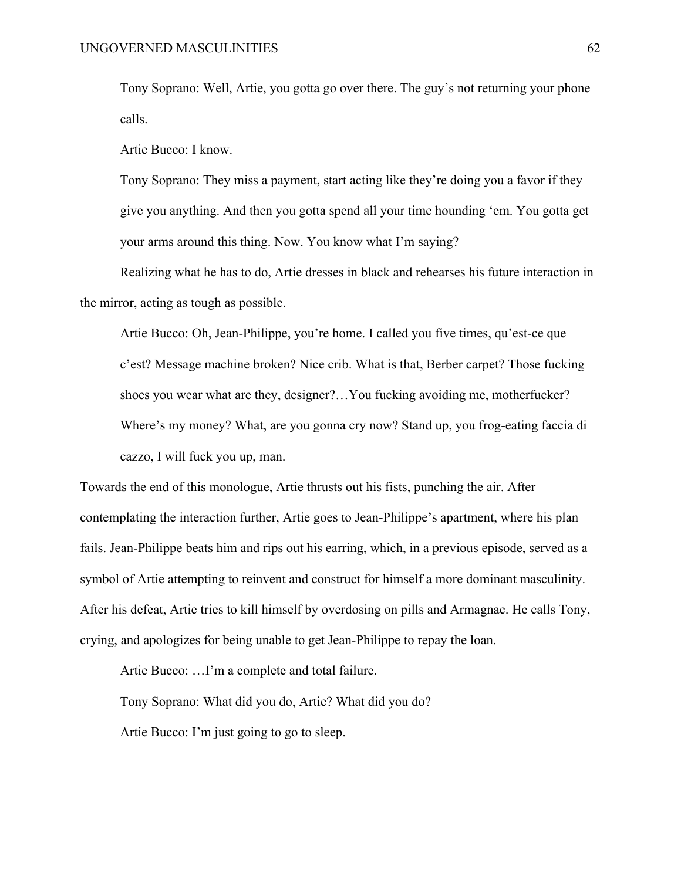Tony Soprano: Well, Artie, you gotta go over there. The guy's not returning your phone calls.

Artie Bucco: I know.

Tony Soprano: They miss a payment, start acting like they're doing you a favor if they give you anything. And then you gotta spend all your time hounding 'em. You gotta get your arms around this thing. Now. You know what I'm saying?

Realizing what he has to do, Artie dresses in black and rehearses his future interaction in the mirror, acting as tough as possible.

Artie Bucco: Oh, Jean-Philippe, you're home. I called you five times, qu'est-ce que c'est? Message machine broken? Nice crib. What is that, Berber carpet? Those fucking shoes you wear what are they, designer?…You fucking avoiding me, motherfucker? Where's my money? What, are you gonna cry now? Stand up, you frog-eating faccia di cazzo, I will fuck you up, man.

Towards the end of this monologue, Artie thrusts out his fists, punching the air. After contemplating the interaction further, Artie goes to Jean-Philippe's apartment, where his plan fails. Jean-Philippe beats him and rips out his earring, which, in a previous episode, served as a symbol of Artie attempting to reinvent and construct for himself a more dominant masculinity. After his defeat, Artie tries to kill himself by overdosing on pills and Armagnac. He calls Tony, crying, and apologizes for being unable to get Jean-Philippe to repay the loan.

Artie Bucco: …I'm a complete and total failure.

Tony Soprano: What did you do, Artie? What did you do?

Artie Bucco: I'm just going to go to sleep.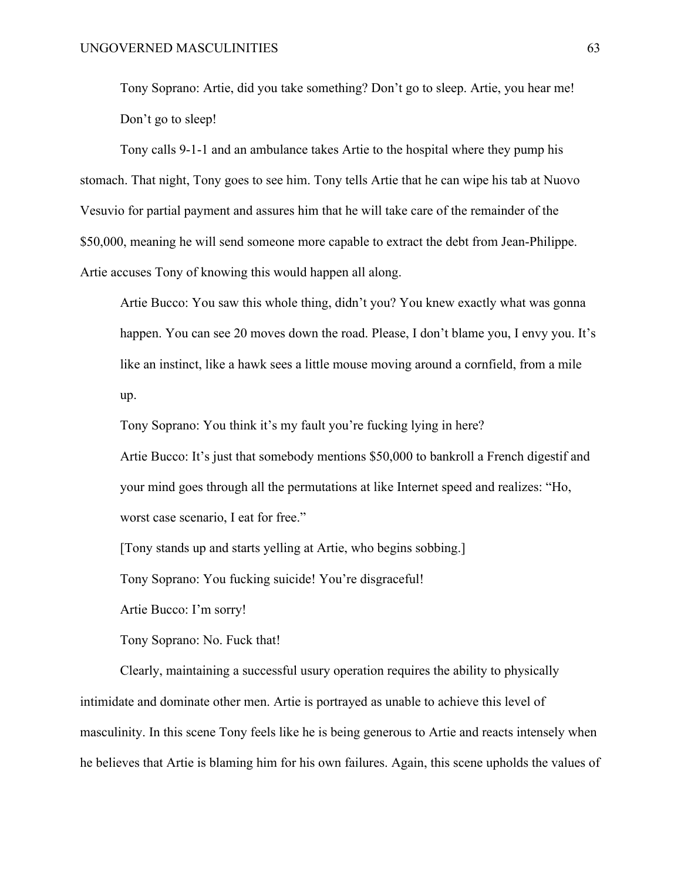Tony Soprano: Artie, did you take something? Don't go to sleep. Artie, you hear me! Don't go to sleep!

Tony calls 9-1-1 and an ambulance takes Artie to the hospital where they pump his stomach. That night, Tony goes to see him. Tony tells Artie that he can wipe his tab at Nuovo Vesuvio for partial payment and assures him that he will take care of the remainder of the \$50,000, meaning he will send someone more capable to extract the debt from Jean-Philippe. Artie accuses Tony of knowing this would happen all along.

Artie Bucco: You saw this whole thing, didn't you? You knew exactly what was gonna happen. You can see 20 moves down the road. Please, I don't blame you, I envy you. It's like an instinct, like a hawk sees a little mouse moving around a cornfield, from a mile up.

Tony Soprano: You think it's my fault you're fucking lying in here?

Artie Bucco: It's just that somebody mentions \$50,000 to bankroll a French digestif and your mind goes through all the permutations at like Internet speed and realizes: "Ho, worst case scenario, I eat for free."

[Tony stands up and starts yelling at Artie, who begins sobbing.]

Tony Soprano: You fucking suicide! You're disgraceful!

Artie Bucco: I'm sorry!

Tony Soprano: No. Fuck that!

Clearly, maintaining a successful usury operation requires the ability to physically intimidate and dominate other men. Artie is portrayed as unable to achieve this level of masculinity. In this scene Tony feels like he is being generous to Artie and reacts intensely when he believes that Artie is blaming him for his own failures. Again, this scene upholds the values of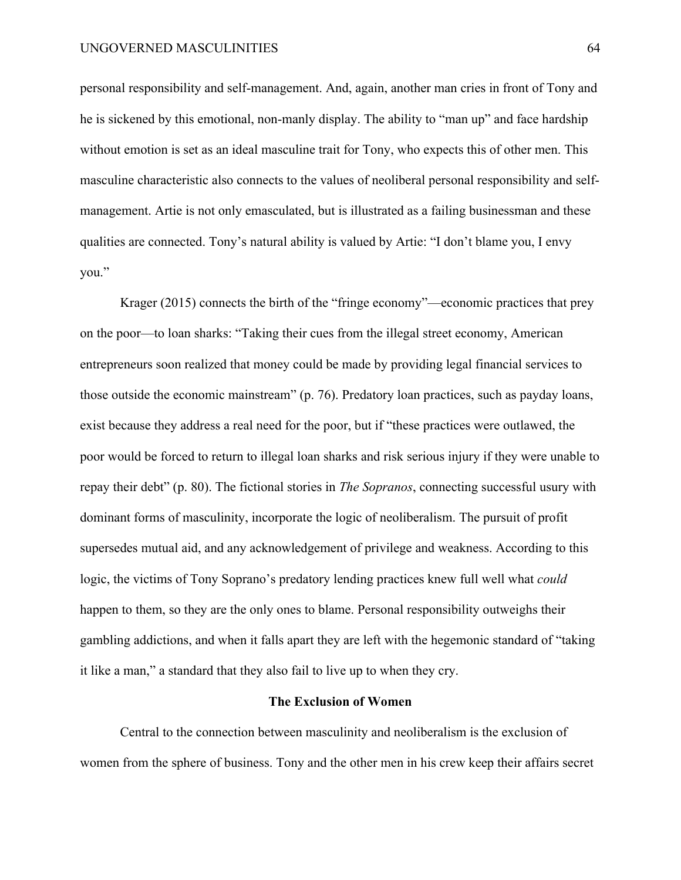personal responsibility and self-management. And, again, another man cries in front of Tony and he is sickened by this emotional, non-manly display. The ability to "man up" and face hardship without emotion is set as an ideal masculine trait for Tony, who expects this of other men. This masculine characteristic also connects to the values of neoliberal personal responsibility and selfmanagement. Artie is not only emasculated, but is illustrated as a failing businessman and these qualities are connected. Tony's natural ability is valued by Artie: "I don't blame you, I envy you."

Krager (2015) connects the birth of the "fringe economy"—economic practices that prey on the poor—to loan sharks: "Taking their cues from the illegal street economy, American entrepreneurs soon realized that money could be made by providing legal financial services to those outside the economic mainstream" (p. 76). Predatory loan practices, such as payday loans, exist because they address a real need for the poor, but if "these practices were outlawed, the poor would be forced to return to illegal loan sharks and risk serious injury if they were unable to repay their debt" (p. 80). The fictional stories in *The Sopranos*, connecting successful usury with dominant forms of masculinity, incorporate the logic of neoliberalism. The pursuit of profit supersedes mutual aid, and any acknowledgement of privilege and weakness. According to this logic, the victims of Tony Soprano's predatory lending practices knew full well what *could* happen to them, so they are the only ones to blame. Personal responsibility outweighs their gambling addictions, and when it falls apart they are left with the hegemonic standard of "taking it like a man," a standard that they also fail to live up to when they cry.

#### **The Exclusion of Women**

Central to the connection between masculinity and neoliberalism is the exclusion of women from the sphere of business. Tony and the other men in his crew keep their affairs secret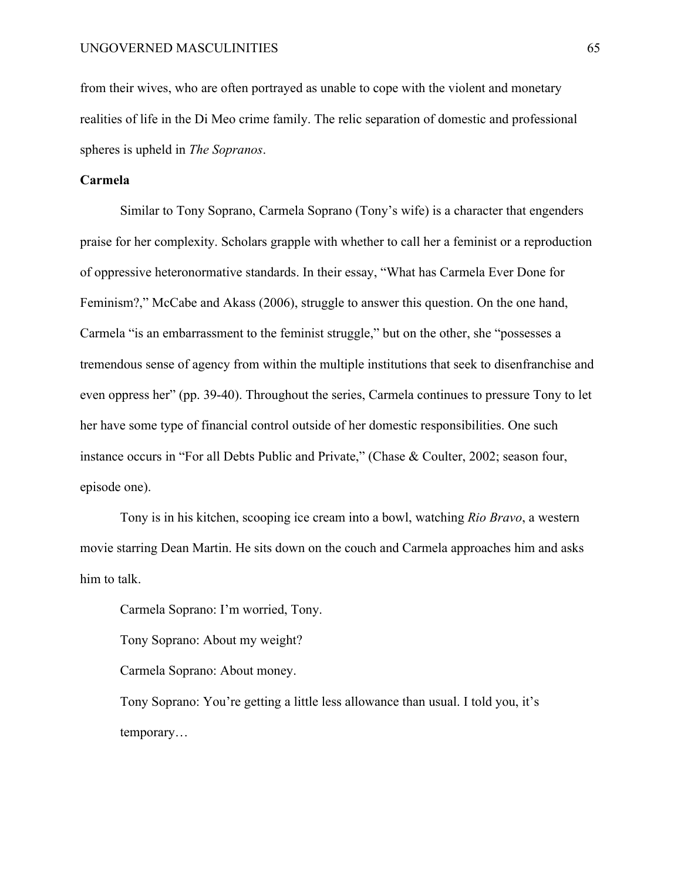from their wives, who are often portrayed as unable to cope with the violent and monetary realities of life in the Di Meo crime family. The relic separation of domestic and professional spheres is upheld in *The Sopranos*.

## **Carmela**

Similar to Tony Soprano, Carmela Soprano (Tony's wife) is a character that engenders praise for her complexity. Scholars grapple with whether to call her a feminist or a reproduction of oppressive heteronormative standards. In their essay, "What has Carmela Ever Done for Feminism?," McCabe and Akass (2006), struggle to answer this question. On the one hand, Carmela "is an embarrassment to the feminist struggle," but on the other, she "possesses a tremendous sense of agency from within the multiple institutions that seek to disenfranchise and even oppress her" (pp. 39-40). Throughout the series, Carmela continues to pressure Tony to let her have some type of financial control outside of her domestic responsibilities. One such instance occurs in "For all Debts Public and Private," (Chase & Coulter, 2002; season four, episode one).

Tony is in his kitchen, scooping ice cream into a bowl, watching *Rio Bravo*, a western movie starring Dean Martin. He sits down on the couch and Carmela approaches him and asks him to talk.

Carmela Soprano: I'm worried, Tony.

Tony Soprano: About my weight?

Carmela Soprano: About money.

Tony Soprano: You're getting a little less allowance than usual. I told you, it's temporary…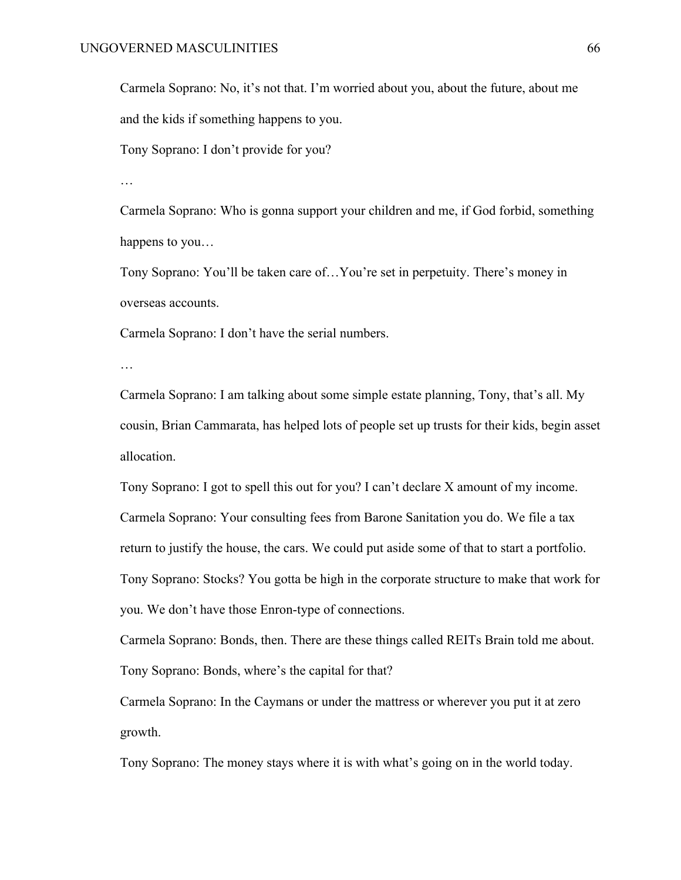Carmela Soprano: No, it's not that. I'm worried about you, about the future, about me and the kids if something happens to you.

Tony Soprano: I don't provide for you?

…

Carmela Soprano: Who is gonna support your children and me, if God forbid, something happens to you…

Tony Soprano: You'll be taken care of…You're set in perpetuity. There's money in overseas accounts.

Carmela Soprano: I don't have the serial numbers.

…

Carmela Soprano: I am talking about some simple estate planning, Tony, that's all. My cousin, Brian Cammarata, has helped lots of people set up trusts for their kids, begin asset allocation.

Tony Soprano: I got to spell this out for you? I can't declare X amount of my income. Carmela Soprano: Your consulting fees from Barone Sanitation you do. We file a tax return to justify the house, the cars. We could put aside some of that to start a portfolio. Tony Soprano: Stocks? You gotta be high in the corporate structure to make that work for you. We don't have those Enron-type of connections.

Carmela Soprano: Bonds, then. There are these things called REITs Brain told me about. Tony Soprano: Bonds, where's the capital for that?

Carmela Soprano: In the Caymans or under the mattress or wherever you put it at zero growth.

Tony Soprano: The money stays where it is with what's going on in the world today.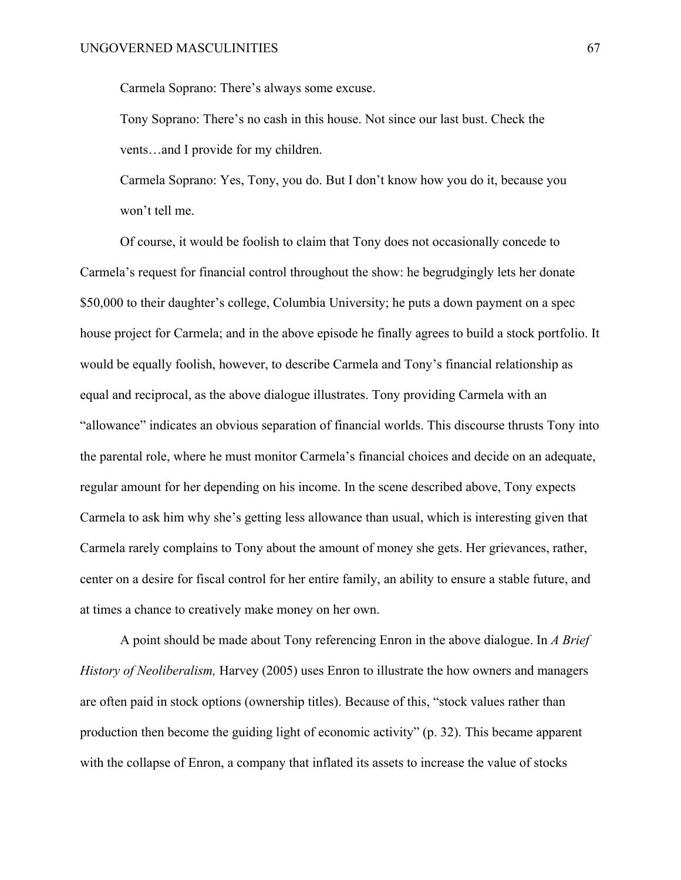Carmela Soprano: There's always some excuse.

Tony Soprano: There's no cash in this house. Not since our last bust. Check the vents…and I provide for my children.

Carmela Soprano: Yes, Tony, you do. But I don't know how you do it, because you won't tell me.

Of course, it would be foolish to claim that Tony does not occasionally concede to Carmela's request for financial control throughout the show: he begrudgingly lets her donate \$50,000 to their daughter's college, Columbia University; he puts a down payment on a spec house project for Carmela; and in the above episode he finally agrees to build a stock portfolio. It would be equally foolish, however, to describe Carmela and Tony's financial relationship as equal and reciprocal, as the above dialogue illustrates. Tony providing Carmela with an "allowance" indicates an obvious separation of financial worlds. This discourse thrusts Tony into the parental role, where he must monitor Carmela's financial choices and decide on an adequate, regular amount for her depending on his income. In the scene described above, Tony expects Carmela to ask him why she's getting less allowance than usual, which is interesting given that Carmela rarely complains to Tony about the amount of money she gets. Her grievances, rather, center on a desire for fiscal control for her entire family, an ability to ensure a stable future, and at times a chance to creatively make money on her own.

A point should be made about Tony referencing Enron in the above dialogue. In *A Brief History of Neoliberalism,* Harvey (2005) uses Enron to illustrate the how owners and managers are often paid in stock options (ownership titles). Because of this, "stock values rather than production then become the guiding light of economic activity" (p. 32). This became apparent with the collapse of Enron, a company that inflated its assets to increase the value of stocks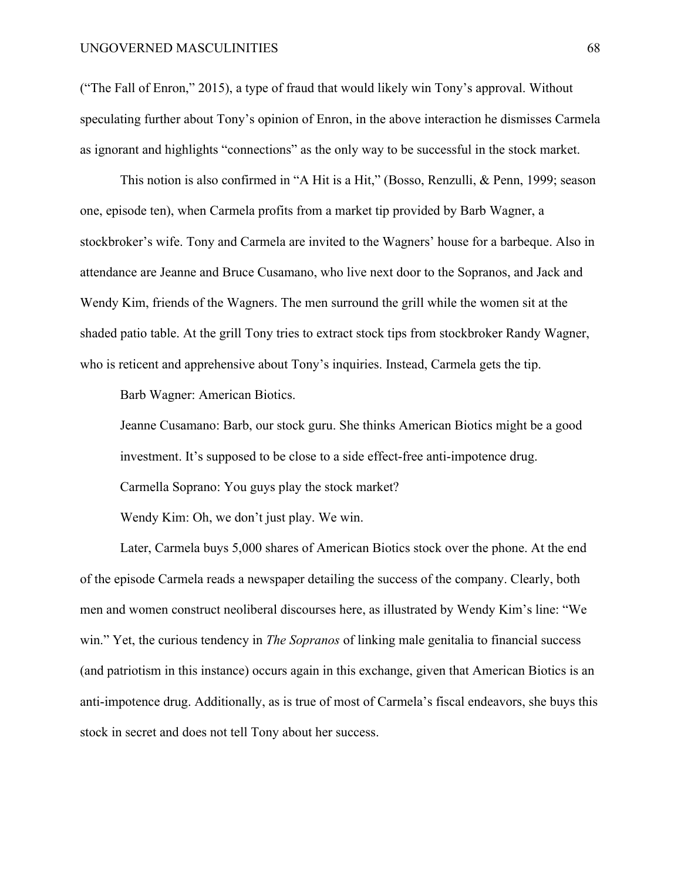("The Fall of Enron," 2015), a type of fraud that would likely win Tony's approval. Without speculating further about Tony's opinion of Enron, in the above interaction he dismisses Carmela as ignorant and highlights "connections" as the only way to be successful in the stock market.

This notion is also confirmed in "A Hit is a Hit," (Bosso, Renzulli, & Penn, 1999; season one, episode ten), when Carmela profits from a market tip provided by Barb Wagner, a stockbroker's wife. Tony and Carmela are invited to the Wagners' house for a barbeque. Also in attendance are Jeanne and Bruce Cusamano, who live next door to the Sopranos, and Jack and Wendy Kim, friends of the Wagners. The men surround the grill while the women sit at the shaded patio table. At the grill Tony tries to extract stock tips from stockbroker Randy Wagner, who is reticent and apprehensive about Tony's inquiries. Instead, Carmela gets the tip.

Barb Wagner: American Biotics.

Jeanne Cusamano: Barb, our stock guru. She thinks American Biotics might be a good investment. It's supposed to be close to a side effect-free anti-impotence drug. Carmella Soprano: You guys play the stock market?

Wendy Kim: Oh, we don't just play. We win.

Later, Carmela buys 5,000 shares of American Biotics stock over the phone. At the end of the episode Carmela reads a newspaper detailing the success of the company. Clearly, both men and women construct neoliberal discourses here, as illustrated by Wendy Kim's line: "We win." Yet, the curious tendency in *The Sopranos* of linking male genitalia to financial success (and patriotism in this instance) occurs again in this exchange, given that American Biotics is an anti-impotence drug. Additionally, as is true of most of Carmela's fiscal endeavors, she buys this stock in secret and does not tell Tony about her success.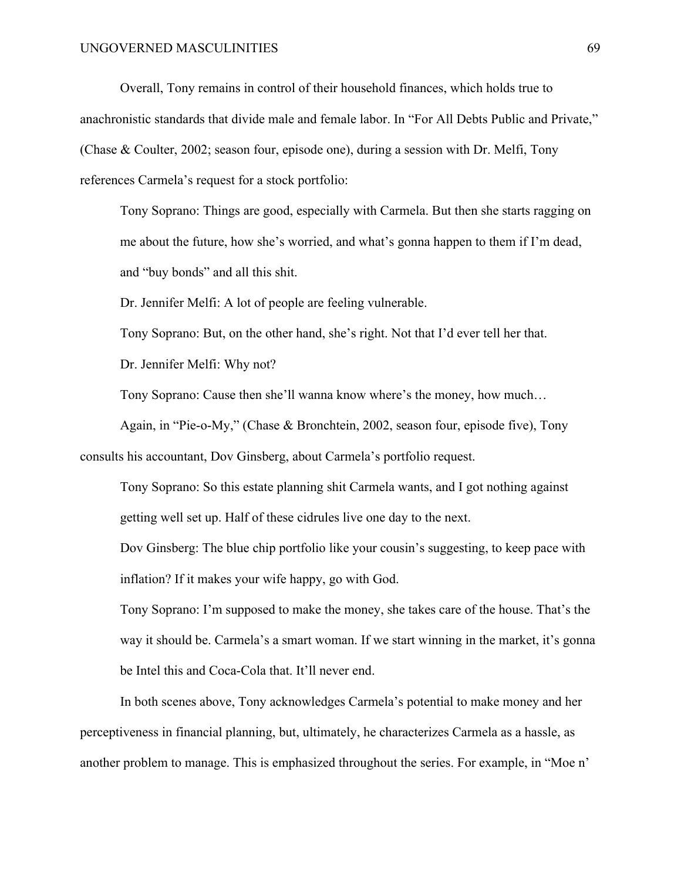Overall, Tony remains in control of their household finances, which holds true to anachronistic standards that divide male and female labor. In "For All Debts Public and Private," (Chase & Coulter, 2002; season four, episode one), during a session with Dr. Melfi, Tony references Carmela's request for a stock portfolio:

Tony Soprano: Things are good, especially with Carmela. But then she starts ragging on me about the future, how she's worried, and what's gonna happen to them if I'm dead, and "buy bonds" and all this shit.

Dr. Jennifer Melfi: A lot of people are feeling vulnerable.

Tony Soprano: But, on the other hand, she's right. Not that I'd ever tell her that.

Dr. Jennifer Melfi: Why not?

Tony Soprano: Cause then she'll wanna know where's the money, how much…

Again, in "Pie-o-My," (Chase & Bronchtein, 2002, season four, episode five), Tony

consults his accountant, Dov Ginsberg, about Carmela's portfolio request.

Tony Soprano: So this estate planning shit Carmela wants, and I got nothing against getting well set up. Half of these cidrules live one day to the next.

Dov Ginsberg: The blue chip portfolio like your cousin's suggesting, to keep pace with inflation? If it makes your wife happy, go with God.

Tony Soprano: I'm supposed to make the money, she takes care of the house. That's the way it should be. Carmela's a smart woman. If we start winning in the market, it's gonna be Intel this and Coca-Cola that. It'll never end.

In both scenes above, Tony acknowledges Carmela's potential to make money and her perceptiveness in financial planning, but, ultimately, he characterizes Carmela as a hassle, as another problem to manage. This is emphasized throughout the series. For example, in "Moe n'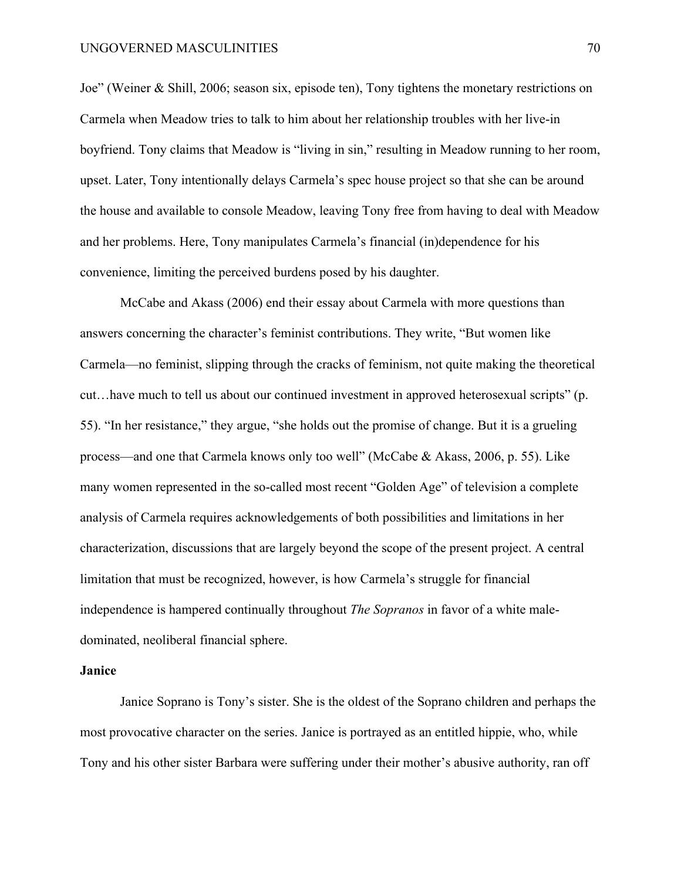Joe" (Weiner & Shill, 2006; season six, episode ten), Tony tightens the monetary restrictions on Carmela when Meadow tries to talk to him about her relationship troubles with her live-in boyfriend. Tony claims that Meadow is "living in sin," resulting in Meadow running to her room, upset. Later, Tony intentionally delays Carmela's spec house project so that she can be around the house and available to console Meadow, leaving Tony free from having to deal with Meadow and her problems. Here, Tony manipulates Carmela's financial (in)dependence for his convenience, limiting the perceived burdens posed by his daughter.

McCabe and Akass (2006) end their essay about Carmela with more questions than answers concerning the character's feminist contributions. They write, "But women like Carmela—no feminist, slipping through the cracks of feminism, not quite making the theoretical cut…have much to tell us about our continued investment in approved heterosexual scripts" (p. 55). "In her resistance," they argue, "she holds out the promise of change. But it is a grueling process—and one that Carmela knows only too well" (McCabe & Akass, 2006, p. 55). Like many women represented in the so-called most recent "Golden Age" of television a complete analysis of Carmela requires acknowledgements of both possibilities and limitations in her characterization, discussions that are largely beyond the scope of the present project. A central limitation that must be recognized, however, is how Carmela's struggle for financial independence is hampered continually throughout *The Sopranos* in favor of a white maledominated, neoliberal financial sphere.

## **Janice**

Janice Soprano is Tony's sister. She is the oldest of the Soprano children and perhaps the most provocative character on the series. Janice is portrayed as an entitled hippie, who, while Tony and his other sister Barbara were suffering under their mother's abusive authority, ran off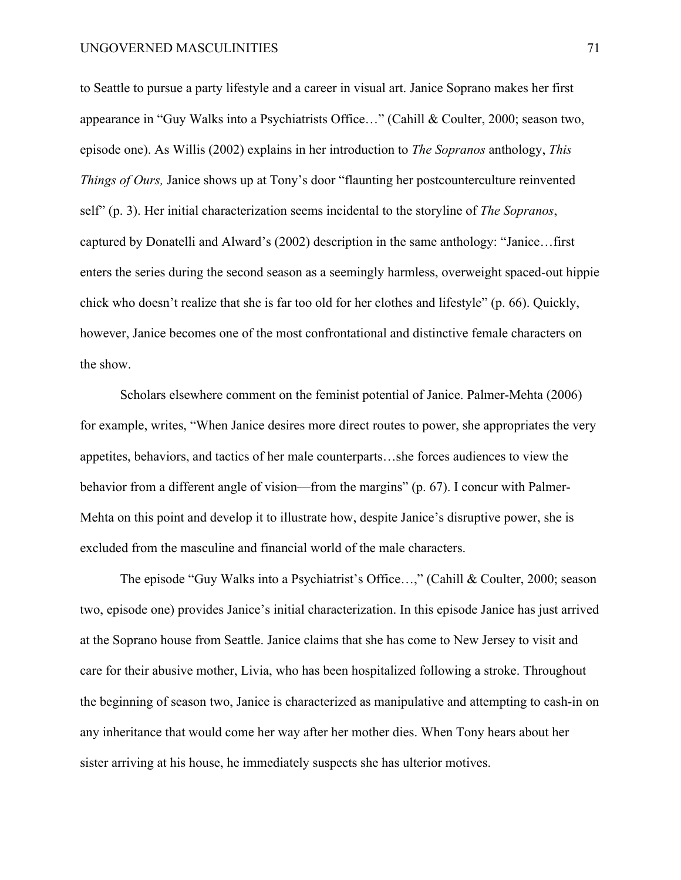### UNGOVERNED MASCULINITIES 71

to Seattle to pursue a party lifestyle and a career in visual art. Janice Soprano makes her first appearance in "Guy Walks into a Psychiatrists Office…" (Cahill & Coulter, 2000; season two, episode one). As Willis (2002) explains in her introduction to *The Sopranos* anthology, *This Things of Ours,* Janice shows up at Tony's door "flaunting her postcounterculture reinvented self" (p. 3). Her initial characterization seems incidental to the storyline of *The Sopranos*, captured by Donatelli and Alward's (2002) description in the same anthology: "Janice…first enters the series during the second season as a seemingly harmless, overweight spaced-out hippie chick who doesn't realize that she is far too old for her clothes and lifestyle" (p. 66). Quickly, however, Janice becomes one of the most confrontational and distinctive female characters on the show.

Scholars elsewhere comment on the feminist potential of Janice. Palmer-Mehta (2006) for example, writes, "When Janice desires more direct routes to power, she appropriates the very appetites, behaviors, and tactics of her male counterparts…she forces audiences to view the behavior from a different angle of vision—from the margins" (p. 67). I concur with Palmer-Mehta on this point and develop it to illustrate how, despite Janice's disruptive power, she is excluded from the masculine and financial world of the male characters.

The episode "Guy Walks into a Psychiatrist's Office…," (Cahill & Coulter, 2000; season two, episode one) provides Janice's initial characterization. In this episode Janice has just arrived at the Soprano house from Seattle. Janice claims that she has come to New Jersey to visit and care for their abusive mother, Livia, who has been hospitalized following a stroke. Throughout the beginning of season two, Janice is characterized as manipulative and attempting to cash-in on any inheritance that would come her way after her mother dies. When Tony hears about her sister arriving at his house, he immediately suspects she has ulterior motives.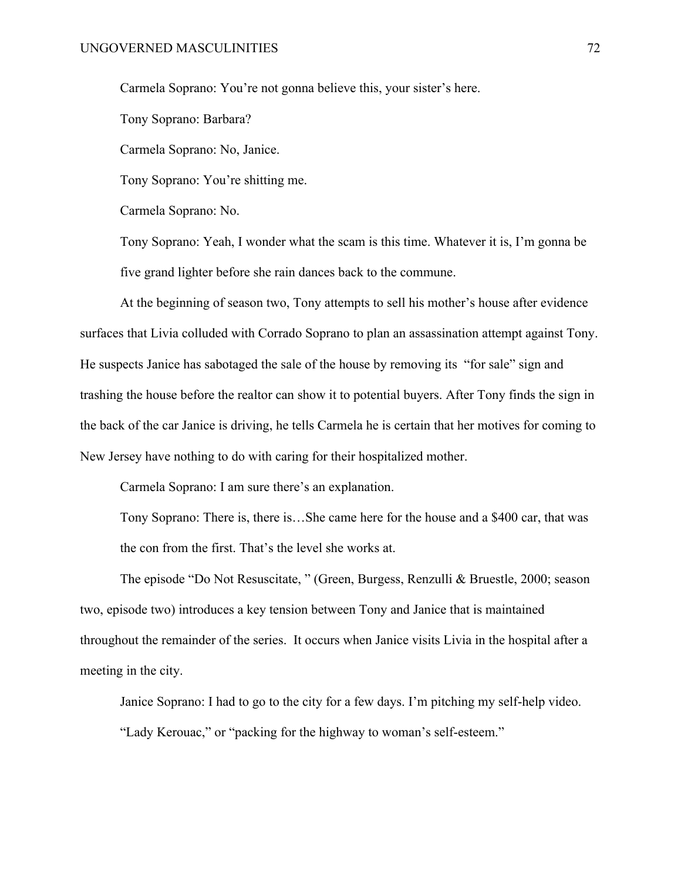Carmela Soprano: You're not gonna believe this, your sister's here.

Tony Soprano: Barbara?

Carmela Soprano: No, Janice.

Tony Soprano: You're shitting me.

Carmela Soprano: No.

Tony Soprano: Yeah, I wonder what the scam is this time. Whatever it is, I'm gonna be five grand lighter before she rain dances back to the commune.

At the beginning of season two, Tony attempts to sell his mother's house after evidence surfaces that Livia colluded with Corrado Soprano to plan an assassination attempt against Tony. He suspects Janice has sabotaged the sale of the house by removing its "for sale" sign and trashing the house before the realtor can show it to potential buyers. After Tony finds the sign in the back of the car Janice is driving, he tells Carmela he is certain that her motives for coming to New Jersey have nothing to do with caring for their hospitalized mother.

Carmela Soprano: I am sure there's an explanation.

Tony Soprano: There is, there is…She came here for the house and a \$400 car, that was the con from the first. That's the level she works at.

The episode "Do Not Resuscitate, " (Green, Burgess, Renzulli & Bruestle, 2000; season two, episode two) introduces a key tension between Tony and Janice that is maintained throughout the remainder of the series. It occurs when Janice visits Livia in the hospital after a meeting in the city.

Janice Soprano: I had to go to the city for a few days. I'm pitching my self-help video. "Lady Kerouac," or "packing for the highway to woman's self-esteem."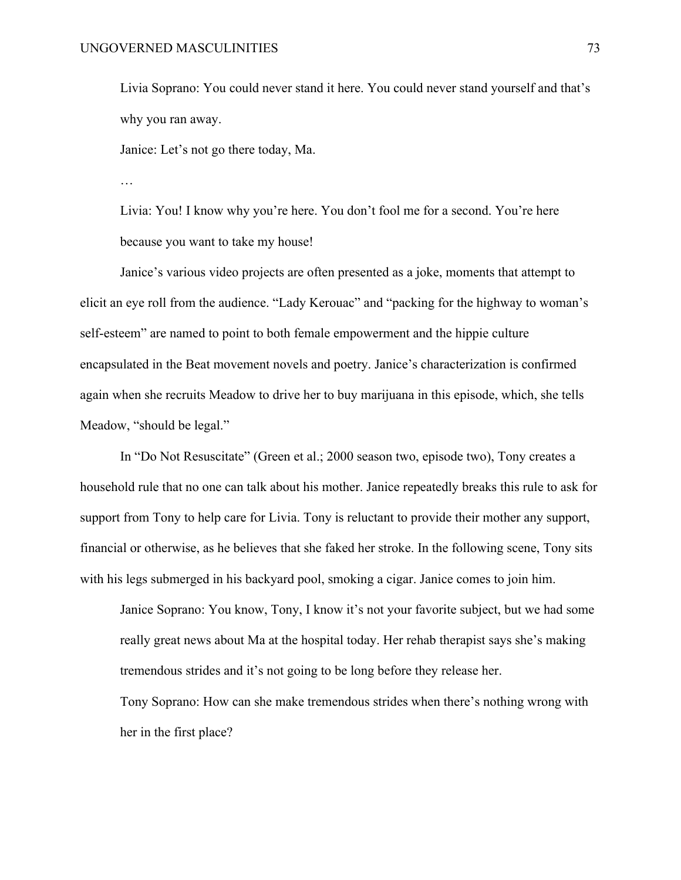Livia Soprano: You could never stand it here. You could never stand yourself and that's why you ran away.

Janice: Let's not go there today, Ma.

…

Livia: You! I know why you're here. You don't fool me for a second. You're here because you want to take my house!

Janice's various video projects are often presented as a joke, moments that attempt to elicit an eye roll from the audience. "Lady Kerouac" and "packing for the highway to woman's self-esteem" are named to point to both female empowerment and the hippie culture encapsulated in the Beat movement novels and poetry. Janice's characterization is confirmed again when she recruits Meadow to drive her to buy marijuana in this episode, which, she tells Meadow, "should be legal."

In "Do Not Resuscitate" (Green et al.; 2000 season two, episode two), Tony creates a household rule that no one can talk about his mother. Janice repeatedly breaks this rule to ask for support from Tony to help care for Livia. Tony is reluctant to provide their mother any support, financial or otherwise, as he believes that she faked her stroke. In the following scene, Tony sits with his legs submerged in his backyard pool, smoking a cigar. Janice comes to join him.

Janice Soprano: You know, Tony, I know it's not your favorite subject, but we had some really great news about Ma at the hospital today. Her rehab therapist says she's making tremendous strides and it's not going to be long before they release her.

Tony Soprano: How can she make tremendous strides when there's nothing wrong with her in the first place?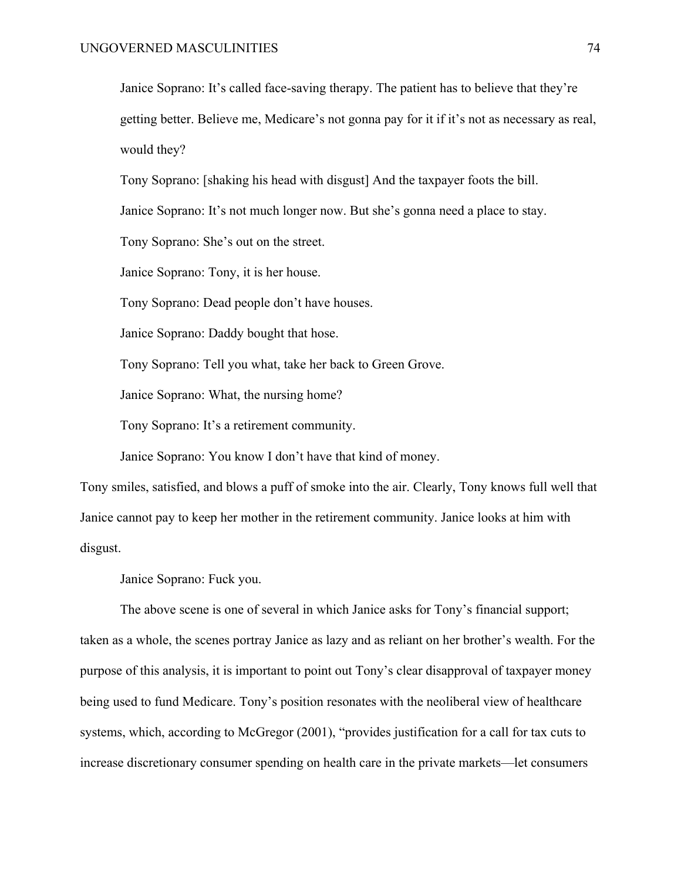Janice Soprano: It's called face-saving therapy. The patient has to believe that they're getting better. Believe me, Medicare's not gonna pay for it if it's not as necessary as real, would they?

Tony Soprano: [shaking his head with disgust] And the taxpayer foots the bill.

Janice Soprano: It's not much longer now. But she's gonna need a place to stay.

Tony Soprano: She's out on the street.

Janice Soprano: Tony, it is her house.

Tony Soprano: Dead people don't have houses.

Janice Soprano: Daddy bought that hose.

Tony Soprano: Tell you what, take her back to Green Grove.

Janice Soprano: What, the nursing home?

Tony Soprano: It's a retirement community.

Janice Soprano: You know I don't have that kind of money.

Tony smiles, satisfied, and blows a puff of smoke into the air. Clearly, Tony knows full well that Janice cannot pay to keep her mother in the retirement community. Janice looks at him with disgust.

Janice Soprano: Fuck you.

The above scene is one of several in which Janice asks for Tony's financial support; taken as a whole, the scenes portray Janice as lazy and as reliant on her brother's wealth. For the purpose of this analysis, it is important to point out Tony's clear disapproval of taxpayer money being used to fund Medicare. Tony's position resonates with the neoliberal view of healthcare systems, which, according to McGregor (2001), "provides justification for a call for tax cuts to increase discretionary consumer spending on health care in the private markets—let consumers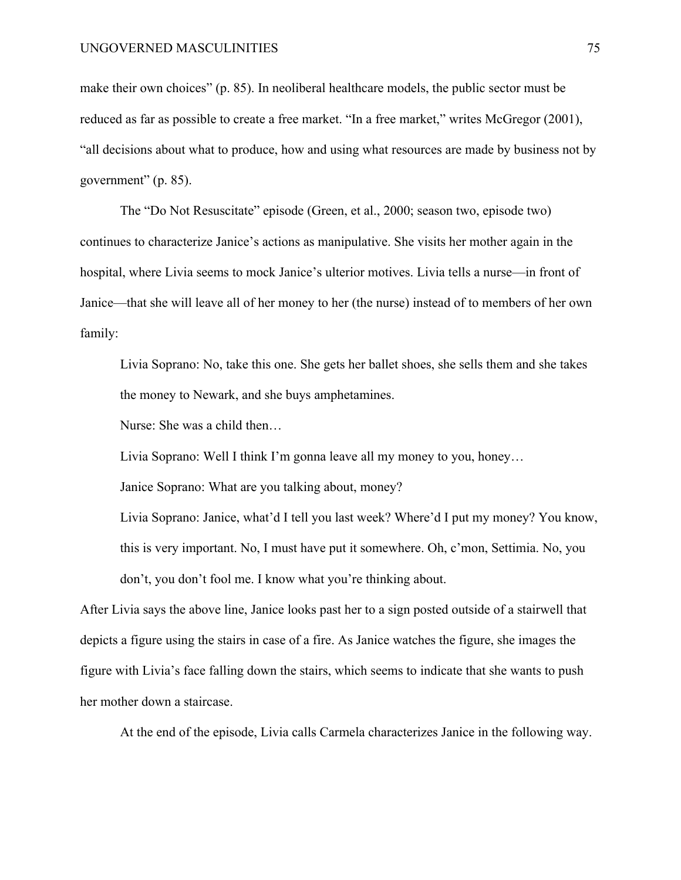make their own choices" (p. 85). In neoliberal healthcare models, the public sector must be reduced as far as possible to create a free market. "In a free market," writes McGregor (2001), "all decisions about what to produce, how and using what resources are made by business not by government" (p. 85).

The "Do Not Resuscitate" episode (Green, et al., 2000; season two, episode two) continues to characterize Janice's actions as manipulative. She visits her mother again in the hospital, where Livia seems to mock Janice's ulterior motives. Livia tells a nurse—in front of Janice—that she will leave all of her money to her (the nurse) instead of to members of her own family:

Livia Soprano: No, take this one. She gets her ballet shoes, she sells them and she takes the money to Newark, and she buys amphetamines.

Nurse: She was a child then…

Livia Soprano: Well I think I'm gonna leave all my money to you, honey…

Janice Soprano: What are you talking about, money?

Livia Soprano: Janice, what'd I tell you last week? Where'd I put my money? You know, this is very important. No, I must have put it somewhere. Oh, c'mon, Settimia. No, you don't, you don't fool me. I know what you're thinking about.

After Livia says the above line, Janice looks past her to a sign posted outside of a stairwell that depicts a figure using the stairs in case of a fire. As Janice watches the figure, she images the figure with Livia's face falling down the stairs, which seems to indicate that she wants to push her mother down a staircase.

At the end of the episode, Livia calls Carmela characterizes Janice in the following way.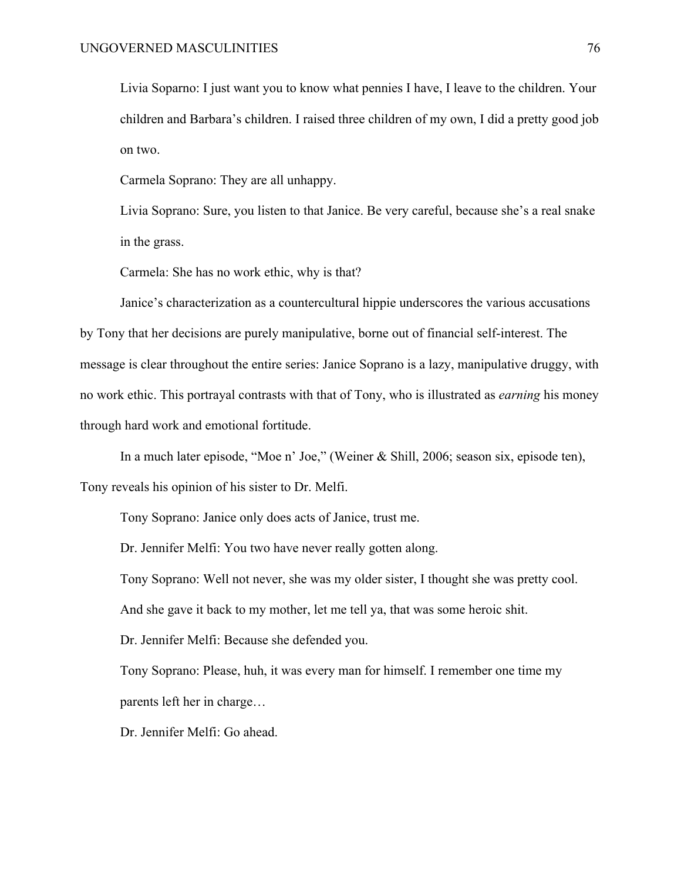Livia Soparno: I just want you to know what pennies I have, I leave to the children. Your children and Barbara's children. I raised three children of my own, I did a pretty good job on two.

Carmela Soprano: They are all unhappy.

Livia Soprano: Sure, you listen to that Janice. Be very careful, because she's a real snake in the grass.

Carmela: She has no work ethic, why is that?

Janice's characterization as a countercultural hippie underscores the various accusations by Tony that her decisions are purely manipulative, borne out of financial self-interest. The message is clear throughout the entire series: Janice Soprano is a lazy, manipulative druggy, with no work ethic. This portrayal contrasts with that of Tony, who is illustrated as *earning* his money through hard work and emotional fortitude.

In a much later episode, "Moe n' Joe," (Weiner & Shill, 2006; season six, episode ten), Tony reveals his opinion of his sister to Dr. Melfi.

Tony Soprano: Janice only does acts of Janice, trust me.

Dr. Jennifer Melfi: You two have never really gotten along.

Tony Soprano: Well not never, she was my older sister, I thought she was pretty cool.

And she gave it back to my mother, let me tell ya, that was some heroic shit.

Dr. Jennifer Melfi: Because she defended you.

Tony Soprano: Please, huh, it was every man for himself. I remember one time my parents left her in charge…

Dr. Jennifer Melfi: Go ahead.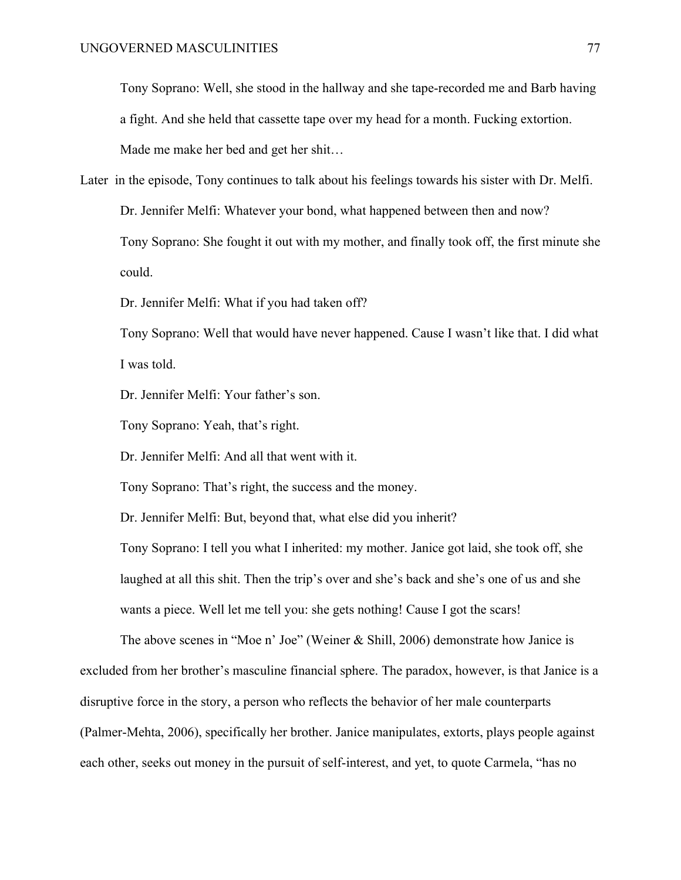Tony Soprano: Well, she stood in the hallway and she tape-recorded me and Barb having a fight. And she held that cassette tape over my head for a month. Fucking extortion. Made me make her bed and get her shit…

Later in the episode, Tony continues to talk about his feelings towards his sister with Dr. Melfi. Dr. Jennifer Melfi: Whatever your bond, what happened between then and now? Tony Soprano: She fought it out with my mother, and finally took off, the first minute she could.

Dr. Jennifer Melfi: What if you had taken off?

Tony Soprano: Well that would have never happened. Cause I wasn't like that. I did what I was told.

Dr. Jennifer Melfi: Your father's son.

Tony Soprano: Yeah, that's right.

Dr. Jennifer Melfi: And all that went with it.

Tony Soprano: That's right, the success and the money.

Dr. Jennifer Melfi: But, beyond that, what else did you inherit?

Tony Soprano: I tell you what I inherited: my mother. Janice got laid, she took off, she laughed at all this shit. Then the trip's over and she's back and she's one of us and she wants a piece. Well let me tell you: she gets nothing! Cause I got the scars!

The above scenes in "Moe n' Joe" (Weiner & Shill, 2006) demonstrate how Janice is excluded from her brother's masculine financial sphere. The paradox, however, is that Janice is a disruptive force in the story, a person who reflects the behavior of her male counterparts (Palmer-Mehta, 2006), specifically her brother. Janice manipulates, extorts, plays people against each other, seeks out money in the pursuit of self-interest, and yet, to quote Carmela, "has no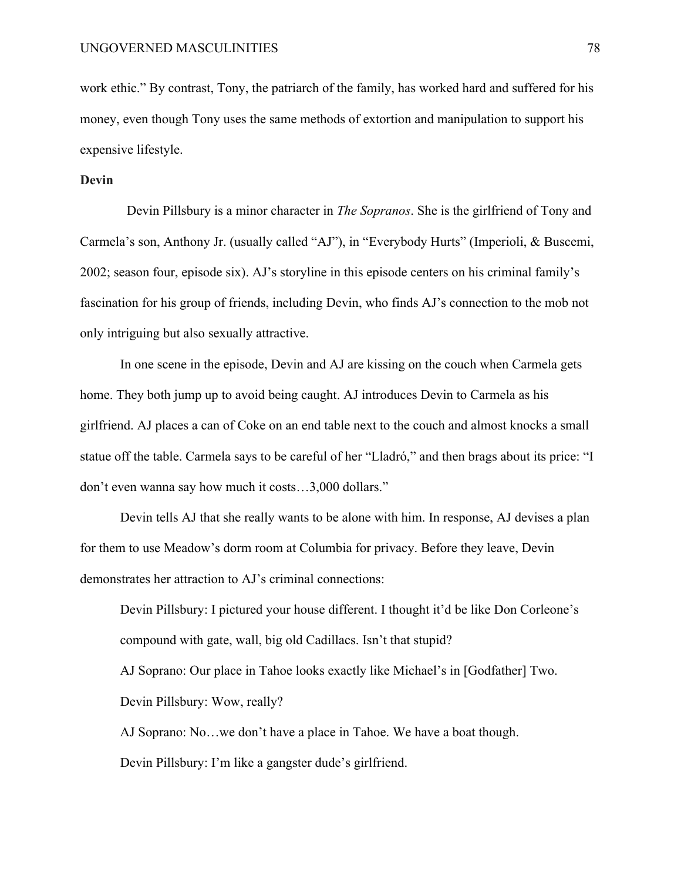work ethic." By contrast, Tony, the patriarch of the family, has worked hard and suffered for his money, even though Tony uses the same methods of extortion and manipulation to support his expensive lifestyle.

## **Devin**

 Devin Pillsbury is a minor character in *The Sopranos*. She is the girlfriend of Tony and Carmela's son, Anthony Jr. (usually called "AJ"), in "Everybody Hurts" (Imperioli, & Buscemi, 2002; season four, episode six). AJ's storyline in this episode centers on his criminal family's fascination for his group of friends, including Devin, who finds AJ's connection to the mob not only intriguing but also sexually attractive.

In one scene in the episode, Devin and AJ are kissing on the couch when Carmela gets home. They both jump up to avoid being caught. AJ introduces Devin to Carmela as his girlfriend. AJ places a can of Coke on an end table next to the couch and almost knocks a small statue off the table. Carmela says to be careful of her "Lladró," and then brags about its price: "I don't even wanna say how much it costs…3,000 dollars."

Devin tells AJ that she really wants to be alone with him. In response, AJ devises a plan for them to use Meadow's dorm room at Columbia for privacy. Before they leave, Devin demonstrates her attraction to AJ's criminal connections:

Devin Pillsbury: I pictured your house different. I thought it'd be like Don Corleone's compound with gate, wall, big old Cadillacs. Isn't that stupid? AJ Soprano: Our place in Tahoe looks exactly like Michael's in [Godfather] Two. Devin Pillsbury: Wow, really?

AJ Soprano: No…we don't have a place in Tahoe. We have a boat though.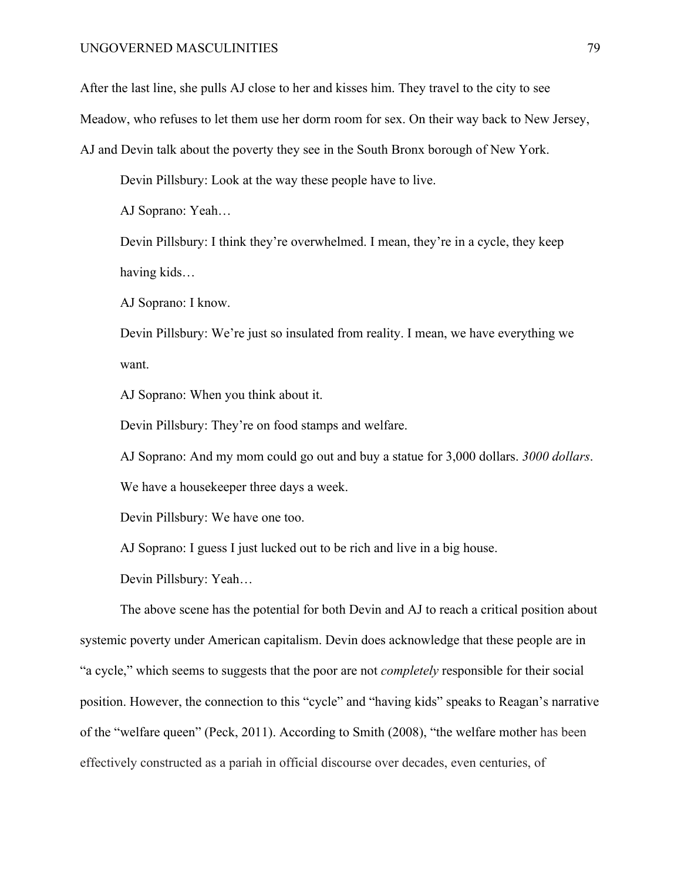## UNGOVERNED MASCULINITIES 79

After the last line, she pulls AJ close to her and kisses him. They travel to the city to see

Meadow, who refuses to let them use her dorm room for sex. On their way back to New Jersey,

AJ and Devin talk about the poverty they see in the South Bronx borough of New York.

Devin Pillsbury: Look at the way these people have to live.

AJ Soprano: Yeah…

Devin Pillsbury: I think they're overwhelmed. I mean, they're in a cycle, they keep having kids…

AJ Soprano: I know.

Devin Pillsbury: We're just so insulated from reality. I mean, we have everything we want.

AJ Soprano: When you think about it.

Devin Pillsbury: They're on food stamps and welfare.

AJ Soprano: And my mom could go out and buy a statue for 3,000 dollars. *3000 dollars*.

We have a housekeeper three days a week.

Devin Pillsbury: We have one too.

AJ Soprano: I guess I just lucked out to be rich and live in a big house.

Devin Pillsbury: Yeah…

The above scene has the potential for both Devin and AJ to reach a critical position about systemic poverty under American capitalism. Devin does acknowledge that these people are in "a cycle," which seems to suggests that the poor are not *completely* responsible for their social position. However, the connection to this "cycle" and "having kids" speaks to Reagan's narrative of the "welfare queen" (Peck, 2011). According to Smith (2008), "the welfare mother has been effectively constructed as a pariah in official discourse over decades, even centuries, of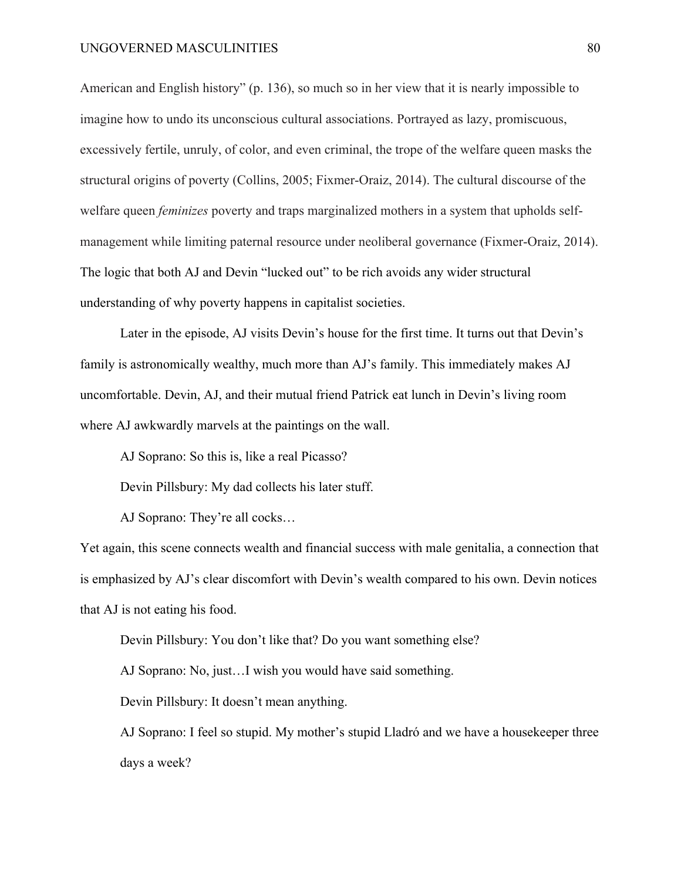### UNGOVERNED MASCULINITIES 80

American and English history" (p. 136), so much so in her view that it is nearly impossible to imagine how to undo its unconscious cultural associations. Portrayed as lazy, promiscuous, excessively fertile, unruly, of color, and even criminal, the trope of the welfare queen masks the structural origins of poverty (Collins, 2005; Fixmer-Oraiz, 2014). The cultural discourse of the welfare queen *feminizes* poverty and traps marginalized mothers in a system that upholds selfmanagement while limiting paternal resource under neoliberal governance (Fixmer-Oraiz, 2014). The logic that both AJ and Devin "lucked out" to be rich avoids any wider structural understanding of why poverty happens in capitalist societies.

Later in the episode, AJ visits Devin's house for the first time. It turns out that Devin's family is astronomically wealthy, much more than AJ's family. This immediately makes AJ uncomfortable. Devin, AJ, and their mutual friend Patrick eat lunch in Devin's living room where AJ awkwardly marvels at the paintings on the wall.

AJ Soprano: So this is, like a real Picasso?

Devin Pillsbury: My dad collects his later stuff.

AJ Soprano: They're all cocks…

Yet again, this scene connects wealth and financial success with male genitalia, a connection that is emphasized by AJ's clear discomfort with Devin's wealth compared to his own. Devin notices that AJ is not eating his food.

Devin Pillsbury: You don't like that? Do you want something else?

AJ Soprano: No, just…I wish you would have said something.

Devin Pillsbury: It doesn't mean anything.

AJ Soprano: I feel so stupid. My mother's stupid Lladró and we have a housekeeper three days a week?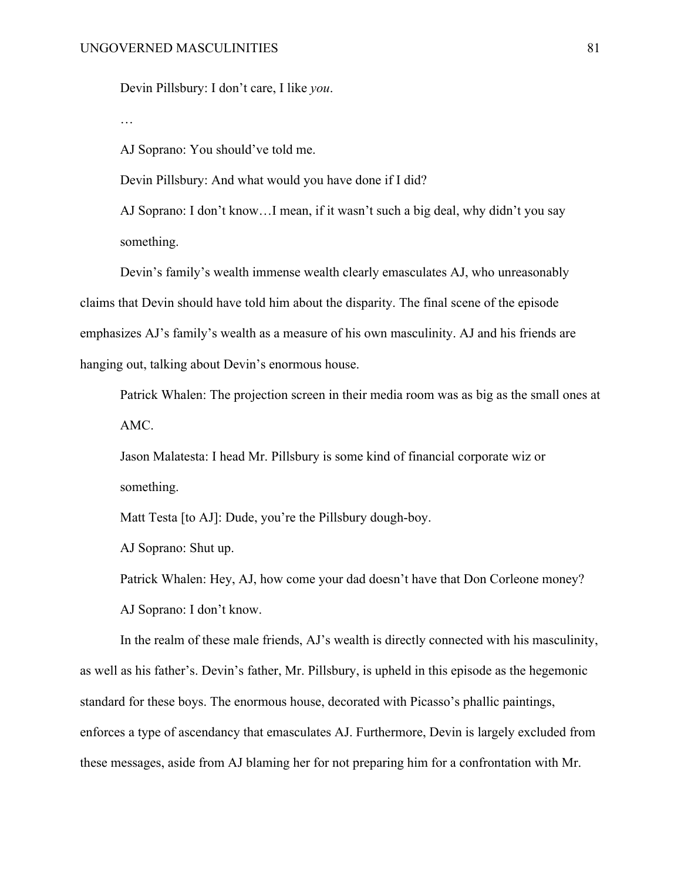Devin Pillsbury: I don't care, I like *you*.

…

AJ Soprano: You should've told me.

Devin Pillsbury: And what would you have done if I did?

AJ Soprano: I don't know…I mean, if it wasn't such a big deal, why didn't you say something.

Devin's family's wealth immense wealth clearly emasculates AJ, who unreasonably claims that Devin should have told him about the disparity. The final scene of the episode emphasizes AJ's family's wealth as a measure of his own masculinity. AJ and his friends are hanging out, talking about Devin's enormous house.

Patrick Whalen: The projection screen in their media room was as big as the small ones at AMC.

Jason Malatesta: I head Mr. Pillsbury is some kind of financial corporate wiz or something.

Matt Testa [to AJ]: Dude, you're the Pillsbury dough-boy.

AJ Soprano: Shut up.

Patrick Whalen: Hey, AJ, how come your dad doesn't have that Don Corleone money? AJ Soprano: I don't know.

In the realm of these male friends, AJ's wealth is directly connected with his masculinity, as well as his father's. Devin's father, Mr. Pillsbury, is upheld in this episode as the hegemonic standard for these boys. The enormous house, decorated with Picasso's phallic paintings, enforces a type of ascendancy that emasculates AJ. Furthermore, Devin is largely excluded from these messages, aside from AJ blaming her for not preparing him for a confrontation with Mr.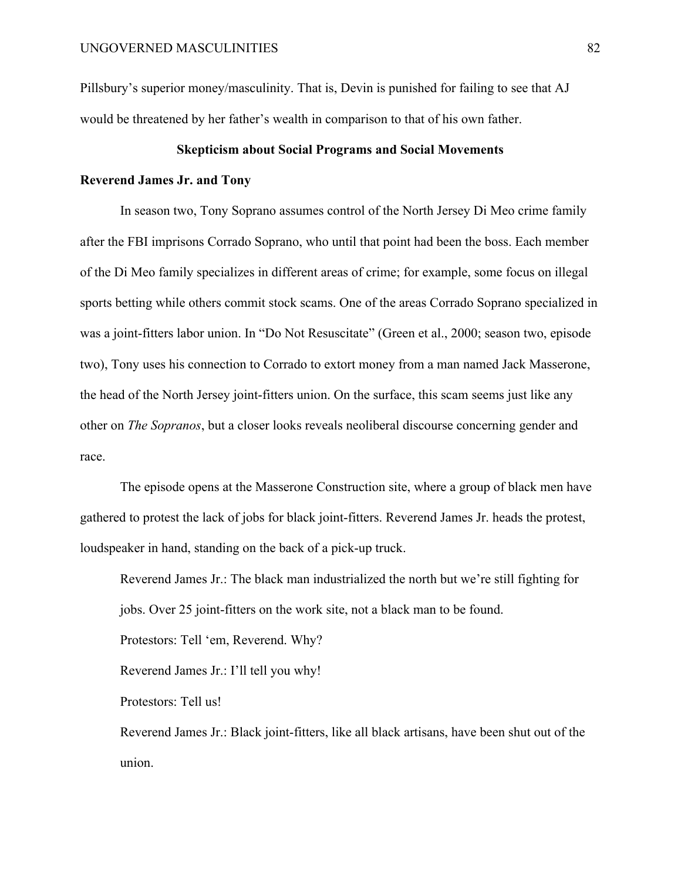Pillsbury's superior money/masculinity. That is, Devin is punished for failing to see that AJ would be threatened by her father's wealth in comparison to that of his own father.

## **Skepticism about Social Programs and Social Movements**

## **Reverend James Jr. and Tony**

In season two, Tony Soprano assumes control of the North Jersey Di Meo crime family after the FBI imprisons Corrado Soprano, who until that point had been the boss. Each member of the Di Meo family specializes in different areas of crime; for example, some focus on illegal sports betting while others commit stock scams. One of the areas Corrado Soprano specialized in was a joint-fitters labor union. In "Do Not Resuscitate" (Green et al., 2000; season two, episode two), Tony uses his connection to Corrado to extort money from a man named Jack Masserone, the head of the North Jersey joint-fitters union. On the surface, this scam seems just like any other on *The Sopranos*, but a closer looks reveals neoliberal discourse concerning gender and race.

The episode opens at the Masserone Construction site, where a group of black men have gathered to protest the lack of jobs for black joint-fitters. Reverend James Jr. heads the protest, loudspeaker in hand, standing on the back of a pick-up truck.

Reverend James Jr.: The black man industrialized the north but we're still fighting for jobs. Over 25 joint-fitters on the work site, not a black man to be found.

Protestors: Tell 'em, Reverend. Why?

Reverend James Jr.: I'll tell you why!

Protestors: Tell us!

Reverend James Jr.: Black joint-fitters, like all black artisans, have been shut out of the union.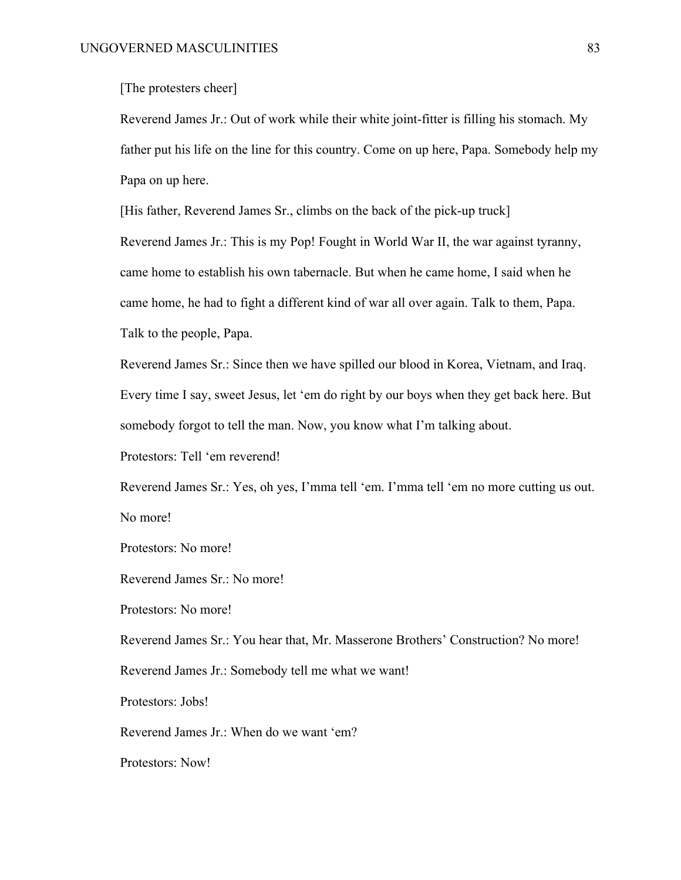[The protesters cheer]

Reverend James Jr.: Out of work while their white joint-fitter is filling his stomach. My father put his life on the line for this country. Come on up here, Papa. Somebody help my Papa on up here.

[His father, Reverend James Sr., climbs on the back of the pick-up truck]

Reverend James Jr.: This is my Pop! Fought in World War II, the war against tyranny,

came home to establish his own tabernacle. But when he came home, I said when he

came home, he had to fight a different kind of war all over again. Talk to them, Papa.

Talk to the people, Papa.

Reverend James Sr.: Since then we have spilled our blood in Korea, Vietnam, and Iraq. Every time I say, sweet Jesus, let 'em do right by our boys when they get back here. But somebody forgot to tell the man. Now, you know what I'm talking about.

Protestors: Tell 'em reverend!

Reverend James Sr.: Yes, oh yes, I'mma tell 'em. I'mma tell 'em no more cutting us out. No more!

Protestors: No more!

Reverend James Sr.: No more!

Protestors: No more!

Reverend James Sr.: You hear that, Mr. Masserone Brothers' Construction? No more!

Reverend James Jr.: Somebody tell me what we want!

Protestors: Jobs!

Reverend James Jr.: When do we want 'em?

Protestors: Now!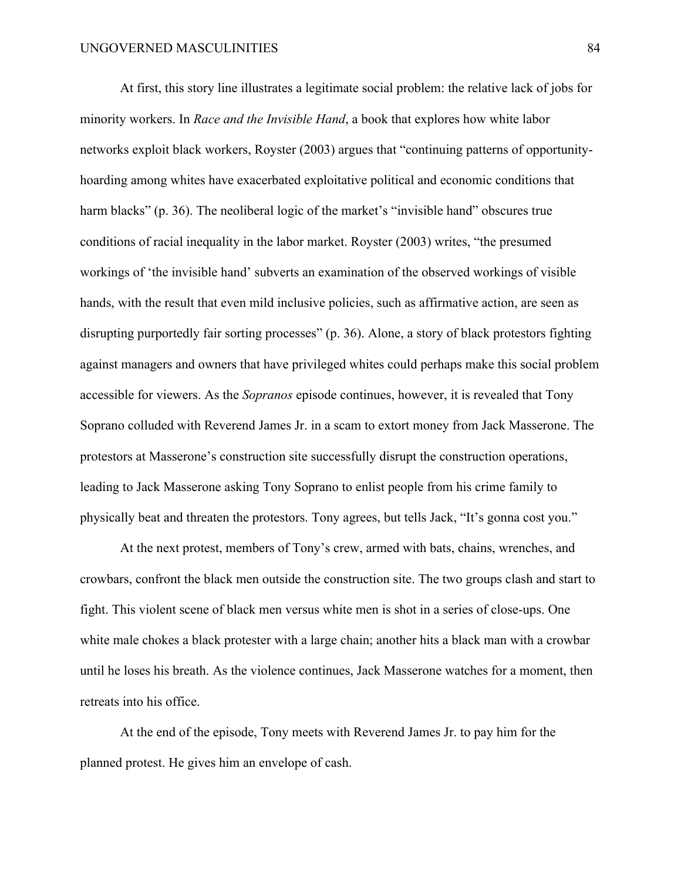At first, this story line illustrates a legitimate social problem: the relative lack of jobs for minority workers. In *Race and the Invisible Hand*, a book that explores how white labor networks exploit black workers, Royster (2003) argues that "continuing patterns of opportunityhoarding among whites have exacerbated exploitative political and economic conditions that harm blacks" (p. 36). The neoliberal logic of the market's "invisible hand" obscures true conditions of racial inequality in the labor market. Royster (2003) writes, "the presumed workings of 'the invisible hand' subverts an examination of the observed workings of visible hands, with the result that even mild inclusive policies, such as affirmative action, are seen as disrupting purportedly fair sorting processes" (p. 36). Alone, a story of black protestors fighting against managers and owners that have privileged whites could perhaps make this social problem accessible for viewers. As the *Sopranos* episode continues, however, it is revealed that Tony Soprano colluded with Reverend James Jr. in a scam to extort money from Jack Masserone. The protestors at Masserone's construction site successfully disrupt the construction operations, leading to Jack Masserone asking Tony Soprano to enlist people from his crime family to physically beat and threaten the protestors. Tony agrees, but tells Jack, "It's gonna cost you."

At the next protest, members of Tony's crew, armed with bats, chains, wrenches, and crowbars, confront the black men outside the construction site. The two groups clash and start to fight. This violent scene of black men versus white men is shot in a series of close-ups. One white male chokes a black protester with a large chain; another hits a black man with a crowbar until he loses his breath. As the violence continues, Jack Masserone watches for a moment, then retreats into his office.

At the end of the episode, Tony meets with Reverend James Jr. to pay him for the planned protest. He gives him an envelope of cash.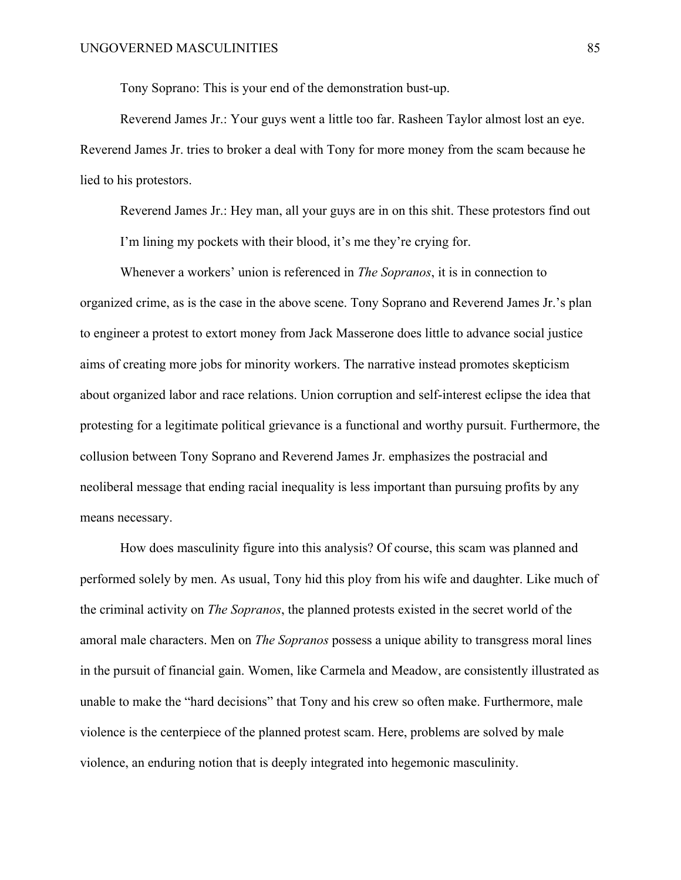Tony Soprano: This is your end of the demonstration bust-up.

Reverend James Jr.: Your guys went a little too far. Rasheen Taylor almost lost an eye. Reverend James Jr. tries to broker a deal with Tony for more money from the scam because he lied to his protestors.

Reverend James Jr.: Hey man, all your guys are in on this shit. These protestors find out I'm lining my pockets with their blood, it's me they're crying for.

Whenever a workers' union is referenced in *The Sopranos*, it is in connection to organized crime, as is the case in the above scene. Tony Soprano and Reverend James Jr.'s plan to engineer a protest to extort money from Jack Masserone does little to advance social justice aims of creating more jobs for minority workers. The narrative instead promotes skepticism about organized labor and race relations. Union corruption and self-interest eclipse the idea that protesting for a legitimate political grievance is a functional and worthy pursuit. Furthermore, the collusion between Tony Soprano and Reverend James Jr. emphasizes the postracial and neoliberal message that ending racial inequality is less important than pursuing profits by any means necessary.

How does masculinity figure into this analysis? Of course, this scam was planned and performed solely by men. As usual, Tony hid this ploy from his wife and daughter. Like much of the criminal activity on *The Sopranos*, the planned protests existed in the secret world of the amoral male characters. Men on *The Sopranos* possess a unique ability to transgress moral lines in the pursuit of financial gain. Women, like Carmela and Meadow, are consistently illustrated as unable to make the "hard decisions" that Tony and his crew so often make. Furthermore, male violence is the centerpiece of the planned protest scam. Here, problems are solved by male violence, an enduring notion that is deeply integrated into hegemonic masculinity.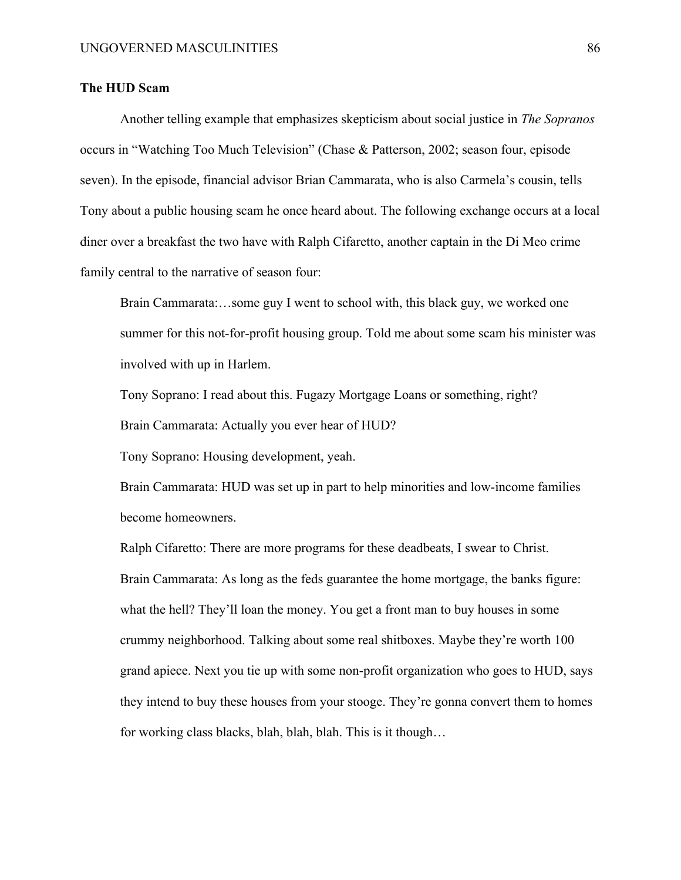## **The HUD Scam**

Another telling example that emphasizes skepticism about social justice in *The Sopranos* occurs in "Watching Too Much Television" (Chase & Patterson, 2002; season four, episode seven). In the episode, financial advisor Brian Cammarata, who is also Carmela's cousin, tells Tony about a public housing scam he once heard about. The following exchange occurs at a local diner over a breakfast the two have with Ralph Cifaretto, another captain in the Di Meo crime family central to the narrative of season four:

Brain Cammarata:…some guy I went to school with, this black guy, we worked one summer for this not-for-profit housing group. Told me about some scam his minister was involved with up in Harlem.

Tony Soprano: I read about this. Fugazy Mortgage Loans or something, right?

Brain Cammarata: Actually you ever hear of HUD?

Tony Soprano: Housing development, yeah.

Brain Cammarata: HUD was set up in part to help minorities and low-income families become homeowners.

Ralph Cifaretto: There are more programs for these deadbeats, I swear to Christ. Brain Cammarata: As long as the feds guarantee the home mortgage, the banks figure: what the hell? They'll loan the money. You get a front man to buy houses in some crummy neighborhood. Talking about some real shitboxes. Maybe they're worth 100 grand apiece. Next you tie up with some non-profit organization who goes to HUD, says they intend to buy these houses from your stooge. They're gonna convert them to homes for working class blacks, blah, blah, blah. This is it though…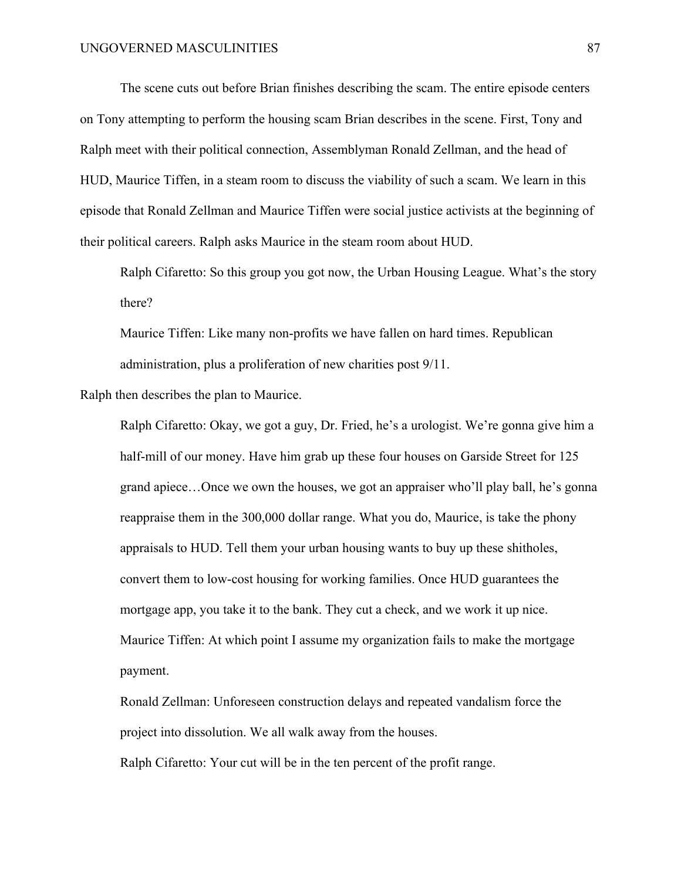The scene cuts out before Brian finishes describing the scam. The entire episode centers on Tony attempting to perform the housing scam Brian describes in the scene. First, Tony and Ralph meet with their political connection, Assemblyman Ronald Zellman, and the head of HUD, Maurice Tiffen, in a steam room to discuss the viability of such a scam. We learn in this episode that Ronald Zellman and Maurice Tiffen were social justice activists at the beginning of their political careers. Ralph asks Maurice in the steam room about HUD.

Ralph Cifaretto: So this group you got now, the Urban Housing League. What's the story there?

Maurice Tiffen: Like many non-profits we have fallen on hard times. Republican administration, plus a proliferation of new charities post 9/11.

Ralph then describes the plan to Maurice.

Ralph Cifaretto: Okay, we got a guy, Dr. Fried, he's a urologist. We're gonna give him a half-mill of our money. Have him grab up these four houses on Garside Street for 125 grand apiece…Once we own the houses, we got an appraiser who'll play ball, he's gonna reappraise them in the 300,000 dollar range. What you do, Maurice, is take the phony appraisals to HUD. Tell them your urban housing wants to buy up these shitholes, convert them to low-cost housing for working families. Once HUD guarantees the mortgage app, you take it to the bank. They cut a check, and we work it up nice. Maurice Tiffen: At which point I assume my organization fails to make the mortgage payment.

Ronald Zellman: Unforeseen construction delays and repeated vandalism force the project into dissolution. We all walk away from the houses.

Ralph Cifaretto: Your cut will be in the ten percent of the profit range.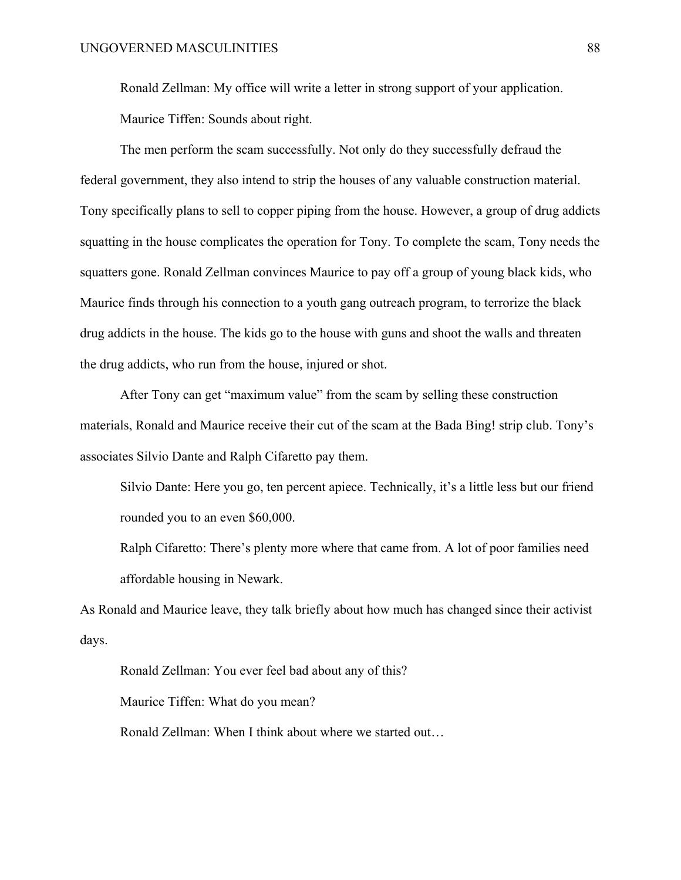Ronald Zellman: My office will write a letter in strong support of your application. Maurice Tiffen: Sounds about right.

The men perform the scam successfully. Not only do they successfully defraud the federal government, they also intend to strip the houses of any valuable construction material. Tony specifically plans to sell to copper piping from the house. However, a group of drug addicts squatting in the house complicates the operation for Tony. To complete the scam, Tony needs the squatters gone. Ronald Zellman convinces Maurice to pay off a group of young black kids, who Maurice finds through his connection to a youth gang outreach program, to terrorize the black drug addicts in the house. The kids go to the house with guns and shoot the walls and threaten the drug addicts, who run from the house, injured or shot.

After Tony can get "maximum value" from the scam by selling these construction materials, Ronald and Maurice receive their cut of the scam at the Bada Bing! strip club. Tony's associates Silvio Dante and Ralph Cifaretto pay them.

Silvio Dante: Here you go, ten percent apiece. Technically, it's a little less but our friend rounded you to an even \$60,000.

Ralph Cifaretto: There's plenty more where that came from. A lot of poor families need affordable housing in Newark.

As Ronald and Maurice leave, they talk briefly about how much has changed since their activist days.

Ronald Zellman: You ever feel bad about any of this?

Maurice Tiffen: What do you mean?

Ronald Zellman: When I think about where we started out…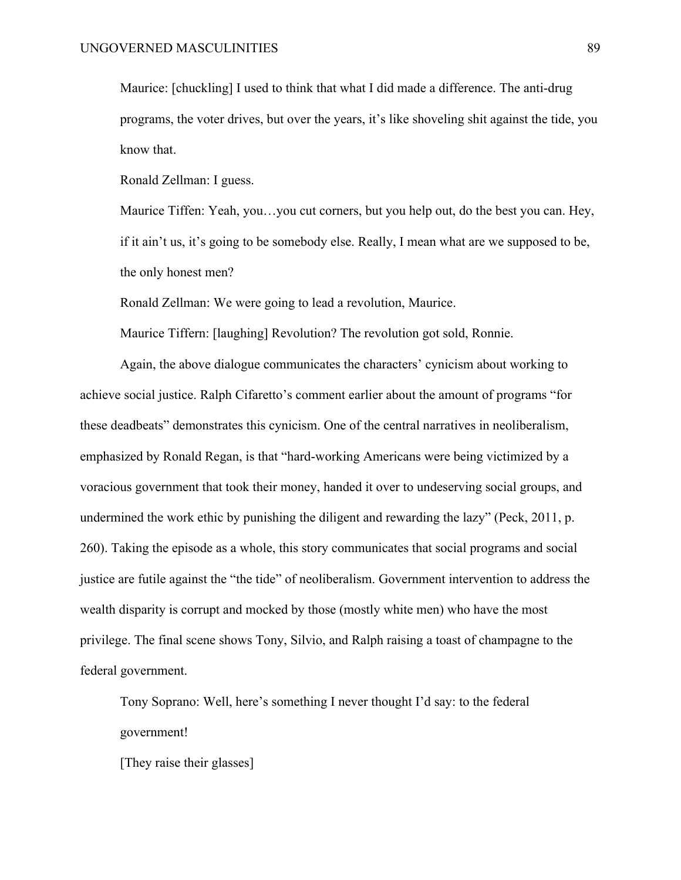Maurice: [chuckling] I used to think that what I did made a difference. The anti-drug programs, the voter drives, but over the years, it's like shoveling shit against the tide, you know that.

Ronald Zellman: I guess.

Maurice Tiffen: Yeah, you…you cut corners, but you help out, do the best you can. Hey, if it ain't us, it's going to be somebody else. Really, I mean what are we supposed to be, the only honest men?

Ronald Zellman: We were going to lead a revolution, Maurice.

Maurice Tiffern: [laughing] Revolution? The revolution got sold, Ronnie.

Again, the above dialogue communicates the characters' cynicism about working to achieve social justice. Ralph Cifaretto's comment earlier about the amount of programs "for these deadbeats" demonstrates this cynicism. One of the central narratives in neoliberalism, emphasized by Ronald Regan, is that "hard-working Americans were being victimized by a voracious government that took their money, handed it over to undeserving social groups, and undermined the work ethic by punishing the diligent and rewarding the lazy" (Peck, 2011, p. 260). Taking the episode as a whole, this story communicates that social programs and social justice are futile against the "the tide" of neoliberalism. Government intervention to address the wealth disparity is corrupt and mocked by those (mostly white men) who have the most privilege. The final scene shows Tony, Silvio, and Ralph raising a toast of champagne to the federal government.

Tony Soprano: Well, here's something I never thought I'd say: to the federal government!

[They raise their glasses]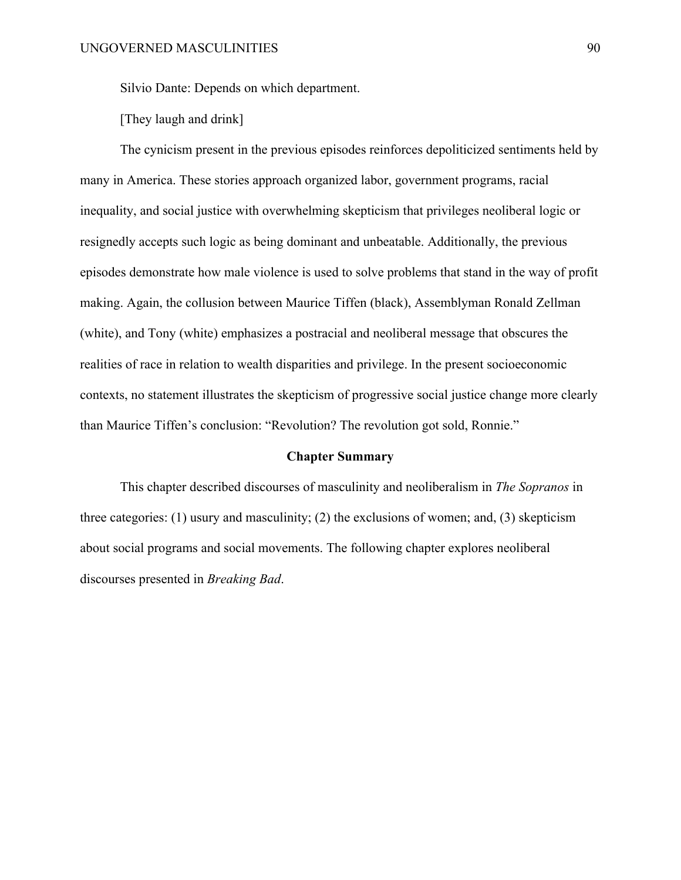Silvio Dante: Depends on which department.

[They laugh and drink]

The cynicism present in the previous episodes reinforces depoliticized sentiments held by many in America. These stories approach organized labor, government programs, racial inequality, and social justice with overwhelming skepticism that privileges neoliberal logic or resignedly accepts such logic as being dominant and unbeatable. Additionally, the previous episodes demonstrate how male violence is used to solve problems that stand in the way of profit making. Again, the collusion between Maurice Tiffen (black), Assemblyman Ronald Zellman (white), and Tony (white) emphasizes a postracial and neoliberal message that obscures the realities of race in relation to wealth disparities and privilege. In the present socioeconomic contexts, no statement illustrates the skepticism of progressive social justice change more clearly than Maurice Tiffen's conclusion: "Revolution? The revolution got sold, Ronnie."

## **Chapter Summary**

This chapter described discourses of masculinity and neoliberalism in *The Sopranos* in three categories: (1) usury and masculinity; (2) the exclusions of women; and, (3) skepticism about social programs and social movements. The following chapter explores neoliberal discourses presented in *Breaking Bad*.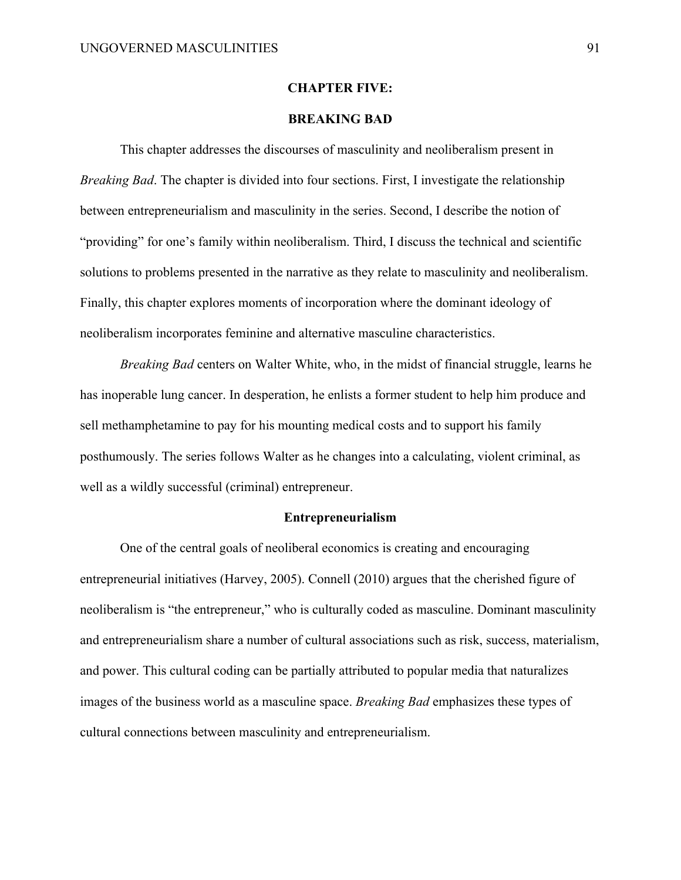## **CHAPTER FIVE:**

# **BREAKING BAD**

This chapter addresses the discourses of masculinity and neoliberalism present in *Breaking Bad*. The chapter is divided into four sections. First, I investigate the relationship between entrepreneurialism and masculinity in the series. Second, I describe the notion of "providing" for one's family within neoliberalism. Third, I discuss the technical and scientific solutions to problems presented in the narrative as they relate to masculinity and neoliberalism. Finally, this chapter explores moments of incorporation where the dominant ideology of neoliberalism incorporates feminine and alternative masculine characteristics.

*Breaking Bad* centers on Walter White, who, in the midst of financial struggle, learns he has inoperable lung cancer. In desperation, he enlists a former student to help him produce and sell methamphetamine to pay for his mounting medical costs and to support his family posthumously. The series follows Walter as he changes into a calculating, violent criminal, as well as a wildly successful (criminal) entrepreneur.

#### **Entrepreneurialism**

One of the central goals of neoliberal economics is creating and encouraging entrepreneurial initiatives (Harvey, 2005). Connell (2010) argues that the cherished figure of neoliberalism is "the entrepreneur," who is culturally coded as masculine. Dominant masculinity and entrepreneurialism share a number of cultural associations such as risk, success, materialism, and power. This cultural coding can be partially attributed to popular media that naturalizes images of the business world as a masculine space. *Breaking Bad* emphasizes these types of cultural connections between masculinity and entrepreneurialism.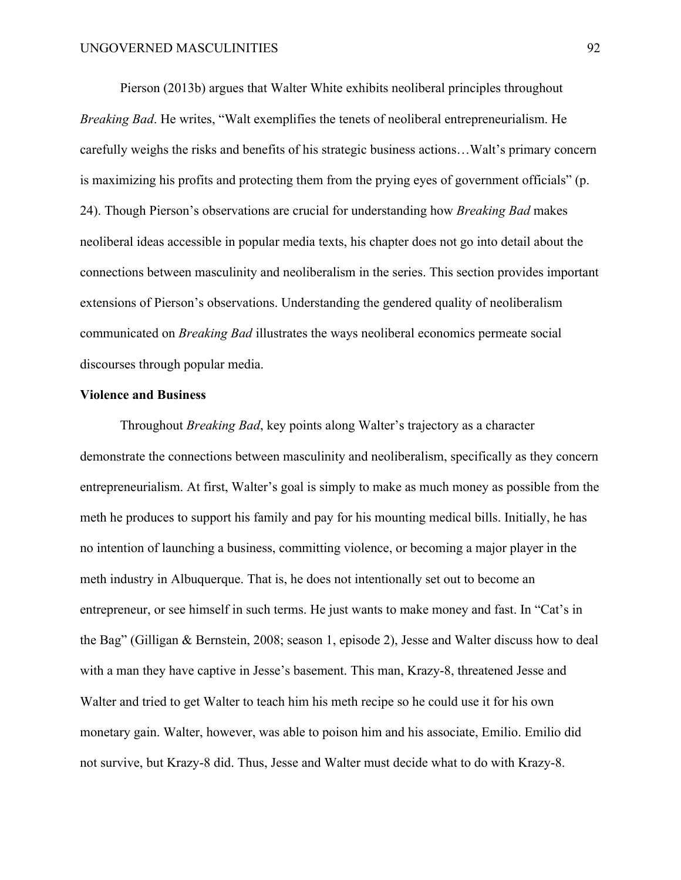Pierson (2013b) argues that Walter White exhibits neoliberal principles throughout *Breaking Bad*. He writes, "Walt exemplifies the tenets of neoliberal entrepreneurialism. He carefully weighs the risks and benefits of his strategic business actions…Walt's primary concern is maximizing his profits and protecting them from the prying eyes of government officials" (p. 24). Though Pierson's observations are crucial for understanding how *Breaking Bad* makes neoliberal ideas accessible in popular media texts, his chapter does not go into detail about the connections between masculinity and neoliberalism in the series. This section provides important extensions of Pierson's observations. Understanding the gendered quality of neoliberalism communicated on *Breaking Bad* illustrates the ways neoliberal economics permeate social discourses through popular media.

#### **Violence and Business**

Throughout *Breaking Bad*, key points along Walter's trajectory as a character demonstrate the connections between masculinity and neoliberalism, specifically as they concern entrepreneurialism. At first, Walter's goal is simply to make as much money as possible from the meth he produces to support his family and pay for his mounting medical bills. Initially, he has no intention of launching a business, committing violence, or becoming a major player in the meth industry in Albuquerque. That is, he does not intentionally set out to become an entrepreneur, or see himself in such terms. He just wants to make money and fast. In "Cat's in the Bag" (Gilligan & Bernstein, 2008; season 1, episode 2), Jesse and Walter discuss how to deal with a man they have captive in Jesse's basement. This man, Krazy-8, threatened Jesse and Walter and tried to get Walter to teach him his meth recipe so he could use it for his own monetary gain. Walter, however, was able to poison him and his associate, Emilio. Emilio did not survive, but Krazy-8 did. Thus, Jesse and Walter must decide what to do with Krazy-8.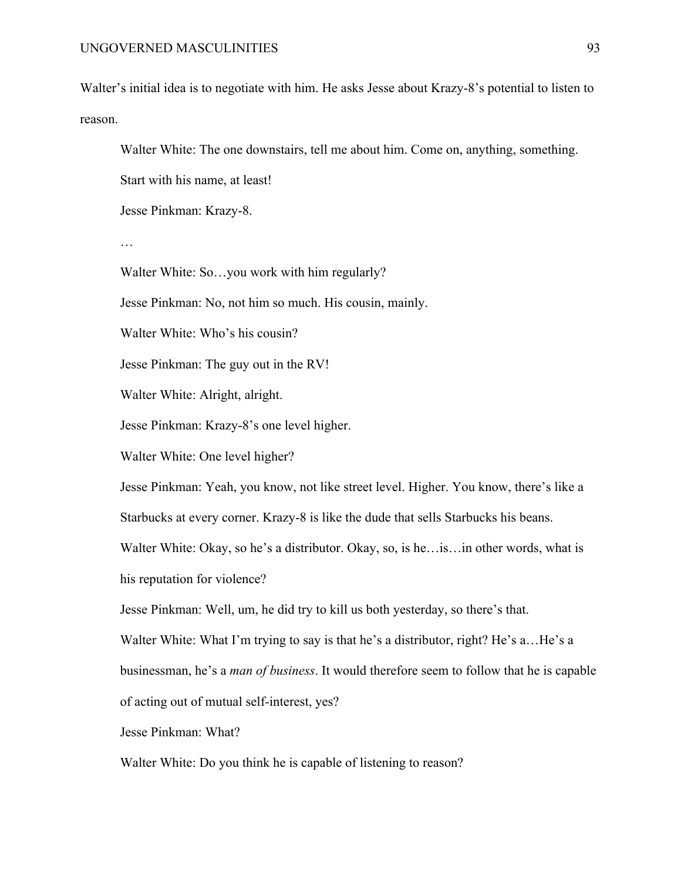Walter's initial idea is to negotiate with him. He asks Jesse about Krazy-8's potential to listen to reason.

Walter White: The one downstairs, tell me about him. Come on, anything, something.

Start with his name, at least!

Jesse Pinkman: Krazy-8.

…

Walter White: So...you work with him regularly?

Jesse Pinkman: No, not him so much. His cousin, mainly.

Walter White: Who's his cousin?

Jesse Pinkman: The guy out in the RV!

Walter White: Alright, alright.

Jesse Pinkman: Krazy-8's one level higher.

Walter White: One level higher?

Jesse Pinkman: Yeah, you know, not like street level. Higher. You know, there's like a

Starbucks at every corner. Krazy-8 is like the dude that sells Starbucks his beans.

Walter White: Okay, so he's a distributor. Okay, so, is he…is…in other words, what is his reputation for violence?

Jesse Pinkman: Well, um, he did try to kill us both yesterday, so there's that.

Walter White: What I'm trying to say is that he's a distributor, right? He's a... He's a

businessman, he's a *man of business*. It would therefore seem to follow that he is capable

of acting out of mutual self-interest, yes?

Jesse Pinkman: What?

Walter White: Do you think he is capable of listening to reason?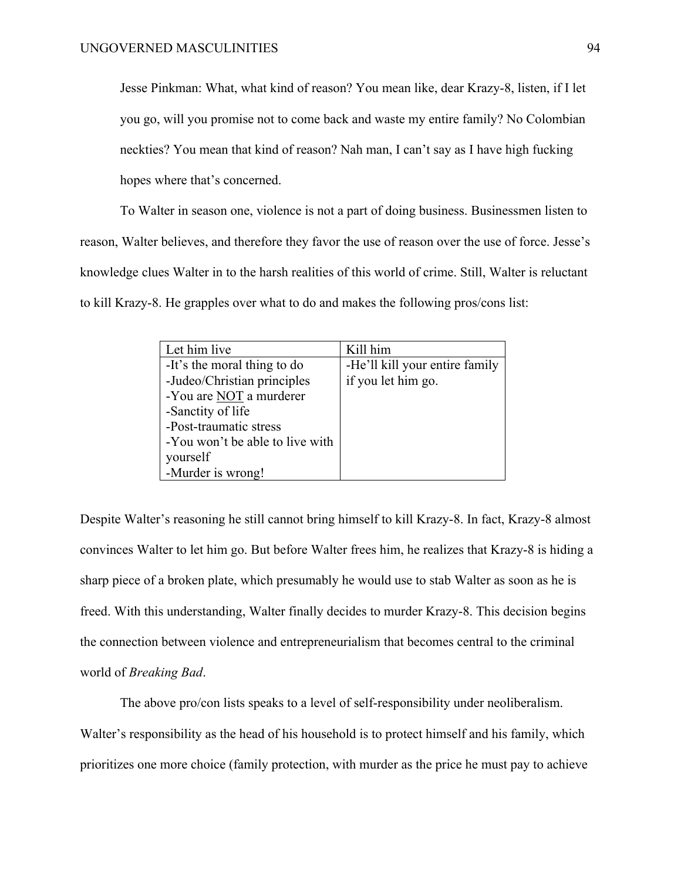Jesse Pinkman: What, what kind of reason? You mean like, dear Krazy-8, listen, if I let you go, will you promise not to come back and waste my entire family? No Colombian neckties? You mean that kind of reason? Nah man, I can't say as I have high fucking hopes where that's concerned.

To Walter in season one, violence is not a part of doing business. Businessmen listen to reason, Walter believes, and therefore they favor the use of reason over the use of force. Jesse's knowledge clues Walter in to the harsh realities of this world of crime. Still, Walter is reluctant to kill Krazy-8. He grapples over what to do and makes the following pros/cons list:

| Let him live                    | Kill him                       |
|---------------------------------|--------------------------------|
| -It's the moral thing to do     | -He'll kill your entire family |
| -Judeo/Christian principles     | if you let him go.             |
| -You are NOT a murderer         |                                |
| -Sanctity of life               |                                |
| -Post-traumatic stress          |                                |
| -You won't be able to live with |                                |
| yourself                        |                                |
| -Murder is wrong!               |                                |

Despite Walter's reasoning he still cannot bring himself to kill Krazy-8. In fact, Krazy-8 almost convinces Walter to let him go. But before Walter frees him, he realizes that Krazy-8 is hiding a sharp piece of a broken plate, which presumably he would use to stab Walter as soon as he is freed. With this understanding, Walter finally decides to murder Krazy-8. This decision begins the connection between violence and entrepreneurialism that becomes central to the criminal world of *Breaking Bad*.

The above pro/con lists speaks to a level of self-responsibility under neoliberalism. Walter's responsibility as the head of his household is to protect himself and his family, which prioritizes one more choice (family protection, with murder as the price he must pay to achieve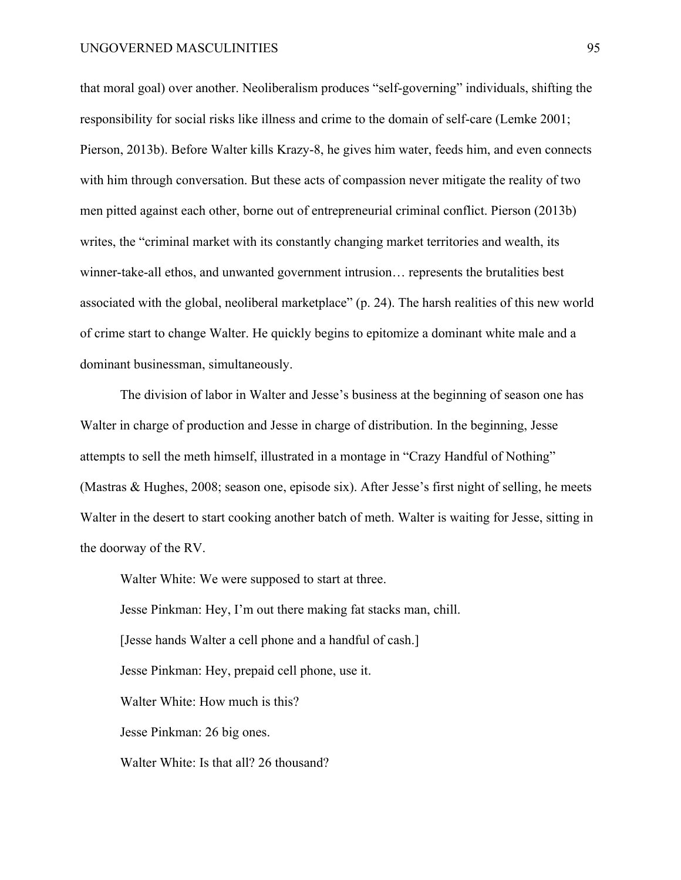## UNGOVERNED MASCULINITIES 95

that moral goal) over another. Neoliberalism produces "self-governing" individuals, shifting the responsibility for social risks like illness and crime to the domain of self-care (Lemke 2001; Pierson, 2013b). Before Walter kills Krazy-8, he gives him water, feeds him, and even connects with him through conversation. But these acts of compassion never mitigate the reality of two men pitted against each other, borne out of entrepreneurial criminal conflict. Pierson (2013b) writes, the "criminal market with its constantly changing market territories and wealth, its winner-take-all ethos, and unwanted government intrusion… represents the brutalities best associated with the global, neoliberal marketplace" (p. 24). The harsh realities of this new world of crime start to change Walter. He quickly begins to epitomize a dominant white male and a dominant businessman, simultaneously.

The division of labor in Walter and Jesse's business at the beginning of season one has Walter in charge of production and Jesse in charge of distribution. In the beginning, Jesse attempts to sell the meth himself, illustrated in a montage in "Crazy Handful of Nothing" (Mastras & Hughes, 2008; season one, episode six). After Jesse's first night of selling, he meets Walter in the desert to start cooking another batch of meth. Walter is waiting for Jesse, sitting in the doorway of the RV.

Walter White: We were supposed to start at three. Jesse Pinkman: Hey, I'm out there making fat stacks man, chill. [Jesse hands Walter a cell phone and a handful of cash.] Jesse Pinkman: Hey, prepaid cell phone, use it. Walter White: How much is this? Jesse Pinkman: 26 big ones. Walter White: Is that all? 26 thousand?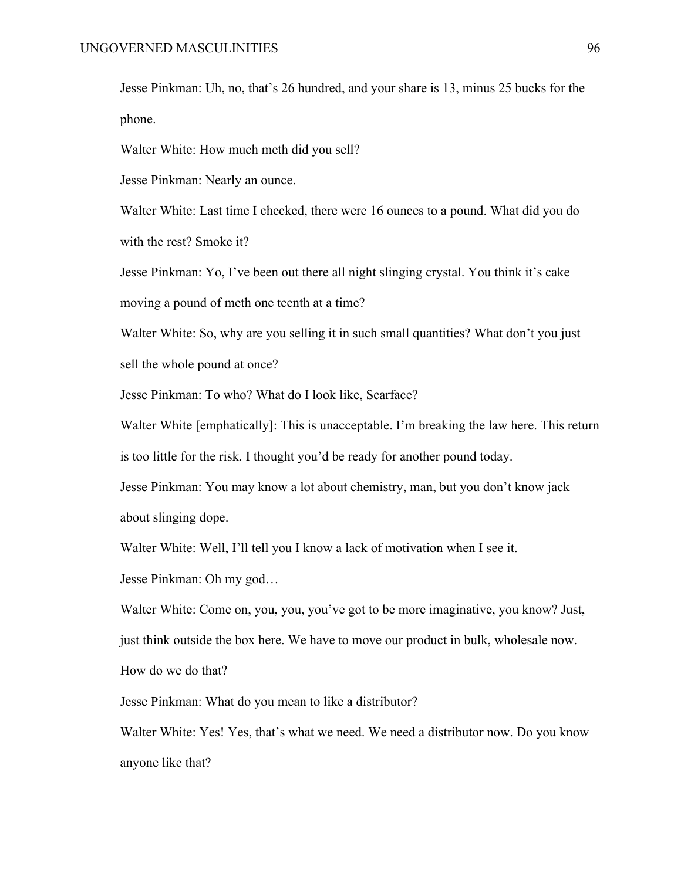Jesse Pinkman: Uh, no, that's 26 hundred, and your share is 13, minus 25 bucks for the phone.

Walter White: How much meth did you sell?

Jesse Pinkman: Nearly an ounce.

Walter White: Last time I checked, there were 16 ounces to a pound. What did you do with the rest? Smoke it?

Jesse Pinkman: Yo, I've been out there all night slinging crystal. You think it's cake moving a pound of meth one teenth at a time?

Walter White: So, why are you selling it in such small quantities? What don't you just sell the whole pound at once?

Jesse Pinkman: To who? What do I look like, Scarface?

Walter White [emphatically]: This is unacceptable. I'm breaking the law here. This return is too little for the risk. I thought you'd be ready for another pound today.

Jesse Pinkman: You may know a lot about chemistry, man, but you don't know jack about slinging dope.

Walter White: Well, I'll tell you I know a lack of motivation when I see it.

Jesse Pinkman: Oh my god…

Walter White: Come on, you, you, you've got to be more imaginative, you know? Just, just think outside the box here. We have to move our product in bulk, wholesale now.

How do we do that?

Jesse Pinkman: What do you mean to like a distributor?

Walter White: Yes! Yes, that's what we need. We need a distributor now. Do you know anyone like that?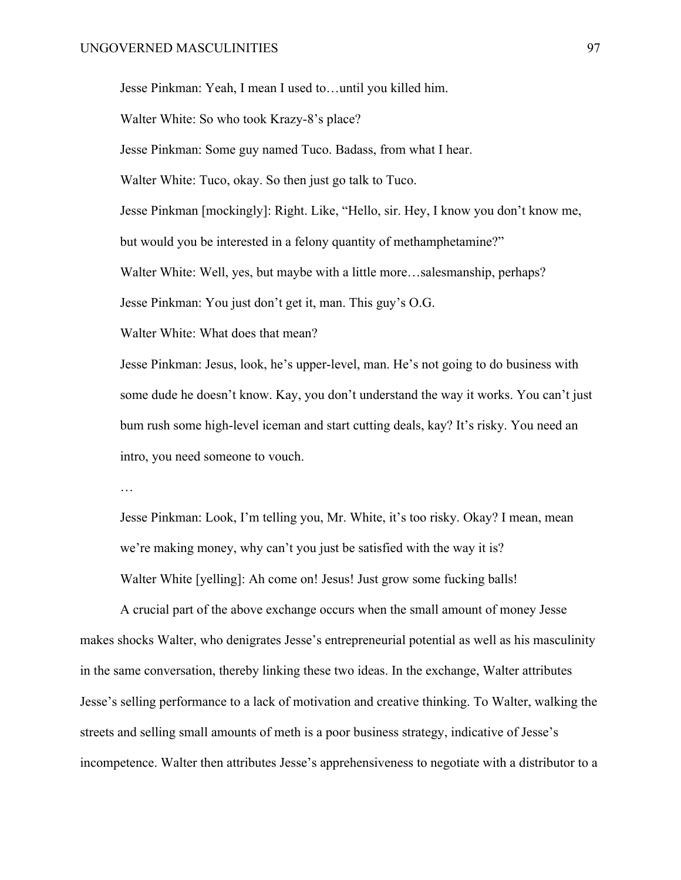Jesse Pinkman: Yeah, I mean I used to…until you killed him.

Walter White: So who took Krazy-8's place?

Jesse Pinkman: Some guy named Tuco. Badass, from what I hear.

Walter White: Tuco, okay. So then just go talk to Tuco.

Jesse Pinkman [mockingly]: Right. Like, "Hello, sir. Hey, I know you don't know me,

but would you be interested in a felony quantity of methamphetamine?"

Walter White: Well, yes, but maybe with a little more...salesmanship, perhaps?

Jesse Pinkman: You just don't get it, man. This guy's O.G.

Walter White: What does that mean?

Jesse Pinkman: Jesus, look, he's upper-level, man. He's not going to do business with some dude he doesn't know. Kay, you don't understand the way it works. You can't just bum rush some high-level iceman and start cutting deals, kay? It's risky. You need an intro, you need someone to vouch.

…

Jesse Pinkman: Look, I'm telling you, Mr. White, it's too risky. Okay? I mean, mean we're making money, why can't you just be satisfied with the way it is? Walter White [yelling]: Ah come on! Jesus! Just grow some fucking balls!

A crucial part of the above exchange occurs when the small amount of money Jesse makes shocks Walter, who denigrates Jesse's entrepreneurial potential as well as his masculinity in the same conversation, thereby linking these two ideas. In the exchange, Walter attributes Jesse's selling performance to a lack of motivation and creative thinking. To Walter, walking the streets and selling small amounts of meth is a poor business strategy, indicative of Jesse's incompetence. Walter then attributes Jesse's apprehensiveness to negotiate with a distributor to a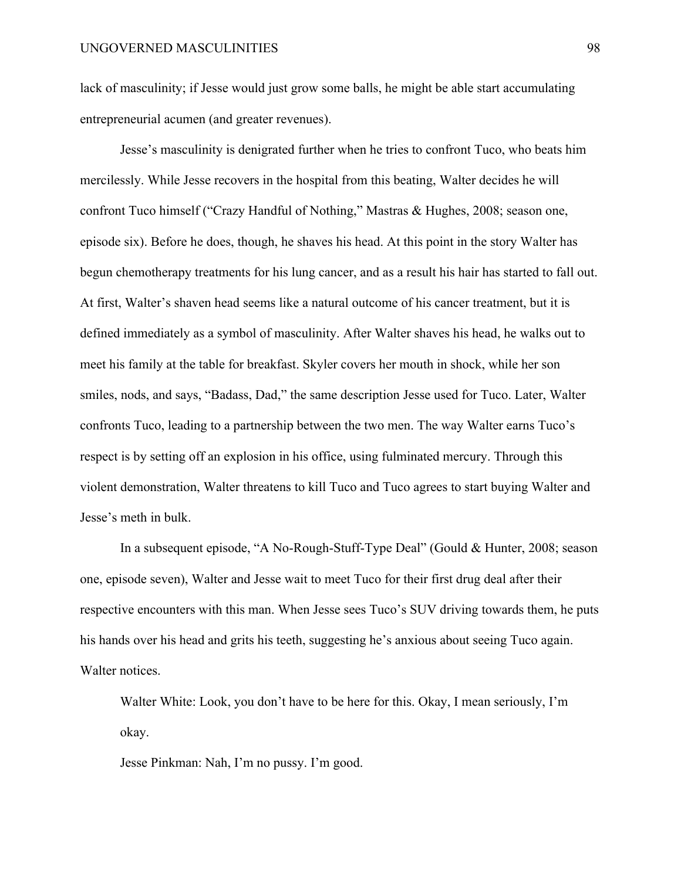lack of masculinity; if Jesse would just grow some balls, he might be able start accumulating entrepreneurial acumen (and greater revenues).

Jesse's masculinity is denigrated further when he tries to confront Tuco, who beats him mercilessly. While Jesse recovers in the hospital from this beating, Walter decides he will confront Tuco himself ("Crazy Handful of Nothing," Mastras & Hughes, 2008; season one, episode six). Before he does, though, he shaves his head. At this point in the story Walter has begun chemotherapy treatments for his lung cancer, and as a result his hair has started to fall out. At first, Walter's shaven head seems like a natural outcome of his cancer treatment, but it is defined immediately as a symbol of masculinity. After Walter shaves his head, he walks out to meet his family at the table for breakfast. Skyler covers her mouth in shock, while her son smiles, nods, and says, "Badass, Dad," the same description Jesse used for Tuco. Later, Walter confronts Tuco, leading to a partnership between the two men. The way Walter earns Tuco's respect is by setting off an explosion in his office, using fulminated mercury. Through this violent demonstration, Walter threatens to kill Tuco and Tuco agrees to start buying Walter and Jesse's meth in bulk.

In a subsequent episode, "A No-Rough-Stuff-Type Deal" (Gould & Hunter, 2008; season one, episode seven), Walter and Jesse wait to meet Tuco for their first drug deal after their respective encounters with this man. When Jesse sees Tuco's SUV driving towards them, he puts his hands over his head and grits his teeth, suggesting he's anxious about seeing Tuco again. Walter notices.

Walter White: Look, you don't have to be here for this. Okay, I mean seriously, I'm okay.

Jesse Pinkman: Nah, I'm no pussy. I'm good.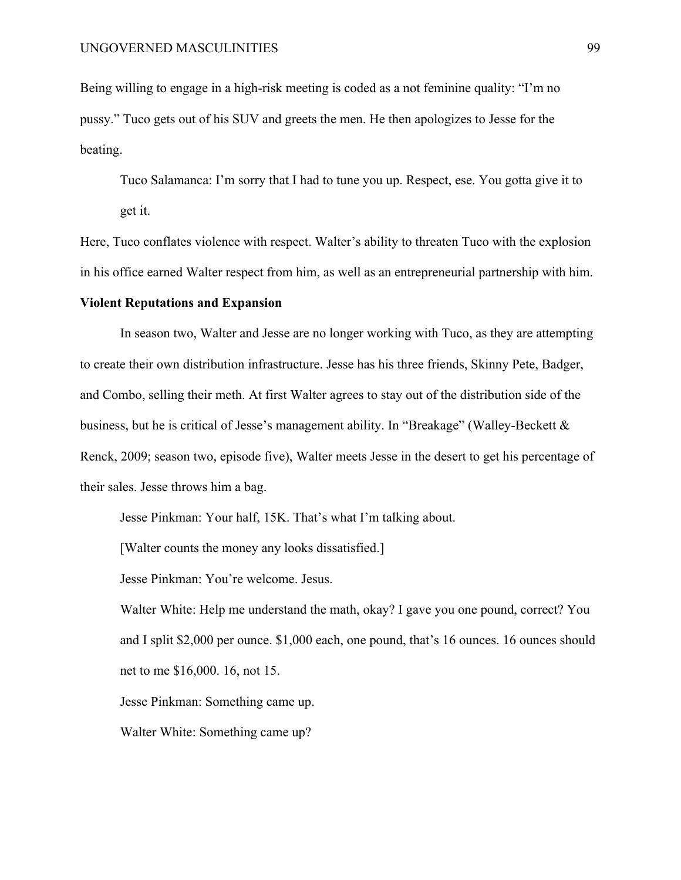Being willing to engage in a high-risk meeting is coded as a not feminine quality: "I'm no pussy." Tuco gets out of his SUV and greets the men. He then apologizes to Jesse for the beating.

Tuco Salamanca: I'm sorry that I had to tune you up. Respect, ese. You gotta give it to get it.

Here, Tuco conflates violence with respect. Walter's ability to threaten Tuco with the explosion in his office earned Walter respect from him, as well as an entrepreneurial partnership with him.

#### **Violent Reputations and Expansion**

In season two, Walter and Jesse are no longer working with Tuco, as they are attempting to create their own distribution infrastructure. Jesse has his three friends, Skinny Pete, Badger, and Combo, selling their meth. At first Walter agrees to stay out of the distribution side of the business, but he is critical of Jesse's management ability. In "Breakage" (Walley-Beckett & Renck, 2009; season two, episode five), Walter meets Jesse in the desert to get his percentage of their sales. Jesse throws him a bag.

Jesse Pinkman: Your half, 15K. That's what I'm talking about.

[Walter counts the money any looks dissatisfied.]

Jesse Pinkman: You're welcome. Jesus.

Walter White: Help me understand the math, okay? I gave you one pound, correct? You and I split \$2,000 per ounce. \$1,000 each, one pound, that's 16 ounces. 16 ounces should net to me \$16,000. 16, not 15.

Jesse Pinkman: Something came up.

Walter White: Something came up?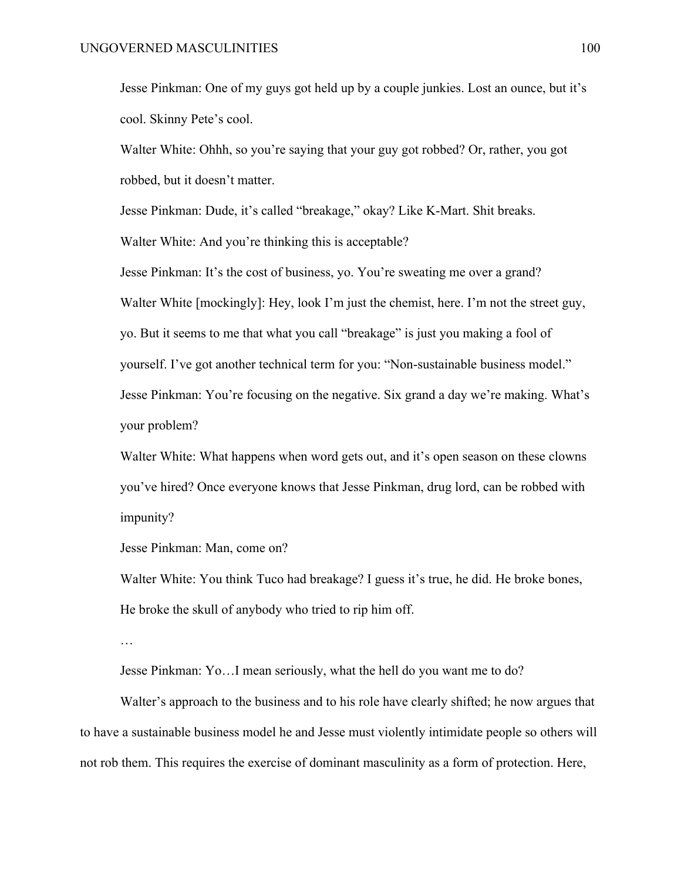Jesse Pinkman: One of my guys got held up by a couple junkies. Lost an ounce, but it's cool. Skinny Pete's cool.

Walter White: Ohhh, so you're saying that your guy got robbed? Or, rather, you got robbed, but it doesn't matter.

Jesse Pinkman: Dude, it's called "breakage," okay? Like K-Mart. Shit breaks.

Walter White: And you're thinking this is acceptable?

Jesse Pinkman: It's the cost of business, yo. You're sweating me over a grand?

Walter White [mockingly]: Hey, look I'm just the chemist, here. I'm not the street guy,

yo. But it seems to me that what you call "breakage" is just you making a fool of

yourself. I've got another technical term for you: "Non-sustainable business model."

Jesse Pinkman: You're focusing on the negative. Six grand a day we're making. What's your problem?

Walter White: What happens when word gets out, and it's open season on these clowns you've hired? Once everyone knows that Jesse Pinkman, drug lord, can be robbed with impunity?

Jesse Pinkman: Man, come on?

Walter White: You think Tuco had breakage? I guess it's true, he did. He broke bones, He broke the skull of anybody who tried to rip him off.

…

Jesse Pinkman: Yo…I mean seriously, what the hell do you want me to do?

Walter's approach to the business and to his role have clearly shifted; he now argues that to have a sustainable business model he and Jesse must violently intimidate people so others will not rob them. This requires the exercise of dominant masculinity as a form of protection. Here,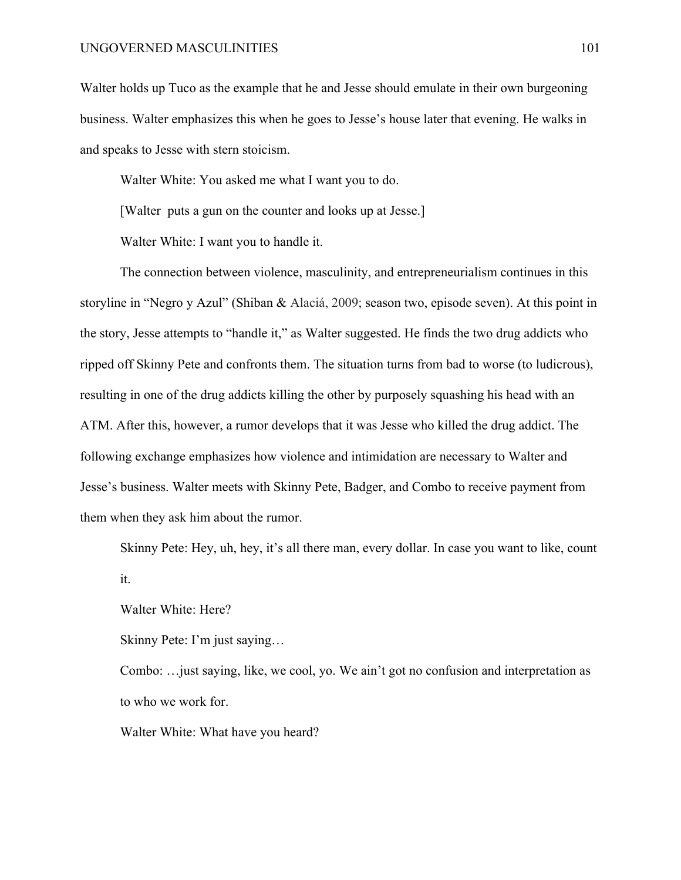Walter holds up Tuco as the example that he and Jesse should emulate in their own burgeoning business. Walter emphasizes this when he goes to Jesse's house later that evening. He walks in and speaks to Jesse with stern stoicism.

Walter White: You asked me what I want you to do.

[Walter puts a gun on the counter and looks up at Jesse.]

Walter White: I want you to handle it.

The connection between violence, masculinity, and entrepreneurialism continues in this storyline in "Negro y Azul" (Shiban & Alaciá, 2009; season two, episode seven). At this point in the story, Jesse attempts to "handle it," as Walter suggested. He finds the two drug addicts who ripped off Skinny Pete and confronts them. The situation turns from bad to worse (to ludicrous), resulting in one of the drug addicts killing the other by purposely squashing his head with an ATM. After this, however, a rumor develops that it was Jesse who killed the drug addict. The following exchange emphasizes how violence and intimidation are necessary to Walter and Jesse's business. Walter meets with Skinny Pete, Badger, and Combo to receive payment from them when they ask him about the rumor.

Skinny Pete: Hey, uh, hey, it's all there man, every dollar. In case you want to like, count it.

Walter White: Here?

Skinny Pete: I'm just saying…

Combo: …just saying, like, we cool, yo. We ain't got no confusion and interpretation as to who we work for.

Walter White: What have you heard?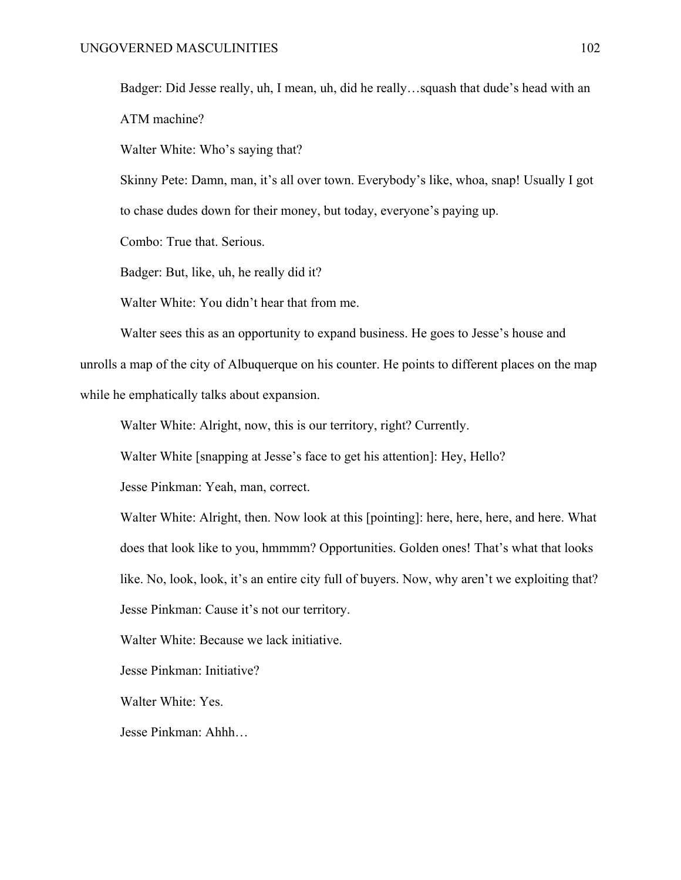Badger: Did Jesse really, uh, I mean, uh, did he really…squash that dude's head with an ATM machine?

Walter White: Who's saying that?

Skinny Pete: Damn, man, it's all over town. Everybody's like, whoa, snap! Usually I got to chase dudes down for their money, but today, everyone's paying up.

Combo: True that. Serious.

Badger: But, like, uh, he really did it?

Walter White: You didn't hear that from me.

Walter sees this as an opportunity to expand business. He goes to Jesse's house and unrolls a map of the city of Albuquerque on his counter. He points to different places on the map while he emphatically talks about expansion.

Walter White: Alright, now, this is our territory, right? Currently.

Walter White [snapping at Jesse's face to get his attention]: Hey, Hello?

Jesse Pinkman: Yeah, man, correct.

Walter White: Alright, then. Now look at this [pointing]: here, here, here, and here. What does that look like to you, hmmmm? Opportunities. Golden ones! That's what that looks like. No, look, look, it's an entire city full of buyers. Now, why aren't we exploiting that? Jesse Pinkman: Cause it's not our territory.

Walter White: Because we lack initiative.

Jesse Pinkman: Initiative?

Walter White: Yes.

Jesse Pinkman: Ahhh…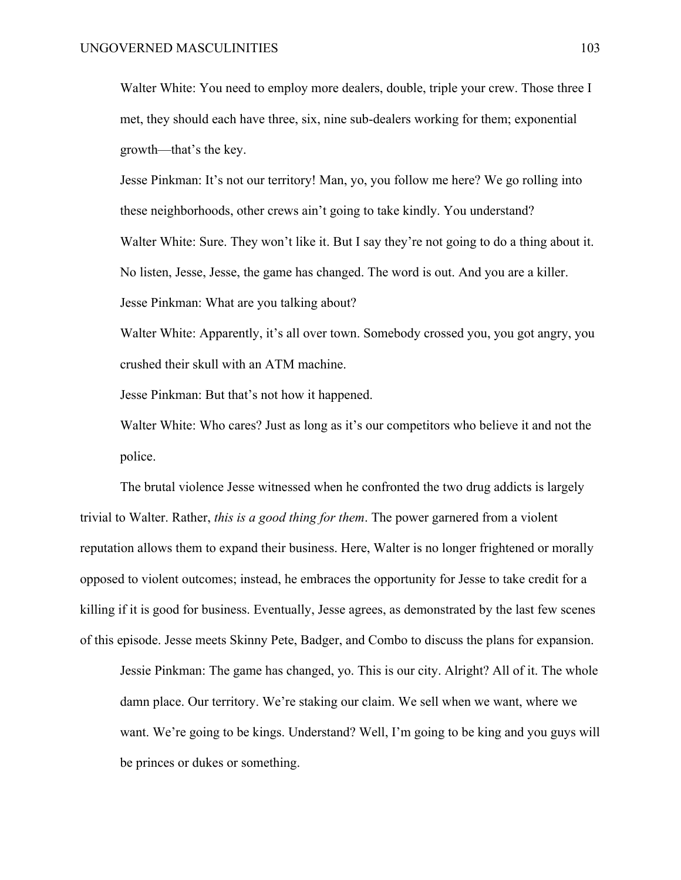Walter White: You need to employ more dealers, double, triple your crew. Those three I met, they should each have three, six, nine sub-dealers working for them; exponential growth—that's the key.

Jesse Pinkman: It's not our territory! Man, yo, you follow me here? We go rolling into these neighborhoods, other crews ain't going to take kindly. You understand? Walter White: Sure. They won't like it. But I say they're not going to do a thing about it. No listen, Jesse, Jesse, the game has changed. The word is out. And you are a killer. Jesse Pinkman: What are you talking about?

Walter White: Apparently, it's all over town. Somebody crossed you, you got angry, you crushed their skull with an ATM machine.

Jesse Pinkman: But that's not how it happened.

Walter White: Who cares? Just as long as it's our competitors who believe it and not the police.

The brutal violence Jesse witnessed when he confronted the two drug addicts is largely trivial to Walter. Rather, *this is a good thing for them*. The power garnered from a violent reputation allows them to expand their business. Here, Walter is no longer frightened or morally opposed to violent outcomes; instead, he embraces the opportunity for Jesse to take credit for a killing if it is good for business. Eventually, Jesse agrees, as demonstrated by the last few scenes of this episode. Jesse meets Skinny Pete, Badger, and Combo to discuss the plans for expansion.

Jessie Pinkman: The game has changed, yo. This is our city. Alright? All of it. The whole damn place. Our territory. We're staking our claim. We sell when we want, where we want. We're going to be kings. Understand? Well, I'm going to be king and you guys will be princes or dukes or something.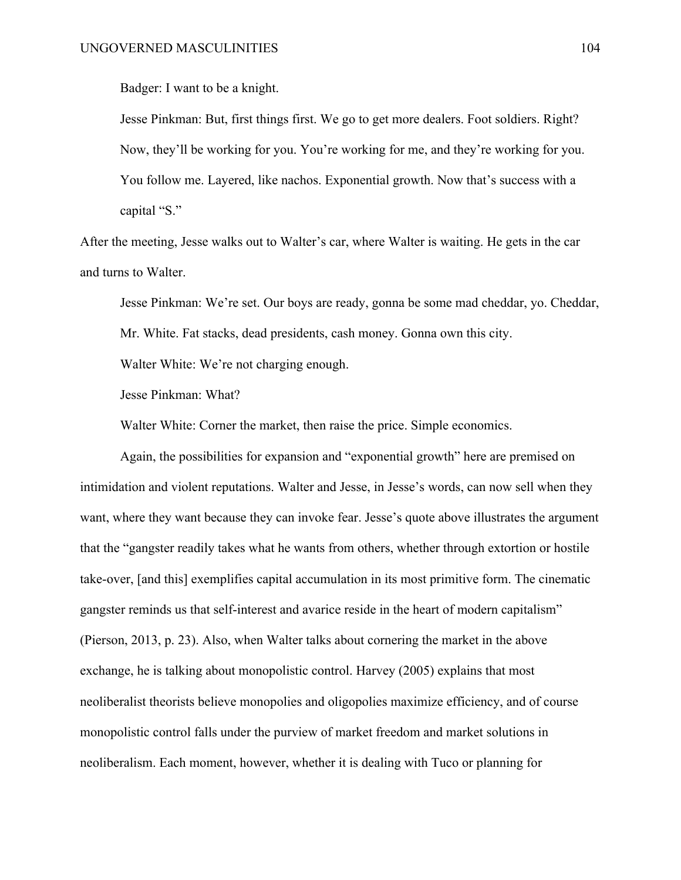Badger: I want to be a knight.

Jesse Pinkman: But, first things first. We go to get more dealers. Foot soldiers. Right? Now, they'll be working for you. You're working for me, and they're working for you. You follow me. Layered, like nachos. Exponential growth. Now that's success with a capital "S."

After the meeting, Jesse walks out to Walter's car, where Walter is waiting. He gets in the car and turns to Walter.

Jesse Pinkman: We're set. Our boys are ready, gonna be some mad cheddar, yo. Cheddar, Mr. White. Fat stacks, dead presidents, cash money. Gonna own this city.

Walter White: We're not charging enough.

Jesse Pinkman: What?

Walter White: Corner the market, then raise the price. Simple economics.

Again, the possibilities for expansion and "exponential growth" here are premised on intimidation and violent reputations. Walter and Jesse, in Jesse's words, can now sell when they want, where they want because they can invoke fear. Jesse's quote above illustrates the argument that the "gangster readily takes what he wants from others, whether through extortion or hostile take-over, [and this] exemplifies capital accumulation in its most primitive form. The cinematic gangster reminds us that self-interest and avarice reside in the heart of modern capitalism" (Pierson, 2013, p. 23). Also, when Walter talks about cornering the market in the above exchange, he is talking about monopolistic control. Harvey (2005) explains that most neoliberalist theorists believe monopolies and oligopolies maximize efficiency, and of course monopolistic control falls under the purview of market freedom and market solutions in neoliberalism. Each moment, however, whether it is dealing with Tuco or planning for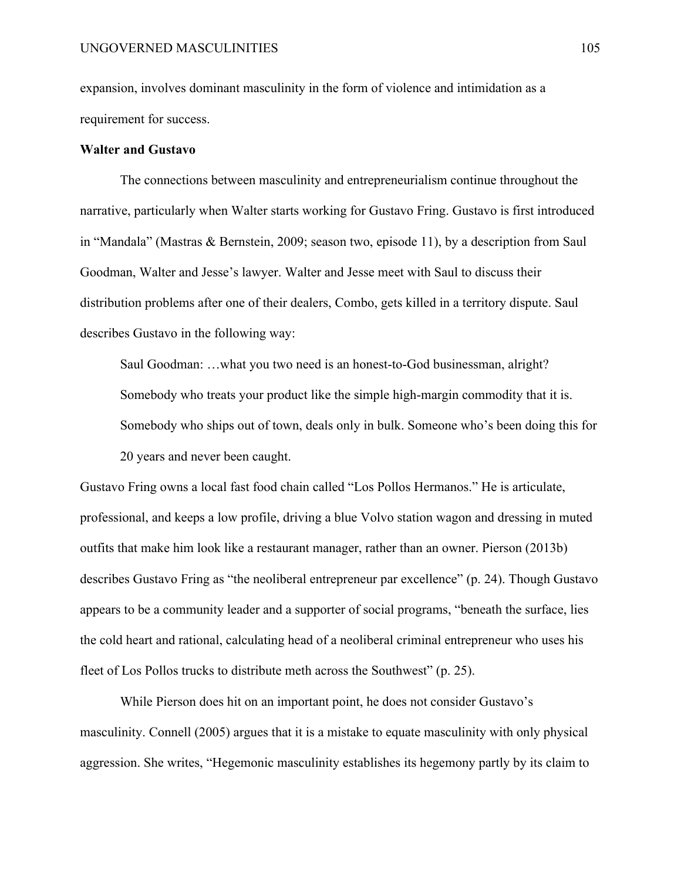expansion, involves dominant masculinity in the form of violence and intimidation as a requirement for success.

# **Walter and Gustavo**

The connections between masculinity and entrepreneurialism continue throughout the narrative, particularly when Walter starts working for Gustavo Fring. Gustavo is first introduced in "Mandala" (Mastras & Bernstein, 2009; season two, episode 11), by a description from Saul Goodman, Walter and Jesse's lawyer. Walter and Jesse meet with Saul to discuss their distribution problems after one of their dealers, Combo, gets killed in a territory dispute. Saul describes Gustavo in the following way:

Saul Goodman: …what you two need is an honest-to-God businessman, alright? Somebody who treats your product like the simple high-margin commodity that it is. Somebody who ships out of town, deals only in bulk. Someone who's been doing this for 20 years and never been caught.

Gustavo Fring owns a local fast food chain called "Los Pollos Hermanos." He is articulate, professional, and keeps a low profile, driving a blue Volvo station wagon and dressing in muted outfits that make him look like a restaurant manager, rather than an owner. Pierson (2013b) describes Gustavo Fring as "the neoliberal entrepreneur par excellence" (p. 24). Though Gustavo appears to be a community leader and a supporter of social programs, "beneath the surface, lies the cold heart and rational, calculating head of a neoliberal criminal entrepreneur who uses his fleet of Los Pollos trucks to distribute meth across the Southwest" (p. 25).

While Pierson does hit on an important point, he does not consider Gustavo's masculinity. Connell (2005) argues that it is a mistake to equate masculinity with only physical aggression. She writes, "Hegemonic masculinity establishes its hegemony partly by its claim to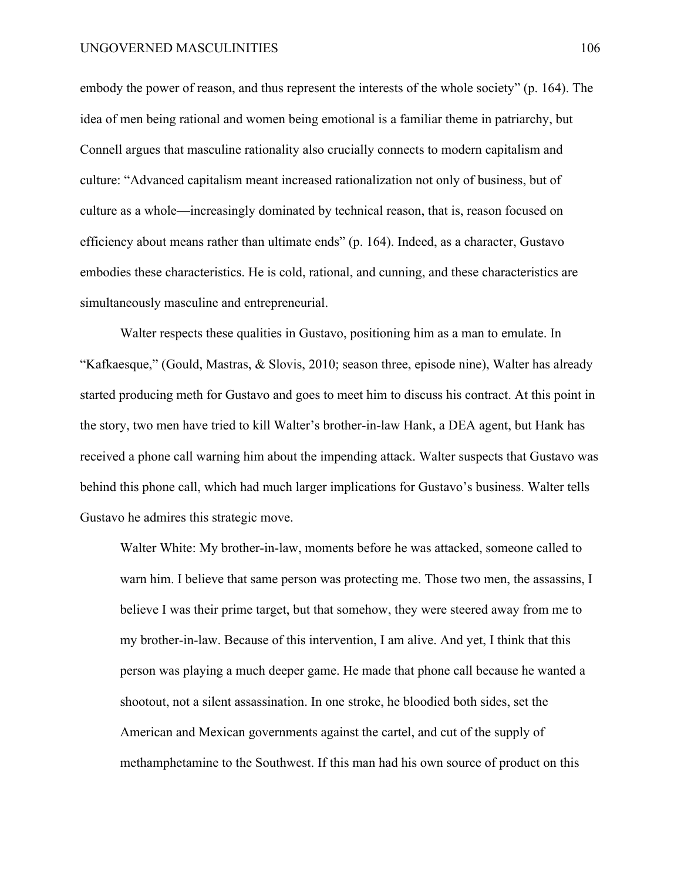embody the power of reason, and thus represent the interests of the whole society" (p. 164). The idea of men being rational and women being emotional is a familiar theme in patriarchy, but Connell argues that masculine rationality also crucially connects to modern capitalism and culture: "Advanced capitalism meant increased rationalization not only of business, but of culture as a whole—increasingly dominated by technical reason, that is, reason focused on efficiency about means rather than ultimate ends" (p. 164). Indeed, as a character, Gustavo embodies these characteristics. He is cold, rational, and cunning, and these characteristics are simultaneously masculine and entrepreneurial.

Walter respects these qualities in Gustavo, positioning him as a man to emulate. In "Kafkaesque," (Gould, Mastras, & Slovis, 2010; season three, episode nine), Walter has already started producing meth for Gustavo and goes to meet him to discuss his contract. At this point in the story, two men have tried to kill Walter's brother-in-law Hank, a DEA agent, but Hank has received a phone call warning him about the impending attack. Walter suspects that Gustavo was behind this phone call, which had much larger implications for Gustavo's business. Walter tells Gustavo he admires this strategic move.

Walter White: My brother-in-law, moments before he was attacked, someone called to warn him. I believe that same person was protecting me. Those two men, the assassins, I believe I was their prime target, but that somehow, they were steered away from me to my brother-in-law. Because of this intervention, I am alive. And yet, I think that this person was playing a much deeper game. He made that phone call because he wanted a shootout, not a silent assassination. In one stroke, he bloodied both sides, set the American and Mexican governments against the cartel, and cut of the supply of methamphetamine to the Southwest. If this man had his own source of product on this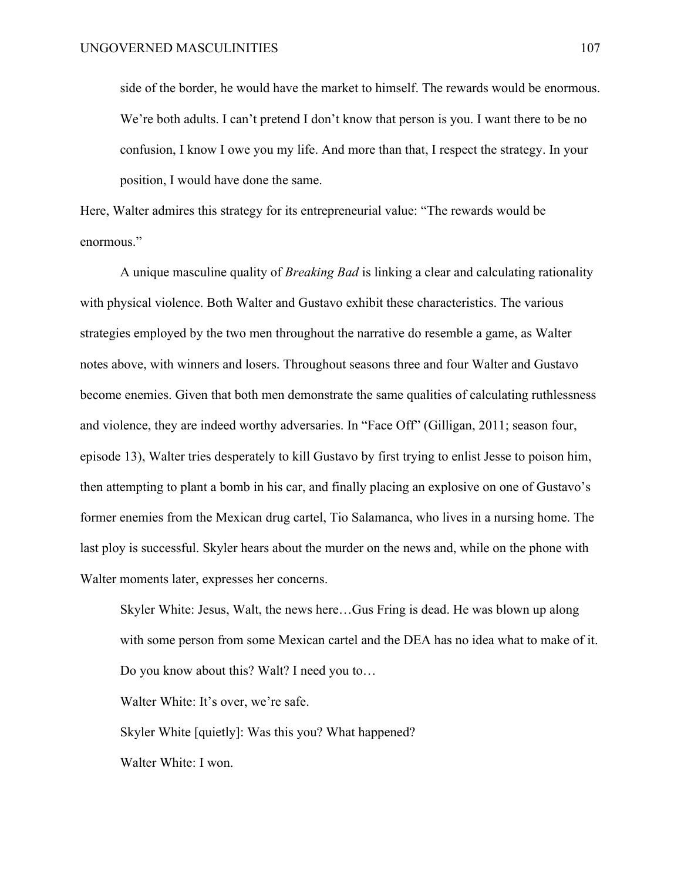side of the border, he would have the market to himself. The rewards would be enormous. We're both adults. I can't pretend I don't know that person is you. I want there to be no confusion, I know I owe you my life. And more than that, I respect the strategy. In your position, I would have done the same.

Here, Walter admires this strategy for its entrepreneurial value: "The rewards would be enormous."

A unique masculine quality of *Breaking Bad* is linking a clear and calculating rationality with physical violence. Both Walter and Gustavo exhibit these characteristics. The various strategies employed by the two men throughout the narrative do resemble a game, as Walter notes above, with winners and losers. Throughout seasons three and four Walter and Gustavo become enemies. Given that both men demonstrate the same qualities of calculating ruthlessness and violence, they are indeed worthy adversaries. In "Face Off" (Gilligan, 2011; season four, episode 13), Walter tries desperately to kill Gustavo by first trying to enlist Jesse to poison him, then attempting to plant a bomb in his car, and finally placing an explosive on one of Gustavo's former enemies from the Mexican drug cartel, Tio Salamanca, who lives in a nursing home. The last ploy is successful. Skyler hears about the murder on the news and, while on the phone with Walter moments later, expresses her concerns.

Skyler White: Jesus, Walt, the news here…Gus Fring is dead. He was blown up along with some person from some Mexican cartel and the DEA has no idea what to make of it. Do you know about this? Walt? I need you to…

Walter White: It's over, we're safe.

Skyler White [quietly]: Was this you? What happened? Walter White: I won.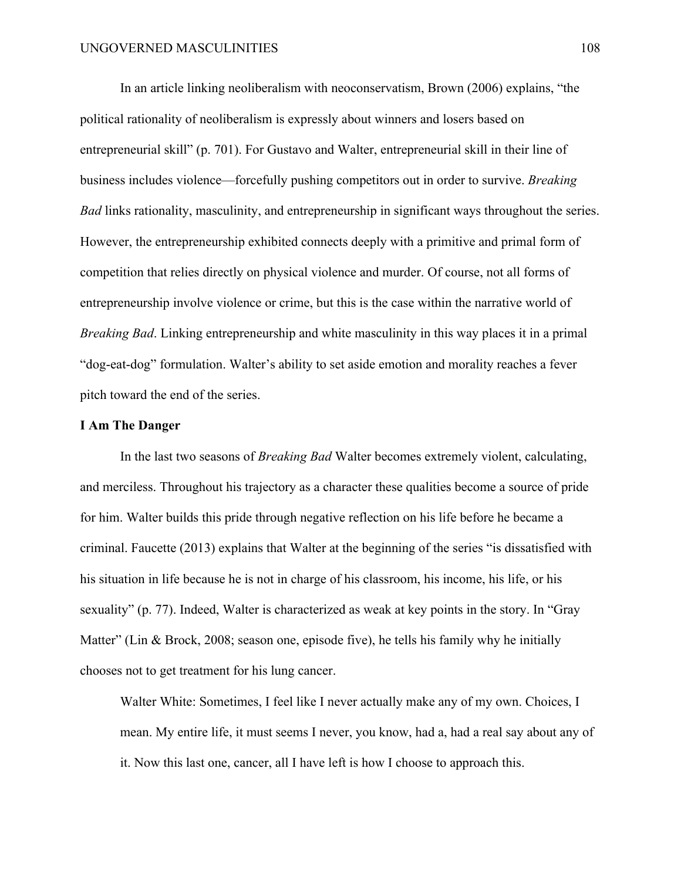In an article linking neoliberalism with neoconservatism, Brown (2006) explains, "the political rationality of neoliberalism is expressly about winners and losers based on entrepreneurial skill" (p. 701). For Gustavo and Walter, entrepreneurial skill in their line of business includes violence—forcefully pushing competitors out in order to survive. *Breaking Bad* links rationality, masculinity, and entrepreneurship in significant ways throughout the series. However, the entrepreneurship exhibited connects deeply with a primitive and primal form of competition that relies directly on physical violence and murder. Of course, not all forms of entrepreneurship involve violence or crime, but this is the case within the narrative world of *Breaking Bad*. Linking entrepreneurship and white masculinity in this way places it in a primal "dog-eat-dog" formulation. Walter's ability to set aside emotion and morality reaches a fever pitch toward the end of the series.

## **I Am The Danger**

In the last two seasons of *Breaking Bad* Walter becomes extremely violent, calculating, and merciless. Throughout his trajectory as a character these qualities become a source of pride for him. Walter builds this pride through negative reflection on his life before he became a criminal. Faucette (2013) explains that Walter at the beginning of the series "is dissatisfied with his situation in life because he is not in charge of his classroom, his income, his life, or his sexuality" (p. 77). Indeed, Walter is characterized as weak at key points in the story. In "Gray Matter" (Lin & Brock, 2008; season one, episode five), he tells his family why he initially chooses not to get treatment for his lung cancer.

Walter White: Sometimes, I feel like I never actually make any of my own. Choices, I mean. My entire life, it must seems I never, you know, had a, had a real say about any of it. Now this last one, cancer, all I have left is how I choose to approach this.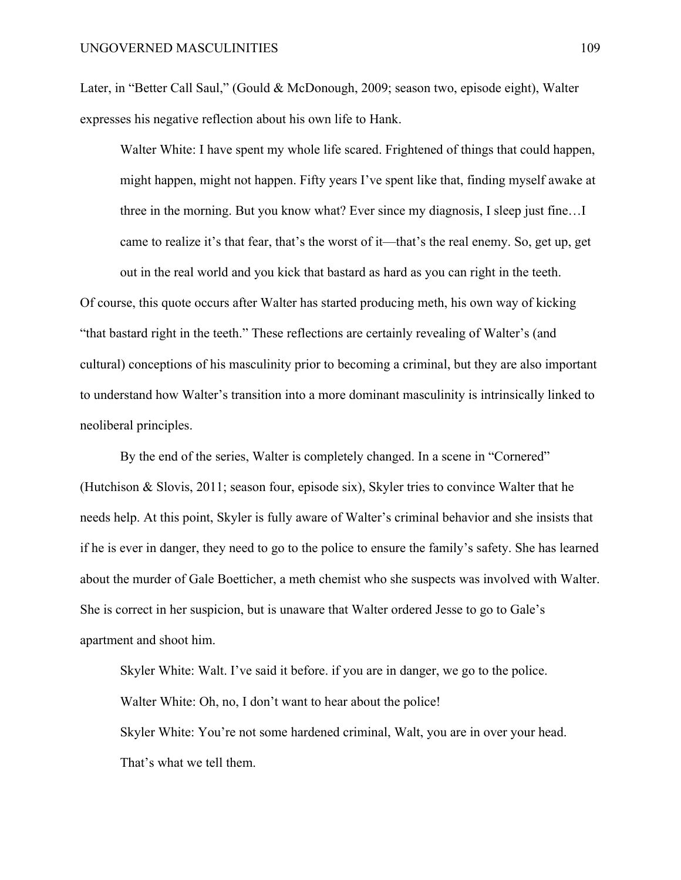Later, in "Better Call Saul," (Gould & McDonough, 2009; season two, episode eight), Walter expresses his negative reflection about his own life to Hank.

Walter White: I have spent my whole life scared. Frightened of things that could happen, might happen, might not happen. Fifty years I've spent like that, finding myself awake at three in the morning. But you know what? Ever since my diagnosis, I sleep just fine…I came to realize it's that fear, that's the worst of it—that's the real enemy. So, get up, get out in the real world and you kick that bastard as hard as you can right in the teeth.

Of course, this quote occurs after Walter has started producing meth, his own way of kicking "that bastard right in the teeth." These reflections are certainly revealing of Walter's (and cultural) conceptions of his masculinity prior to becoming a criminal, but they are also important to understand how Walter's transition into a more dominant masculinity is intrinsically linked to neoliberal principles.

By the end of the series, Walter is completely changed. In a scene in "Cornered" (Hutchison & Slovis, 2011; season four, episode six), Skyler tries to convince Walter that he needs help. At this point, Skyler is fully aware of Walter's criminal behavior and she insists that if he is ever in danger, they need to go to the police to ensure the family's safety. She has learned about the murder of Gale Boetticher, a meth chemist who she suspects was involved with Walter. She is correct in her suspicion, but is unaware that Walter ordered Jesse to go to Gale's apartment and shoot him.

Skyler White: Walt. I've said it before. if you are in danger, we go to the police. Walter White: Oh, no, I don't want to hear about the police! Skyler White: You're not some hardened criminal, Walt, you are in over your head. That's what we tell them.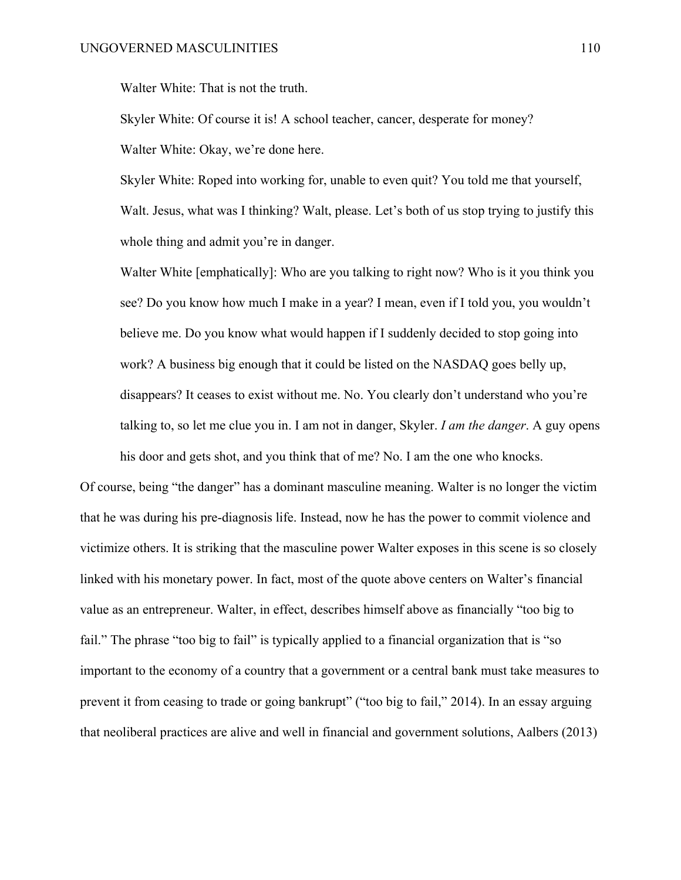Walter White: That is not the truth.

Skyler White: Of course it is! A school teacher, cancer, desperate for money? Walter White: Okay, we're done here.

Skyler White: Roped into working for, unable to even quit? You told me that yourself, Walt. Jesus, what was I thinking? Walt, please. Let's both of us stop trying to justify this whole thing and admit you're in danger.

Walter White [emphatically]: Who are you talking to right now? Who is it you think you see? Do you know how much I make in a year? I mean, even if I told you, you wouldn't believe me. Do you know what would happen if I suddenly decided to stop going into work? A business big enough that it could be listed on the NASDAQ goes belly up, disappears? It ceases to exist without me. No. You clearly don't understand who you're talking to, so let me clue you in. I am not in danger, Skyler. *I am the danger*. A guy opens his door and gets shot, and you think that of me? No. I am the one who knocks.

Of course, being "the danger" has a dominant masculine meaning. Walter is no longer the victim that he was during his pre-diagnosis life. Instead, now he has the power to commit violence and victimize others. It is striking that the masculine power Walter exposes in this scene is so closely linked with his monetary power. In fact, most of the quote above centers on Walter's financial value as an entrepreneur. Walter, in effect, describes himself above as financially "too big to fail." The phrase "too big to fail" is typically applied to a financial organization that is "so important to the economy of a country that a government or a central bank must take measures to prevent it from ceasing to trade or going bankrupt" ("too big to fail," 2014). In an essay arguing that neoliberal practices are alive and well in financial and government solutions, Aalbers (2013)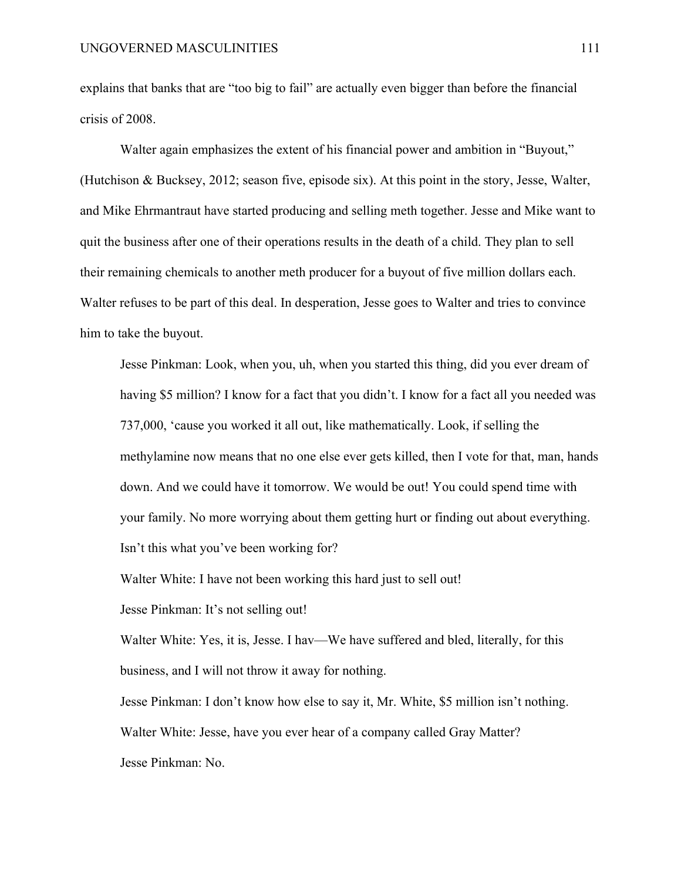explains that banks that are "too big to fail" are actually even bigger than before the financial crisis of 2008.

Walter again emphasizes the extent of his financial power and ambition in "Buyout," (Hutchison & Bucksey, 2012; season five, episode six). At this point in the story, Jesse, Walter, and Mike Ehrmantraut have started producing and selling meth together. Jesse and Mike want to quit the business after one of their operations results in the death of a child. They plan to sell their remaining chemicals to another meth producer for a buyout of five million dollars each. Walter refuses to be part of this deal. In desperation, Jesse goes to Walter and tries to convince him to take the buyout.

Jesse Pinkman: Look, when you, uh, when you started this thing, did you ever dream of having \$5 million? I know for a fact that you didn't. I know for a fact all you needed was 737,000, 'cause you worked it all out, like mathematically. Look, if selling the methylamine now means that no one else ever gets killed, then I vote for that, man, hands down. And we could have it tomorrow. We would be out! You could spend time with your family. No more worrying about them getting hurt or finding out about everything. Isn't this what you've been working for?

Walter White: I have not been working this hard just to sell out!

Jesse Pinkman: It's not selling out!

Walter White: Yes, it is, Jesse. I hav—We have suffered and bled, literally, for this business, and I will not throw it away for nothing.

Jesse Pinkman: I don't know how else to say it, Mr. White, \$5 million isn't nothing. Walter White: Jesse, have you ever hear of a company called Gray Matter? Jesse Pinkman: No.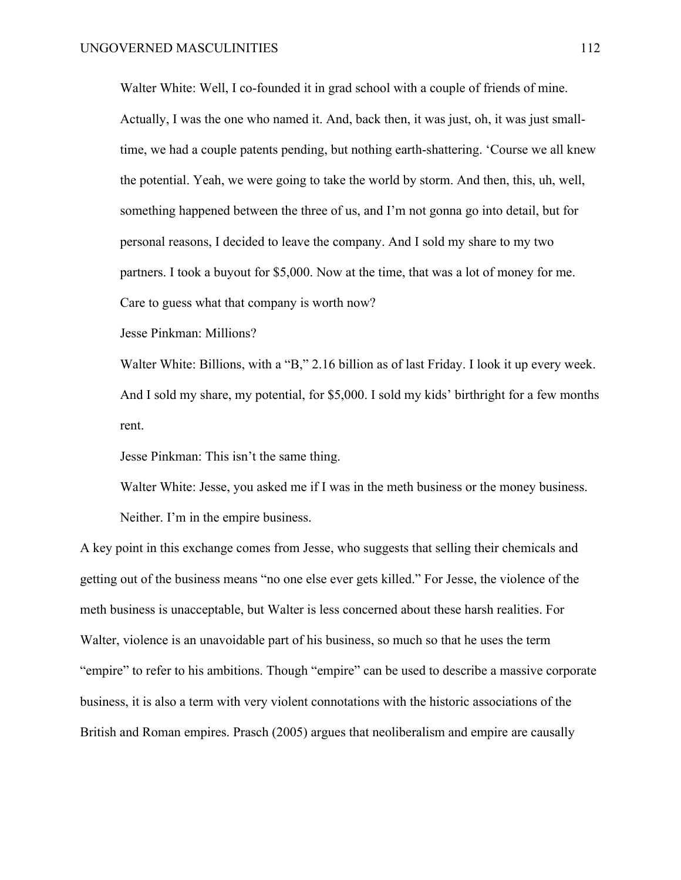Walter White: Well, I co-founded it in grad school with a couple of friends of mine. Actually, I was the one who named it. And, back then, it was just, oh, it was just smalltime, we had a couple patents pending, but nothing earth-shattering. 'Course we all knew the potential. Yeah, we were going to take the world by storm. And then, this, uh, well, something happened between the three of us, and I'm not gonna go into detail, but for personal reasons, I decided to leave the company. And I sold my share to my two partners. I took a buyout for \$5,000. Now at the time, that was a lot of money for me. Care to guess what that company is worth now?

Jesse Pinkman: Millions?

Walter White: Billions, with a "B," 2.16 billion as of last Friday. I look it up every week. And I sold my share, my potential, for \$5,000. I sold my kids' birthright for a few months rent.

Jesse Pinkman: This isn't the same thing.

Walter White: Jesse, you asked me if I was in the meth business or the money business. Neither. I'm in the empire business.

A key point in this exchange comes from Jesse, who suggests that selling their chemicals and getting out of the business means "no one else ever gets killed." For Jesse, the violence of the meth business is unacceptable, but Walter is less concerned about these harsh realities. For Walter, violence is an unavoidable part of his business, so much so that he uses the term "empire" to refer to his ambitions. Though "empire" can be used to describe a massive corporate business, it is also a term with very violent connotations with the historic associations of the British and Roman empires. Prasch (2005) argues that neoliberalism and empire are causally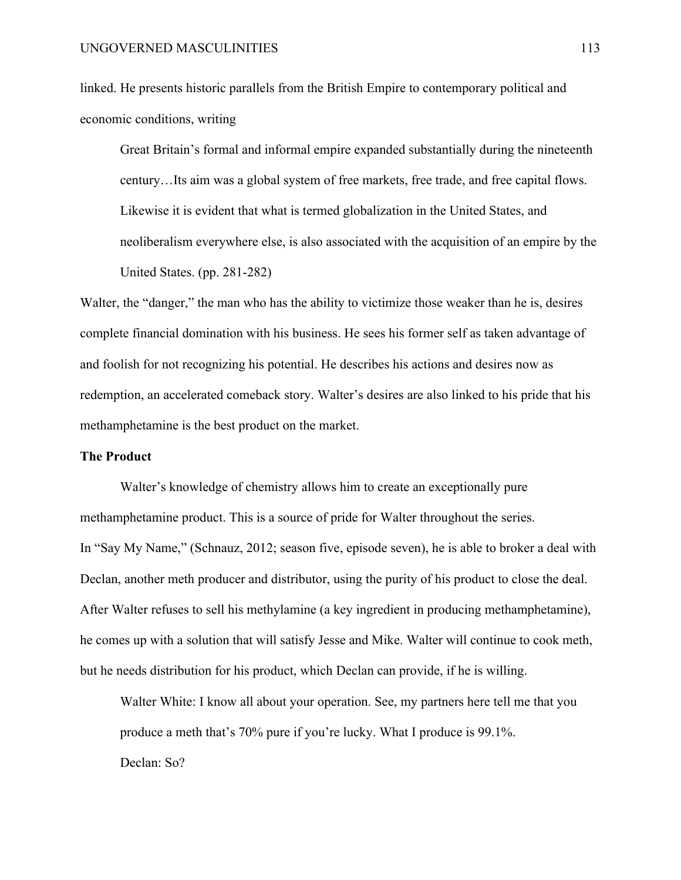linked. He presents historic parallels from the British Empire to contemporary political and economic conditions, writing

Great Britain's formal and informal empire expanded substantially during the nineteenth century…Its aim was a global system of free markets, free trade, and free capital flows. Likewise it is evident that what is termed globalization in the United States, and neoliberalism everywhere else, is also associated with the acquisition of an empire by the United States. (pp. 281-282)

Walter, the "danger," the man who has the ability to victimize those weaker than he is, desires complete financial domination with his business. He sees his former self as taken advantage of and foolish for not recognizing his potential. He describes his actions and desires now as redemption, an accelerated comeback story. Walter's desires are also linked to his pride that his methamphetamine is the best product on the market.

# **The Product**

Walter's knowledge of chemistry allows him to create an exceptionally pure methamphetamine product. This is a source of pride for Walter throughout the series. In "Say My Name," (Schnauz, 2012; season five, episode seven), he is able to broker a deal with Declan, another meth producer and distributor, using the purity of his product to close the deal. After Walter refuses to sell his methylamine (a key ingredient in producing methamphetamine), he comes up with a solution that will satisfy Jesse and Mike. Walter will continue to cook meth, but he needs distribution for his product, which Declan can provide, if he is willing.

Walter White: I know all about your operation. See, my partners here tell me that you produce a meth that's 70% pure if you're lucky. What I produce is 99.1%. Declan: So?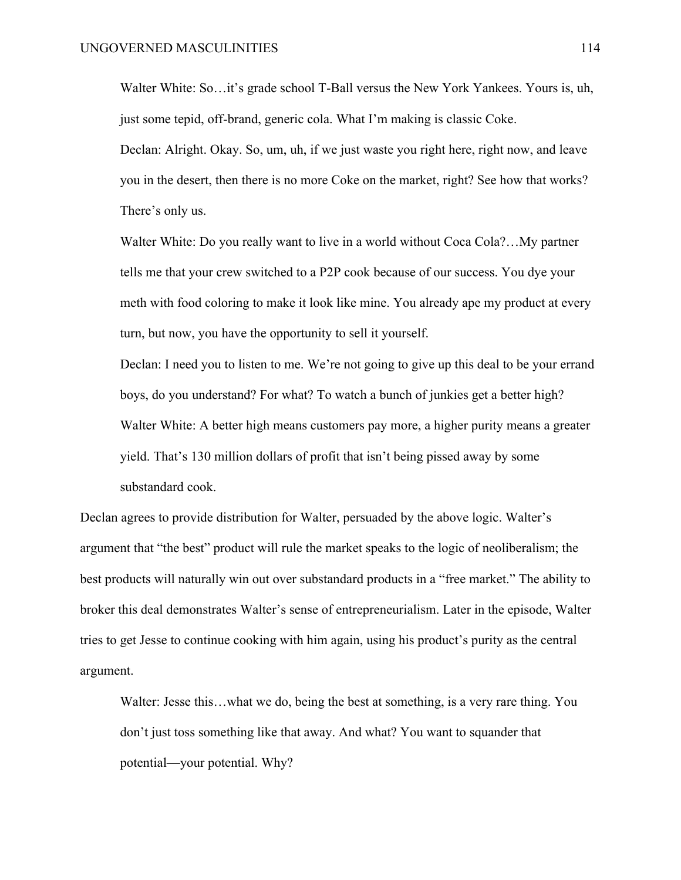Walter White: So... it's grade school T-Ball versus the New York Yankees. Yours is, uh, just some tepid, off-brand, generic cola. What I'm making is classic Coke.

Declan: Alright. Okay. So, um, uh, if we just waste you right here, right now, and leave you in the desert, then there is no more Coke on the market, right? See how that works? There's only us.

Walter White: Do you really want to live in a world without Coca Cola?...My partner tells me that your crew switched to a P2P cook because of our success. You dye your meth with food coloring to make it look like mine. You already ape my product at every turn, but now, you have the opportunity to sell it yourself.

Declan: I need you to listen to me. We're not going to give up this deal to be your errand boys, do you understand? For what? To watch a bunch of junkies get a better high? Walter White: A better high means customers pay more, a higher purity means a greater yield. That's 130 million dollars of profit that isn't being pissed away by some substandard cook.

Declan agrees to provide distribution for Walter, persuaded by the above logic. Walter's argument that "the best" product will rule the market speaks to the logic of neoliberalism; the best products will naturally win out over substandard products in a "free market." The ability to broker this deal demonstrates Walter's sense of entrepreneurialism. Later in the episode, Walter tries to get Jesse to continue cooking with him again, using his product's purity as the central argument.

Walter: Jesse this...what we do, being the best at something, is a very rare thing. You don't just toss something like that away. And what? You want to squander that potential—your potential. Why?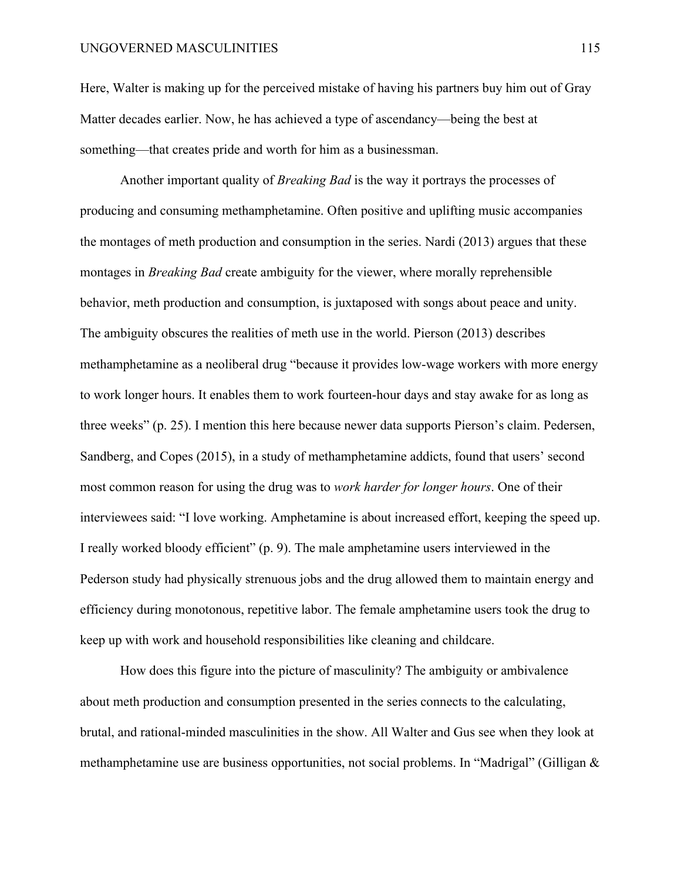## UNGOVERNED MASCULINITIES 115

Here, Walter is making up for the perceived mistake of having his partners buy him out of Gray Matter decades earlier. Now, he has achieved a type of ascendancy—being the best at something—that creates pride and worth for him as a businessman.

Another important quality of *Breaking Bad* is the way it portrays the processes of producing and consuming methamphetamine. Often positive and uplifting music accompanies the montages of meth production and consumption in the series. Nardi (2013) argues that these montages in *Breaking Bad* create ambiguity for the viewer, where morally reprehensible behavior, meth production and consumption, is juxtaposed with songs about peace and unity. The ambiguity obscures the realities of meth use in the world. Pierson (2013) describes methamphetamine as a neoliberal drug "because it provides low-wage workers with more energy to work longer hours. It enables them to work fourteen-hour days and stay awake for as long as three weeks" (p. 25). I mention this here because newer data supports Pierson's claim. Pedersen, Sandberg, and Copes (2015), in a study of methamphetamine addicts, found that users' second most common reason for using the drug was to *work harder for longer hours*. One of their interviewees said: "I love working. Amphetamine is about increased effort, keeping the speed up. I really worked bloody efficient" (p. 9). The male amphetamine users interviewed in the Pederson study had physically strenuous jobs and the drug allowed them to maintain energy and efficiency during monotonous, repetitive labor. The female amphetamine users took the drug to keep up with work and household responsibilities like cleaning and childcare.

How does this figure into the picture of masculinity? The ambiguity or ambivalence about meth production and consumption presented in the series connects to the calculating, brutal, and rational-minded masculinities in the show. All Walter and Gus see when they look at methamphetamine use are business opportunities, not social problems. In "Madrigal" (Gilligan &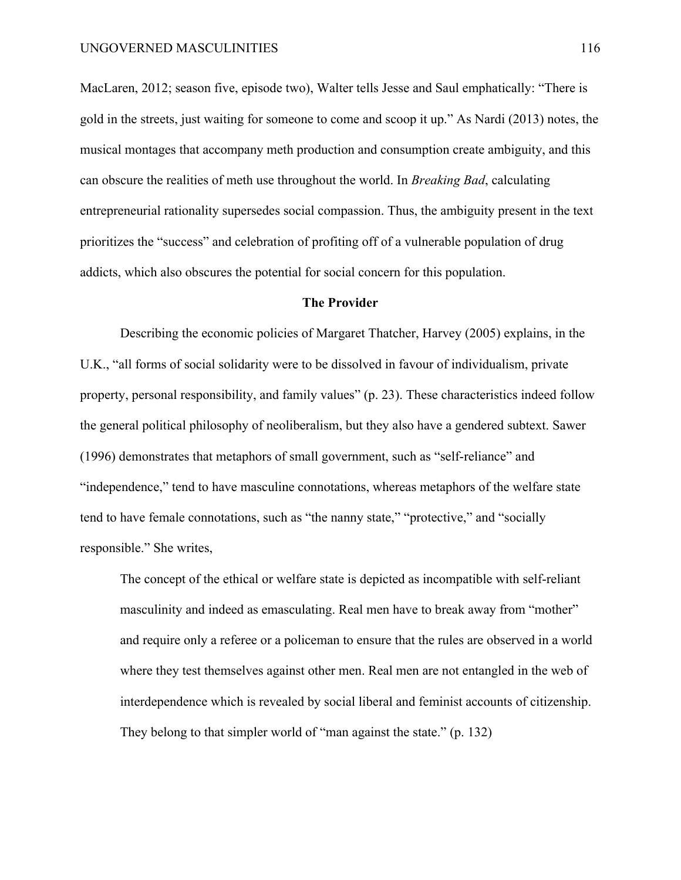MacLaren, 2012; season five, episode two), Walter tells Jesse and Saul emphatically: "There is gold in the streets, just waiting for someone to come and scoop it up." As Nardi (2013) notes, the musical montages that accompany meth production and consumption create ambiguity, and this can obscure the realities of meth use throughout the world. In *Breaking Bad*, calculating entrepreneurial rationality supersedes social compassion. Thus, the ambiguity present in the text prioritizes the "success" and celebration of profiting off of a vulnerable population of drug addicts, which also obscures the potential for social concern for this population.

#### **The Provider**

Describing the economic policies of Margaret Thatcher, Harvey (2005) explains, in the U.K., "all forms of social solidarity were to be dissolved in favour of individualism, private property, personal responsibility, and family values" (p. 23). These characteristics indeed follow the general political philosophy of neoliberalism, but they also have a gendered subtext. Sawer (1996) demonstrates that metaphors of small government, such as "self-reliance" and "independence," tend to have masculine connotations, whereas metaphors of the welfare state tend to have female connotations, such as "the nanny state," "protective," and "socially responsible." She writes,

The concept of the ethical or welfare state is depicted as incompatible with self-reliant masculinity and indeed as emasculating. Real men have to break away from "mother" and require only a referee or a policeman to ensure that the rules are observed in a world where they test themselves against other men. Real men are not entangled in the web of interdependence which is revealed by social liberal and feminist accounts of citizenship. They belong to that simpler world of "man against the state." (p. 132)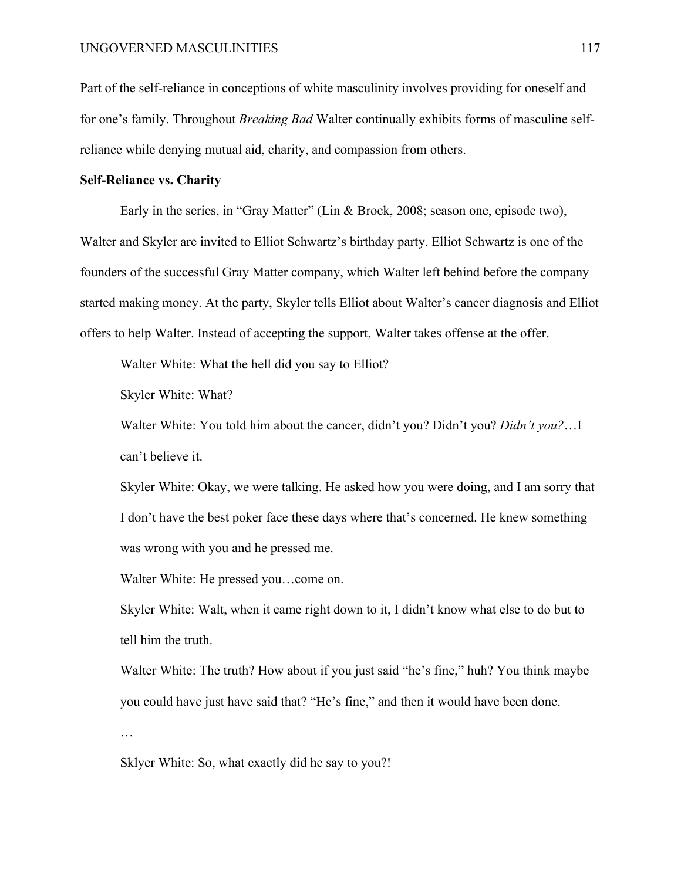Part of the self-reliance in conceptions of white masculinity involves providing for oneself and for one's family. Throughout *Breaking Bad* Walter continually exhibits forms of masculine selfreliance while denying mutual aid, charity, and compassion from others.

# **Self-Reliance vs. Charity**

Early in the series, in "Gray Matter" (Lin & Brock, 2008; season one, episode two), Walter and Skyler are invited to Elliot Schwartz's birthday party. Elliot Schwartz is one of the founders of the successful Gray Matter company, which Walter left behind before the company started making money. At the party, Skyler tells Elliot about Walter's cancer diagnosis and Elliot offers to help Walter. Instead of accepting the support, Walter takes offense at the offer.

Walter White: What the hell did you say to Elliot?

Skyler White: What?

Walter White: You told him about the cancer, didn't you? Didn't you? *Didn't you?*…I can't believe it.

Skyler White: Okay, we were talking. He asked how you were doing, and I am sorry that I don't have the best poker face these days where that's concerned. He knew something was wrong with you and he pressed me.

Walter White: He pressed you...come on.

Skyler White: Walt, when it came right down to it, I didn't know what else to do but to tell him the truth.

Walter White: The truth? How about if you just said "he's fine," huh? You think maybe you could have just have said that? "He's fine," and then it would have been done.

…

Sklyer White: So, what exactly did he say to you?!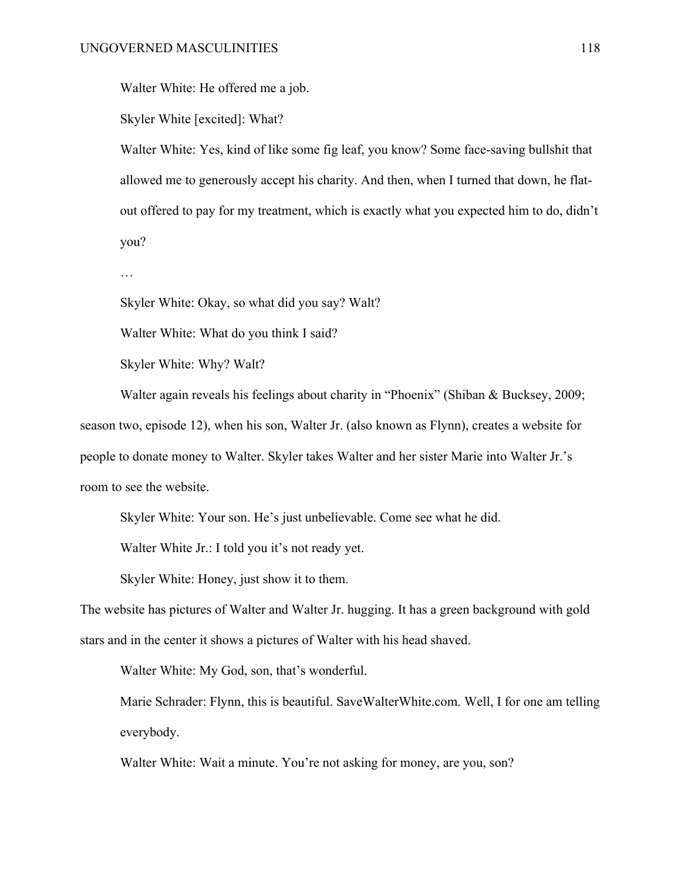Walter White: He offered me a job.

Skyler White [excited]: What?

Walter White: Yes, kind of like some fig leaf, you know? Some face-saving bullshit that allowed me to generously accept his charity. And then, when I turned that down, he flatout offered to pay for my treatment, which is exactly what you expected him to do, didn't you?

…

Skyler White: Okay, so what did you say? Walt?

Walter White: What do you think I said?

Skyler White: Why? Walt?

Walter again reveals his feelings about charity in "Phoenix" (Shiban & Bucksey, 2009; season two, episode 12), when his son, Walter Jr. (also known as Flynn), creates a website for people to donate money to Walter. Skyler takes Walter and her sister Marie into Walter Jr.'s room to see the website.

Skyler White: Your son. He's just unbelievable. Come see what he did.

Walter White Jr.: I told you it's not ready yet.

Skyler White: Honey, just show it to them.

The website has pictures of Walter and Walter Jr. hugging. It has a green background with gold stars and in the center it shows a pictures of Walter with his head shaved.

Walter White: My God, son, that's wonderful.

Marie Schrader: Flynn, this is beautiful. SaveWalterWhite.com. Well, I for one am telling everybody.

Walter White: Wait a minute. You're not asking for money, are you, son?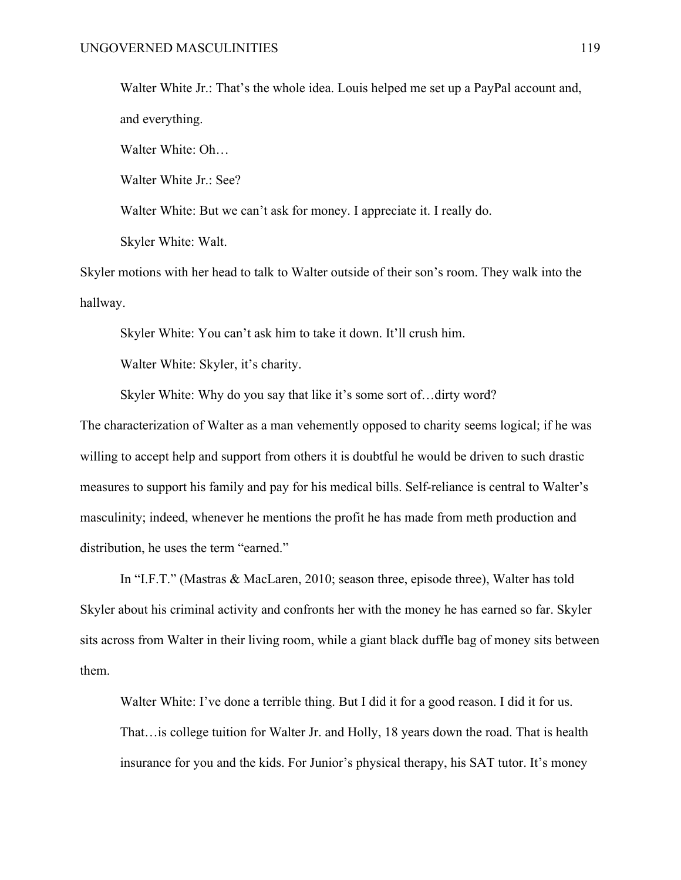Walter White Jr.: That's the whole idea. Louis helped me set up a PayPal account and, and everything. Walter White: Oh… Walter White Jr.: See?

Walter White: But we can't ask for money. I appreciate it. I really do.

Skyler White: Walt.

Skyler motions with her head to talk to Walter outside of their son's room. They walk into the hallway.

Skyler White: You can't ask him to take it down. It'll crush him.

Walter White: Skyler, it's charity.

Skyler White: Why do you say that like it's some sort of…dirty word?

The characterization of Walter as a man vehemently opposed to charity seems logical; if he was willing to accept help and support from others it is doubtful he would be driven to such drastic measures to support his family and pay for his medical bills. Self-reliance is central to Walter's masculinity; indeed, whenever he mentions the profit he has made from meth production and distribution, he uses the term "earned."

In "I.F.T." (Mastras & MacLaren, 2010; season three, episode three), Walter has told Skyler about his criminal activity and confronts her with the money he has earned so far. Skyler sits across from Walter in their living room, while a giant black duffle bag of money sits between them.

Walter White: I've done a terrible thing. But I did it for a good reason. I did it for us.

That…is college tuition for Walter Jr. and Holly, 18 years down the road. That is health insurance for you and the kids. For Junior's physical therapy, his SAT tutor. It's money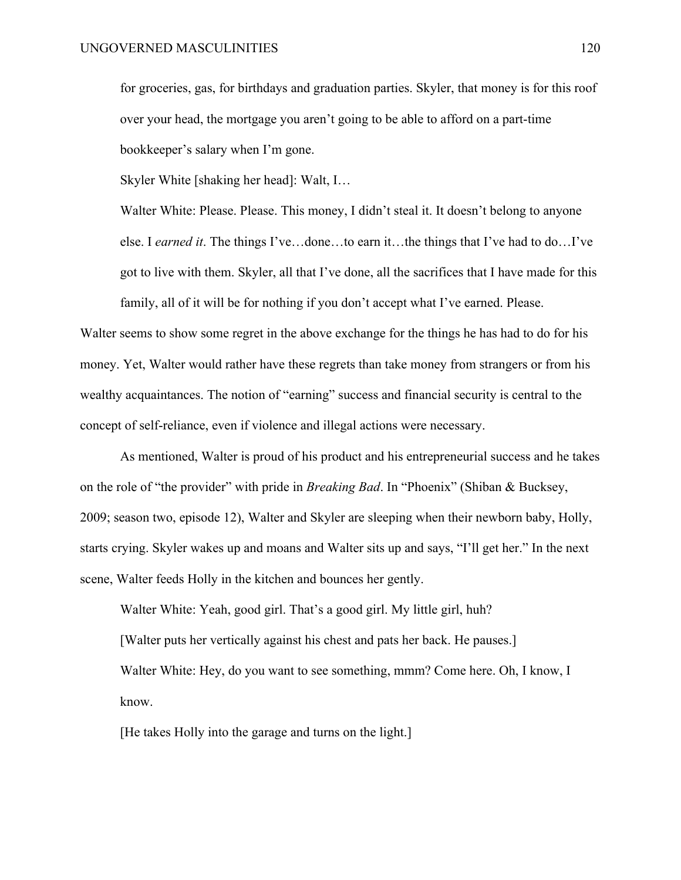for groceries, gas, for birthdays and graduation parties. Skyler, that money is for this roof over your head, the mortgage you aren't going to be able to afford on a part-time bookkeeper's salary when I'm gone.

Skyler White [shaking her head]: Walt, I…

Walter White: Please. Please. This money, I didn't steal it. It doesn't belong to anyone else. I *earned it*. The things I've…done…to earn it…the things that I've had to do…I've got to live with them. Skyler, all that I've done, all the sacrifices that I have made for this family, all of it will be for nothing if you don't accept what I've earned. Please.

Walter seems to show some regret in the above exchange for the things he has had to do for his money. Yet, Walter would rather have these regrets than take money from strangers or from his wealthy acquaintances. The notion of "earning" success and financial security is central to the concept of self-reliance, even if violence and illegal actions were necessary.

As mentioned, Walter is proud of his product and his entrepreneurial success and he takes on the role of "the provider" with pride in *Breaking Bad*. In "Phoenix" (Shiban & Bucksey, 2009; season two, episode 12), Walter and Skyler are sleeping when their newborn baby, Holly, starts crying. Skyler wakes up and moans and Walter sits up and says, "I'll get her." In the next scene, Walter feeds Holly in the kitchen and bounces her gently.

Walter White: Yeah, good girl. That's a good girl. My little girl, huh? [Walter puts her vertically against his chest and pats her back. He pauses.] Walter White: Hey, do you want to see something, mmm? Come here. Oh, I know, I know.

[He takes Holly into the garage and turns on the light.]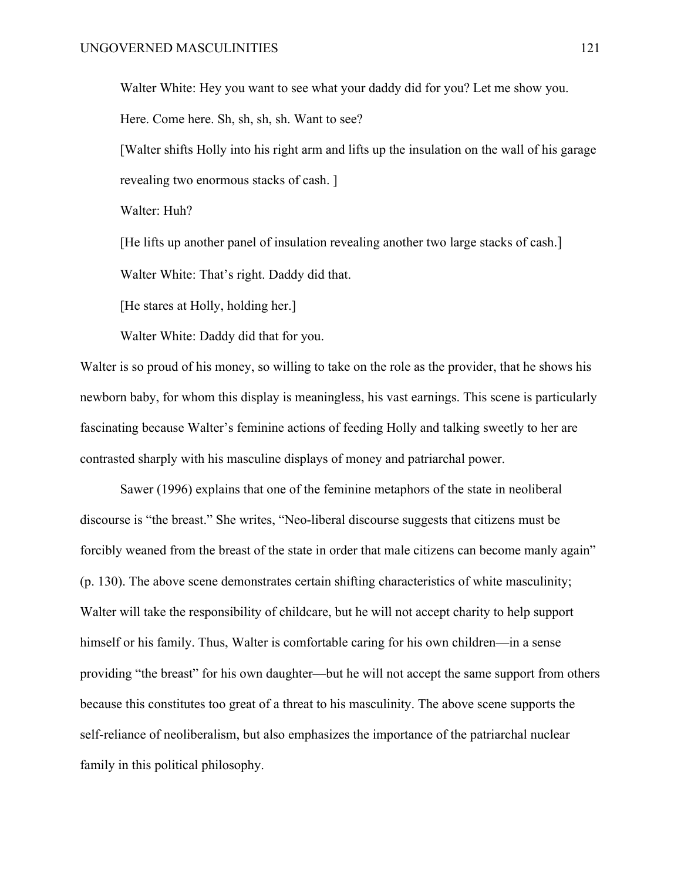Walter White: Hey you want to see what your daddy did for you? Let me show you.

Here. Come here. Sh, sh, sh, sh. Want to see?

[Walter shifts Holly into his right arm and lifts up the insulation on the wall of his garage revealing two enormous stacks of cash. ]

Walter: Huh?

[He lifts up another panel of insulation revealing another two large stacks of cash.]

Walter White: That's right. Daddy did that.

[He stares at Holly, holding her.]

Walter White: Daddy did that for you.

Walter is so proud of his money, so willing to take on the role as the provider, that he shows his newborn baby, for whom this display is meaningless, his vast earnings. This scene is particularly fascinating because Walter's feminine actions of feeding Holly and talking sweetly to her are contrasted sharply with his masculine displays of money and patriarchal power.

Sawer (1996) explains that one of the feminine metaphors of the state in neoliberal discourse is "the breast." She writes, "Neo-liberal discourse suggests that citizens must be forcibly weaned from the breast of the state in order that male citizens can become manly again" (p. 130). The above scene demonstrates certain shifting characteristics of white masculinity; Walter will take the responsibility of childcare, but he will not accept charity to help support himself or his family. Thus, Walter is comfortable caring for his own children—in a sense providing "the breast" for his own daughter—but he will not accept the same support from others because this constitutes too great of a threat to his masculinity. The above scene supports the self-reliance of neoliberalism, but also emphasizes the importance of the patriarchal nuclear family in this political philosophy.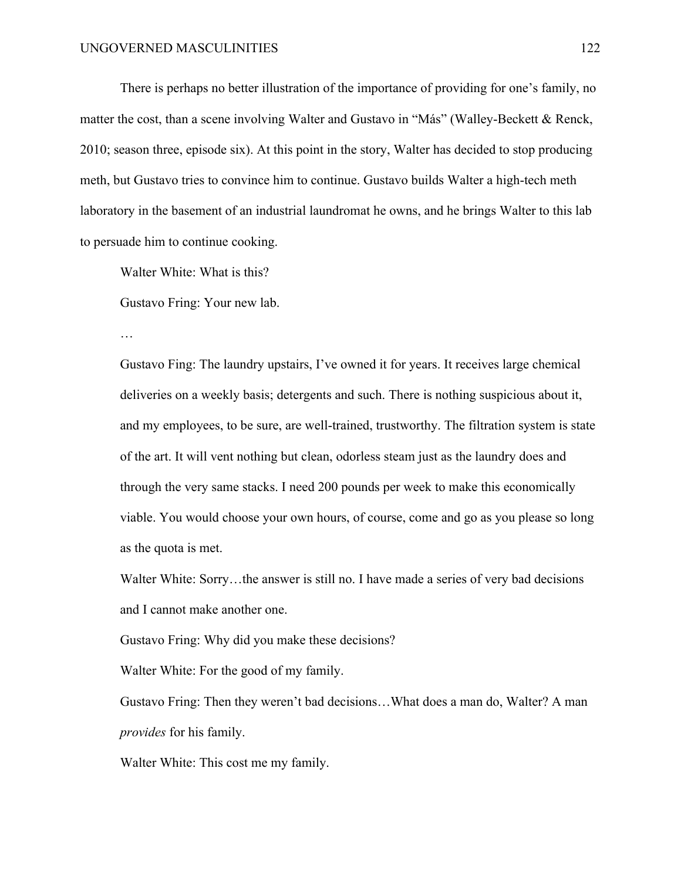There is perhaps no better illustration of the importance of providing for one's family, no matter the cost, than a scene involving Walter and Gustavo in "Más" (Walley-Beckett & Renck, 2010; season three, episode six). At this point in the story, Walter has decided to stop producing meth, but Gustavo tries to convince him to continue. Gustavo builds Walter a high-tech meth laboratory in the basement of an industrial laundromat he owns, and he brings Walter to this lab to persuade him to continue cooking.

Walter White: What is this?

Gustavo Fring: Your new lab.

…

Gustavo Fing: The laundry upstairs, I've owned it for years. It receives large chemical deliveries on a weekly basis; detergents and such. There is nothing suspicious about it, and my employees, to be sure, are well-trained, trustworthy. The filtration system is state of the art. It will vent nothing but clean, odorless steam just as the laundry does and through the very same stacks. I need 200 pounds per week to make this economically viable. You would choose your own hours, of course, come and go as you please so long as the quota is met.

Walter White: Sorry...the answer is still no. I have made a series of very bad decisions and I cannot make another one.

Gustavo Fring: Why did you make these decisions?

Walter White: For the good of my family.

Gustavo Fring: Then they weren't bad decisions…What does a man do, Walter? A man *provides* for his family.

Walter White: This cost me my family.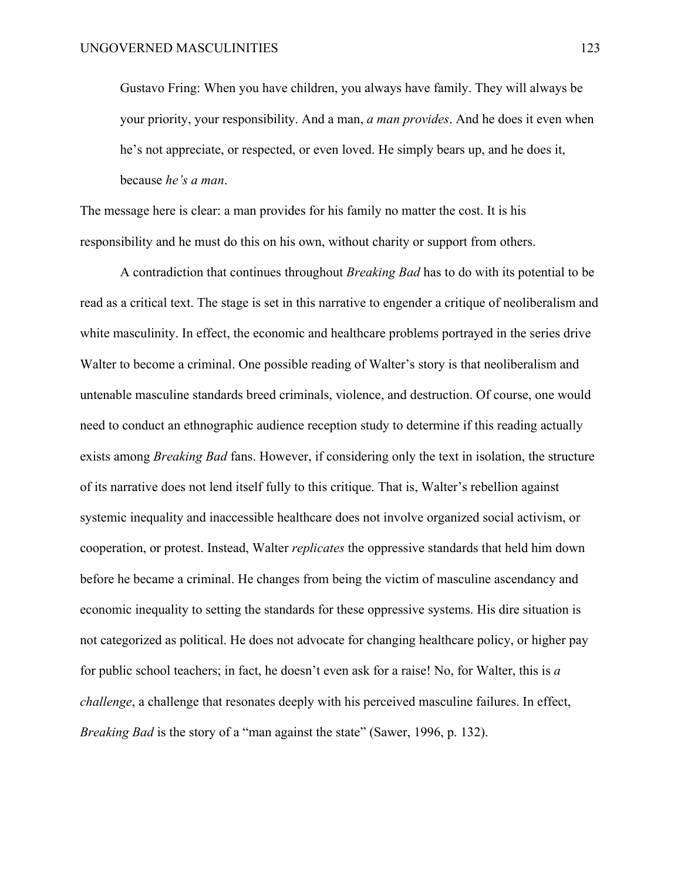Gustavo Fring: When you have children, you always have family. They will always be your priority, your responsibility. And a man, *a man provides*. And he does it even when he's not appreciate, or respected, or even loved. He simply bears up, and he does it, because *he's a man*.

The message here is clear: a man provides for his family no matter the cost. It is his responsibility and he must do this on his own, without charity or support from others.

A contradiction that continues throughout *Breaking Bad* has to do with its potential to be read as a critical text. The stage is set in this narrative to engender a critique of neoliberalism and white masculinity. In effect, the economic and healthcare problems portrayed in the series drive Walter to become a criminal. One possible reading of Walter's story is that neoliberalism and untenable masculine standards breed criminals, violence, and destruction. Of course, one would need to conduct an ethnographic audience reception study to determine if this reading actually exists among *Breaking Bad* fans. However, if considering only the text in isolation, the structure of its narrative does not lend itself fully to this critique. That is, Walter's rebellion against systemic inequality and inaccessible healthcare does not involve organized social activism, or cooperation, or protest. Instead, Walter *replicates* the oppressive standards that held him down before he became a criminal. He changes from being the victim of masculine ascendancy and economic inequality to setting the standards for these oppressive systems. His dire situation is not categorized as political. He does not advocate for changing healthcare policy, or higher pay for public school teachers; in fact, he doesn't even ask for a raise! No, for Walter, this is *a challenge*, a challenge that resonates deeply with his perceived masculine failures. In effect, *Breaking Bad* is the story of a "man against the state" (Sawer, 1996, p. 132).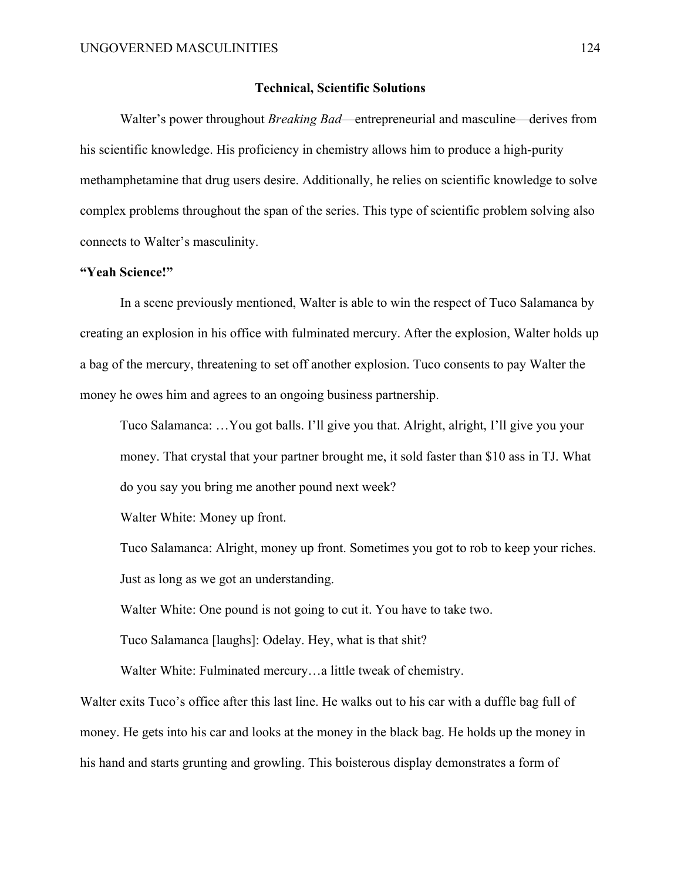#### **Technical, Scientific Solutions**

Walter's power throughout *Breaking Bad*—entrepreneurial and masculine—derives from his scientific knowledge. His proficiency in chemistry allows him to produce a high-purity methamphetamine that drug users desire. Additionally, he relies on scientific knowledge to solve complex problems throughout the span of the series. This type of scientific problem solving also connects to Walter's masculinity.

# **"Yeah Science!"**

In a scene previously mentioned, Walter is able to win the respect of Tuco Salamanca by creating an explosion in his office with fulminated mercury. After the explosion, Walter holds up a bag of the mercury, threatening to set off another explosion. Tuco consents to pay Walter the money he owes him and agrees to an ongoing business partnership.

Tuco Salamanca: …You got balls. I'll give you that. Alright, alright, I'll give you your money. That crystal that your partner brought me, it sold faster than \$10 ass in TJ. What do you say you bring me another pound next week?

Walter White: Money up front.

Tuco Salamanca: Alright, money up front. Sometimes you got to rob to keep your riches. Just as long as we got an understanding.

Walter White: One pound is not going to cut it. You have to take two.

Tuco Salamanca [laughs]: Odelay. Hey, what is that shit?

Walter White: Fulminated mercury…a little tweak of chemistry.

Walter exits Tuco's office after this last line. He walks out to his car with a duffle bag full of money. He gets into his car and looks at the money in the black bag. He holds up the money in his hand and starts grunting and growling. This boisterous display demonstrates a form of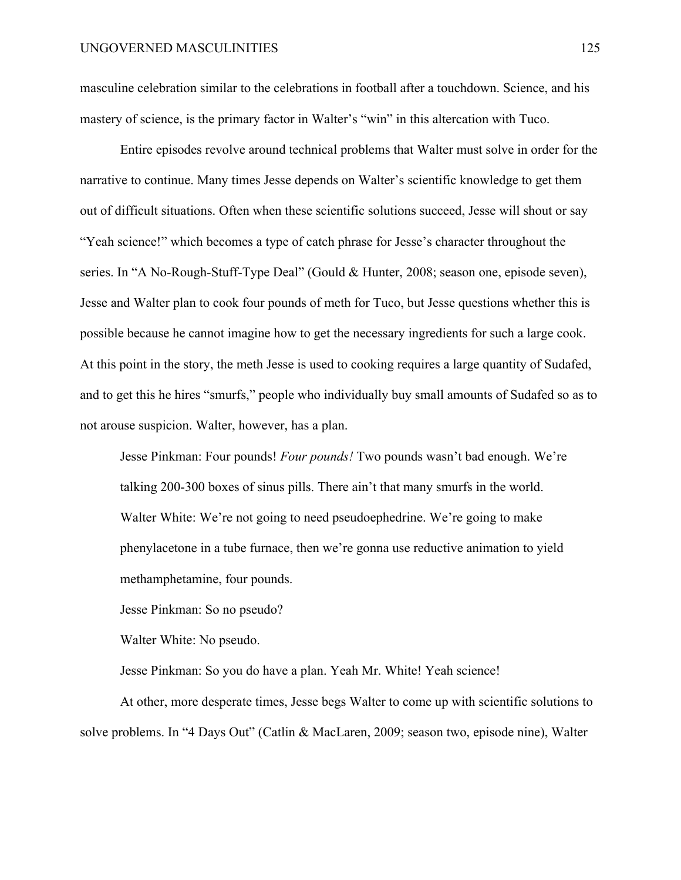masculine celebration similar to the celebrations in football after a touchdown. Science, and his mastery of science, is the primary factor in Walter's "win" in this altercation with Tuco.

Entire episodes revolve around technical problems that Walter must solve in order for the narrative to continue. Many times Jesse depends on Walter's scientific knowledge to get them out of difficult situations. Often when these scientific solutions succeed, Jesse will shout or say "Yeah science!" which becomes a type of catch phrase for Jesse's character throughout the series. In "A No-Rough-Stuff-Type Deal" (Gould & Hunter, 2008; season one, episode seven), Jesse and Walter plan to cook four pounds of meth for Tuco, but Jesse questions whether this is possible because he cannot imagine how to get the necessary ingredients for such a large cook. At this point in the story, the meth Jesse is used to cooking requires a large quantity of Sudafed, and to get this he hires "smurfs," people who individually buy small amounts of Sudafed so as to not arouse suspicion. Walter, however, has a plan.

Jesse Pinkman: Four pounds! *Four pounds!* Two pounds wasn't bad enough. We're talking 200-300 boxes of sinus pills. There ain't that many smurfs in the world. Walter White: We're not going to need pseudoephedrine. We're going to make phenylacetone in a tube furnace, then we're gonna use reductive animation to yield methamphetamine, four pounds.

Jesse Pinkman: So no pseudo?

Walter White: No pseudo.

Jesse Pinkman: So you do have a plan. Yeah Mr. White! Yeah science!

At other, more desperate times, Jesse begs Walter to come up with scientific solutions to solve problems. In "4 Days Out" (Catlin & MacLaren, 2009; season two, episode nine), Walter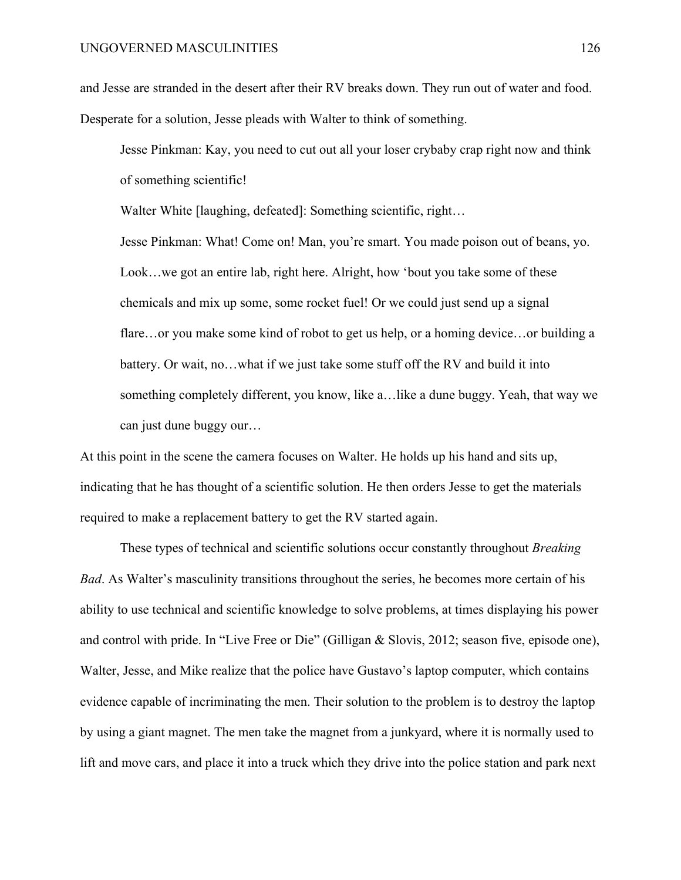and Jesse are stranded in the desert after their RV breaks down. They run out of water and food. Desperate for a solution, Jesse pleads with Walter to think of something.

Jesse Pinkman: Kay, you need to cut out all your loser crybaby crap right now and think of something scientific!

Walter White [laughing, defeated]: Something scientific, right...

Jesse Pinkman: What! Come on! Man, you're smart. You made poison out of beans, yo. Look…we got an entire lab, right here. Alright, how 'bout you take some of these chemicals and mix up some, some rocket fuel! Or we could just send up a signal flare...or you make some kind of robot to get us help, or a homing device...or building a battery. Or wait, no…what if we just take some stuff off the RV and build it into something completely different, you know, like a…like a dune buggy. Yeah, that way we can just dune buggy our…

At this point in the scene the camera focuses on Walter. He holds up his hand and sits up, indicating that he has thought of a scientific solution. He then orders Jesse to get the materials required to make a replacement battery to get the RV started again.

These types of technical and scientific solutions occur constantly throughout *Breaking Bad*. As Walter's masculinity transitions throughout the series, he becomes more certain of his ability to use technical and scientific knowledge to solve problems, at times displaying his power and control with pride. In "Live Free or Die" (Gilligan & Slovis, 2012; season five, episode one), Walter, Jesse, and Mike realize that the police have Gustavo's laptop computer, which contains evidence capable of incriminating the men. Their solution to the problem is to destroy the laptop by using a giant magnet. The men take the magnet from a junkyard, where it is normally used to lift and move cars, and place it into a truck which they drive into the police station and park next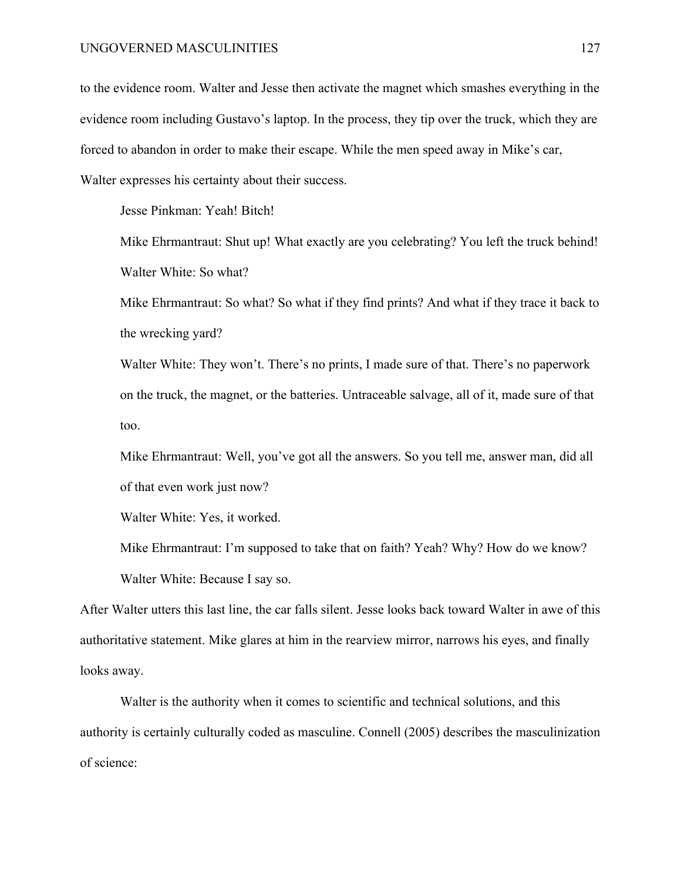to the evidence room. Walter and Jesse then activate the magnet which smashes everything in the evidence room including Gustavo's laptop. In the process, they tip over the truck, which they are forced to abandon in order to make their escape. While the men speed away in Mike's car, Walter expresses his certainty about their success.

Jesse Pinkman: Yeah! Bitch!

Mike Ehrmantraut: Shut up! What exactly are you celebrating? You left the truck behind! Walter White: So what?

Mike Ehrmantraut: So what? So what if they find prints? And what if they trace it back to the wrecking yard?

Walter White: They won't. There's no prints, I made sure of that. There's no paperwork on the truck, the magnet, or the batteries. Untraceable salvage, all of it, made sure of that too.

Mike Ehrmantraut: Well, you've got all the answers. So you tell me, answer man, did all of that even work just now?

Walter White: Yes, it worked.

Mike Ehrmantraut: I'm supposed to take that on faith? Yeah? Why? How do we know? Walter White: Because I say so.

After Walter utters this last line, the car falls silent. Jesse looks back toward Walter in awe of this authoritative statement. Mike glares at him in the rearview mirror, narrows his eyes, and finally looks away.

Walter is the authority when it comes to scientific and technical solutions, and this authority is certainly culturally coded as masculine. Connell (2005) describes the masculinization of science: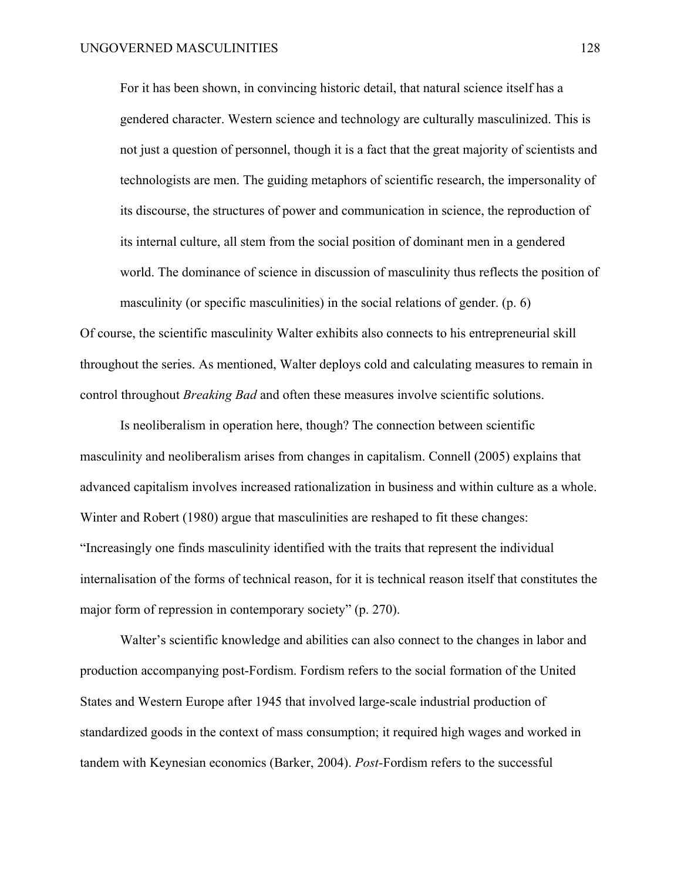For it has been shown, in convincing historic detail, that natural science itself has a gendered character. Western science and technology are culturally masculinized. This is not just a question of personnel, though it is a fact that the great majority of scientists and technologists are men. The guiding metaphors of scientific research, the impersonality of its discourse, the structures of power and communication in science, the reproduction of its internal culture, all stem from the social position of dominant men in a gendered world. The dominance of science in discussion of masculinity thus reflects the position of masculinity (or specific masculinities) in the social relations of gender. (p. 6)

Of course, the scientific masculinity Walter exhibits also connects to his entrepreneurial skill throughout the series. As mentioned, Walter deploys cold and calculating measures to remain in control throughout *Breaking Bad* and often these measures involve scientific solutions.

Is neoliberalism in operation here, though? The connection between scientific masculinity and neoliberalism arises from changes in capitalism. Connell (2005) explains that advanced capitalism involves increased rationalization in business and within culture as a whole. Winter and Robert (1980) argue that masculinities are reshaped to fit these changes: "Increasingly one finds masculinity identified with the traits that represent the individual internalisation of the forms of technical reason, for it is technical reason itself that constitutes the major form of repression in contemporary society" (p. 270).

Walter's scientific knowledge and abilities can also connect to the changes in labor and production accompanying post-Fordism. Fordism refers to the social formation of the United States and Western Europe after 1945 that involved large-scale industrial production of standardized goods in the context of mass consumption; it required high wages and worked in tandem with Keynesian economics (Barker, 2004). *Post-*Fordism refers to the successful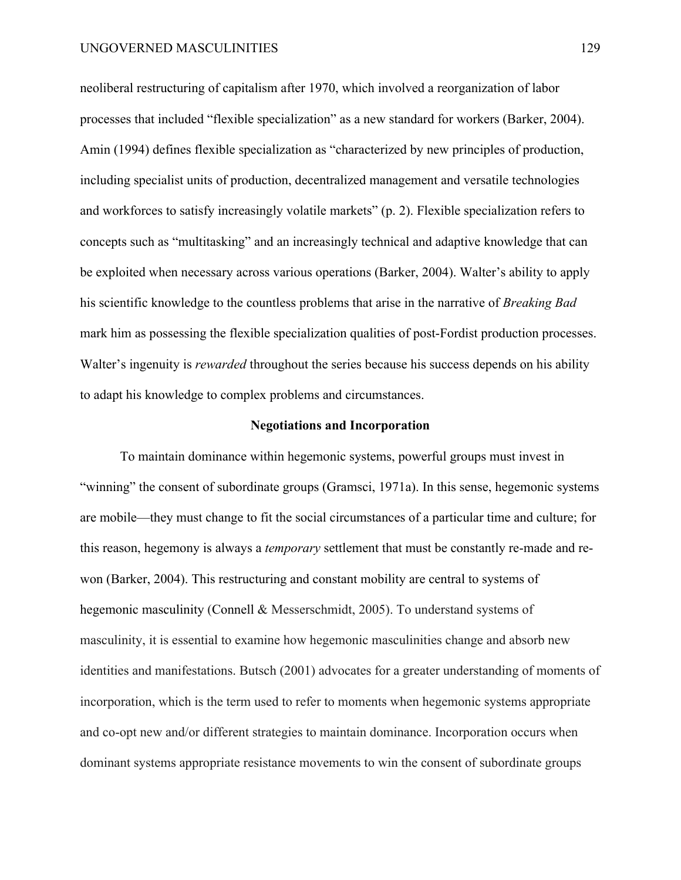neoliberal restructuring of capitalism after 1970, which involved a reorganization of labor processes that included "flexible specialization" as a new standard for workers (Barker, 2004). Amin (1994) defines flexible specialization as "characterized by new principles of production, including specialist units of production, decentralized management and versatile technologies and workforces to satisfy increasingly volatile markets" (p. 2). Flexible specialization refers to concepts such as "multitasking" and an increasingly technical and adaptive knowledge that can be exploited when necessary across various operations (Barker, 2004). Walter's ability to apply his scientific knowledge to the countless problems that arise in the narrative of *Breaking Bad* mark him as possessing the flexible specialization qualities of post-Fordist production processes. Walter's ingenuity is *rewarded* throughout the series because his success depends on his ability to adapt his knowledge to complex problems and circumstances.

## **Negotiations and Incorporation**

To maintain dominance within hegemonic systems, powerful groups must invest in "winning" the consent of subordinate groups (Gramsci, 1971a). In this sense, hegemonic systems are mobile—they must change to fit the social circumstances of a particular time and culture; for this reason, hegemony is always a *temporary* settlement that must be constantly re-made and rewon (Barker, 2004). This restructuring and constant mobility are central to systems of hegemonic masculinity (Connell & Messerschmidt, 2005). To understand systems of masculinity, it is essential to examine how hegemonic masculinities change and absorb new identities and manifestations. Butsch (2001) advocates for a greater understanding of moments of incorporation, which is the term used to refer to moments when hegemonic systems appropriate and co-opt new and/or different strategies to maintain dominance. Incorporation occurs when dominant systems appropriate resistance movements to win the consent of subordinate groups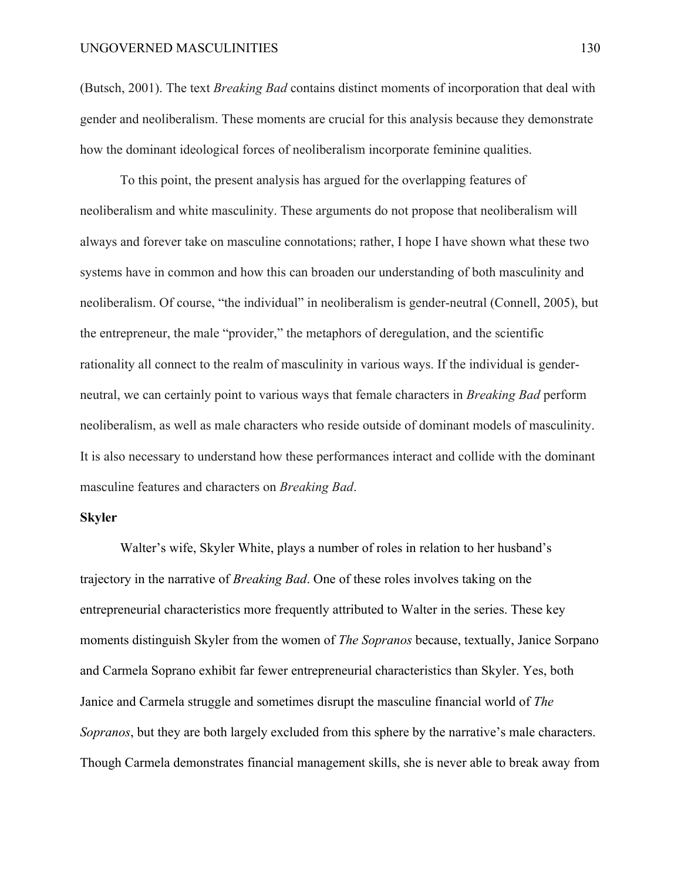### UNGOVERNED MASCULINITIES 130

(Butsch, 2001). The text *Breaking Bad* contains distinct moments of incorporation that deal with gender and neoliberalism. These moments are crucial for this analysis because they demonstrate how the dominant ideological forces of neoliberalism incorporate feminine qualities.

To this point, the present analysis has argued for the overlapping features of neoliberalism and white masculinity. These arguments do not propose that neoliberalism will always and forever take on masculine connotations; rather, I hope I have shown what these two systems have in common and how this can broaden our understanding of both masculinity and neoliberalism. Of course, "the individual" in neoliberalism is gender-neutral (Connell, 2005), but the entrepreneur, the male "provider," the metaphors of deregulation, and the scientific rationality all connect to the realm of masculinity in various ways. If the individual is genderneutral, we can certainly point to various ways that female characters in *Breaking Bad* perform neoliberalism, as well as male characters who reside outside of dominant models of masculinity. It is also necessary to understand how these performances interact and collide with the dominant masculine features and characters on *Breaking Bad*.

# **Skyler**

Walter's wife, Skyler White, plays a number of roles in relation to her husband's trajectory in the narrative of *Breaking Bad*. One of these roles involves taking on the entrepreneurial characteristics more frequently attributed to Walter in the series. These key moments distinguish Skyler from the women of *The Sopranos* because, textually, Janice Sorpano and Carmela Soprano exhibit far fewer entrepreneurial characteristics than Skyler. Yes, both Janice and Carmela struggle and sometimes disrupt the masculine financial world of *The Sopranos*, but they are both largely excluded from this sphere by the narrative's male characters. Though Carmela demonstrates financial management skills, she is never able to break away from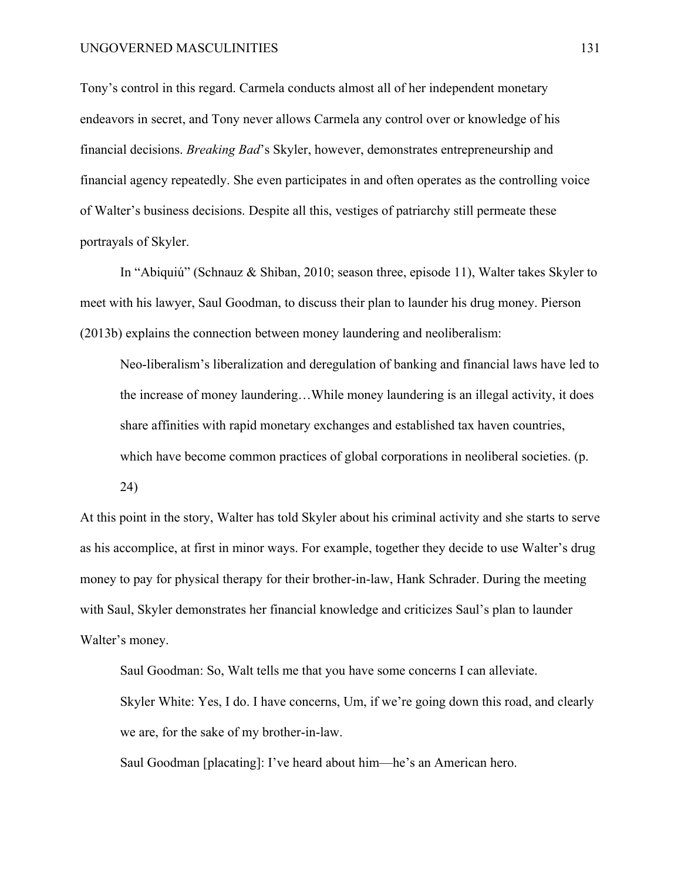## UNGOVERNED MASCULINITIES 131

Tony's control in this regard. Carmela conducts almost all of her independent monetary endeavors in secret, and Tony never allows Carmela any control over or knowledge of his financial decisions. *Breaking Bad*'s Skyler, however, demonstrates entrepreneurship and financial agency repeatedly. She even participates in and often operates as the controlling voice of Walter's business decisions. Despite all this, vestiges of patriarchy still permeate these portrayals of Skyler.

In "Abiquiú" (Schnauz & Shiban, 2010; season three, episode 11), Walter takes Skyler to meet with his lawyer, Saul Goodman, to discuss their plan to launder his drug money. Pierson (2013b) explains the connection between money laundering and neoliberalism:

Neo-liberalism's liberalization and deregulation of banking and financial laws have led to the increase of money laundering…While money laundering is an illegal activity, it does share affinities with rapid monetary exchanges and established tax haven countries, which have become common practices of global corporations in neoliberal societies. (p. 24)

At this point in the story, Walter has told Skyler about his criminal activity and she starts to serve as his accomplice, at first in minor ways. For example, together they decide to use Walter's drug money to pay for physical therapy for their brother-in-law, Hank Schrader. During the meeting with Saul, Skyler demonstrates her financial knowledge and criticizes Saul's plan to launder Walter's money.

Saul Goodman: So, Walt tells me that you have some concerns I can alleviate. Skyler White: Yes, I do. I have concerns, Um, if we're going down this road, and clearly we are, for the sake of my brother-in-law.

Saul Goodman [placating]: I've heard about him—he's an American hero.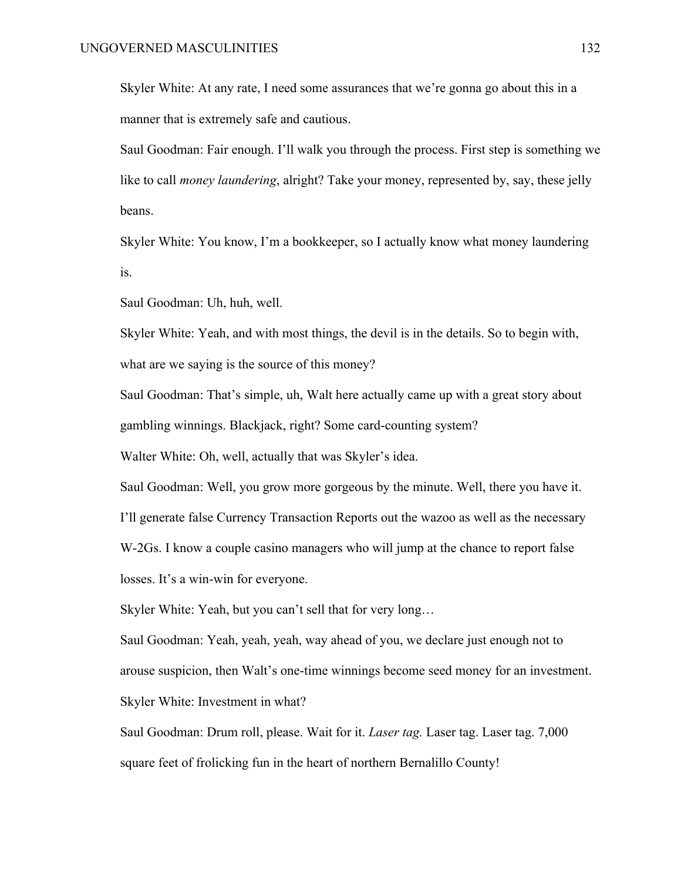Skyler White: At any rate, I need some assurances that we're gonna go about this in a manner that is extremely safe and cautious.

Saul Goodman: Fair enough. I'll walk you through the process. First step is something we like to call *money laundering*, alright? Take your money, represented by, say, these jelly beans.

Skyler White: You know, I'm a bookkeeper, so I actually know what money laundering is.

Saul Goodman: Uh, huh, well.

Skyler White: Yeah, and with most things, the devil is in the details. So to begin with, what are we saying is the source of this money?

Saul Goodman: That's simple, uh, Walt here actually came up with a great story about gambling winnings. Blackjack, right? Some card-counting system?

Walter White: Oh, well, actually that was Skyler's idea.

Saul Goodman: Well, you grow more gorgeous by the minute. Well, there you have it. I'll generate false Currency Transaction Reports out the wazoo as well as the necessary W-2Gs. I know a couple casino managers who will jump at the chance to report false losses. It's a win-win for everyone.

Skyler White: Yeah, but you can't sell that for very long…

Saul Goodman: Yeah, yeah, yeah, way ahead of you, we declare just enough not to arouse suspicion, then Walt's one-time winnings become seed money for an investment. Skyler White: Investment in what?

Saul Goodman: Drum roll, please. Wait for it. *Laser tag.* Laser tag. Laser tag. 7,000 square feet of frolicking fun in the heart of northern Bernalillo County!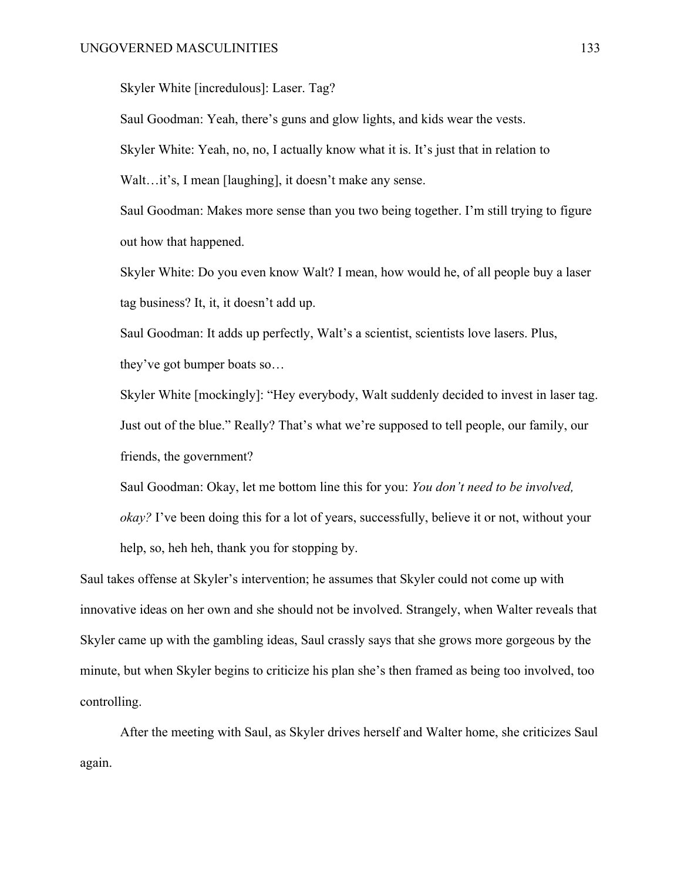Skyler White [incredulous]: Laser. Tag?

Saul Goodman: Yeah, there's guns and glow lights, and kids wear the vests.

Skyler White: Yeah, no, no, I actually know what it is. It's just that in relation to

Walt…it's, I mean [laughing], it doesn't make any sense.

Saul Goodman: Makes more sense than you two being together. I'm still trying to figure out how that happened.

Skyler White: Do you even know Walt? I mean, how would he, of all people buy a laser tag business? It, it, it doesn't add up.

Saul Goodman: It adds up perfectly, Walt's a scientist, scientists love lasers. Plus, they've got bumper boats so…

Skyler White [mockingly]: "Hey everybody, Walt suddenly decided to invest in laser tag. Just out of the blue." Really? That's what we're supposed to tell people, our family, our friends, the government?

Saul Goodman: Okay, let me bottom line this for you: *You don't need to be involved, okay?* I've been doing this for a lot of years, successfully, believe it or not, without your help, so, heh heh, thank you for stopping by.

Saul takes offense at Skyler's intervention; he assumes that Skyler could not come up with innovative ideas on her own and she should not be involved. Strangely, when Walter reveals that Skyler came up with the gambling ideas, Saul crassly says that she grows more gorgeous by the minute, but when Skyler begins to criticize his plan she's then framed as being too involved, too controlling.

After the meeting with Saul, as Skyler drives herself and Walter home, she criticizes Saul again.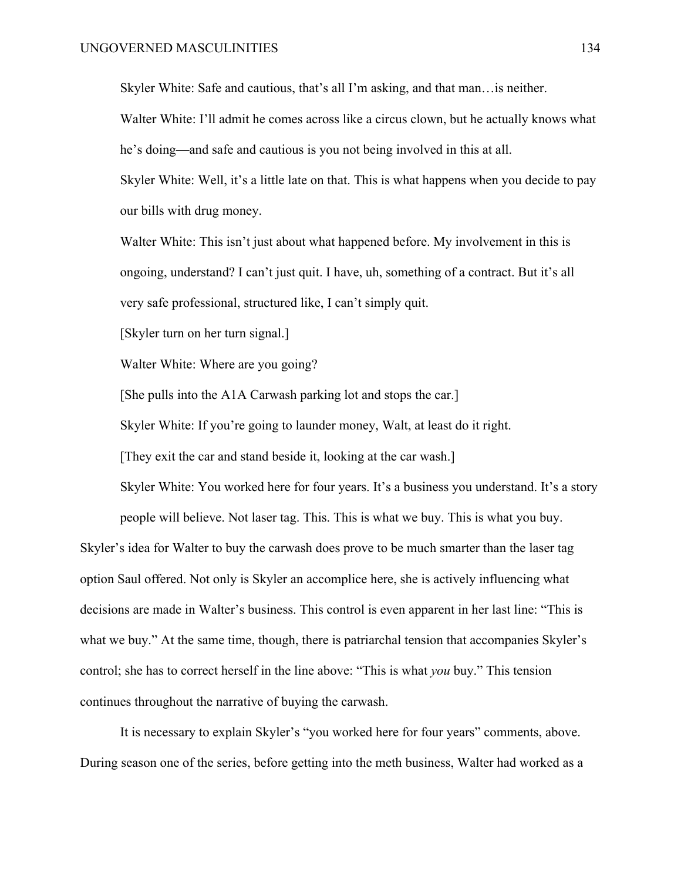Skyler White: Safe and cautious, that's all I'm asking, and that man…is neither.

Walter White: I'll admit he comes across like a circus clown, but he actually knows what he's doing—and safe and cautious is you not being involved in this at all.

Skyler White: Well, it's a little late on that. This is what happens when you decide to pay our bills with drug money.

Walter White: This isn't just about what happened before. My involvement in this is ongoing, understand? I can't just quit. I have, uh, something of a contract. But it's all very safe professional, structured like, I can't simply quit.

[Skyler turn on her turn signal.]

Walter White: Where are you going?

[She pulls into the A1A Carwash parking lot and stops the car.]

Skyler White: If you're going to launder money, Walt, at least do it right.

[They exit the car and stand beside it, looking at the car wash.]

Skyler White: You worked here for four years. It's a business you understand. It's a story

people will believe. Not laser tag. This. This is what we buy. This is what you buy. Skyler's idea for Walter to buy the carwash does prove to be much smarter than the laser tag option Saul offered. Not only is Skyler an accomplice here, she is actively influencing what decisions are made in Walter's business. This control is even apparent in her last line: "This is what we buy." At the same time, though, there is patriarchal tension that accompanies Skyler's control; she has to correct herself in the line above: "This is what *you* buy." This tension continues throughout the narrative of buying the carwash.

It is necessary to explain Skyler's "you worked here for four years" comments, above. During season one of the series, before getting into the meth business, Walter had worked as a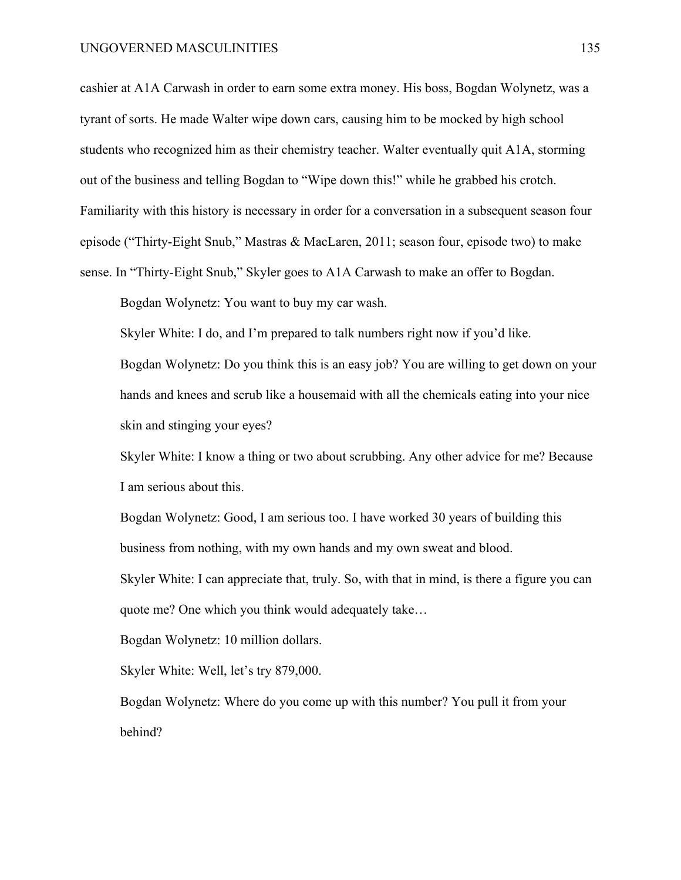cashier at A1A Carwash in order to earn some extra money. His boss, Bogdan Wolynetz, was a tyrant of sorts. He made Walter wipe down cars, causing him to be mocked by high school students who recognized him as their chemistry teacher. Walter eventually quit A1A, storming out of the business and telling Bogdan to "Wipe down this!" while he grabbed his crotch. Familiarity with this history is necessary in order for a conversation in a subsequent season four episode ("Thirty-Eight Snub," Mastras & MacLaren, 2011; season four, episode two) to make sense. In "Thirty-Eight Snub," Skyler goes to A1A Carwash to make an offer to Bogdan.

Bogdan Wolynetz: You want to buy my car wash.

Skyler White: I do, and I'm prepared to talk numbers right now if you'd like.

Bogdan Wolynetz: Do you think this is an easy job? You are willing to get down on your hands and knees and scrub like a housemaid with all the chemicals eating into your nice skin and stinging your eyes?

Skyler White: I know a thing or two about scrubbing. Any other advice for me? Because I am serious about this.

Bogdan Wolynetz: Good, I am serious too. I have worked 30 years of building this business from nothing, with my own hands and my own sweat and blood.

Skyler White: I can appreciate that, truly. So, with that in mind, is there a figure you can quote me? One which you think would adequately take…

Bogdan Wolynetz: 10 million dollars.

Skyler White: Well, let's try 879,000.

Bogdan Wolynetz: Where do you come up with this number? You pull it from your behind?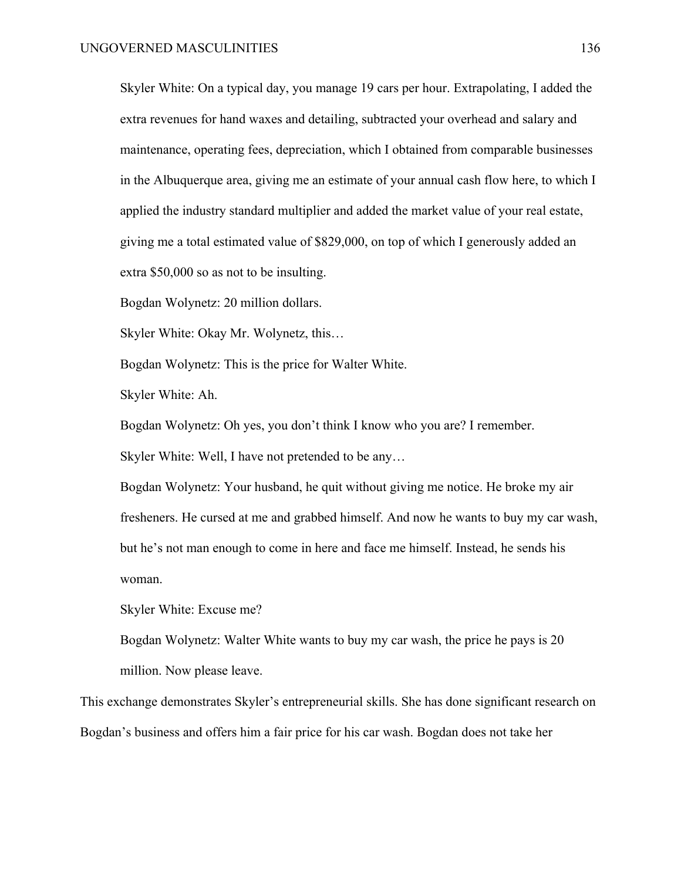Skyler White: On a typical day, you manage 19 cars per hour. Extrapolating, I added the extra revenues for hand waxes and detailing, subtracted your overhead and salary and maintenance, operating fees, depreciation, which I obtained from comparable businesses in the Albuquerque area, giving me an estimate of your annual cash flow here, to which I applied the industry standard multiplier and added the market value of your real estate, giving me a total estimated value of \$829,000, on top of which I generously added an extra \$50,000 so as not to be insulting.

Bogdan Wolynetz: 20 million dollars.

Skyler White: Okay Mr. Wolynetz, this…

Bogdan Wolynetz: This is the price for Walter White.

Skyler White: Ah.

Bogdan Wolynetz: Oh yes, you don't think I know who you are? I remember.

Skyler White: Well, I have not pretended to be any…

Bogdan Wolynetz: Your husband, he quit without giving me notice. He broke my air fresheners. He cursed at me and grabbed himself. And now he wants to buy my car wash, but he's not man enough to come in here and face me himself. Instead, he sends his woman.

Skyler White: Excuse me?

Bogdan Wolynetz: Walter White wants to buy my car wash, the price he pays is 20 million. Now please leave.

This exchange demonstrates Skyler's entrepreneurial skills. She has done significant research on Bogdan's business and offers him a fair price for his car wash. Bogdan does not take her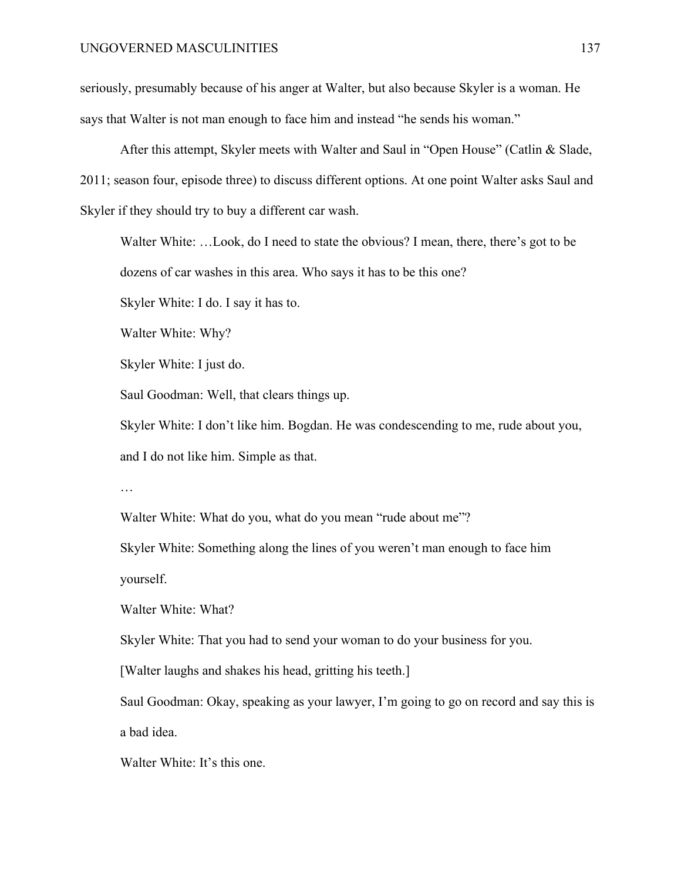seriously, presumably because of his anger at Walter, but also because Skyler is a woman. He says that Walter is not man enough to face him and instead "he sends his woman."

After this attempt, Skyler meets with Walter and Saul in "Open House" (Catlin & Slade, 2011; season four, episode three) to discuss different options. At one point Walter asks Saul and Skyler if they should try to buy a different car wash.

Walter White: ...Look, do I need to state the obvious? I mean, there, there's got to be dozens of car washes in this area. Who says it has to be this one?

Skyler White: I do. I say it has to.

Walter White: Why?

Skyler White: I just do.

Saul Goodman: Well, that clears things up.

Skyler White: I don't like him. Bogdan. He was condescending to me, rude about you, and I do not like him. Simple as that.

…

Walter White: What do you, what do you mean "rude about me"?

Skyler White: Something along the lines of you weren't man enough to face him yourself.

Walter White: What?

Skyler White: That you had to send your woman to do your business for you.

[Walter laughs and shakes his head, gritting his teeth.]

Saul Goodman: Okay, speaking as your lawyer, I'm going to go on record and say this is a bad idea.

Walter White: It's this one.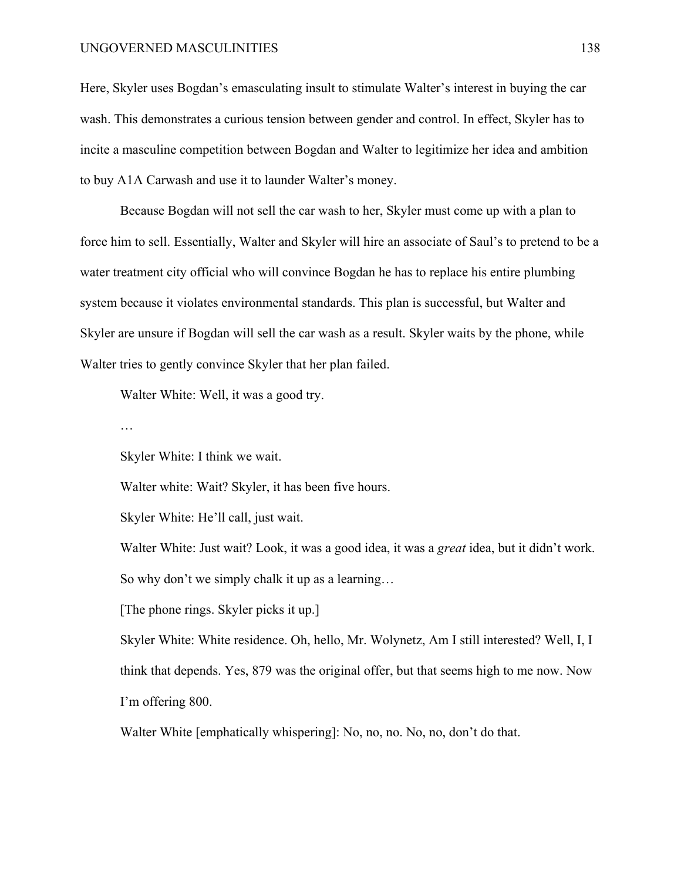### UNGOVERNED MASCULINITIES 138

Here, Skyler uses Bogdan's emasculating insult to stimulate Walter's interest in buying the car wash. This demonstrates a curious tension between gender and control. In effect, Skyler has to incite a masculine competition between Bogdan and Walter to legitimize her idea and ambition to buy A1A Carwash and use it to launder Walter's money.

Because Bogdan will not sell the car wash to her, Skyler must come up with a plan to force him to sell. Essentially, Walter and Skyler will hire an associate of Saul's to pretend to be a water treatment city official who will convince Bogdan he has to replace his entire plumbing system because it violates environmental standards. This plan is successful, but Walter and Skyler are unsure if Bogdan will sell the car wash as a result. Skyler waits by the phone, while Walter tries to gently convince Skyler that her plan failed.

Walter White: Well, it was a good try.

…

Skyler White: I think we wait.

Walter white: Wait? Skyler, it has been five hours.

Skyler White: He'll call, just wait.

Walter White: Just wait? Look, it was a good idea, it was a *great* idea, but it didn't work. So why don't we simply chalk it up as a learning…

[The phone rings. Skyler picks it up.]

Skyler White: White residence. Oh, hello, Mr. Wolynetz, Am I still interested? Well, I, I think that depends. Yes, 879 was the original offer, but that seems high to me now. Now I'm offering 800.

Walter White [emphatically whispering]: No, no, no. No, no, don't do that.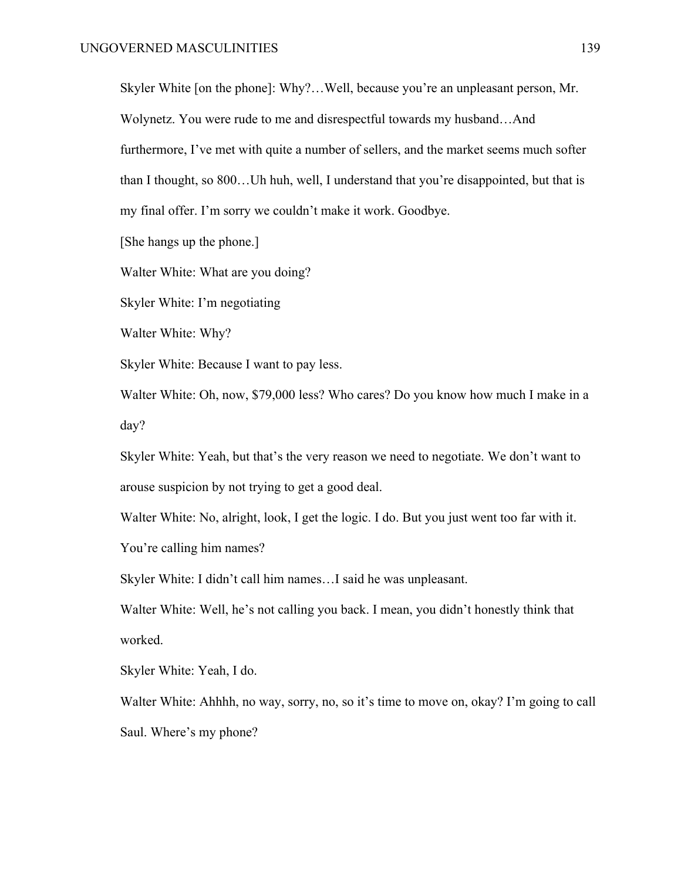Skyler White [on the phone]: Why?…Well, because you're an unpleasant person, Mr. Wolynetz. You were rude to me and disrespectful towards my husband…And furthermore, I've met with quite a number of sellers, and the market seems much softer than I thought, so 800…Uh huh, well, I understand that you're disappointed, but that is my final offer. I'm sorry we couldn't make it work. Goodbye.

[She hangs up the phone.]

Walter White: What are you doing?

Skyler White: I'm negotiating

Walter White: Why?

Skyler White: Because I want to pay less.

Walter White: Oh, now, \$79,000 less? Who cares? Do you know how much I make in a day?

Skyler White: Yeah, but that's the very reason we need to negotiate. We don't want to arouse suspicion by not trying to get a good deal.

Walter White: No, alright, look, I get the logic. I do. But you just went too far with it.

You're calling him names?

Skyler White: I didn't call him names…I said he was unpleasant.

Walter White: Well, he's not calling you back. I mean, you didn't honestly think that worked.

Skyler White: Yeah, I do.

Walter White: Ahhhh, no way, sorry, no, so it's time to move on, okay? I'm going to call Saul. Where's my phone?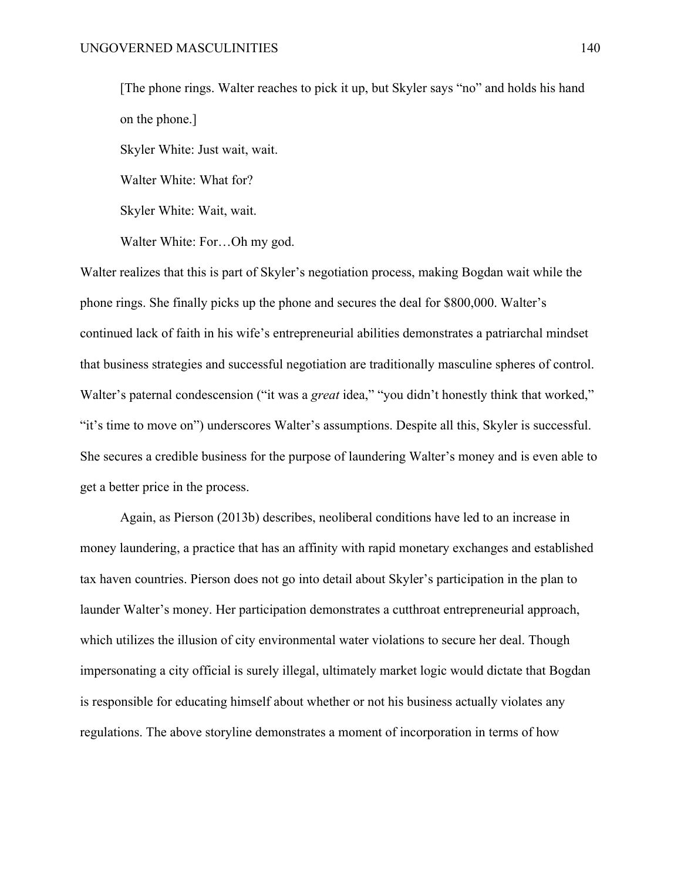[The phone rings. Walter reaches to pick it up, but Skyler says "no" and holds his hand on the phone.] Skyler White: Just wait, wait. Walter White: What for?

Skyler White: Wait, wait.

Walter White: For…Oh my god.

Walter realizes that this is part of Skyler's negotiation process, making Bogdan wait while the phone rings. She finally picks up the phone and secures the deal for \$800,000. Walter's continued lack of faith in his wife's entrepreneurial abilities demonstrates a patriarchal mindset that business strategies and successful negotiation are traditionally masculine spheres of control. Walter's paternal condescension ("it was a *great* idea," "you didn't honestly think that worked," "it's time to move on") underscores Walter's assumptions. Despite all this, Skyler is successful. She secures a credible business for the purpose of laundering Walter's money and is even able to get a better price in the process.

Again, as Pierson (2013b) describes, neoliberal conditions have led to an increase in money laundering, a practice that has an affinity with rapid monetary exchanges and established tax haven countries. Pierson does not go into detail about Skyler's participation in the plan to launder Walter's money. Her participation demonstrates a cutthroat entrepreneurial approach, which utilizes the illusion of city environmental water violations to secure her deal. Though impersonating a city official is surely illegal, ultimately market logic would dictate that Bogdan is responsible for educating himself about whether or not his business actually violates any regulations. The above storyline demonstrates a moment of incorporation in terms of how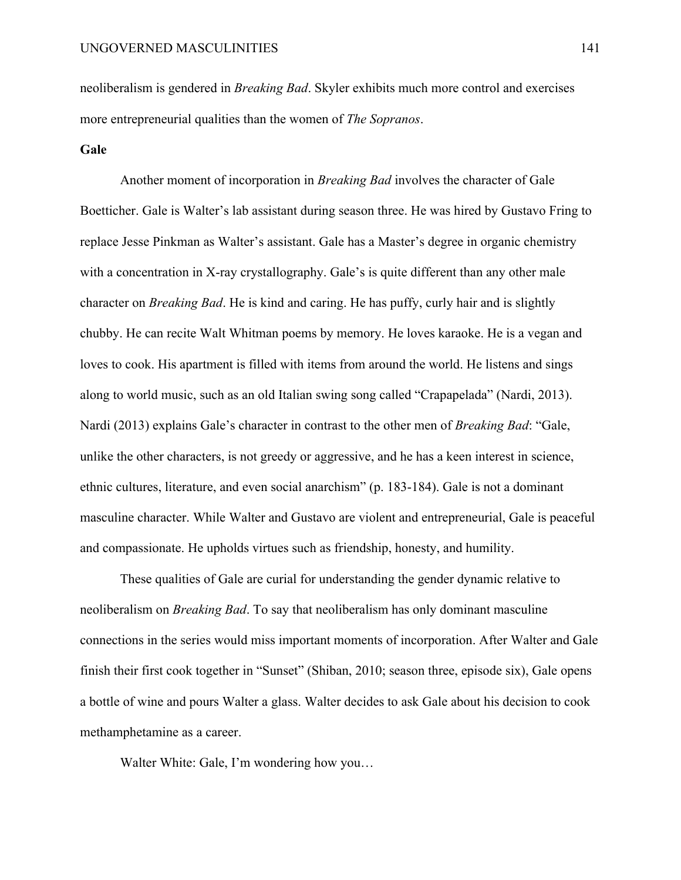neoliberalism is gendered in *Breaking Bad*. Skyler exhibits much more control and exercises more entrepreneurial qualities than the women of *The Sopranos*.

## **Gale**

Another moment of incorporation in *Breaking Bad* involves the character of Gale Boetticher. Gale is Walter's lab assistant during season three. He was hired by Gustavo Fring to replace Jesse Pinkman as Walter's assistant. Gale has a Master's degree in organic chemistry with a concentration in X-ray crystallography. Gale's is quite different than any other male character on *Breaking Bad*. He is kind and caring. He has puffy, curly hair and is slightly chubby. He can recite Walt Whitman poems by memory. He loves karaoke. He is a vegan and loves to cook. His apartment is filled with items from around the world. He listens and sings along to world music, such as an old Italian swing song called "Crapapelada" (Nardi, 2013). Nardi (2013) explains Gale's character in contrast to the other men of *Breaking Bad*: "Gale, unlike the other characters, is not greedy or aggressive, and he has a keen interest in science, ethnic cultures, literature, and even social anarchism" (p. 183-184). Gale is not a dominant masculine character. While Walter and Gustavo are violent and entrepreneurial, Gale is peaceful and compassionate. He upholds virtues such as friendship, honesty, and humility.

These qualities of Gale are curial for understanding the gender dynamic relative to neoliberalism on *Breaking Bad*. To say that neoliberalism has only dominant masculine connections in the series would miss important moments of incorporation. After Walter and Gale finish their first cook together in "Sunset" (Shiban, 2010; season three, episode six), Gale opens a bottle of wine and pours Walter a glass. Walter decides to ask Gale about his decision to cook methamphetamine as a career.

Walter White: Gale, I'm wondering how you...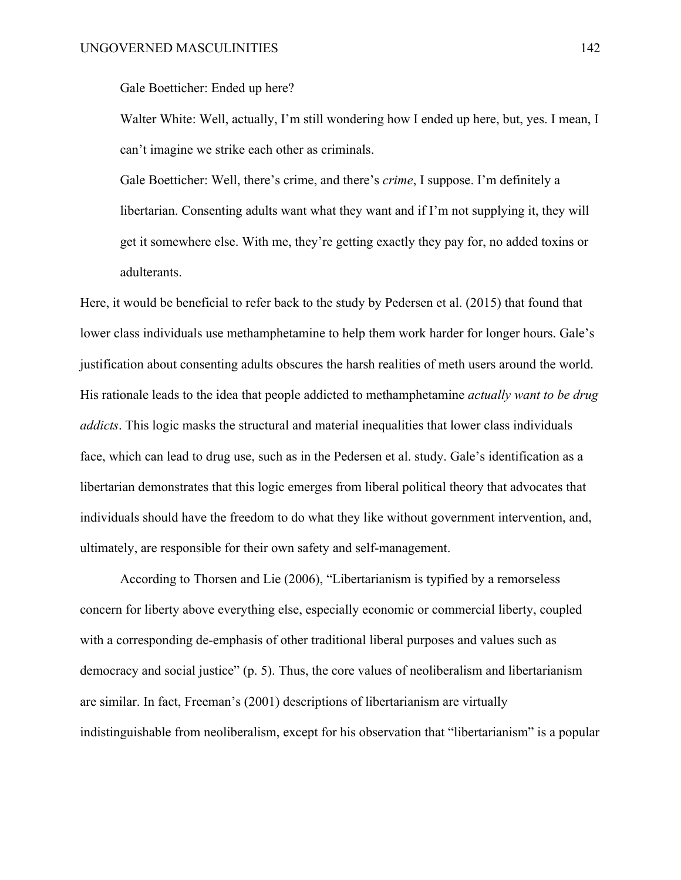Gale Boetticher: Ended up here?

Walter White: Well, actually, I'm still wondering how I ended up here, but, yes. I mean, I can't imagine we strike each other as criminals.

Gale Boetticher: Well, there's crime, and there's *crime*, I suppose. I'm definitely a libertarian. Consenting adults want what they want and if I'm not supplying it, they will get it somewhere else. With me, they're getting exactly they pay for, no added toxins or adulterants.

Here, it would be beneficial to refer back to the study by Pedersen et al. (2015) that found that lower class individuals use methamphetamine to help them work harder for longer hours. Gale's justification about consenting adults obscures the harsh realities of meth users around the world. His rationale leads to the idea that people addicted to methamphetamine *actually want to be drug addicts*. This logic masks the structural and material inequalities that lower class individuals face, which can lead to drug use, such as in the Pedersen et al. study. Gale's identification as a libertarian demonstrates that this logic emerges from liberal political theory that advocates that individuals should have the freedom to do what they like without government intervention, and, ultimately, are responsible for their own safety and self-management.

According to Thorsen and Lie (2006), "Libertarianism is typified by a remorseless concern for liberty above everything else, especially economic or commercial liberty, coupled with a corresponding de-emphasis of other traditional liberal purposes and values such as democracy and social justice" (p. 5). Thus, the core values of neoliberalism and libertarianism are similar. In fact, Freeman's (2001) descriptions of libertarianism are virtually indistinguishable from neoliberalism, except for his observation that "libertarianism" is a popular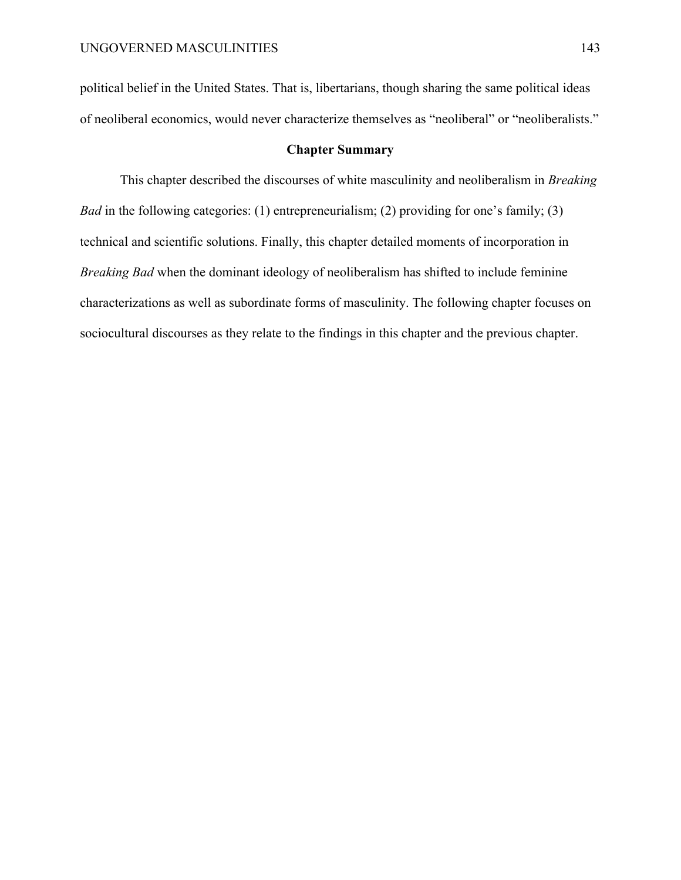political belief in the United States. That is, libertarians, though sharing the same political ideas of neoliberal economics, would never characterize themselves as "neoliberal" or "neoliberalists."

# **Chapter Summary**

This chapter described the discourses of white masculinity and neoliberalism in *Breaking Bad* in the following categories: (1) entrepreneurialism; (2) providing for one's family; (3) technical and scientific solutions. Finally, this chapter detailed moments of incorporation in *Breaking Bad* when the dominant ideology of neoliberalism has shifted to include feminine characterizations as well as subordinate forms of masculinity. The following chapter focuses on sociocultural discourses as they relate to the findings in this chapter and the previous chapter.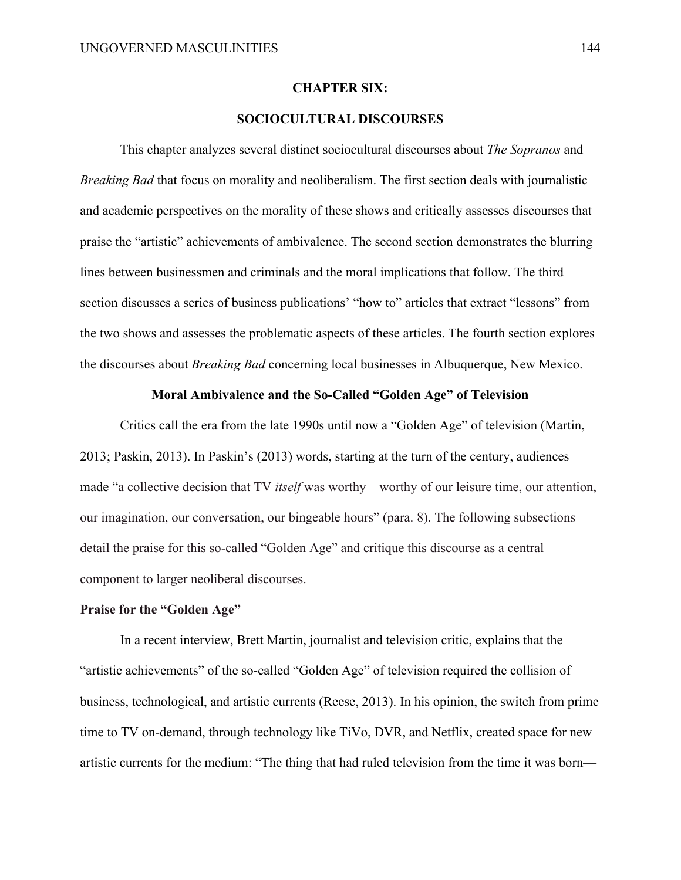#### **CHAPTER SIX:**

# **SOCIOCULTURAL DISCOURSES**

This chapter analyzes several distinct sociocultural discourses about *The Sopranos* and *Breaking Bad* that focus on morality and neoliberalism. The first section deals with journalistic and academic perspectives on the morality of these shows and critically assesses discourses that praise the "artistic" achievements of ambivalence. The second section demonstrates the blurring lines between businessmen and criminals and the moral implications that follow. The third section discusses a series of business publications' "how to" articles that extract "lessons" from the two shows and assesses the problematic aspects of these articles. The fourth section explores the discourses about *Breaking Bad* concerning local businesses in Albuquerque, New Mexico.

## **Moral Ambivalence and the So-Called "Golden Age" of Television**

Critics call the era from the late 1990s until now a "Golden Age" of television (Martin, 2013; Paskin, 2013). In Paskin's (2013) words, starting at the turn of the century, audiences made "a collective decision that TV *itself* was worthy—worthy of our leisure time, our attention, our imagination, our conversation, our bingeable hours" (para. 8). The following subsections detail the praise for this so-called "Golden Age" and critique this discourse as a central component to larger neoliberal discourses.

# **Praise for the "Golden Age"**

In a recent interview, Brett Martin, journalist and television critic, explains that the "artistic achievements" of the so-called "Golden Age" of television required the collision of business, technological, and artistic currents (Reese, 2013). In his opinion, the switch from prime time to TV on-demand, through technology like TiVo, DVR, and Netflix, created space for new artistic currents for the medium: "The thing that had ruled television from the time it was born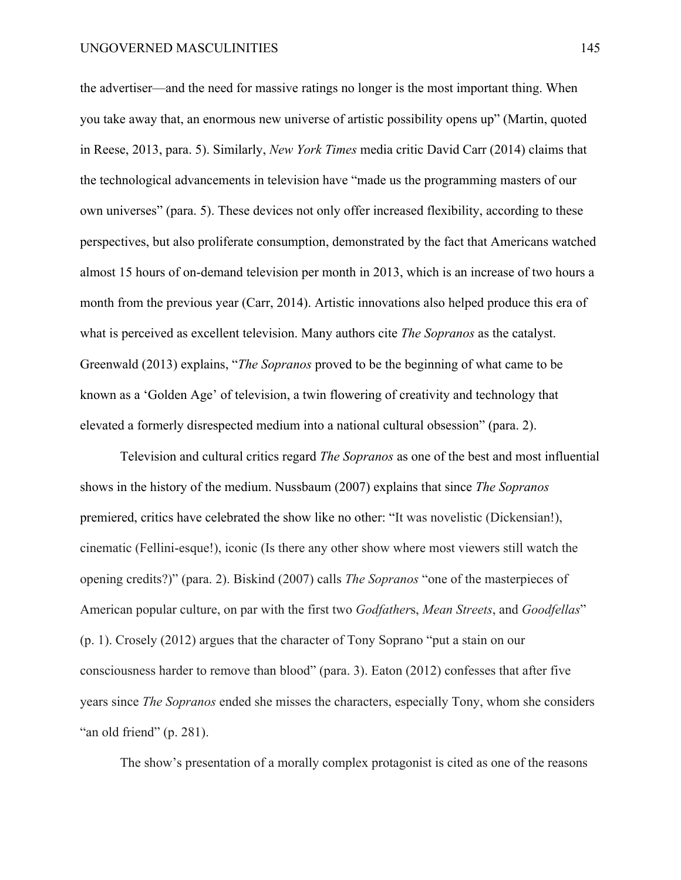the advertiser—and the need for massive ratings no longer is the most important thing. When you take away that, an enormous new universe of artistic possibility opens up" (Martin, quoted in Reese, 2013, para. 5). Similarly, *New York Times* media critic David Carr (2014) claims that the technological advancements in television have "made us the programming masters of our own universes" (para. 5). These devices not only offer increased flexibility, according to these perspectives, but also proliferate consumption, demonstrated by the fact that Americans watched almost 15 hours of on-demand television per month in 2013, which is an increase of two hours a month from the previous year (Carr, 2014). Artistic innovations also helped produce this era of what is perceived as excellent television. Many authors cite *The Sopranos* as the catalyst. Greenwald (2013) explains, "*The Sopranos* proved to be the beginning of what came to be known as a 'Golden Age' of television, a twin flowering of creativity and technology that elevated a formerly disrespected medium into a national cultural obsession" (para. 2).

Television and cultural critics regard *The Sopranos* as one of the best and most influential shows in the history of the medium. Nussbaum (2007) explains that since *The Sopranos* premiered, critics have celebrated the show like no other: "It was novelistic (Dickensian!), cinematic (Fellini-esque!), iconic (Is there any other show where most viewers still watch the opening credits?)" (para. 2). Biskind (2007) calls *The Sopranos* "one of the masterpieces of American popular culture, on par with the first two *Godfather*s, *Mean Streets*, and *Goodfellas*" (p. 1). Crosely (2012) argues that the character of Tony Soprano "put a stain on our consciousness harder to remove than blood" (para. 3). Eaton (2012) confesses that after five years since *The Sopranos* ended she misses the characters, especially Tony, whom she considers "an old friend"  $(p. 281)$ .

The show's presentation of a morally complex protagonist is cited as one of the reasons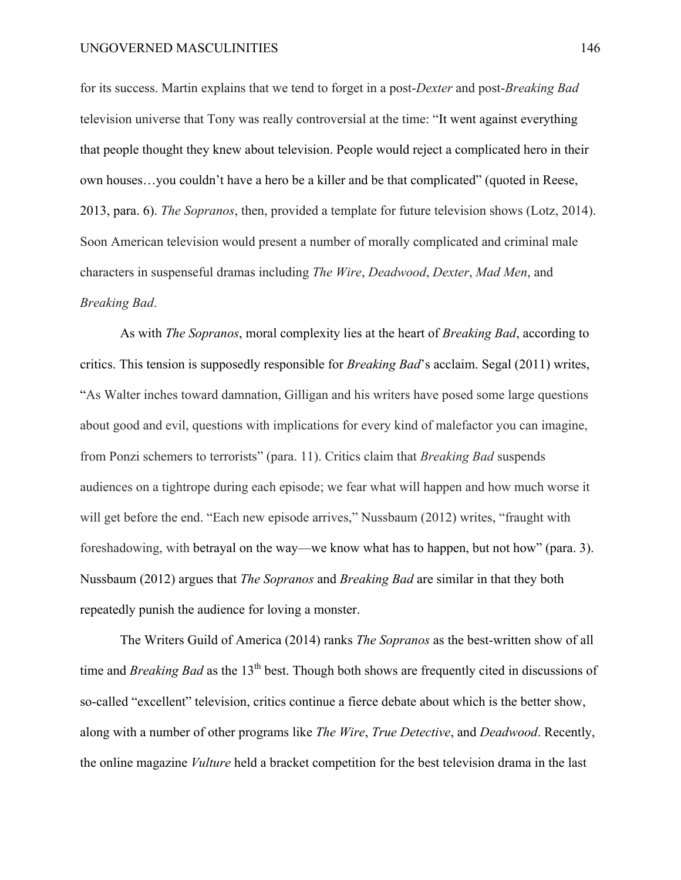### UNGOVERNED MASCULINITIES 146

for its success. Martin explains that we tend to forget in a post-*Dexter* and post-*Breaking Bad*  television universe that Tony was really controversial at the time: "It went against everything that people thought they knew about television. People would reject a complicated hero in their own houses…you couldn't have a hero be a killer and be that complicated" (quoted in Reese, 2013, para. 6). *The Sopranos*, then, provided a template for future television shows (Lotz, 2014). Soon American television would present a number of morally complicated and criminal male characters in suspenseful dramas including *The Wire*, *Deadwood*, *Dexter*, *Mad Men*, and *Breaking Bad*.

As with *The Sopranos*, moral complexity lies at the heart of *Breaking Bad*, according to critics. This tension is supposedly responsible for *Breaking Bad*'s acclaim. Segal (2011) writes, "As Walter inches toward damnation, Gilligan and his writers have posed some large questions about good and evil, questions with implications for every kind of malefactor you can imagine, from Ponzi schemers to terrorists" (para. 11). Critics claim that *Breaking Bad* suspends audiences on a tightrope during each episode; we fear what will happen and how much worse it will get before the end. "Each new episode arrives," Nussbaum (2012) writes, "fraught with foreshadowing, with betrayal on the way—we know what has to happen, but not how" (para. 3). Nussbaum (2012) argues that *The Sopranos* and *Breaking Bad* are similar in that they both repeatedly punish the audience for loving a monster.

The Writers Guild of America (2014) ranks *The Sopranos* as the best-written show of all time and *Breaking Bad* as the 13<sup>th</sup> best. Though both shows are frequently cited in discussions of so-called "excellent" television, critics continue a fierce debate about which is the better show, along with a number of other programs like *The Wire*, *True Detective*, and *Deadwood*. Recently, the online magazine *Vulture* held a bracket competition for the best television drama in the last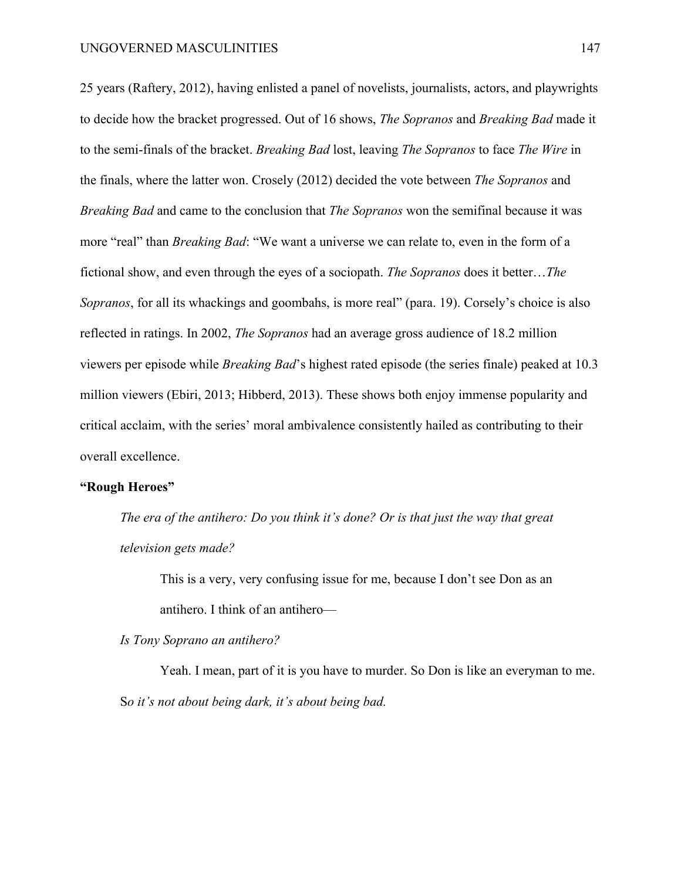25 years (Raftery, 2012), having enlisted a panel of novelists, journalists, actors, and playwrights to decide how the bracket progressed. Out of 16 shows, *The Sopranos* and *Breaking Bad* made it to the semi-finals of the bracket. *Breaking Bad* lost, leaving *The Sopranos* to face *The Wire* in the finals, where the latter won. Crosely (2012) decided the vote between *The Sopranos* and *Breaking Bad* and came to the conclusion that *The Sopranos* won the semifinal because it was more "real" than *Breaking Bad*: "We want a universe we can relate to, even in the form of a fictional show, and even through the eyes of a sociopath. *The Sopranos* does it better…*The Sopranos*, for all its whackings and goombahs, is more real" (para. 19). Corsely's choice is also reflected in ratings. In 2002, *The Sopranos* had an average gross audience of 18.2 million viewers per episode while *Breaking Bad*'s highest rated episode (the series finale) peaked at 10.3 million viewers (Ebiri, 2013; Hibberd, 2013). These shows both enjoy immense popularity and critical acclaim, with the series' moral ambivalence consistently hailed as contributing to their overall excellence.

### **"Rough Heroes"**

*The era of the antihero: Do you think it's done? Or is that just the way that great television gets made?*

This is a very, very confusing issue for me, because I don't see Don as an antihero. I think of an antihero—

*Is Tony Soprano an antihero?*

Yeah. I mean, part of it is you have to murder. So Don is like an everyman to me. S*o it's not about being dark, it's about being bad.*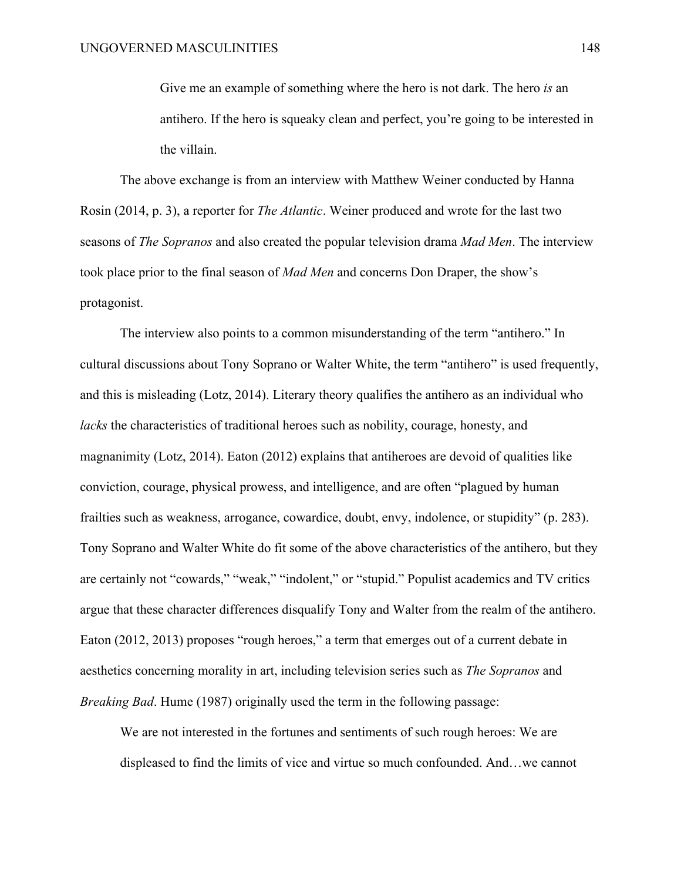Give me an example of something where the hero is not dark. The hero *is* an antihero. If the hero is squeaky clean and perfect, you're going to be interested in the villain.

The above exchange is from an interview with Matthew Weiner conducted by Hanna Rosin (2014, p. 3), a reporter for *The Atlantic*. Weiner produced and wrote for the last two seasons of *The Sopranos* and also created the popular television drama *Mad Men*. The interview took place prior to the final season of *Mad Men* and concerns Don Draper, the show's protagonist.

The interview also points to a common misunderstanding of the term "antihero." In cultural discussions about Tony Soprano or Walter White, the term "antihero" is used frequently, and this is misleading (Lotz, 2014). Literary theory qualifies the antihero as an individual who *lacks* the characteristics of traditional heroes such as nobility, courage, honesty, and magnanimity (Lotz, 2014). Eaton (2012) explains that antiheroes are devoid of qualities like conviction, courage, physical prowess, and intelligence, and are often "plagued by human frailties such as weakness, arrogance, cowardice, doubt, envy, indolence, or stupidity" (p. 283). Tony Soprano and Walter White do fit some of the above characteristics of the antihero, but they are certainly not "cowards," "weak," "indolent," or "stupid." Populist academics and TV critics argue that these character differences disqualify Tony and Walter from the realm of the antihero. Eaton (2012, 2013) proposes "rough heroes," a term that emerges out of a current debate in aesthetics concerning morality in art, including television series such as *The Sopranos* and *Breaking Bad*. Hume (1987) originally used the term in the following passage:

We are not interested in the fortunes and sentiments of such rough heroes: We are displeased to find the limits of vice and virtue so much confounded. And…we cannot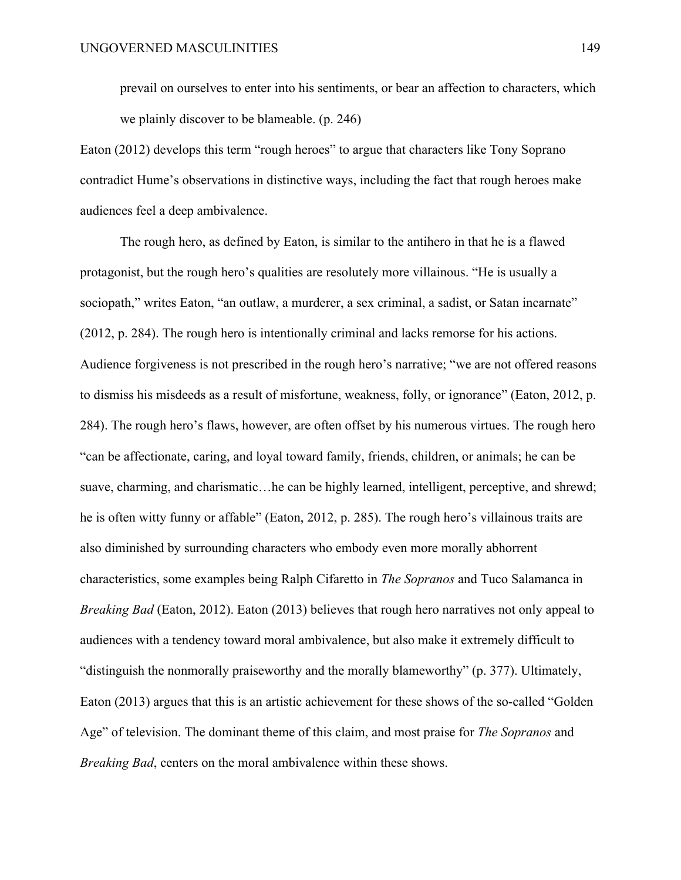prevail on ourselves to enter into his sentiments, or bear an affection to characters, which we plainly discover to be blameable. (p. 246)

Eaton (2012) develops this term "rough heroes" to argue that characters like Tony Soprano contradict Hume's observations in distinctive ways, including the fact that rough heroes make audiences feel a deep ambivalence.

The rough hero, as defined by Eaton, is similar to the antihero in that he is a flawed protagonist, but the rough hero's qualities are resolutely more villainous. "He is usually a sociopath," writes Eaton, "an outlaw, a murderer, a sex criminal, a sadist, or Satan incarnate" (2012, p. 284). The rough hero is intentionally criminal and lacks remorse for his actions. Audience forgiveness is not prescribed in the rough hero's narrative; "we are not offered reasons to dismiss his misdeeds as a result of misfortune, weakness, folly, or ignorance" (Eaton, 2012, p. 284). The rough hero's flaws, however, are often offset by his numerous virtues. The rough hero "can be affectionate, caring, and loyal toward family, friends, children, or animals; he can be suave, charming, and charismatic…he can be highly learned, intelligent, perceptive, and shrewd; he is often witty funny or affable" (Eaton, 2012, p. 285). The rough hero's villainous traits are also diminished by surrounding characters who embody even more morally abhorrent characteristics, some examples being Ralph Cifaretto in *The Sopranos* and Tuco Salamanca in *Breaking Bad* (Eaton, 2012). Eaton (2013) believes that rough hero narratives not only appeal to audiences with a tendency toward moral ambivalence, but also make it extremely difficult to "distinguish the nonmorally praiseworthy and the morally blameworthy" (p. 377). Ultimately, Eaton (2013) argues that this is an artistic achievement for these shows of the so-called "Golden Age" of television. The dominant theme of this claim, and most praise for *The Sopranos* and *Breaking Bad*, centers on the moral ambivalence within these shows.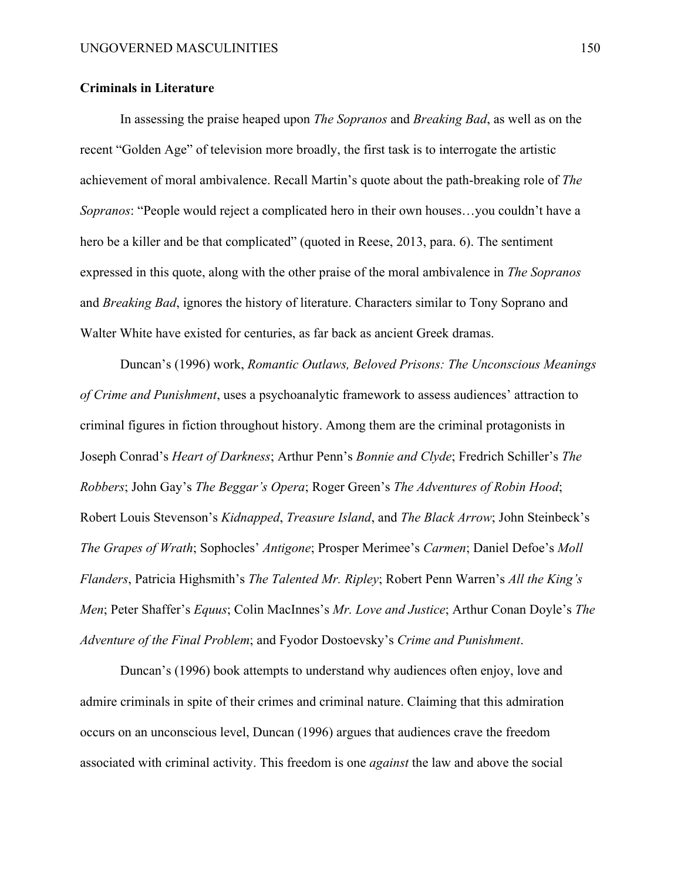# **Criminals in Literature**

In assessing the praise heaped upon *The Sopranos* and *Breaking Bad*, as well as on the recent "Golden Age" of television more broadly, the first task is to interrogate the artistic achievement of moral ambivalence. Recall Martin's quote about the path-breaking role of *The Sopranos*: "People would reject a complicated hero in their own houses…you couldn't have a hero be a killer and be that complicated" (quoted in Reese, 2013, para. 6). The sentiment expressed in this quote, along with the other praise of the moral ambivalence in *The Sopranos* and *Breaking Bad*, ignores the history of literature. Characters similar to Tony Soprano and Walter White have existed for centuries, as far back as ancient Greek dramas.

Duncan's (1996) work, *Romantic Outlaws, Beloved Prisons: The Unconscious Meanings of Crime and Punishment*, uses a psychoanalytic framework to assess audiences' attraction to criminal figures in fiction throughout history. Among them are the criminal protagonists in Joseph Conrad's *Heart of Darkness*; Arthur Penn's *Bonnie and Clyde*; Fredrich Schiller's *The Robbers*; John Gay's *The Beggar's Opera*; Roger Green's *The Adventures of Robin Hood*; Robert Louis Stevenson's *Kidnapped*, *Treasure Island*, and *The Black Arrow*; John Steinbeck's *The Grapes of Wrath*; Sophocles' *Antigone*; Prosper Merimee's *Carmen*; Daniel Defoe's *Moll Flanders*, Patricia Highsmith's *The Talented Mr. Ripley*; Robert Penn Warren's *All the King's Men*; Peter Shaffer's *Equus*; Colin MacInnes's *Mr. Love and Justice*; Arthur Conan Doyle's *The Adventure of the Final Problem*; and Fyodor Dostoevsky's *Crime and Punishment*.

Duncan's (1996) book attempts to understand why audiences often enjoy, love and admire criminals in spite of their crimes and criminal nature. Claiming that this admiration occurs on an unconscious level, Duncan (1996) argues that audiences crave the freedom associated with criminal activity. This freedom is one *against* the law and above the social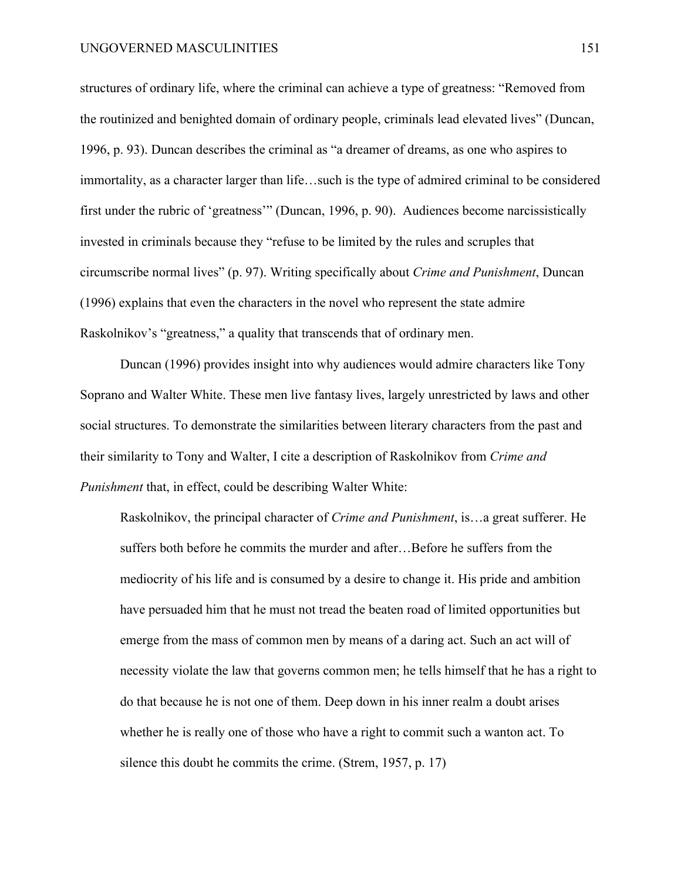structures of ordinary life, where the criminal can achieve a type of greatness: "Removed from the routinized and benighted domain of ordinary people, criminals lead elevated lives" (Duncan, 1996, p. 93). Duncan describes the criminal as "a dreamer of dreams, as one who aspires to immortality, as a character larger than life…such is the type of admired criminal to be considered first under the rubric of 'greatness'" (Duncan, 1996, p. 90). Audiences become narcissistically invested in criminals because they "refuse to be limited by the rules and scruples that circumscribe normal lives" (p. 97). Writing specifically about *Crime and Punishment*, Duncan (1996) explains that even the characters in the novel who represent the state admire Raskolnikov's "greatness," a quality that transcends that of ordinary men.

Duncan (1996) provides insight into why audiences would admire characters like Tony Soprano and Walter White. These men live fantasy lives, largely unrestricted by laws and other social structures. To demonstrate the similarities between literary characters from the past and their similarity to Tony and Walter, I cite a description of Raskolnikov from *Crime and Punishment* that, in effect, could be describing Walter White:

Raskolnikov, the principal character of *Crime and Punishment*, is…a great sufferer. He suffers both before he commits the murder and after…Before he suffers from the mediocrity of his life and is consumed by a desire to change it. His pride and ambition have persuaded him that he must not tread the beaten road of limited opportunities but emerge from the mass of common men by means of a daring act. Such an act will of necessity violate the law that governs common men; he tells himself that he has a right to do that because he is not one of them. Deep down in his inner realm a doubt arises whether he is really one of those who have a right to commit such a wanton act. To silence this doubt he commits the crime. (Strem, 1957, p. 17)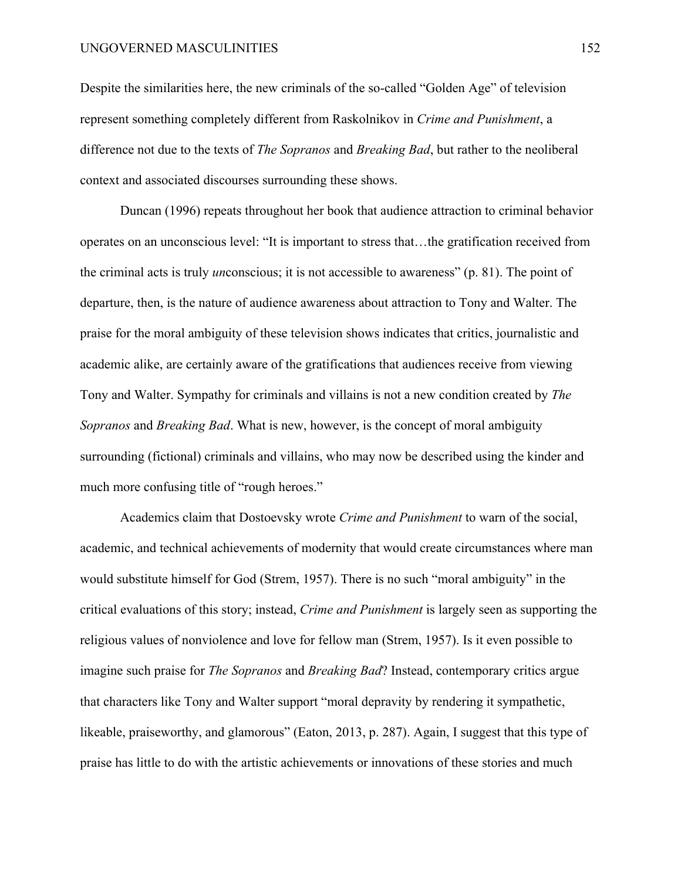### UNGOVERNED MASCULINITIES 152

Despite the similarities here, the new criminals of the so-called "Golden Age" of television represent something completely different from Raskolnikov in *Crime and Punishment*, a difference not due to the texts of *The Sopranos* and *Breaking Bad*, but rather to the neoliberal context and associated discourses surrounding these shows.

Duncan (1996) repeats throughout her book that audience attraction to criminal behavior operates on an unconscious level: "It is important to stress that…the gratification received from the criminal acts is truly *un*conscious; it is not accessible to awareness" (p. 81). The point of departure, then, is the nature of audience awareness about attraction to Tony and Walter. The praise for the moral ambiguity of these television shows indicates that critics, journalistic and academic alike, are certainly aware of the gratifications that audiences receive from viewing Tony and Walter. Sympathy for criminals and villains is not a new condition created by *The Sopranos* and *Breaking Bad*. What is new, however, is the concept of moral ambiguity surrounding (fictional) criminals and villains, who may now be described using the kinder and much more confusing title of "rough heroes."

Academics claim that Dostoevsky wrote *Crime and Punishment* to warn of the social, academic, and technical achievements of modernity that would create circumstances where man would substitute himself for God (Strem, 1957). There is no such "moral ambiguity" in the critical evaluations of this story; instead, *Crime and Punishment* is largely seen as supporting the religious values of nonviolence and love for fellow man (Strem, 1957). Is it even possible to imagine such praise for *The Sopranos* and *Breaking Bad*? Instead, contemporary critics argue that characters like Tony and Walter support "moral depravity by rendering it sympathetic, likeable, praiseworthy, and glamorous" (Eaton, 2013, p. 287). Again, I suggest that this type of praise has little to do with the artistic achievements or innovations of these stories and much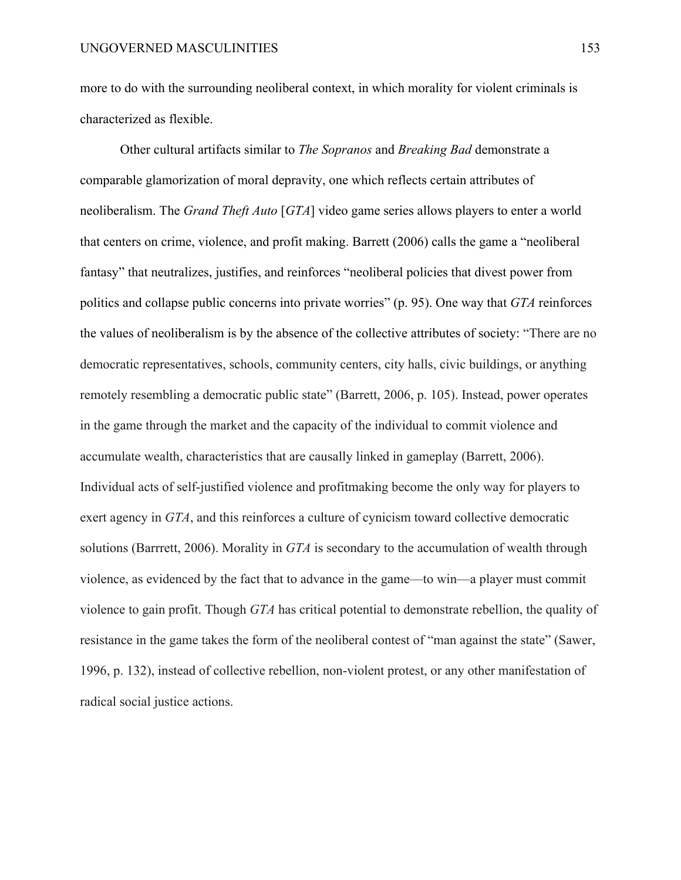more to do with the surrounding neoliberal context, in which morality for violent criminals is characterized as flexible.

Other cultural artifacts similar to *The Sopranos* and *Breaking Bad* demonstrate a comparable glamorization of moral depravity, one which reflects certain attributes of neoliberalism. The *Grand Theft Auto* [*GTA*] video game series allows players to enter a world that centers on crime, violence, and profit making. Barrett (2006) calls the game a "neoliberal fantasy" that neutralizes, justifies, and reinforces "neoliberal policies that divest power from politics and collapse public concerns into private worries" (p. 95). One way that *GTA* reinforces the values of neoliberalism is by the absence of the collective attributes of society: "There are no democratic representatives, schools, community centers, city halls, civic buildings, or anything remotely resembling a democratic public state" (Barrett, 2006, p. 105). Instead, power operates in the game through the market and the capacity of the individual to commit violence and accumulate wealth, characteristics that are causally linked in gameplay (Barrett, 2006). Individual acts of self-justified violence and profitmaking become the only way for players to exert agency in *GTA*, and this reinforces a culture of cynicism toward collective democratic solutions (Barrrett, 2006). Morality in *GTA* is secondary to the accumulation of wealth through violence, as evidenced by the fact that to advance in the game—to win—a player must commit violence to gain profit. Though *GTA* has critical potential to demonstrate rebellion, the quality of resistance in the game takes the form of the neoliberal contest of "man against the state" (Sawer, 1996, p. 132), instead of collective rebellion, non-violent protest, or any other manifestation of radical social justice actions.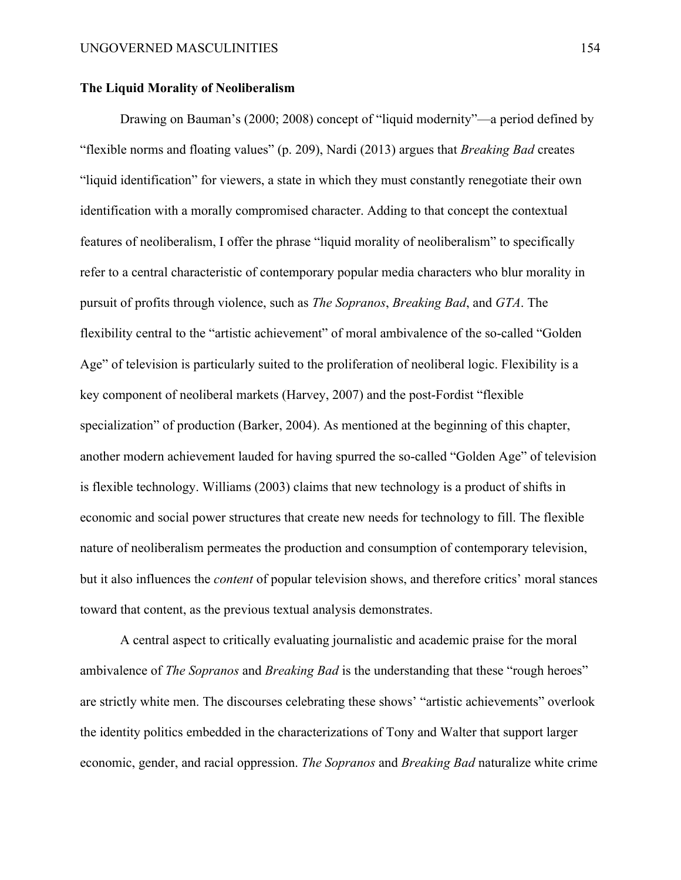## **The Liquid Morality of Neoliberalism**

Drawing on Bauman's (2000; 2008) concept of "liquid modernity"—a period defined by "flexible norms and floating values" (p. 209), Nardi (2013) argues that *Breaking Bad* creates "liquid identification" for viewers, a state in which they must constantly renegotiate their own identification with a morally compromised character. Adding to that concept the contextual features of neoliberalism, I offer the phrase "liquid morality of neoliberalism" to specifically refer to a central characteristic of contemporary popular media characters who blur morality in pursuit of profits through violence, such as *The Sopranos*, *Breaking Bad*, and *GTA*. The flexibility central to the "artistic achievement" of moral ambivalence of the so-called "Golden Age" of television is particularly suited to the proliferation of neoliberal logic. Flexibility is a key component of neoliberal markets (Harvey, 2007) and the post-Fordist "flexible specialization" of production (Barker, 2004). As mentioned at the beginning of this chapter, another modern achievement lauded for having spurred the so-called "Golden Age" of television is flexible technology. Williams (2003) claims that new technology is a product of shifts in economic and social power structures that create new needs for technology to fill. The flexible nature of neoliberalism permeates the production and consumption of contemporary television, but it also influences the *content* of popular television shows, and therefore critics' moral stances toward that content, as the previous textual analysis demonstrates.

A central aspect to critically evaluating journalistic and academic praise for the moral ambivalence of *The Sopranos* and *Breaking Bad* is the understanding that these "rough heroes" are strictly white men. The discourses celebrating these shows' "artistic achievements" overlook the identity politics embedded in the characterizations of Tony and Walter that support larger economic, gender, and racial oppression. *The Sopranos* and *Breaking Bad* naturalize white crime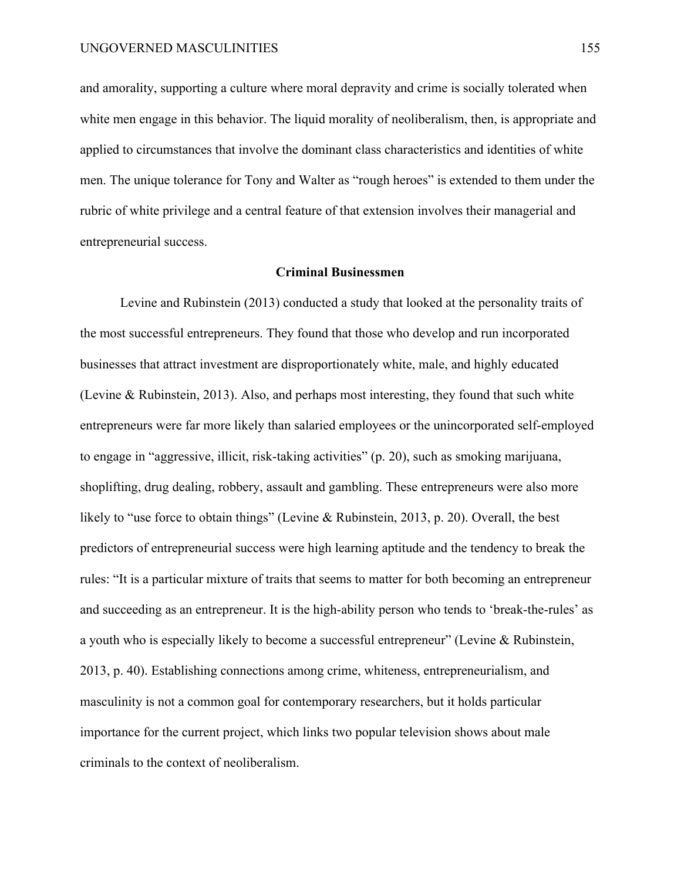and amorality, supporting a culture where moral depravity and crime is socially tolerated when white men engage in this behavior. The liquid morality of neoliberalism, then, is appropriate and applied to circumstances that involve the dominant class characteristics and identities of white men. The unique tolerance for Tony and Walter as "rough heroes" is extended to them under the rubric of white privilege and a central feature of that extension involves their managerial and entrepreneurial success.

# **Criminal Businessmen**

Levine and Rubinstein (2013) conducted a study that looked at the personality traits of the most successful entrepreneurs. They found that those who develop and run incorporated businesses that attract investment are disproportionately white, male, and highly educated (Levine & Rubinstein, 2013). Also, and perhaps most interesting, they found that such white entrepreneurs were far more likely than salaried employees or the unincorporated self-employed to engage in "aggressive, illicit, risk-taking activities" (p. 20), such as smoking marijuana, shoplifting, drug dealing, robbery, assault and gambling. These entrepreneurs were also more likely to "use force to obtain things" (Levine & Rubinstein, 2013, p. 20). Overall, the best predictors of entrepreneurial success were high learning aptitude and the tendency to break the rules: "It is a particular mixture of traits that seems to matter for both becoming an entrepreneur and succeeding as an entrepreneur. It is the high-ability person who tends to 'break-the-rules' as a youth who is especially likely to become a successful entrepreneur" (Levine  $\&$  Rubinstein, 2013, p. 40). Establishing connections among crime, whiteness, entrepreneurialism, and masculinity is not a common goal for contemporary researchers, but it holds particular importance for the current project, which links two popular television shows about male criminals to the context of neoliberalism.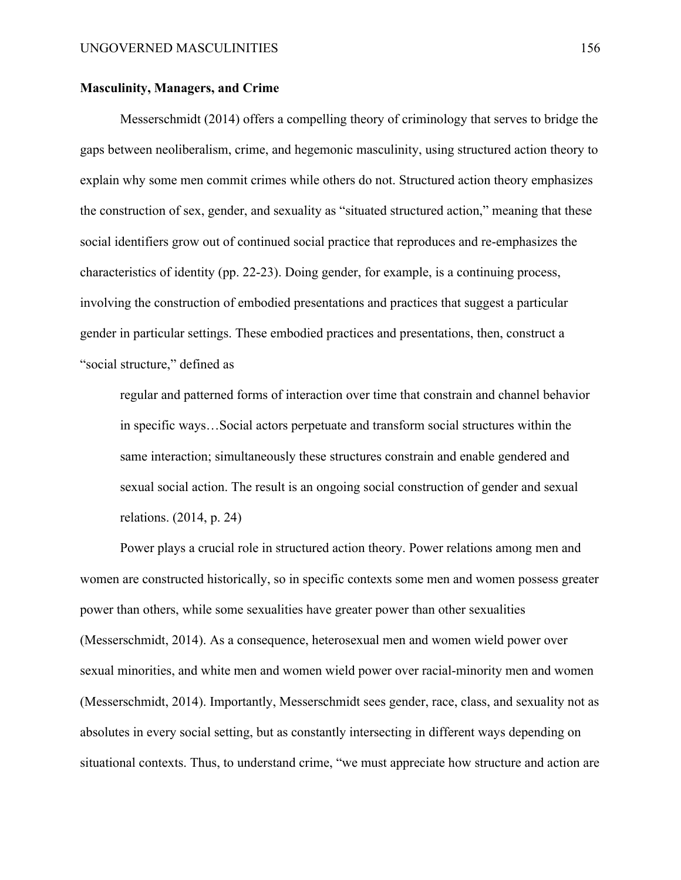## **Masculinity, Managers, and Crime**

Messerschmidt (2014) offers a compelling theory of criminology that serves to bridge the gaps between neoliberalism, crime, and hegemonic masculinity, using structured action theory to explain why some men commit crimes while others do not. Structured action theory emphasizes the construction of sex, gender, and sexuality as "situated structured action," meaning that these social identifiers grow out of continued social practice that reproduces and re-emphasizes the characteristics of identity (pp. 22-23). Doing gender, for example, is a continuing process, involving the construction of embodied presentations and practices that suggest a particular gender in particular settings. These embodied practices and presentations, then, construct a "social structure," defined as

regular and patterned forms of interaction over time that constrain and channel behavior in specific ways…Social actors perpetuate and transform social structures within the same interaction; simultaneously these structures constrain and enable gendered and sexual social action. The result is an ongoing social construction of gender and sexual relations. (2014, p. 24)

Power plays a crucial role in structured action theory. Power relations among men and women are constructed historically, so in specific contexts some men and women possess greater power than others, while some sexualities have greater power than other sexualities (Messerschmidt, 2014). As a consequence, heterosexual men and women wield power over sexual minorities, and white men and women wield power over racial-minority men and women (Messerschmidt, 2014). Importantly, Messerschmidt sees gender, race, class, and sexuality not as absolutes in every social setting, but as constantly intersecting in different ways depending on situational contexts. Thus, to understand crime, "we must appreciate how structure and action are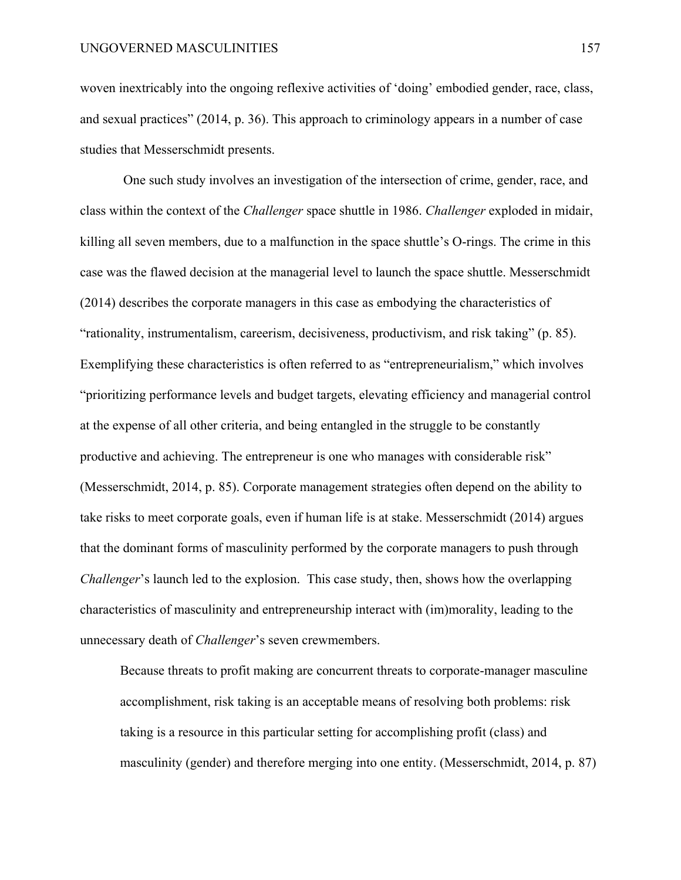woven inextricably into the ongoing reflexive activities of 'doing' embodied gender, race, class, and sexual practices" (2014, p. 36). This approach to criminology appears in a number of case studies that Messerschmidt presents.

One such study involves an investigation of the intersection of crime, gender, race, and class within the context of the *Challenger* space shuttle in 1986. *Challenger* exploded in midair, killing all seven members, due to a malfunction in the space shuttle's O-rings. The crime in this case was the flawed decision at the managerial level to launch the space shuttle. Messerschmidt (2014) describes the corporate managers in this case as embodying the characteristics of "rationality, instrumentalism, careerism, decisiveness, productivism, and risk taking" (p. 85). Exemplifying these characteristics is often referred to as "entrepreneurialism," which involves "prioritizing performance levels and budget targets, elevating efficiency and managerial control at the expense of all other criteria, and being entangled in the struggle to be constantly productive and achieving. The entrepreneur is one who manages with considerable risk" (Messerschmidt, 2014, p. 85). Corporate management strategies often depend on the ability to take risks to meet corporate goals, even if human life is at stake. Messerschmidt (2014) argues that the dominant forms of masculinity performed by the corporate managers to push through *Challenger*'s launch led to the explosion. This case study, then, shows how the overlapping characteristics of masculinity and entrepreneurship interact with (im)morality, leading to the unnecessary death of *Challenger*'s seven crewmembers.

Because threats to profit making are concurrent threats to corporate-manager masculine accomplishment, risk taking is an acceptable means of resolving both problems: risk taking is a resource in this particular setting for accomplishing profit (class) and masculinity (gender) and therefore merging into one entity. (Messerschmidt, 2014, p. 87)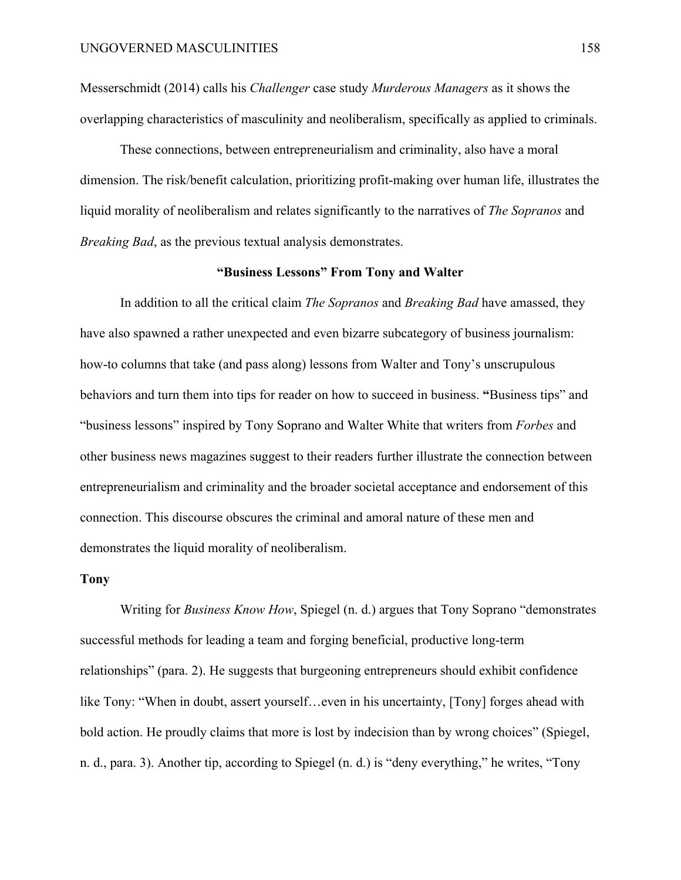Messerschmidt (2014) calls his *Challenger* case study *Murderous Managers* as it shows the overlapping characteristics of masculinity and neoliberalism, specifically as applied to criminals.

These connections, between entrepreneurialism and criminality, also have a moral dimension. The risk/benefit calculation, prioritizing profit-making over human life, illustrates the liquid morality of neoliberalism and relates significantly to the narratives of *The Sopranos* and *Breaking Bad*, as the previous textual analysis demonstrates.

# **"Business Lessons" From Tony and Walter**

In addition to all the critical claim *The Sopranos* and *Breaking Bad* have amassed, they have also spawned a rather unexpected and even bizarre subcategory of business journalism: how-to columns that take (and pass along) lessons from Walter and Tony's unscrupulous behaviors and turn them into tips for reader on how to succeed in business. **"**Business tips" and "business lessons" inspired by Tony Soprano and Walter White that writers from *Forbes* and other business news magazines suggest to their readers further illustrate the connection between entrepreneurialism and criminality and the broader societal acceptance and endorsement of this connection. This discourse obscures the criminal and amoral nature of these men and demonstrates the liquid morality of neoliberalism.

## **Tony**

Writing for *Business Know How*, Spiegel (n. d.) argues that Tony Soprano "demonstrates successful methods for leading a team and forging beneficial, productive long-term relationships" (para. 2). He suggests that burgeoning entrepreneurs should exhibit confidence like Tony: "When in doubt, assert yourself…even in his uncertainty, [Tony] forges ahead with bold action. He proudly claims that more is lost by indecision than by wrong choices" (Spiegel, n. d., para. 3). Another tip, according to Spiegel (n. d.) is "deny everything," he writes, "Tony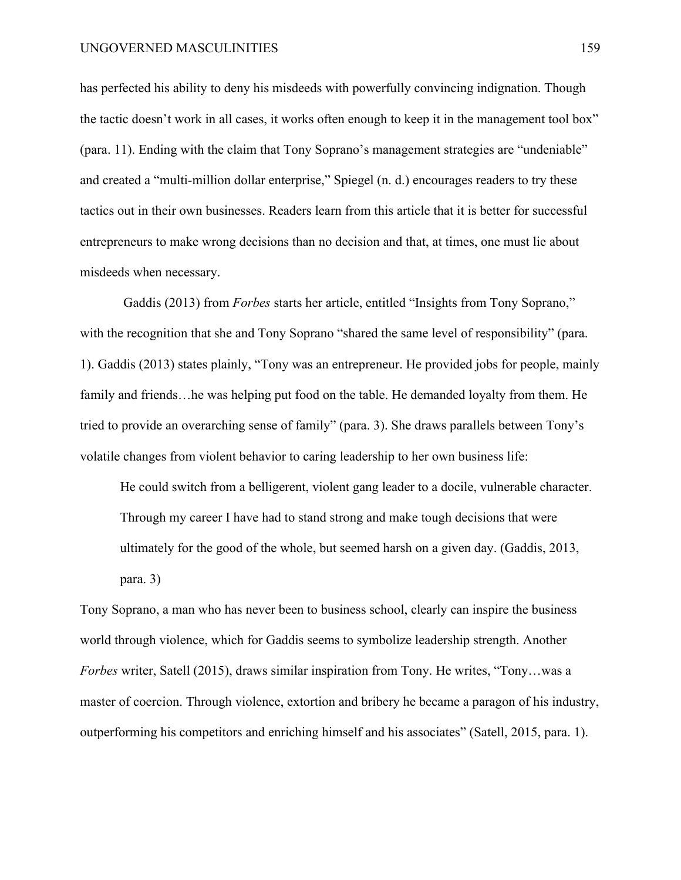### UNGOVERNED MASCULINITIES 159

has perfected his ability to deny his misdeeds with powerfully convincing indignation. Though the tactic doesn't work in all cases, it works often enough to keep it in the management tool box" (para. 11). Ending with the claim that Tony Soprano's management strategies are "undeniable" and created a "multi-million dollar enterprise," Spiegel (n. d.) encourages readers to try these tactics out in their own businesses. Readers learn from this article that it is better for successful entrepreneurs to make wrong decisions than no decision and that, at times, one must lie about misdeeds when necessary.

Gaddis (2013) from *Forbes* starts her article, entitled "Insights from Tony Soprano," with the recognition that she and Tony Soprano "shared the same level of responsibility" (para. 1). Gaddis (2013) states plainly, "Tony was an entrepreneur. He provided jobs for people, mainly family and friends…he was helping put food on the table. He demanded loyalty from them. He tried to provide an overarching sense of family" (para. 3). She draws parallels between Tony's volatile changes from violent behavior to caring leadership to her own business life:

He could switch from a belligerent, violent gang leader to a docile, vulnerable character. Through my career I have had to stand strong and make tough decisions that were ultimately for the good of the whole, but seemed harsh on a given day. (Gaddis, 2013, para. 3)

Tony Soprano, a man who has never been to business school, clearly can inspire the business world through violence, which for Gaddis seems to symbolize leadership strength. Another *Forbes* writer, Satell (2015), draws similar inspiration from Tony. He writes, "Tony…was a master of coercion. Through violence, extortion and bribery he became a paragon of his industry, outperforming his competitors and enriching himself and his associates" (Satell, 2015, para. 1).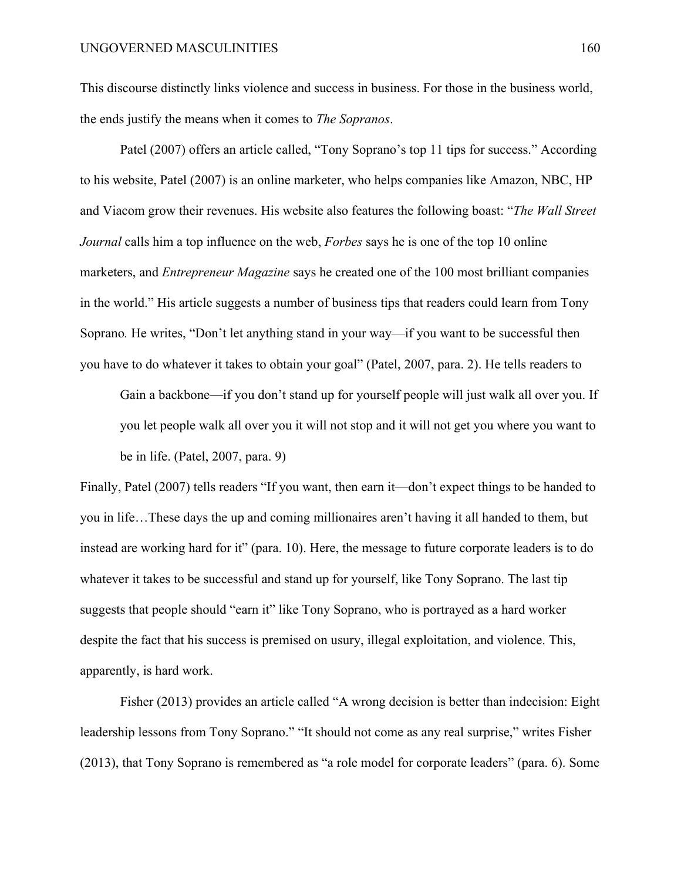This discourse distinctly links violence and success in business. For those in the business world, the ends justify the means when it comes to *The Sopranos*.

Patel (2007) offers an article called, "Tony Soprano's top 11 tips for success." According to his website, Patel (2007) is an online marketer, who helps companies like Amazon, NBC, HP and Viacom grow their revenues. His website also features the following boast: "*The Wall Street Journal* calls him a top influence on the web, *Forbes* says he is one of the top 10 online marketers, and *Entrepreneur Magazine* says he created one of the 100 most brilliant companies in the world." His article suggests a number of business tips that readers could learn from Tony Soprano*.* He writes, "Don't let anything stand in your way—if you want to be successful then you have to do whatever it takes to obtain your goal" (Patel, 2007, para. 2). He tells readers to

Gain a backbone—if you don't stand up for yourself people will just walk all over you. If you let people walk all over you it will not stop and it will not get you where you want to be in life. (Patel, 2007, para. 9)

Finally, Patel (2007) tells readers "If you want, then earn it—don't expect things to be handed to you in life…These days the up and coming millionaires aren't having it all handed to them, but instead are working hard for it" (para. 10). Here, the message to future corporate leaders is to do whatever it takes to be successful and stand up for yourself, like Tony Soprano. The last tip suggests that people should "earn it" like Tony Soprano, who is portrayed as a hard worker despite the fact that his success is premised on usury, illegal exploitation, and violence. This, apparently, is hard work.

Fisher (2013) provides an article called "A wrong decision is better than indecision: Eight leadership lessons from Tony Soprano." "It should not come as any real surprise," writes Fisher (2013), that Tony Soprano is remembered as "a role model for corporate leaders" (para. 6). Some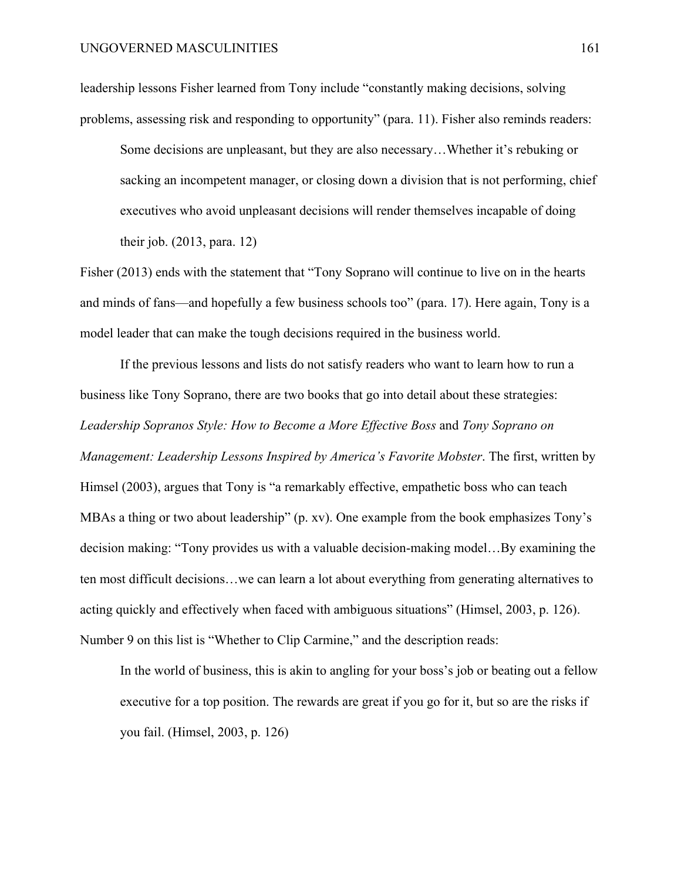leadership lessons Fisher learned from Tony include "constantly making decisions, solving problems, assessing risk and responding to opportunity" (para. 11). Fisher also reminds readers:

Some decisions are unpleasant, but they are also necessary…Whether it's rebuking or sacking an incompetent manager, or closing down a division that is not performing, chief executives who avoid unpleasant decisions will render themselves incapable of doing their job. (2013, para. 12)

Fisher (2013) ends with the statement that "Tony Soprano will continue to live on in the hearts and minds of fans—and hopefully a few business schools too" (para. 17). Here again, Tony is a model leader that can make the tough decisions required in the business world.

If the previous lessons and lists do not satisfy readers who want to learn how to run a business like Tony Soprano, there are two books that go into detail about these strategies: *Leadership Sopranos Style: How to Become a More Effective Boss* and *Tony Soprano on Management: Leadership Lessons Inspired by America's Favorite Mobster*. The first, written by Himsel (2003), argues that Tony is "a remarkably effective, empathetic boss who can teach MBAs a thing or two about leadership" (p. xv). One example from the book emphasizes Tony's decision making: "Tony provides us with a valuable decision-making model…By examining the ten most difficult decisions…we can learn a lot about everything from generating alternatives to acting quickly and effectively when faced with ambiguous situations" (Himsel, 2003, p. 126). Number 9 on this list is "Whether to Clip Carmine," and the description reads:

In the world of business, this is akin to angling for your boss's job or beating out a fellow executive for a top position. The rewards are great if you go for it, but so are the risks if you fail. (Himsel, 2003, p. 126)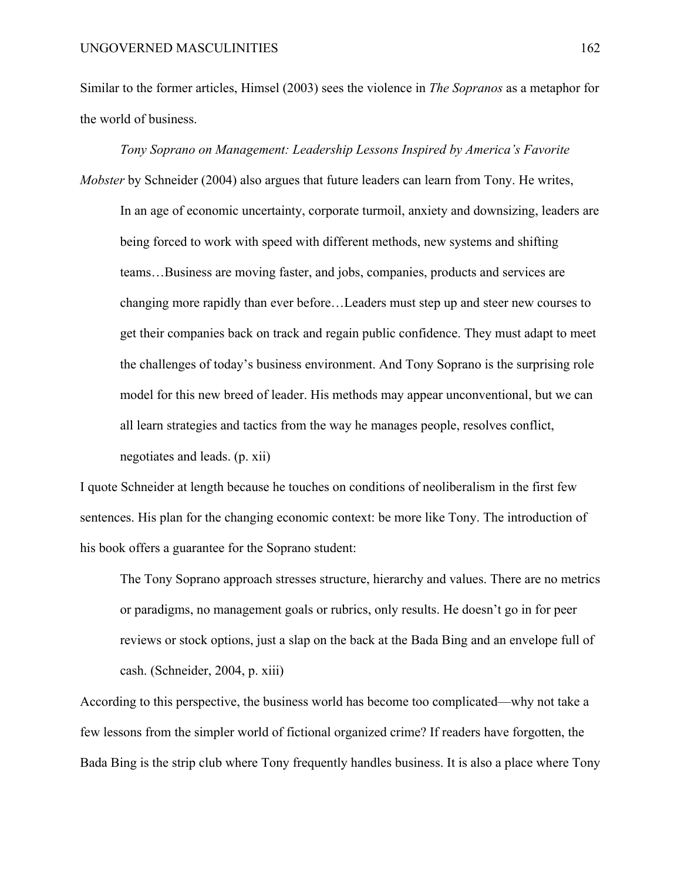Similar to the former articles, Himsel (2003) sees the violence in *The Sopranos* as a metaphor for the world of business.

*Tony Soprano on Management: Leadership Lessons Inspired by America's Favorite Mobster* by Schneider (2004) also argues that future leaders can learn from Tony. He writes,

In an age of economic uncertainty, corporate turmoil, anxiety and downsizing, leaders are being forced to work with speed with different methods, new systems and shifting teams…Business are moving faster, and jobs, companies, products and services are changing more rapidly than ever before…Leaders must step up and steer new courses to get their companies back on track and regain public confidence. They must adapt to meet the challenges of today's business environment. And Tony Soprano is the surprising role model for this new breed of leader. His methods may appear unconventional, but we can all learn strategies and tactics from the way he manages people, resolves conflict, negotiates and leads. (p. xii)

I quote Schneider at length because he touches on conditions of neoliberalism in the first few sentences. His plan for the changing economic context: be more like Tony. The introduction of his book offers a guarantee for the Soprano student:

The Tony Soprano approach stresses structure, hierarchy and values. There are no metrics or paradigms, no management goals or rubrics, only results. He doesn't go in for peer reviews or stock options, just a slap on the back at the Bada Bing and an envelope full of cash. (Schneider, 2004, p. xiii)

According to this perspective, the business world has become too complicated—why not take a few lessons from the simpler world of fictional organized crime? If readers have forgotten, the Bada Bing is the strip club where Tony frequently handles business. It is also a place where Tony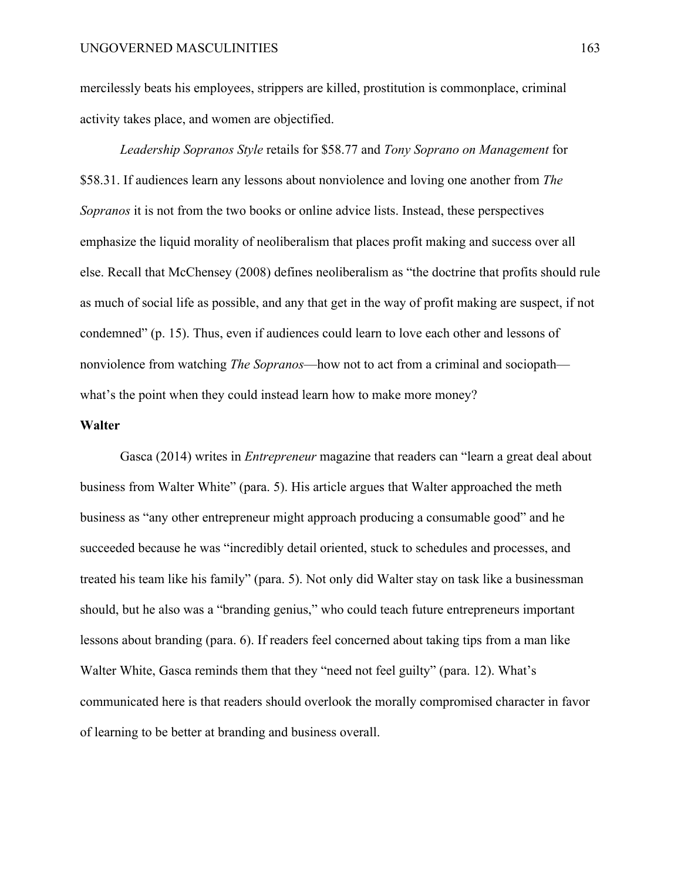mercilessly beats his employees, strippers are killed, prostitution is commonplace, criminal activity takes place, and women are objectified.

*Leadership Sopranos Style* retails for \$58.77 and *Tony Soprano on Management* for \$58.31. If audiences learn any lessons about nonviolence and loving one another from *The Sopranos* it is not from the two books or online advice lists. Instead, these perspectives emphasize the liquid morality of neoliberalism that places profit making and success over all else. Recall that McChensey (2008) defines neoliberalism as "the doctrine that profits should rule as much of social life as possible, and any that get in the way of profit making are suspect, if not condemned" (p. 15). Thus, even if audiences could learn to love each other and lessons of nonviolence from watching *The Sopranos*—how not to act from a criminal and sociopath what's the point when they could instead learn how to make more money?

## **Walter**

Gasca (2014) writes in *Entrepreneur* magazine that readers can "learn a great deal about business from Walter White" (para. 5). His article argues that Walter approached the meth business as "any other entrepreneur might approach producing a consumable good" and he succeeded because he was "incredibly detail oriented, stuck to schedules and processes, and treated his team like his family" (para. 5). Not only did Walter stay on task like a businessman should, but he also was a "branding genius," who could teach future entrepreneurs important lessons about branding (para. 6). If readers feel concerned about taking tips from a man like Walter White, Gasca reminds them that they "need not feel guilty" (para. 12). What's communicated here is that readers should overlook the morally compromised character in favor of learning to be better at branding and business overall.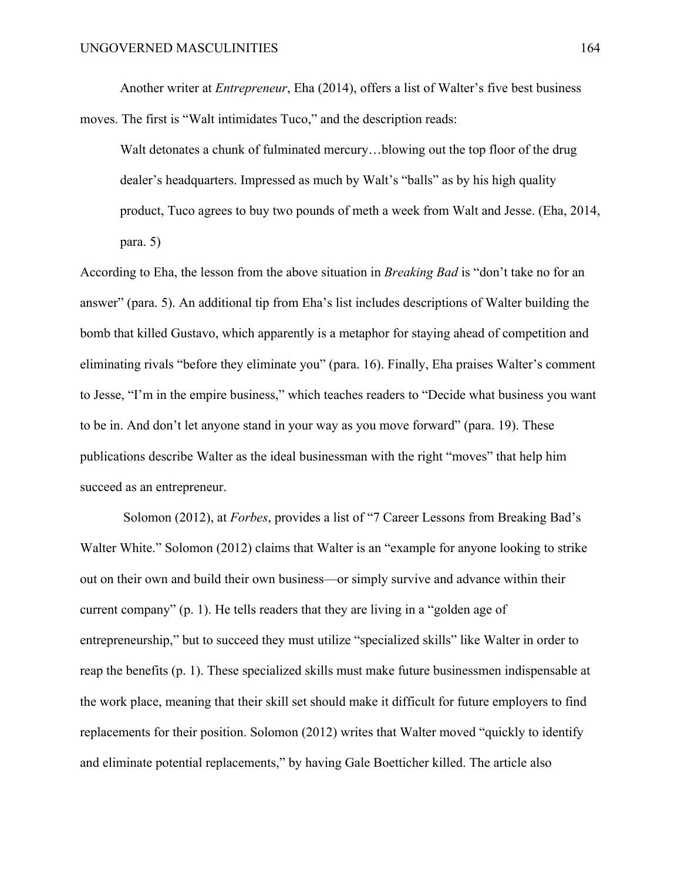Another writer at *Entrepreneur*, Eha (2014), offers a list of Walter's five best business moves. The first is "Walt intimidates Tuco," and the description reads:

Walt detonates a chunk of fulminated mercury...blowing out the top floor of the drug dealer's headquarters. Impressed as much by Walt's "balls" as by his high quality product, Tuco agrees to buy two pounds of meth a week from Walt and Jesse. (Eha, 2014, para. 5)

According to Eha, the lesson from the above situation in *Breaking Bad* is "don't take no for an answer" (para. 5). An additional tip from Eha's list includes descriptions of Walter building the bomb that killed Gustavo, which apparently is a metaphor for staying ahead of competition and eliminating rivals "before they eliminate you" (para. 16). Finally, Eha praises Walter's comment to Jesse, "I'm in the empire business," which teaches readers to "Decide what business you want to be in. And don't let anyone stand in your way as you move forward" (para. 19). These publications describe Walter as the ideal businessman with the right "moves" that help him succeed as an entrepreneur.

Solomon (2012), at *Forbes*, provides a list of "7 Career Lessons from Breaking Bad's Walter White." Solomon (2012) claims that Walter is an "example for anyone looking to strike out on their own and build their own business—or simply survive and advance within their current company" (p. 1). He tells readers that they are living in a "golden age of entrepreneurship," but to succeed they must utilize "specialized skills" like Walter in order to reap the benefits (p. 1). These specialized skills must make future businessmen indispensable at the work place, meaning that their skill set should make it difficult for future employers to find replacements for their position. Solomon (2012) writes that Walter moved "quickly to identify and eliminate potential replacements," by having Gale Boetticher killed. The article also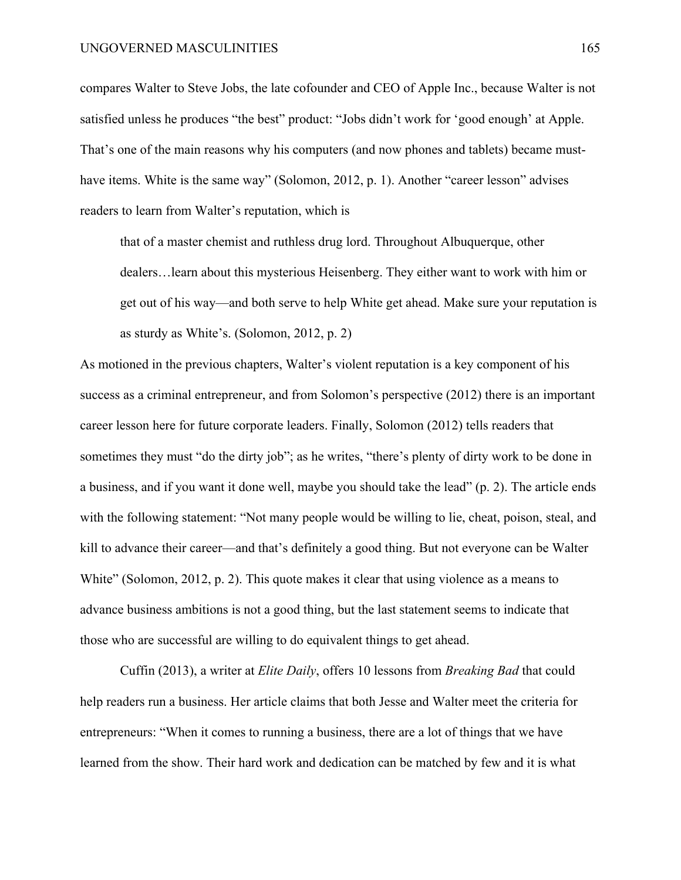#### UNGOVERNED MASCULINITIES 165

compares Walter to Steve Jobs, the late cofounder and CEO of Apple Inc., because Walter is not satisfied unless he produces "the best" product: "Jobs didn't work for 'good enough' at Apple. That's one of the main reasons why his computers (and now phones and tablets) became musthave items. White is the same way" (Solomon, 2012, p. 1). Another "career lesson" advises readers to learn from Walter's reputation, which is

that of a master chemist and ruthless drug lord. Throughout Albuquerque, other dealers…learn about this mysterious Heisenberg. They either want to work with him or get out of his way—and both serve to help White get ahead. Make sure your reputation is as sturdy as White's. (Solomon, 2012, p. 2)

As motioned in the previous chapters, Walter's violent reputation is a key component of his success as a criminal entrepreneur, and from Solomon's perspective (2012) there is an important career lesson here for future corporate leaders. Finally, Solomon (2012) tells readers that sometimes they must "do the dirty job"; as he writes, "there's plenty of dirty work to be done in a business, and if you want it done well, maybe you should take the lead" (p. 2). The article ends with the following statement: "Not many people would be willing to lie, cheat, poison, steal, and kill to advance their career—and that's definitely a good thing. But not everyone can be Walter White" (Solomon, 2012, p. 2). This quote makes it clear that using violence as a means to advance business ambitions is not a good thing, but the last statement seems to indicate that those who are successful are willing to do equivalent things to get ahead.

Cuffin (2013), a writer at *Elite Daily*, offers 10 lessons from *Breaking Bad* that could help readers run a business. Her article claims that both Jesse and Walter meet the criteria for entrepreneurs: "When it comes to running a business, there are a lot of things that we have learned from the show. Their hard work and dedication can be matched by few and it is what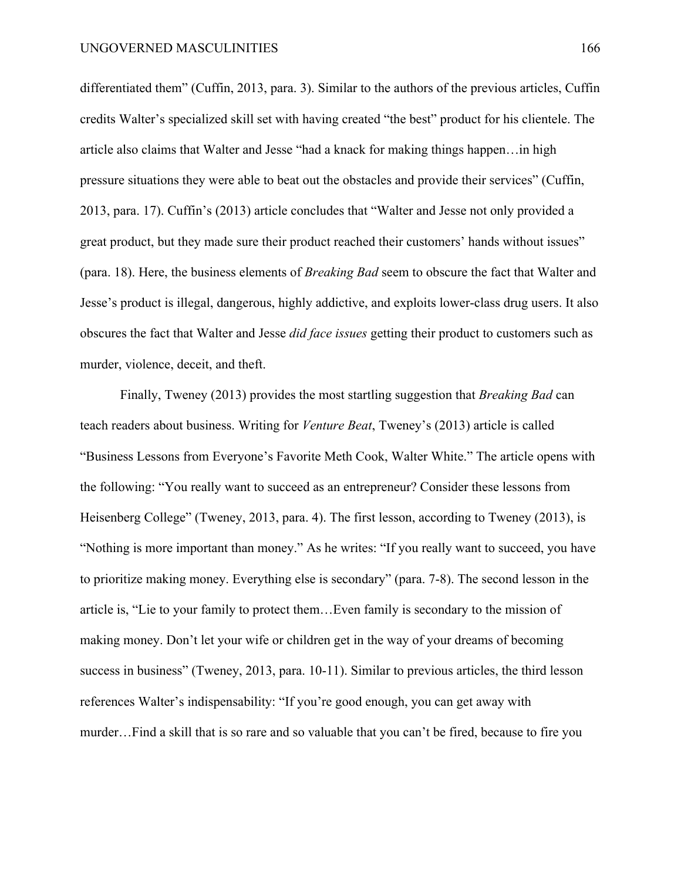differentiated them" (Cuffin, 2013, para. 3). Similar to the authors of the previous articles, Cuffin credits Walter's specialized skill set with having created "the best" product for his clientele. The article also claims that Walter and Jesse "had a knack for making things happen…in high pressure situations they were able to beat out the obstacles and provide their services" (Cuffin, 2013, para. 17). Cuffin's (2013) article concludes that "Walter and Jesse not only provided a great product, but they made sure their product reached their customers' hands without issues" (para. 18). Here, the business elements of *Breaking Bad* seem to obscure the fact that Walter and Jesse's product is illegal, dangerous, highly addictive, and exploits lower-class drug users. It also obscures the fact that Walter and Jesse *did face issues* getting their product to customers such as murder, violence, deceit, and theft.

Finally, Tweney (2013) provides the most startling suggestion that *Breaking Bad* can teach readers about business. Writing for *Venture Beat*, Tweney's (2013) article is called "Business Lessons from Everyone's Favorite Meth Cook, Walter White." The article opens with the following: "You really want to succeed as an entrepreneur? Consider these lessons from Heisenberg College" (Tweney, 2013, para. 4). The first lesson, according to Tweney (2013), is "Nothing is more important than money." As he writes: "If you really want to succeed, you have to prioritize making money. Everything else is secondary" (para. 7-8). The second lesson in the article is, "Lie to your family to protect them…Even family is secondary to the mission of making money. Don't let your wife or children get in the way of your dreams of becoming success in business" (Tweney, 2013, para. 10-11). Similar to previous articles, the third lesson references Walter's indispensability: "If you're good enough, you can get away with murder…Find a skill that is so rare and so valuable that you can't be fired, because to fire you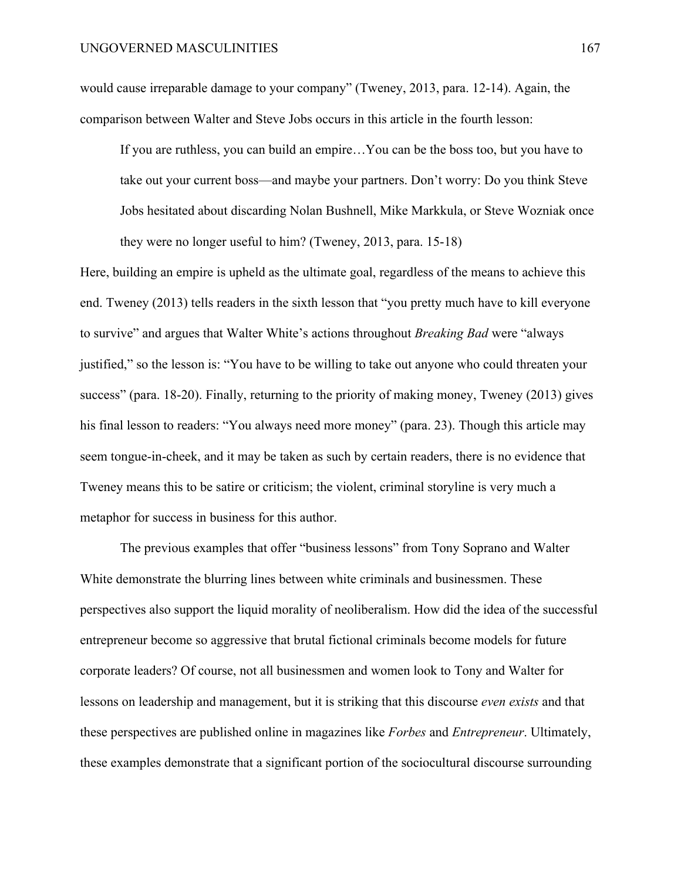would cause irreparable damage to your company" (Tweney, 2013, para. 12-14). Again, the comparison between Walter and Steve Jobs occurs in this article in the fourth lesson:

If you are ruthless, you can build an empire…You can be the boss too, but you have to take out your current boss—and maybe your partners. Don't worry: Do you think Steve Jobs hesitated about discarding Nolan Bushnell, Mike Markkula, or Steve Wozniak once they were no longer useful to him? (Tweney, 2013, para. 15-18)

Here, building an empire is upheld as the ultimate goal, regardless of the means to achieve this end. Tweney (2013) tells readers in the sixth lesson that "you pretty much have to kill everyone to survive" and argues that Walter White's actions throughout *Breaking Bad* were "always justified," so the lesson is: "You have to be willing to take out anyone who could threaten your success" (para. 18-20). Finally, returning to the priority of making money, Tweney (2013) gives his final lesson to readers: "You always need more money" (para. 23). Though this article may seem tongue-in-cheek, and it may be taken as such by certain readers, there is no evidence that Tweney means this to be satire or criticism; the violent, criminal storyline is very much a metaphor for success in business for this author.

The previous examples that offer "business lessons" from Tony Soprano and Walter White demonstrate the blurring lines between white criminals and businessmen. These perspectives also support the liquid morality of neoliberalism. How did the idea of the successful entrepreneur become so aggressive that brutal fictional criminals become models for future corporate leaders? Of course, not all businessmen and women look to Tony and Walter for lessons on leadership and management, but it is striking that this discourse *even exists* and that these perspectives are published online in magazines like *Forbes* and *Entrepreneur*. Ultimately, these examples demonstrate that a significant portion of the sociocultural discourse surrounding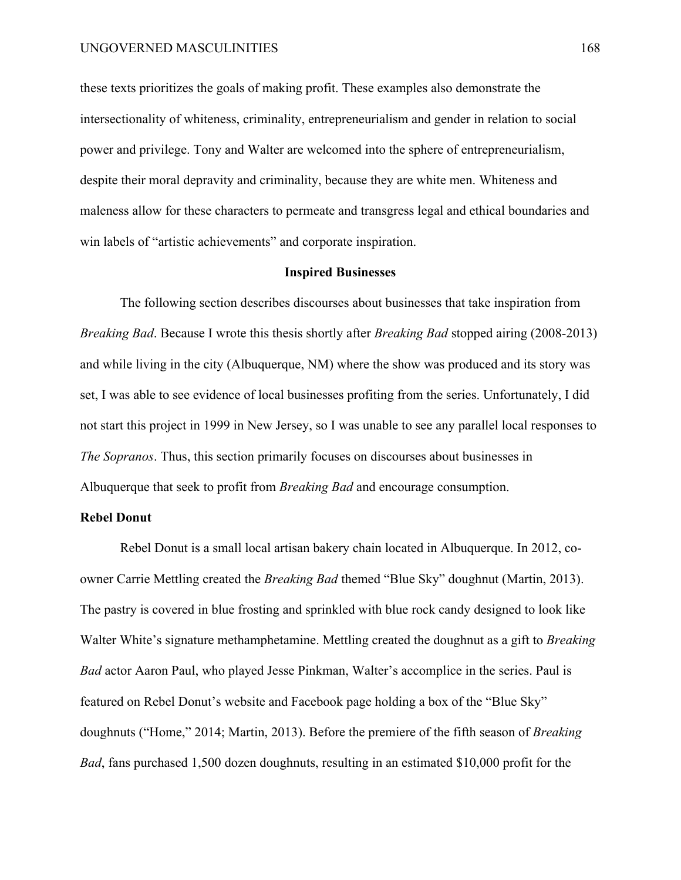these texts prioritizes the goals of making profit. These examples also demonstrate the intersectionality of whiteness, criminality, entrepreneurialism and gender in relation to social power and privilege. Tony and Walter are welcomed into the sphere of entrepreneurialism, despite their moral depravity and criminality, because they are white men. Whiteness and maleness allow for these characters to permeate and transgress legal and ethical boundaries and win labels of "artistic achievements" and corporate inspiration.

#### **Inspired Businesses**

The following section describes discourses about businesses that take inspiration from *Breaking Bad*. Because I wrote this thesis shortly after *Breaking Bad* stopped airing (2008-2013) and while living in the city (Albuquerque, NM) where the show was produced and its story was set, I was able to see evidence of local businesses profiting from the series. Unfortunately, I did not start this project in 1999 in New Jersey, so I was unable to see any parallel local responses to *The Sopranos*. Thus, this section primarily focuses on discourses about businesses in Albuquerque that seek to profit from *Breaking Bad* and encourage consumption.

### **Rebel Donut**

Rebel Donut is a small local artisan bakery chain located in Albuquerque. In 2012, coowner Carrie Mettling created the *Breaking Bad* themed "Blue Sky" doughnut (Martin, 2013). The pastry is covered in blue frosting and sprinkled with blue rock candy designed to look like Walter White's signature methamphetamine. Mettling created the doughnut as a gift to *Breaking Bad* actor Aaron Paul, who played Jesse Pinkman, Walter's accomplice in the series. Paul is featured on Rebel Donut's website and Facebook page holding a box of the "Blue Sky" doughnuts ("Home," 2014; Martin, 2013). Before the premiere of the fifth season of *Breaking Bad*, fans purchased 1,500 dozen doughnuts, resulting in an estimated \$10,000 profit for the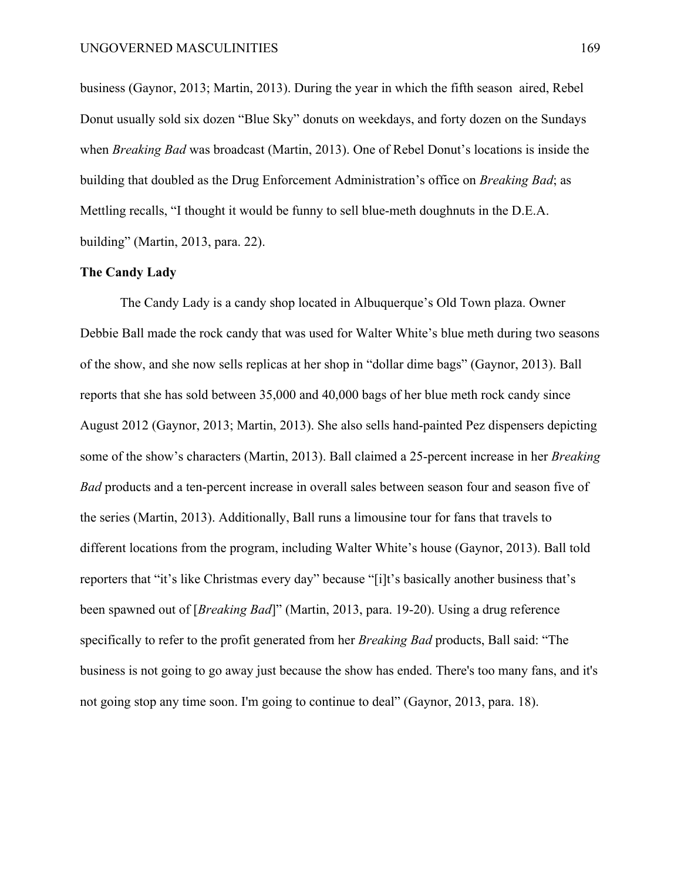business (Gaynor, 2013; Martin, 2013). During the year in which the fifth season aired, Rebel Donut usually sold six dozen "Blue Sky" donuts on weekdays, and forty dozen on the Sundays when *Breaking Bad* was broadcast (Martin, 2013). One of Rebel Donut's locations is inside the building that doubled as the Drug Enforcement Administration's office on *Breaking Bad*; as Mettling recalls, "I thought it would be funny to sell blue-meth doughnuts in the D.E.A. building" (Martin, 2013, para. 22).

### **The Candy Lady**

The Candy Lady is a candy shop located in Albuquerque's Old Town plaza. Owner Debbie Ball made the rock candy that was used for Walter White's blue meth during two seasons of the show, and she now sells replicas at her shop in "dollar dime bags" (Gaynor, 2013). Ball reports that she has sold between 35,000 and 40,000 bags of her blue meth rock candy since August 2012 (Gaynor, 2013; Martin, 2013). She also sells hand-painted Pez dispensers depicting some of the show's characters (Martin, 2013). Ball claimed a 25-percent increase in her *Breaking Bad* products and a ten-percent increase in overall sales between season four and season five of the series (Martin, 2013). Additionally, Ball runs a limousine tour for fans that travels to different locations from the program, including Walter White's house (Gaynor, 2013). Ball told reporters that "it's like Christmas every day" because "[i]t's basically another business that's been spawned out of [*Breaking Bad*]" (Martin, 2013, para. 19-20). Using a drug reference specifically to refer to the profit generated from her *Breaking Bad* products, Ball said: "The business is not going to go away just because the show has ended. There's too many fans, and it's not going stop any time soon. I'm going to continue to deal" (Gaynor, 2013, para. 18).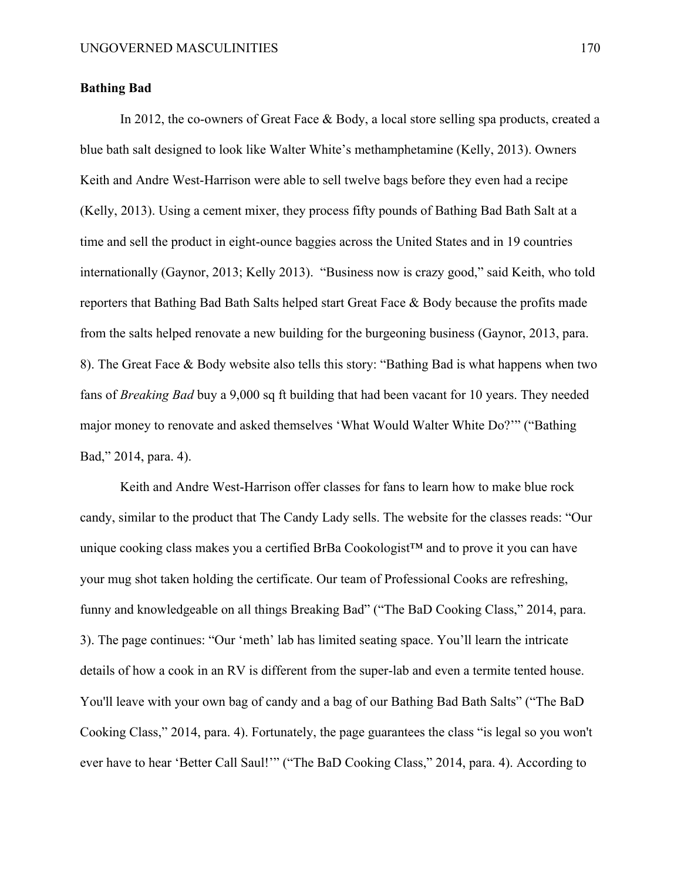# **Bathing Bad**

In 2012, the co-owners of Great Face & Body, a local store selling spa products, created a blue bath salt designed to look like Walter White's methamphetamine (Kelly, 2013). Owners Keith and Andre West-Harrison were able to sell twelve bags before they even had a recipe (Kelly, 2013). Using a cement mixer, they process fifty pounds of Bathing Bad Bath Salt at a time and sell the product in eight-ounce baggies across the United States and in 19 countries internationally (Gaynor, 2013; Kelly 2013). "Business now is crazy good," said Keith, who told reporters that Bathing Bad Bath Salts helped start Great Face & Body because the profits made from the salts helped renovate a new building for the burgeoning business (Gaynor, 2013, para. 8). The Great Face & Body website also tells this story: "Bathing Bad is what happens when two fans of *Breaking Bad* buy a 9,000 sq ft building that had been vacant for 10 years. They needed major money to renovate and asked themselves 'What Would Walter White Do?'" ("Bathing Bad," 2014, para. 4).

Keith and Andre West-Harrison offer classes for fans to learn how to make blue rock candy, similar to the product that The Candy Lady sells. The website for the classes reads: "Our unique cooking class makes you a certified BrBa Cookologist™ and to prove it you can have your mug shot taken holding the certificate. Our team of Professional Cooks are refreshing, funny and knowledgeable on all things Breaking Bad" ("The BaD Cooking Class," 2014, para. 3). The page continues: "Our 'meth' lab has limited seating space. You'll learn the intricate details of how a cook in an RV is different from the super-lab and even a termite tented house. You'll leave with your own bag of candy and a bag of our Bathing Bad Bath Salts" ("The BaD Cooking Class," 2014, para. 4). Fortunately, the page guarantees the class "is legal so you won't ever have to hear 'Better Call Saul!'" ("The BaD Cooking Class," 2014, para. 4). According to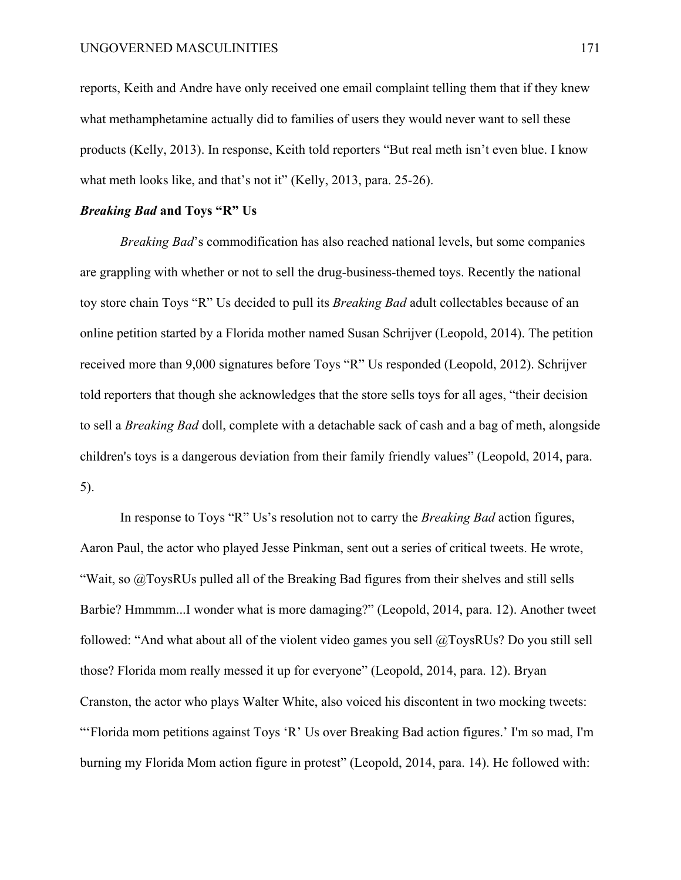reports, Keith and Andre have only received one email complaint telling them that if they knew what methamphetamine actually did to families of users they would never want to sell these products (Kelly, 2013). In response, Keith told reporters "But real meth isn't even blue. I know what meth looks like, and that's not it" (Kelly, 2013, para. 25-26).

# *Breaking Bad* **and Toys "R" Us**

*Breaking Bad*'s commodification has also reached national levels, but some companies are grappling with whether or not to sell the drug-business-themed toys. Recently the national toy store chain Toys "R" Us decided to pull its *Breaking Bad* adult collectables because of an online petition started by a Florida mother named Susan Schrijver (Leopold, 2014). The petition received more than 9,000 signatures before Toys "R" Us responded (Leopold, 2012). Schrijver told reporters that though she acknowledges that the store sells toys for all ages, "their decision to sell a *Breaking Bad* doll, complete with a detachable sack of cash and a bag of meth, alongside children's toys is a dangerous deviation from their family friendly values" (Leopold, 2014, para. 5).

In response to Toys "R" Us's resolution not to carry the *Breaking Bad* action figures, Aaron Paul, the actor who played Jesse Pinkman, sent out a series of critical tweets. He wrote, "Wait, so @ToysRUs pulled all of the Breaking Bad figures from their shelves and still sells Barbie? Hmmmm...I wonder what is more damaging?" (Leopold, 2014, para. 12). Another tweet followed: "And what about all of the violent video games you sell @ToysRUs? Do you still sell those? Florida mom really messed it up for everyone" (Leopold, 2014, para. 12). Bryan Cranston, the actor who plays Walter White, also voiced his discontent in two mocking tweets: "'Florida mom petitions against Toys 'R' Us over Breaking Bad action figures.' I'm so mad, I'm burning my Florida Mom action figure in protest" (Leopold, 2014, para. 14). He followed with: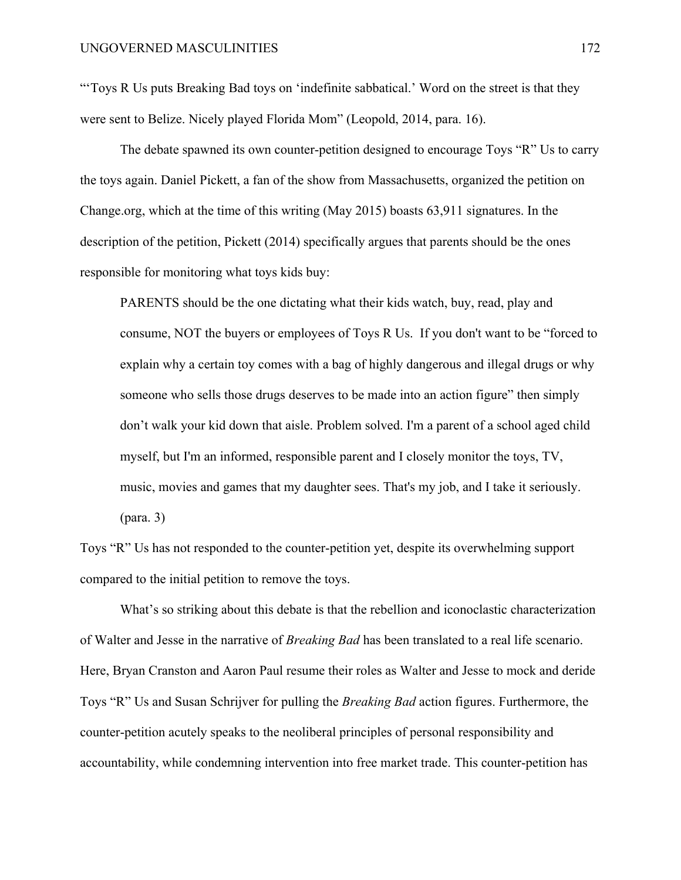"Toys R Us puts Breaking Bad toys on 'indefinite sabbatical.' Word on the street is that they were sent to Belize. Nicely played Florida Mom" (Leopold, 2014, para. 16).

The debate spawned its own counter-petition designed to encourage Toys "R" Us to carry the toys again. Daniel Pickett, a fan of the show from Massachusetts, organized the petition on Change.org, which at the time of this writing (May 2015) boasts 63,911 signatures. In the description of the petition, Pickett (2014) specifically argues that parents should be the ones responsible for monitoring what toys kids buy:

PARENTS should be the one dictating what their kids watch, buy, read, play and consume, NOT the buyers or employees of Toys R Us. If you don't want to be "forced to explain why a certain toy comes with a bag of highly dangerous and illegal drugs or why someone who sells those drugs deserves to be made into an action figure" then simply don't walk your kid down that aisle. Problem solved. I'm a parent of a school aged child myself, but I'm an informed, responsible parent and I closely monitor the toys, TV, music, movies and games that my daughter sees. That's my job, and I take it seriously. (para. 3)

Toys "R" Us has not responded to the counter-petition yet, despite its overwhelming support compared to the initial petition to remove the toys.

What's so striking about this debate is that the rebellion and iconoclastic characterization of Walter and Jesse in the narrative of *Breaking Bad* has been translated to a real life scenario. Here, Bryan Cranston and Aaron Paul resume their roles as Walter and Jesse to mock and deride Toys "R" Us and Susan Schrijver for pulling the *Breaking Bad* action figures. Furthermore, the counter-petition acutely speaks to the neoliberal principles of personal responsibility and accountability, while condemning intervention into free market trade. This counter-petition has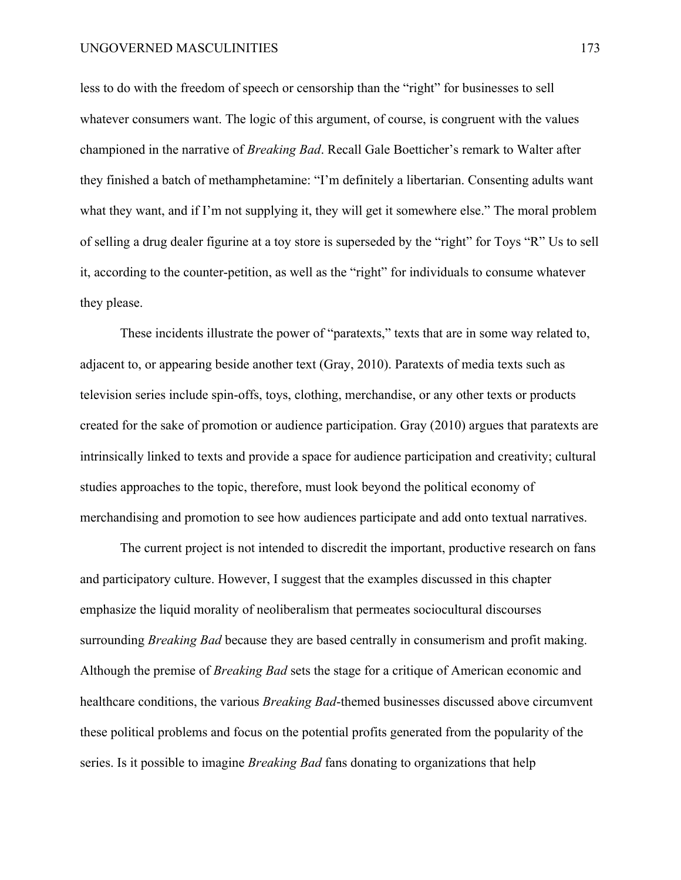less to do with the freedom of speech or censorship than the "right" for businesses to sell whatever consumers want. The logic of this argument, of course, is congruent with the values championed in the narrative of *Breaking Bad*. Recall Gale Boetticher's remark to Walter after they finished a batch of methamphetamine: "I'm definitely a libertarian. Consenting adults want what they want, and if I'm not supplying it, they will get it somewhere else." The moral problem of selling a drug dealer figurine at a toy store is superseded by the "right" for Toys "R" Us to sell it, according to the counter-petition, as well as the "right" for individuals to consume whatever they please.

These incidents illustrate the power of "paratexts," texts that are in some way related to, adjacent to, or appearing beside another text (Gray, 2010). Paratexts of media texts such as television series include spin-offs, toys, clothing, merchandise, or any other texts or products created for the sake of promotion or audience participation. Gray (2010) argues that paratexts are intrinsically linked to texts and provide a space for audience participation and creativity; cultural studies approaches to the topic, therefore, must look beyond the political economy of merchandising and promotion to see how audiences participate and add onto textual narratives.

The current project is not intended to discredit the important, productive research on fans and participatory culture. However, I suggest that the examples discussed in this chapter emphasize the liquid morality of neoliberalism that permeates sociocultural discourses surrounding *Breaking Bad* because they are based centrally in consumerism and profit making. Although the premise of *Breaking Bad* sets the stage for a critique of American economic and healthcare conditions, the various *Breaking Bad*-themed businesses discussed above circumvent these political problems and focus on the potential profits generated from the popularity of the series. Is it possible to imagine *Breaking Bad* fans donating to organizations that help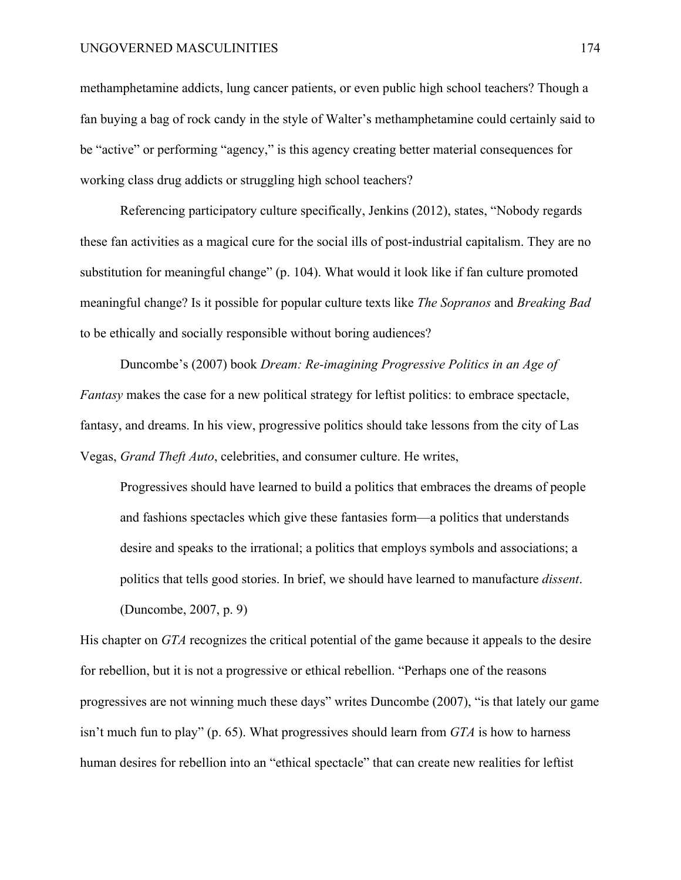methamphetamine addicts, lung cancer patients, or even public high school teachers? Though a fan buying a bag of rock candy in the style of Walter's methamphetamine could certainly said to be "active" or performing "agency," is this agency creating better material consequences for working class drug addicts or struggling high school teachers?

Referencing participatory culture specifically, Jenkins (2012), states, "Nobody regards these fan activities as a magical cure for the social ills of post-industrial capitalism. They are no substitution for meaningful change" (p. 104). What would it look like if fan culture promoted meaningful change? Is it possible for popular culture texts like *The Sopranos* and *Breaking Bad* to be ethically and socially responsible without boring audiences?

Duncombe's (2007) book *Dream: Re-imagining Progressive Politics in an Age of Fantasy* makes the case for a new political strategy for leftist politics: to embrace spectacle, fantasy, and dreams. In his view, progressive politics should take lessons from the city of Las Vegas, *Grand Theft Auto*, celebrities, and consumer culture. He writes,

Progressives should have learned to build a politics that embraces the dreams of people and fashions spectacles which give these fantasies form—a politics that understands desire and speaks to the irrational; a politics that employs symbols and associations; a politics that tells good stories. In brief, we should have learned to manufacture *dissent*. (Duncombe, 2007, p. 9)

His chapter on *GTA* recognizes the critical potential of the game because it appeals to the desire for rebellion, but it is not a progressive or ethical rebellion. "Perhaps one of the reasons progressives are not winning much these days" writes Duncombe (2007), "is that lately our game isn't much fun to play" (p. 65). What progressives should learn from *GTA* is how to harness human desires for rebellion into an "ethical spectacle" that can create new realities for leftist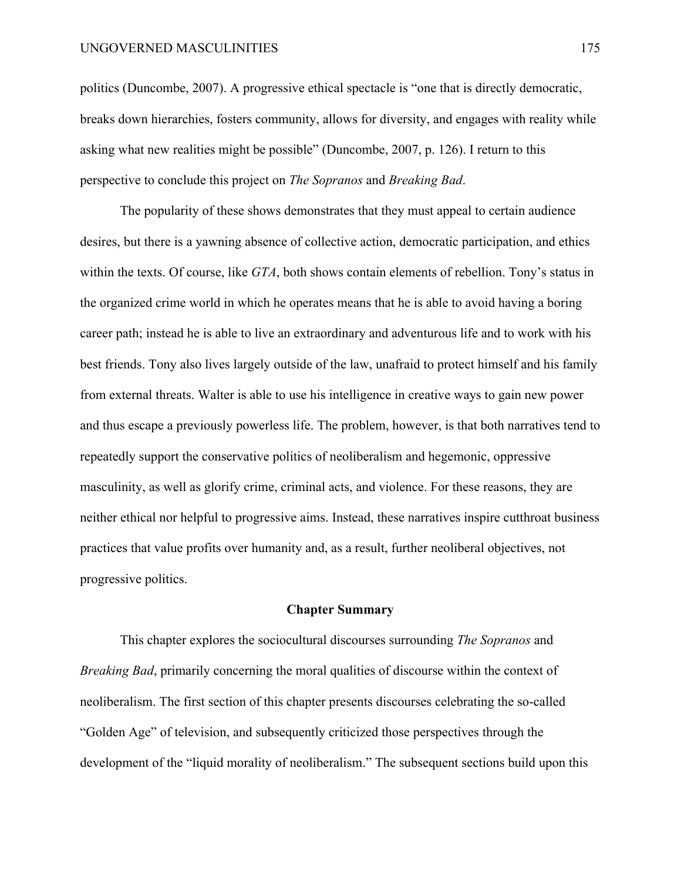politics (Duncombe, 2007). A progressive ethical spectacle is "one that is directly democratic, breaks down hierarchies, fosters community, allows for diversity, and engages with reality while asking what new realities might be possible" (Duncombe, 2007, p. 126). I return to this perspective to conclude this project on *The Sopranos* and *Breaking Bad*.

The popularity of these shows demonstrates that they must appeal to certain audience desires, but there is a yawning absence of collective action, democratic participation, and ethics within the texts. Of course, like *GTA*, both shows contain elements of rebellion. Tony's status in the organized crime world in which he operates means that he is able to avoid having a boring career path; instead he is able to live an extraordinary and adventurous life and to work with his best friends. Tony also lives largely outside of the law, unafraid to protect himself and his family from external threats. Walter is able to use his intelligence in creative ways to gain new power and thus escape a previously powerless life. The problem, however, is that both narratives tend to repeatedly support the conservative politics of neoliberalism and hegemonic, oppressive masculinity, as well as glorify crime, criminal acts, and violence. For these reasons, they are neither ethical nor helpful to progressive aims. Instead, these narratives inspire cutthroat business practices that value profits over humanity and, as a result, further neoliberal objectives, not progressive politics.

### **Chapter Summary**

This chapter explores the sociocultural discourses surrounding *The Sopranos* and *Breaking Bad*, primarily concerning the moral qualities of discourse within the context of neoliberalism. The first section of this chapter presents discourses celebrating the so-called "Golden Age" of television, and subsequently criticized those perspectives through the development of the "liquid morality of neoliberalism." The subsequent sections build upon this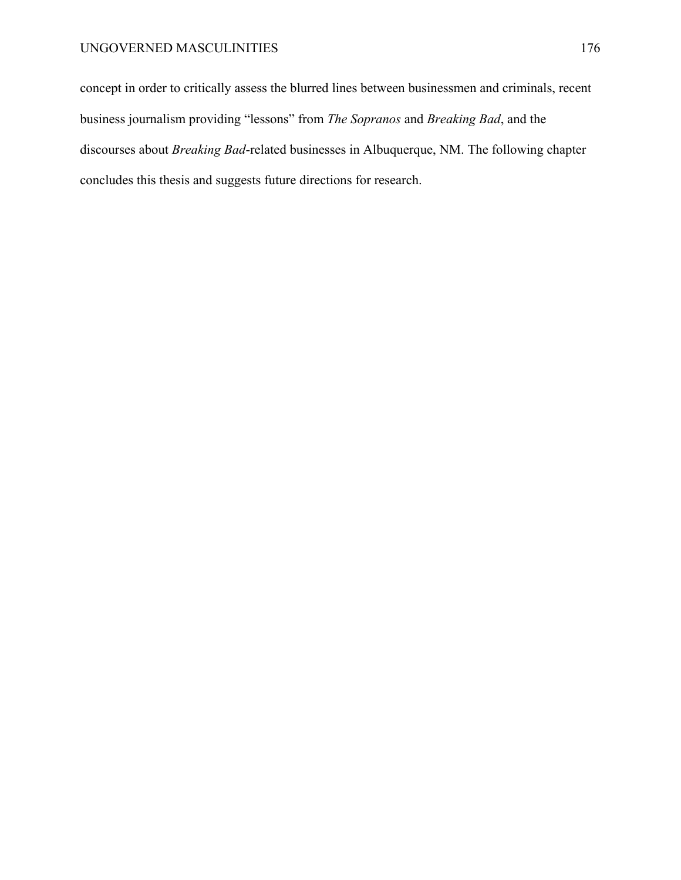concept in order to critically assess the blurred lines between businessmen and criminals, recent business journalism providing "lessons" from *The Sopranos* and *Breaking Bad*, and the discourses about *Breaking Bad*-related businesses in Albuquerque, NM. The following chapter concludes this thesis and suggests future directions for research.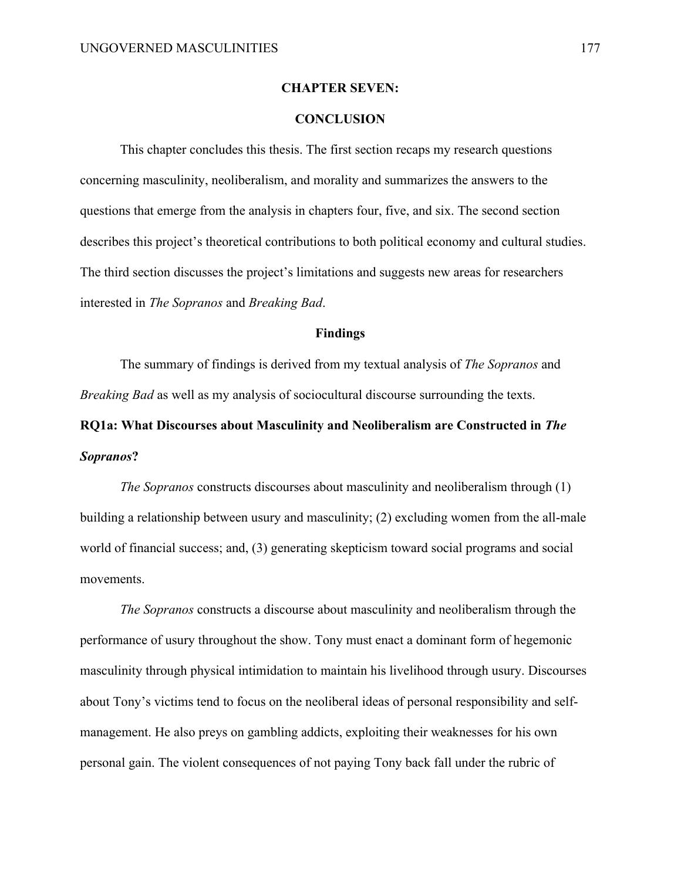# **CHAPTER SEVEN:**

# **CONCLUSION**

This chapter concludes this thesis. The first section recaps my research questions concerning masculinity, neoliberalism, and morality and summarizes the answers to the questions that emerge from the analysis in chapters four, five, and six. The second section describes this project's theoretical contributions to both political economy and cultural studies. The third section discusses the project's limitations and suggests new areas for researchers interested in *The Sopranos* and *Breaking Bad*.

# **Findings**

The summary of findings is derived from my textual analysis of *The Sopranos* and *Breaking Bad* as well as my analysis of sociocultural discourse surrounding the texts.

# **RQ1a: What Discourses about Masculinity and Neoliberalism are Constructed in** *The Sopranos***?**

*The Sopranos* constructs discourses about masculinity and neoliberalism through (1) building a relationship between usury and masculinity; (2) excluding women from the all-male world of financial success; and, (3) generating skepticism toward social programs and social movements.

*The Sopranos* constructs a discourse about masculinity and neoliberalism through the performance of usury throughout the show. Tony must enact a dominant form of hegemonic masculinity through physical intimidation to maintain his livelihood through usury. Discourses about Tony's victims tend to focus on the neoliberal ideas of personal responsibility and selfmanagement. He also preys on gambling addicts, exploiting their weaknesses for his own personal gain. The violent consequences of not paying Tony back fall under the rubric of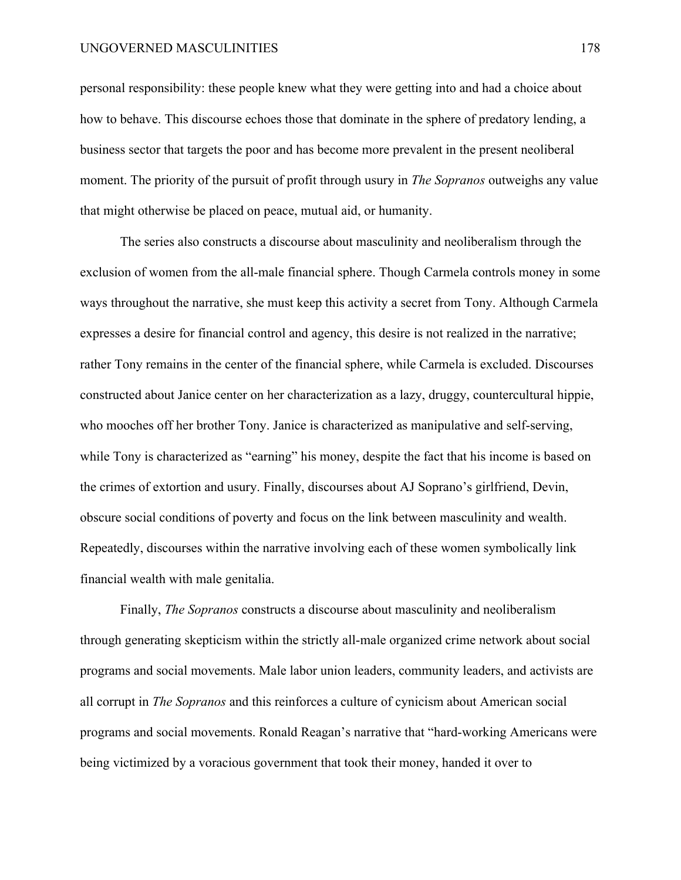personal responsibility: these people knew what they were getting into and had a choice about how to behave. This discourse echoes those that dominate in the sphere of predatory lending, a business sector that targets the poor and has become more prevalent in the present neoliberal moment. The priority of the pursuit of profit through usury in *The Sopranos* outweighs any value that might otherwise be placed on peace, mutual aid, or humanity.

The series also constructs a discourse about masculinity and neoliberalism through the exclusion of women from the all-male financial sphere. Though Carmela controls money in some ways throughout the narrative, she must keep this activity a secret from Tony. Although Carmela expresses a desire for financial control and agency, this desire is not realized in the narrative; rather Tony remains in the center of the financial sphere, while Carmela is excluded. Discourses constructed about Janice center on her characterization as a lazy, druggy, countercultural hippie, who mooches off her brother Tony. Janice is characterized as manipulative and self-serving, while Tony is characterized as "earning" his money, despite the fact that his income is based on the crimes of extortion and usury. Finally, discourses about AJ Soprano's girlfriend, Devin, obscure social conditions of poverty and focus on the link between masculinity and wealth. Repeatedly, discourses within the narrative involving each of these women symbolically link financial wealth with male genitalia.

Finally, *The Sopranos* constructs a discourse about masculinity and neoliberalism through generating skepticism within the strictly all-male organized crime network about social programs and social movements. Male labor union leaders, community leaders, and activists are all corrupt in *The Sopranos* and this reinforces a culture of cynicism about American social programs and social movements. Ronald Reagan's narrative that "hard-working Americans were being victimized by a voracious government that took their money, handed it over to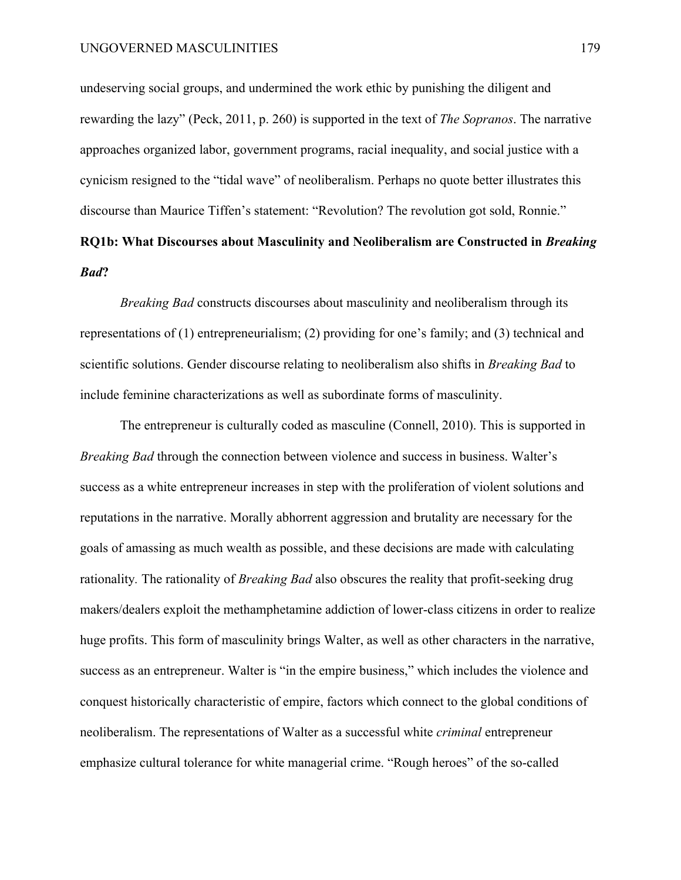undeserving social groups, and undermined the work ethic by punishing the diligent and rewarding the lazy" (Peck, 2011, p. 260) is supported in the text of *The Sopranos*. The narrative approaches organized labor, government programs, racial inequality, and social justice with a cynicism resigned to the "tidal wave" of neoliberalism. Perhaps no quote better illustrates this discourse than Maurice Tiffen's statement: "Revolution? The revolution got sold, Ronnie."

# **RQ1b: What Discourses about Masculinity and Neoliberalism are Constructed in** *Breaking Bad***?**

*Breaking Bad* constructs discourses about masculinity and neoliberalism through its representations of (1) entrepreneurialism; (2) providing for one's family; and (3) technical and scientific solutions. Gender discourse relating to neoliberalism also shifts in *Breaking Bad* to include feminine characterizations as well as subordinate forms of masculinity.

The entrepreneur is culturally coded as masculine (Connell, 2010). This is supported in *Breaking Bad* through the connection between violence and success in business. Walter's success as a white entrepreneur increases in step with the proliferation of violent solutions and reputations in the narrative. Morally abhorrent aggression and brutality are necessary for the goals of amassing as much wealth as possible, and these decisions are made with calculating rationality*.* The rationality of *Breaking Bad* also obscures the reality that profit-seeking drug makers/dealers exploit the methamphetamine addiction of lower-class citizens in order to realize huge profits. This form of masculinity brings Walter, as well as other characters in the narrative, success as an entrepreneur. Walter is "in the empire business," which includes the violence and conquest historically characteristic of empire, factors which connect to the global conditions of neoliberalism. The representations of Walter as a successful white *criminal* entrepreneur emphasize cultural tolerance for white managerial crime. "Rough heroes" of the so-called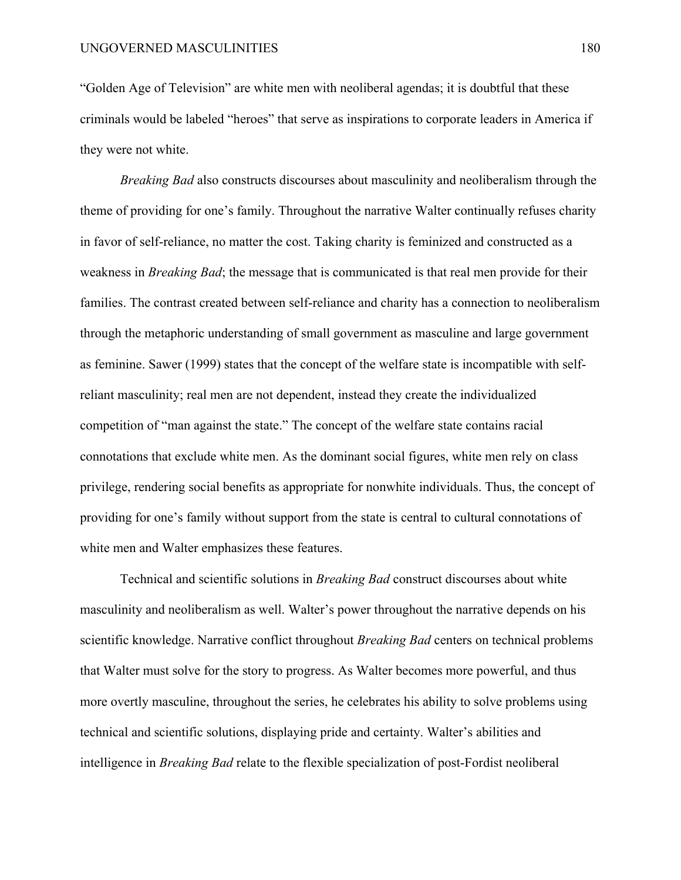"Golden Age of Television" are white men with neoliberal agendas; it is doubtful that these criminals would be labeled "heroes" that serve as inspirations to corporate leaders in America if they were not white.

*Breaking Bad* also constructs discourses about masculinity and neoliberalism through the theme of providing for one's family. Throughout the narrative Walter continually refuses charity in favor of self-reliance, no matter the cost. Taking charity is feminized and constructed as a weakness in *Breaking Bad*; the message that is communicated is that real men provide for their families. The contrast created between self-reliance and charity has a connection to neoliberalism through the metaphoric understanding of small government as masculine and large government as feminine. Sawer (1999) states that the concept of the welfare state is incompatible with selfreliant masculinity; real men are not dependent, instead they create the individualized competition of "man against the state." The concept of the welfare state contains racial connotations that exclude white men. As the dominant social figures, white men rely on class privilege, rendering social benefits as appropriate for nonwhite individuals. Thus, the concept of providing for one's family without support from the state is central to cultural connotations of white men and Walter emphasizes these features.

Technical and scientific solutions in *Breaking Bad* construct discourses about white masculinity and neoliberalism as well. Walter's power throughout the narrative depends on his scientific knowledge. Narrative conflict throughout *Breaking Bad* centers on technical problems that Walter must solve for the story to progress. As Walter becomes more powerful, and thus more overtly masculine, throughout the series, he celebrates his ability to solve problems using technical and scientific solutions, displaying pride and certainty. Walter's abilities and intelligence in *Breaking Bad* relate to the flexible specialization of post-Fordist neoliberal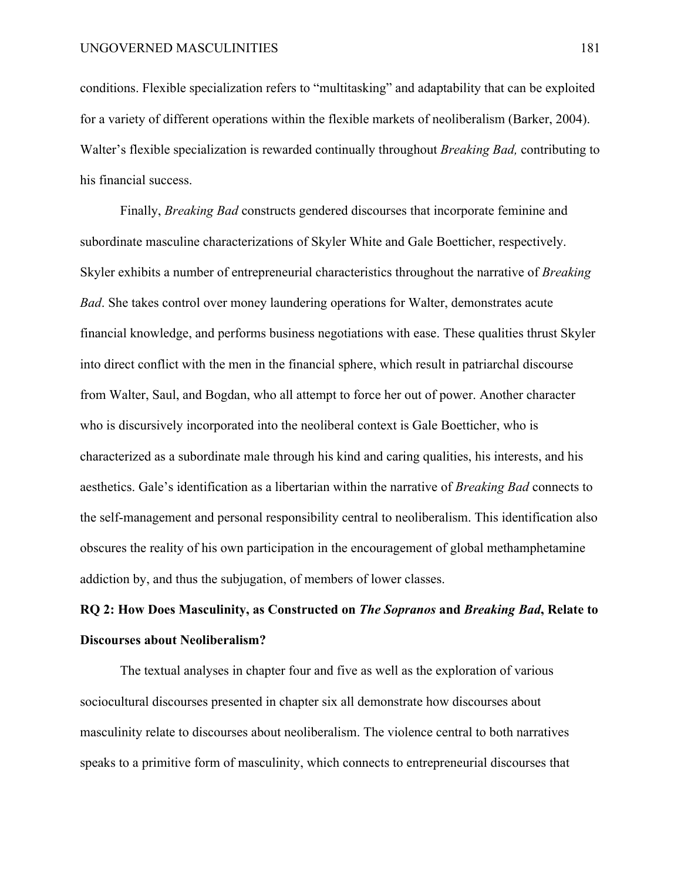conditions. Flexible specialization refers to "multitasking" and adaptability that can be exploited for a variety of different operations within the flexible markets of neoliberalism (Barker, 2004). Walter's flexible specialization is rewarded continually throughout *Breaking Bad,* contributing to his financial success.

Finally, *Breaking Bad* constructs gendered discourses that incorporate feminine and subordinate masculine characterizations of Skyler White and Gale Boetticher, respectively. Skyler exhibits a number of entrepreneurial characteristics throughout the narrative of *Breaking Bad*. She takes control over money laundering operations for Walter, demonstrates acute financial knowledge, and performs business negotiations with ease. These qualities thrust Skyler into direct conflict with the men in the financial sphere, which result in patriarchal discourse from Walter, Saul, and Bogdan, who all attempt to force her out of power. Another character who is discursively incorporated into the neoliberal context is Gale Boetticher, who is characterized as a subordinate male through his kind and caring qualities, his interests, and his aesthetics. Gale's identification as a libertarian within the narrative of *Breaking Bad* connects to the self-management and personal responsibility central to neoliberalism. This identification also obscures the reality of his own participation in the encouragement of global methamphetamine addiction by, and thus the subjugation, of members of lower classes.

# **RQ 2: How Does Masculinity, as Constructed on** *The Sopranos* **and** *Breaking Bad***, Relate to Discourses about Neoliberalism?**

The textual analyses in chapter four and five as well as the exploration of various sociocultural discourses presented in chapter six all demonstrate how discourses about masculinity relate to discourses about neoliberalism. The violence central to both narratives speaks to a primitive form of masculinity, which connects to entrepreneurial discourses that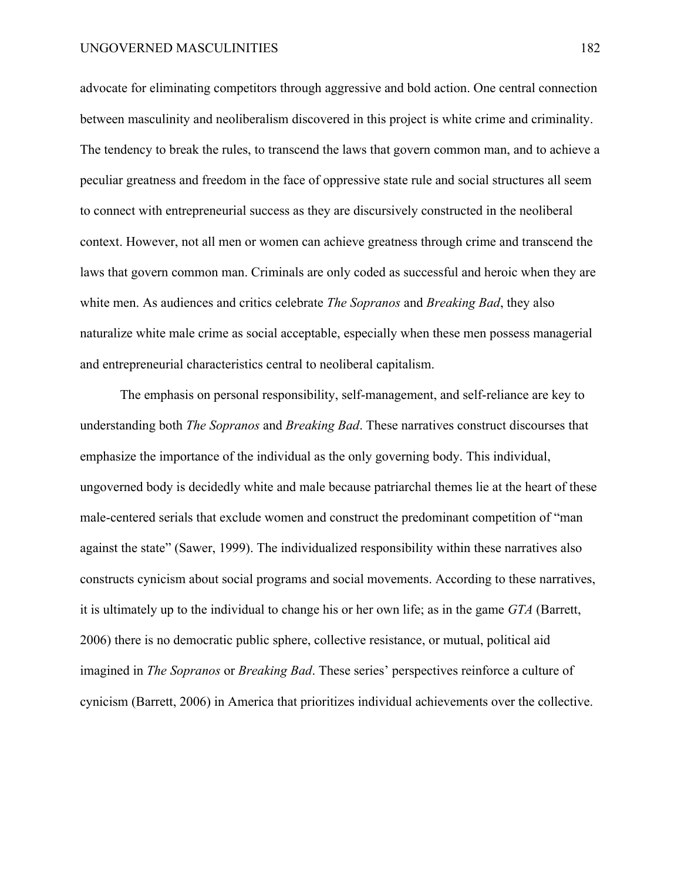advocate for eliminating competitors through aggressive and bold action. One central connection between masculinity and neoliberalism discovered in this project is white crime and criminality. The tendency to break the rules, to transcend the laws that govern common man, and to achieve a peculiar greatness and freedom in the face of oppressive state rule and social structures all seem to connect with entrepreneurial success as they are discursively constructed in the neoliberal context. However, not all men or women can achieve greatness through crime and transcend the laws that govern common man. Criminals are only coded as successful and heroic when they are white men. As audiences and critics celebrate *The Sopranos* and *Breaking Bad*, they also naturalize white male crime as social acceptable, especially when these men possess managerial and entrepreneurial characteristics central to neoliberal capitalism.

The emphasis on personal responsibility, self-management, and self-reliance are key to understanding both *The Sopranos* and *Breaking Bad*. These narratives construct discourses that emphasize the importance of the individual as the only governing body. This individual, ungoverned body is decidedly white and male because patriarchal themes lie at the heart of these male-centered serials that exclude women and construct the predominant competition of "man against the state" (Sawer, 1999). The individualized responsibility within these narratives also constructs cynicism about social programs and social movements. According to these narratives, it is ultimately up to the individual to change his or her own life; as in the game *GTA* (Barrett, 2006) there is no democratic public sphere, collective resistance, or mutual, political aid imagined in *The Sopranos* or *Breaking Bad*. These series' perspectives reinforce a culture of cynicism (Barrett, 2006) in America that prioritizes individual achievements over the collective.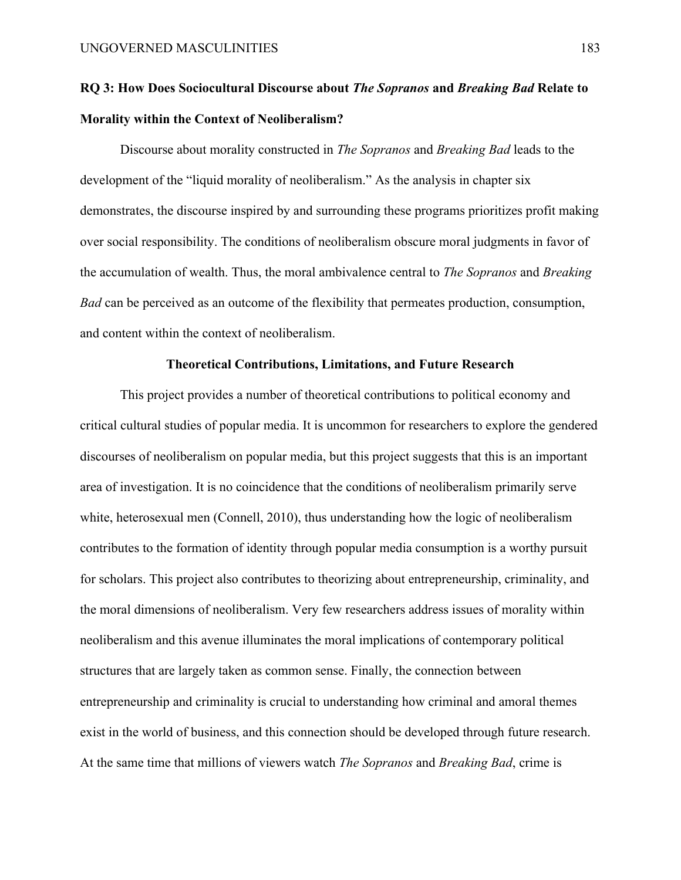# **RQ 3: How Does Sociocultural Discourse about** *The Sopranos* **and** *Breaking Bad* **Relate to Morality within the Context of Neoliberalism?**

Discourse about morality constructed in *The Sopranos* and *Breaking Bad* leads to the development of the "liquid morality of neoliberalism." As the analysis in chapter six demonstrates, the discourse inspired by and surrounding these programs prioritizes profit making over social responsibility. The conditions of neoliberalism obscure moral judgments in favor of the accumulation of wealth. Thus, the moral ambivalence central to *The Sopranos* and *Breaking Bad* can be perceived as an outcome of the flexibility that permeates production, consumption, and content within the context of neoliberalism.

# **Theoretical Contributions, Limitations, and Future Research**

This project provides a number of theoretical contributions to political economy and critical cultural studies of popular media. It is uncommon for researchers to explore the gendered discourses of neoliberalism on popular media, but this project suggests that this is an important area of investigation. It is no coincidence that the conditions of neoliberalism primarily serve white, heterosexual men (Connell, 2010), thus understanding how the logic of neoliberalism contributes to the formation of identity through popular media consumption is a worthy pursuit for scholars. This project also contributes to theorizing about entrepreneurship, criminality, and the moral dimensions of neoliberalism. Very few researchers address issues of morality within neoliberalism and this avenue illuminates the moral implications of contemporary political structures that are largely taken as common sense. Finally, the connection between entrepreneurship and criminality is crucial to understanding how criminal and amoral themes exist in the world of business, and this connection should be developed through future research. At the same time that millions of viewers watch *The Sopranos* and *Breaking Bad*, crime is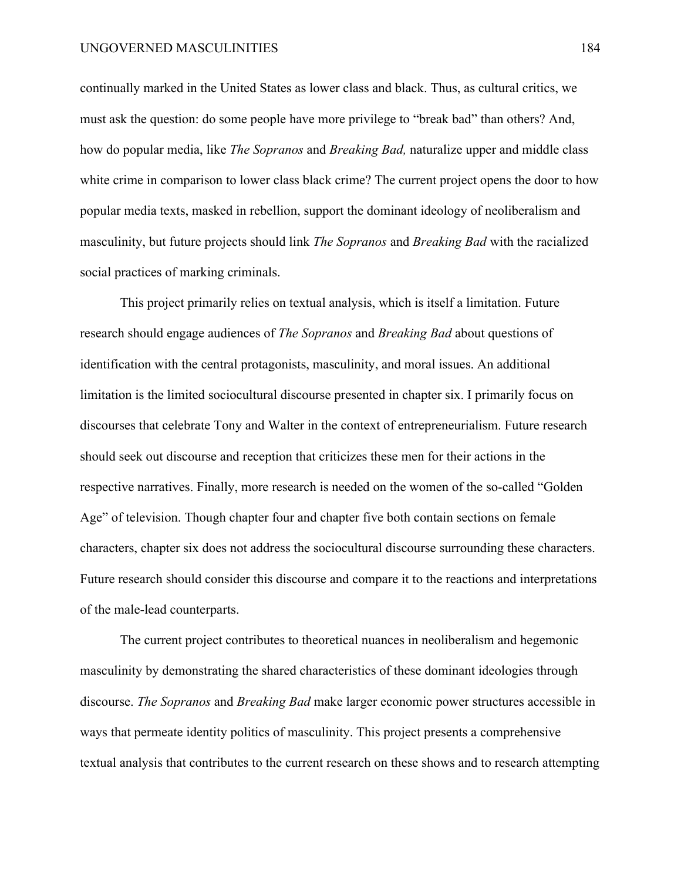continually marked in the United States as lower class and black. Thus, as cultural critics, we must ask the question: do some people have more privilege to "break bad" than others? And, how do popular media, like *The Sopranos* and *Breaking Bad,* naturalize upper and middle class white crime in comparison to lower class black crime? The current project opens the door to how popular media texts, masked in rebellion, support the dominant ideology of neoliberalism and masculinity, but future projects should link *The Sopranos* and *Breaking Bad* with the racialized social practices of marking criminals.

This project primarily relies on textual analysis, which is itself a limitation. Future research should engage audiences of *The Sopranos* and *Breaking Bad* about questions of identification with the central protagonists, masculinity, and moral issues. An additional limitation is the limited sociocultural discourse presented in chapter six. I primarily focus on discourses that celebrate Tony and Walter in the context of entrepreneurialism. Future research should seek out discourse and reception that criticizes these men for their actions in the respective narratives. Finally, more research is needed on the women of the so-called "Golden Age" of television. Though chapter four and chapter five both contain sections on female characters, chapter six does not address the sociocultural discourse surrounding these characters. Future research should consider this discourse and compare it to the reactions and interpretations of the male-lead counterparts.

The current project contributes to theoretical nuances in neoliberalism and hegemonic masculinity by demonstrating the shared characteristics of these dominant ideologies through discourse. *The Sopranos* and *Breaking Bad* make larger economic power structures accessible in ways that permeate identity politics of masculinity. This project presents a comprehensive textual analysis that contributes to the current research on these shows and to research attempting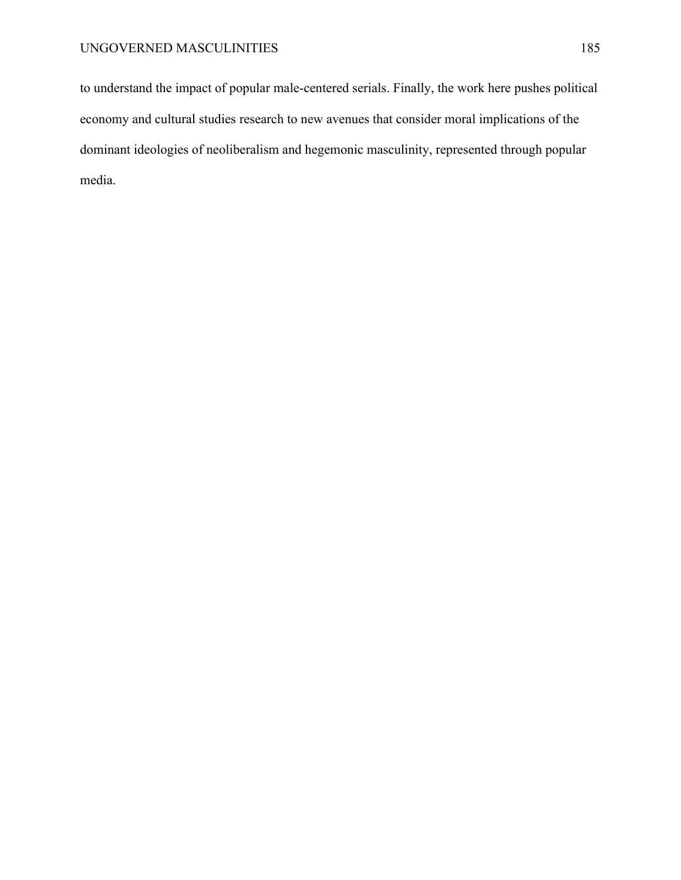to understand the impact of popular male-centered serials. Finally, the work here pushes political economy and cultural studies research to new avenues that consider moral implications of the dominant ideologies of neoliberalism and hegemonic masculinity, represented through popular media.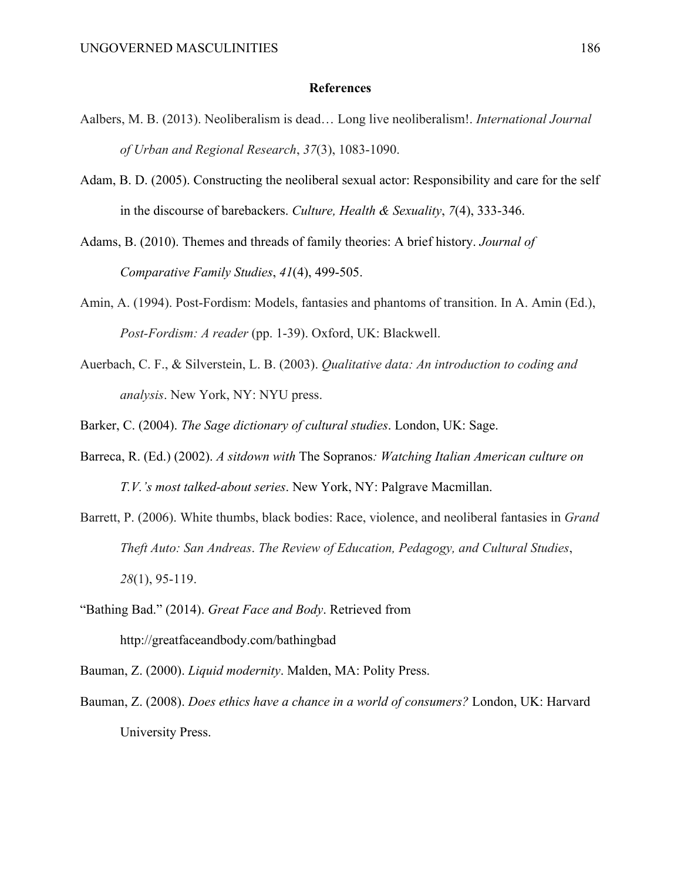### **References**

- Aalbers, M. B. (2013). Neoliberalism is dead… Long live neoliberalism!. *International Journal of Urban and Regional Research*, *37*(3), 1083-1090.
- Adam, B. D. (2005). Constructing the neoliberal sexual actor: Responsibility and care for the self in the discourse of barebackers. *Culture, Health & Sexuality*, *7*(4), 333-346.
- Adams, B. (2010). Themes and threads of family theories: A brief history. *Journal of Comparative Family Studies*, *41*(4), 499-505.
- Amin, A. (1994). Post-Fordism: Models, fantasies and phantoms of transition. In A. Amin (Ed.), *Post-Fordism: A reader* (pp. 1-39). Oxford, UK: Blackwell.
- Auerbach, C. F., & Silverstein, L. B. (2003). *Qualitative data: An introduction to coding and analysis*. New York, NY: NYU press.
- Barker, C. (2004). *The Sage dictionary of cultural studies*. London, UK: Sage.
- Barreca, R. (Ed.) (2002). *A sitdown with* The Sopranos*: Watching Italian American culture on T.V.'s most talked-about series*. New York, NY: Palgrave Macmillan.
- Barrett, P. (2006). White thumbs, black bodies: Race, violence, and neoliberal fantasies in *Grand Theft Auto: San Andreas*. *The Review of Education, Pedagogy, and Cultural Studies*, *28*(1), 95-119.
- "Bathing Bad." (2014). *Great Face and Body*. Retrieved from http://greatfaceandbody.com/bathingbad
- Bauman, Z. (2000). *Liquid modernity*. Malden, MA: Polity Press.
- Bauman, Z. (2008). *Does ethics have a chance in a world of consumers?* London, UK: Harvard University Press.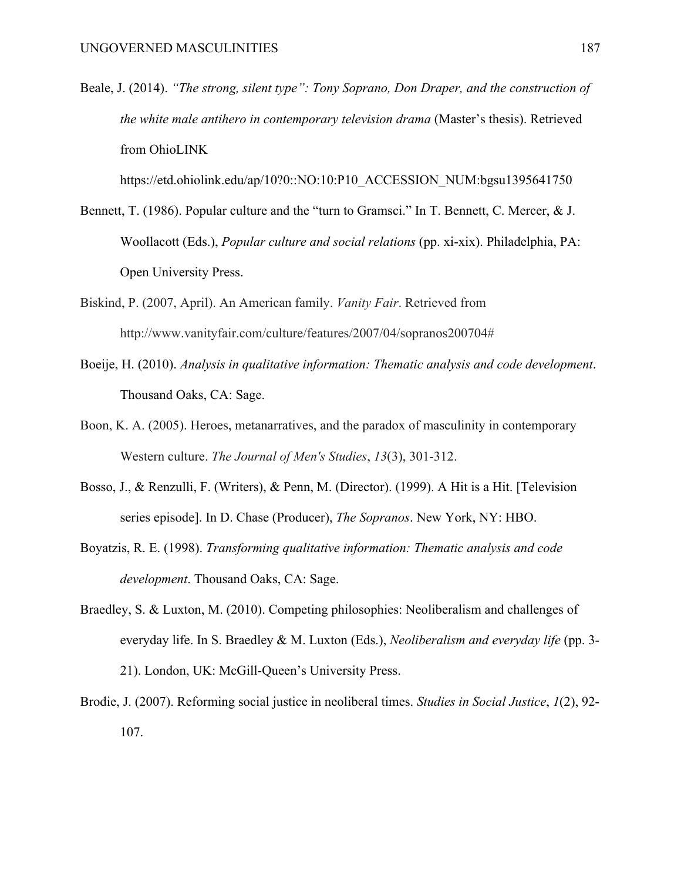Beale, J. (2014). *"The strong, silent type": Tony Soprano, Don Draper, and the construction of the white male antihero in contemporary television drama* (Master's thesis). Retrieved from OhioLINK

https://etd.ohiolink.edu/ap/10?0::NO:10:P10\_ACCESSION\_NUM:bgsu1395641750

- Bennett, T. (1986). Popular culture and the "turn to Gramsci." In T. Bennett, C. Mercer, & J. Woollacott (Eds.), *Popular culture and social relations* (pp. xi-xix). Philadelphia, PA: Open University Press.
- Biskind, P. (2007, April). An American family. *Vanity Fair*. Retrieved from http://www.vanityfair.com/culture/features/2007/04/sopranos200704#
- Boeije, H. (2010). *Analysis in qualitative information: Thematic analysis and code development*. Thousand Oaks, CA: Sage.
- Boon, K. A. (2005). Heroes, metanarratives, and the paradox of masculinity in contemporary Western culture. *The Journal of Men's Studies*, *13*(3), 301-312.
- Bosso, J., & Renzulli, F. (Writers), & Penn, M. (Director). (1999). A Hit is a Hit. [Television series episode]. In D. Chase (Producer), *The Sopranos*. New York, NY: HBO.
- Boyatzis, R. E. (1998). *Transforming qualitative information: Thematic analysis and code development*. Thousand Oaks, CA: Sage.
- Braedley, S. & Luxton, M. (2010). Competing philosophies: Neoliberalism and challenges of everyday life. In S. Braedley & M. Luxton (Eds.), *Neoliberalism and everyday life* (pp. 3- 21). London, UK: McGill-Queen's University Press.
- Brodie, J. (2007). Reforming social justice in neoliberal times. *Studies in Social Justice*, *1*(2), 92- 107.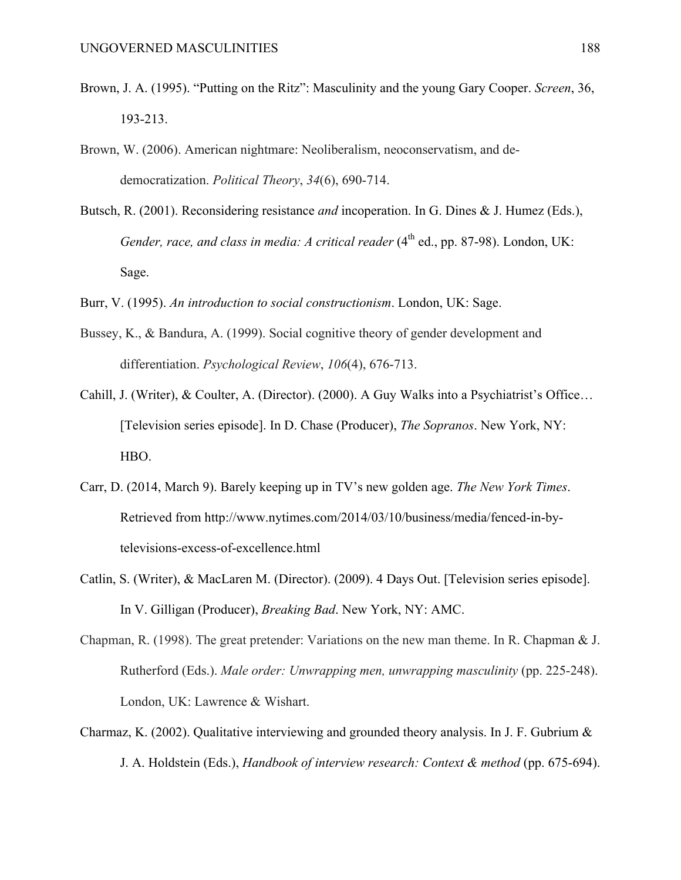- Brown, J. A. (1995). "Putting on the Ritz": Masculinity and the young Gary Cooper. *Screen*, 36, 193-213.
- Brown, W. (2006). American nightmare: Neoliberalism, neoconservatism, and dedemocratization. *Political Theory*, *34*(6), 690-714.
- Butsch, R. (2001). Reconsidering resistance *and* incoperation. In G. Dines & J. Humez (Eds.), *Gender, race, and class in media: A critical reader* (4<sup>th</sup> ed., pp. 87-98). London, UK: Sage.
- Burr, V. (1995). *An introduction to social constructionism*. London, UK: Sage.
- Bussey, K., & Bandura, A. (1999). Social cognitive theory of gender development and differentiation. *Psychological Review*, *106*(4), 676-713.
- Cahill, J. (Writer), & Coulter, A. (Director). (2000). A Guy Walks into a Psychiatrist's Office… [Television series episode]. In D. Chase (Producer), *The Sopranos*. New York, NY: HBO.
- Carr, D. (2014, March 9). Barely keeping up in TV's new golden age. *The New York Times*. Retrieved from http://www.nytimes.com/2014/03/10/business/media/fenced-in-bytelevisions-excess-of-excellence.html
- Catlin, S. (Writer), & MacLaren M. (Director). (2009). 4 Days Out. [Television series episode]. In V. Gilligan (Producer), *Breaking Bad*. New York, NY: AMC.
- Chapman, R. (1998). The great pretender: Variations on the new man theme. In R. Chapman & J. Rutherford (Eds.). *Male order: Unwrapping men, unwrapping masculinity* (pp. 225-248). London, UK: Lawrence & Wishart.
- Charmaz, K. (2002). Qualitative interviewing and grounded theory analysis. In J. F. Gubrium  $\&$ J. A. Holdstein (Eds.), *Handbook of interview research: Context & method* (pp. 675-694).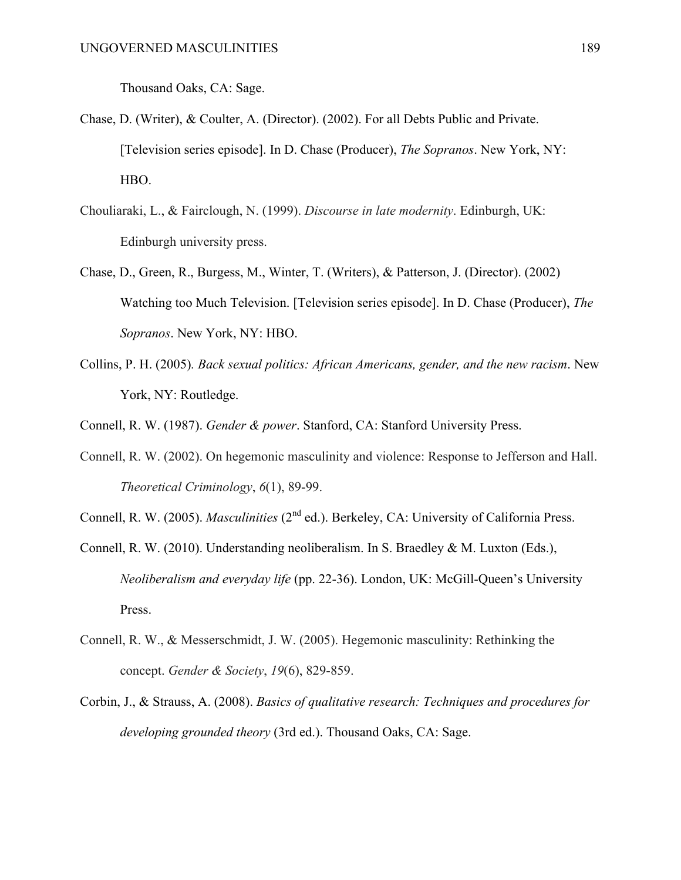Thousand Oaks, CA: Sage.

- Chase, D. (Writer), & Coulter, A. (Director). (2002). For all Debts Public and Private. [Television series episode]. In D. Chase (Producer), *The Sopranos*. New York, NY: HBO.
- Chouliaraki, L., & Fairclough, N. (1999). *Discourse in late modernity*. Edinburgh, UK: Edinburgh university press.
- Chase, D., Green, R., Burgess, M., Winter, T. (Writers), & Patterson, J. (Director). (2002) Watching too Much Television. [Television series episode]. In D. Chase (Producer), *The Sopranos*. New York, NY: HBO.
- Collins, P. H. (2005)*. Back sexual politics: African Americans, gender, and the new racism*. New York, NY: Routledge.
- Connell, R. W. (1987). *Gender & power*. Stanford, CA: Stanford University Press.
- Connell, R. W. (2002). On hegemonic masculinity and violence: Response to Jefferson and Hall. *Theoretical Criminology*, *6*(1), 89-99.
- Connell, R. W. (2005). *Masculinities* (2nd ed.). Berkeley, CA: University of California Press.
- Connell, R. W. (2010). Understanding neoliberalism. In S. Braedley & M. Luxton (Eds.), *Neoliberalism and everyday life* (pp. 22-36). London, UK: McGill-Queen's University Press.
- Connell, R. W., & Messerschmidt, J. W. (2005). Hegemonic masculinity: Rethinking the concept. *Gender & Society*, *19*(6), 829-859.
- Corbin, J., & Strauss, A. (2008). *Basics of qualitative research: Techniques and procedures for developing grounded theory* (3rd ed.). Thousand Oaks, CA: Sage.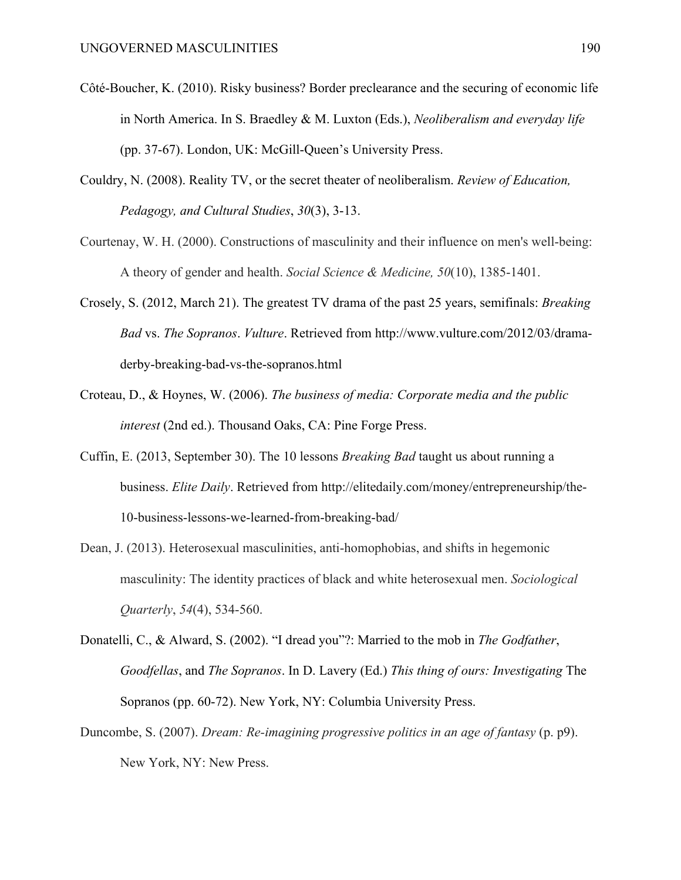- Côté-Boucher, K. (2010). Risky business? Border preclearance and the securing of economic life in North America. In S. Braedley & M. Luxton (Eds.), *Neoliberalism and everyday life* (pp. 37-67). London, UK: McGill-Queen's University Press.
- Couldry, N. (2008). Reality TV, or the secret theater of neoliberalism. *Review of Education, Pedagogy, and Cultural Studies*, *30*(3), 3-13.
- Courtenay, W. H. (2000). Constructions of masculinity and their influence on men's well-being: A theory of gender and health. *Social Science & Medicine, 50*(10), 1385-1401.
- Crosely, S. (2012, March 21). The greatest TV drama of the past 25 years, semifinals: *Breaking Bad* vs. *The Sopranos*. *Vulture*. Retrieved from http://www.vulture.com/2012/03/dramaderby-breaking-bad-vs-the-sopranos.html
- Croteau, D., & Hoynes, W. (2006). *The business of media: Corporate media and the public interest* (2nd ed.). Thousand Oaks, CA: Pine Forge Press.
- Cuffin, E. (2013, September 30). The 10 lessons *Breaking Bad* taught us about running a business. *Elite Daily*. Retrieved from http://elitedaily.com/money/entrepreneurship/the-10-business-lessons-we-learned-from-breaking-bad/
- Dean, J. (2013). Heterosexual masculinities, anti-homophobias, and shifts in hegemonic masculinity: The identity practices of black and white heterosexual men. *Sociological Quarterly*, *54*(4), 534-560.
- Donatelli, C., & Alward, S. (2002). "I dread you"?: Married to the mob in *The Godfather*, *Goodfellas*, and *The Sopranos*. In D. Lavery (Ed.) *This thing of ours: Investigating* The Sopranos (pp. 60-72). New York, NY: Columbia University Press.
- Duncombe, S. (2007). *Dream: Re-imagining progressive politics in an age of fantasy* (p. p9). New York, NY: New Press.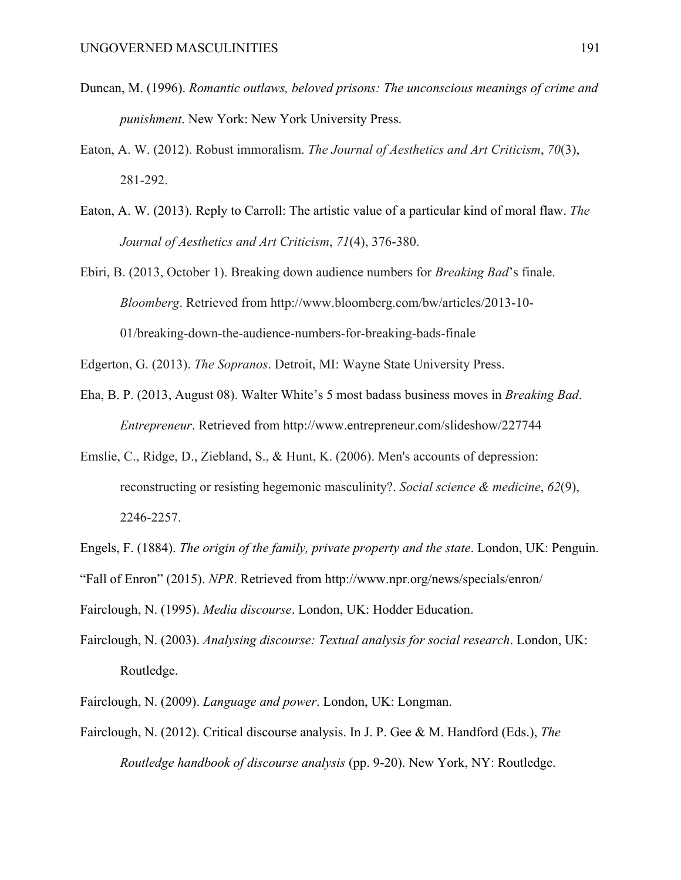- Duncan, M. (1996). *Romantic outlaws, beloved prisons: The unconscious meanings of crime and punishment*. New York: New York University Press.
- Eaton, A. W. (2012). Robust immoralism. *The Journal of Aesthetics and Art Criticism*, *70*(3), 281-292.
- Eaton, A. W. (2013). Reply to Carroll: The artistic value of a particular kind of moral flaw. *The Journal of Aesthetics and Art Criticism*, *71*(4), 376-380.
- Ebiri, B. (2013, October 1). Breaking down audience numbers for *Breaking Bad*'s finale. *Bloomberg*. Retrieved from http://www.bloomberg.com/bw/articles/2013-10- 01/breaking-down-the-audience-numbers-for-breaking-bads-finale

Edgerton, G. (2013). *The Sopranos*. Detroit, MI: Wayne State University Press.

- Eha, B. P. (2013, August 08). Walter White's 5 most badass business moves in *Breaking Bad*. *Entrepreneur*. Retrieved from http://www.entrepreneur.com/slideshow/227744
- Emslie, C., Ridge, D., Ziebland, S., & Hunt, K. (2006). Men's accounts of depression: reconstructing or resisting hegemonic masculinity?. *Social science & medicine*, *62*(9), 2246-2257.
- Engels, F. (1884). *The origin of the family, private property and the state*. London, UK: Penguin.
- "Fall of Enron" (2015). *NPR*. Retrieved from http://www.npr.org/news/specials/enron/

Fairclough, N. (1995). *Media discourse*. London, UK: Hodder Education.

- Fairclough, N. (2003). *Analysing discourse: Textual analysis for social research*. London, UK: Routledge.
- Fairclough, N. (2009). *Language and power*. London, UK: Longman.
- Fairclough, N. (2012). Critical discourse analysis. In J. P. Gee & M. Handford (Eds.), *The Routledge handbook of discourse analysis* (pp. 9-20). New York, NY: Routledge.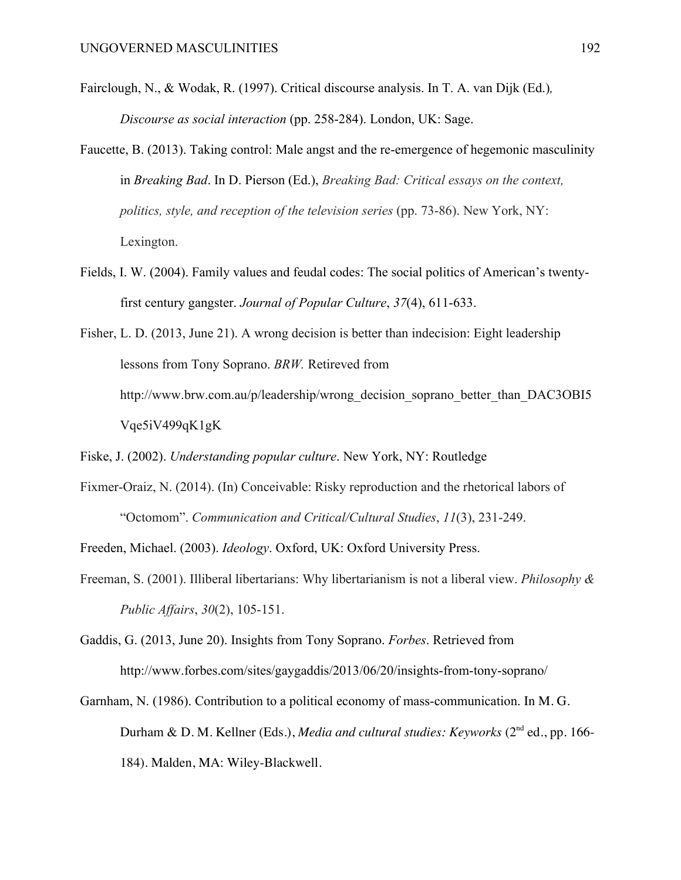- Fairclough, N., & Wodak, R. (1997). Critical discourse analysis. In T. A. van Dijk (Ed.)*, Discourse as social interaction* (pp. 258-284). London, UK: Sage.
- Faucette, B. (2013). Taking control: Male angst and the re-emergence of hegemonic masculinity in *Breaking Bad*. In D. Pierson (Ed.), *Breaking Bad: Critical essays on the context, politics, style, and reception of the television series (pp. 73-86).* New York, NY: Lexington.
- Fields, I. W. (2004). Family values and feudal codes: The social politics of American's twentyfirst century gangster. *Journal of Popular Culture*, *37*(4), 611-633.
- Fisher, L. D. (2013, June 21). A wrong decision is better than indecision: Eight leadership lessons from Tony Soprano. *BRW.* Retireved from http://www.brw.com.au/p/leadership/wrong\_decision\_soprano\_better\_than\_DAC3OBI5 Vqe5iV499qK1gK
- Fiske, J. (2002). *Understanding popular culture*. New York, NY: Routledge
- Fixmer-Oraiz, N. (2014). (In) Conceivable: Risky reproduction and the rhetorical labors of "Octomom". *Communication and Critical/Cultural Studies*, *11*(3), 231-249.

Freeden, Michael. (2003). *Ideology*. Oxford, UK: Oxford University Press.

- Freeman, S. (2001). Illiberal libertarians: Why libertarianism is not a liberal view. *Philosophy & Public Affairs*, *30*(2), 105-151.
- Gaddis, G. (2013, June 20). Insights from Tony Soprano. *Forbes*. Retrieved from http://www.forbes.com/sites/gaygaddis/2013/06/20/insights-from-tony-soprano/
- Garnham, N. (1986). Contribution to a political economy of mass-communication. In M. G. Durham & D. M. Kellner (Eds.), *Media and cultural studies: Keyworks* (2<sup>nd</sup> ed., pp. 166-184). Malden, MA: Wiley-Blackwell.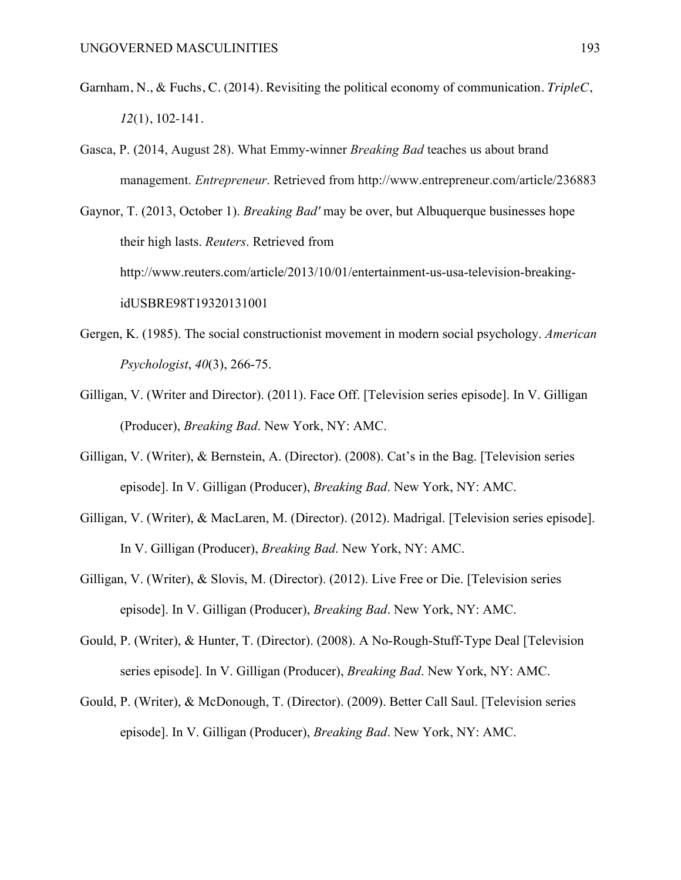- Garnham, N., & Fuchs, C. (2014). Revisiting the political economy of communication. *TripleC*, *12*(1), 102-141.
- Gasca, P. (2014, August 28). What Emmy-winner *Breaking Bad* teaches us about brand management. *Entrepreneur*. Retrieved from http://www.entrepreneur.com/article/236883

Gaynor, T. (2013, October 1). *Breaking Bad'* may be over, but Albuquerque businesses hope their high lasts. *Reuters*. Retrieved from http://www.reuters.com/article/2013/10/01/entertainment-us-usa-television-breakingidUSBRE98T19320131001

- Gergen, K. (1985). The social constructionist movement in modern social psychology. *American Psychologist*, *40*(3), 266-75.
- Gilligan, V. (Writer and Director). (2011). Face Off. [Television series episode]. In V. Gilligan (Producer), *Breaking Bad*. New York, NY: AMC.
- Gilligan, V. (Writer), & Bernstein, A. (Director). (2008). Cat's in the Bag. [Television series episode]. In V. Gilligan (Producer), *Breaking Bad*. New York, NY: AMC.
- Gilligan, V. (Writer), & MacLaren, M. (Director). (2012). Madrigal. [Television series episode]. In V. Gilligan (Producer), *Breaking Bad*. New York, NY: AMC.
- Gilligan, V. (Writer), & Slovis, M. (Director). (2012). Live Free or Die. [Television series episode]. In V. Gilligan (Producer), *Breaking Bad*. New York, NY: AMC.
- Gould, P. (Writer), & Hunter, T. (Director). (2008). A No-Rough-Stuff-Type Deal [Television series episode]. In V. Gilligan (Producer), *Breaking Bad*. New York, NY: AMC.
- Gould, P. (Writer), & McDonough, T. (Director). (2009). Better Call Saul. [Television series episode]. In V. Gilligan (Producer), *Breaking Bad*. New York, NY: AMC.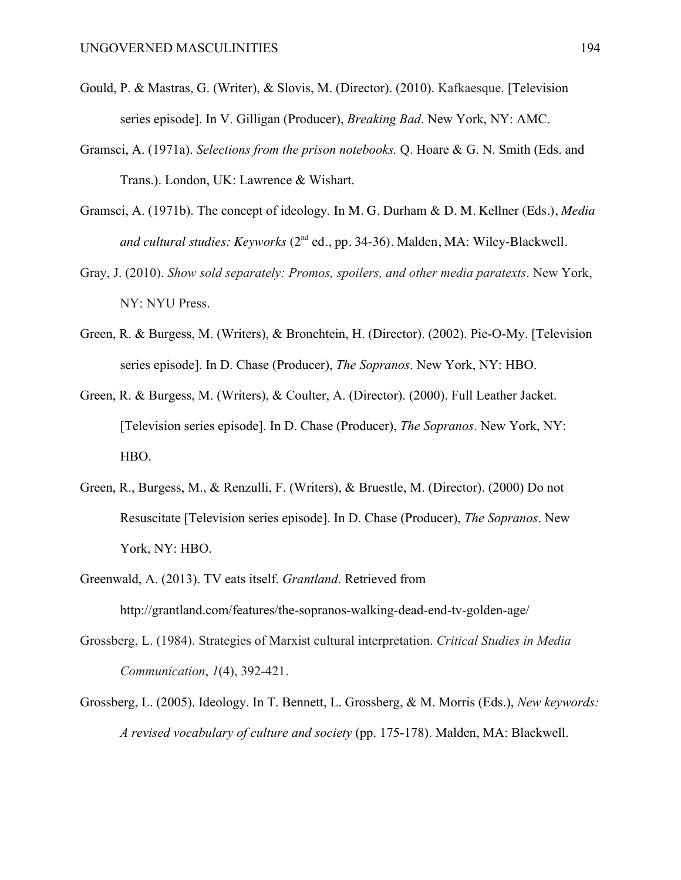- Gould, P. & Mastras, G. (Writer), & Slovis, M. (Director). (2010). Kafkaesque. [Television series episode]. In V. Gilligan (Producer), *Breaking Bad*. New York, NY: AMC.
- Gramsci, A. (1971a). *Selections from the prison notebooks.* Q. Hoare & G. N. Smith (Eds. and Trans.). London, UK: Lawrence & Wishart.
- Gramsci, A. (1971b). The concept of ideology*.* In M. G. Durham & D. M. Kellner (Eds.), *Media*  and cultural studies: Keyworks (2<sup>nd</sup> ed., pp. 34-36). Malden, MA: Wiley-Blackwell.
- Gray, J. (2010). *Show sold separately: Promos, spoilers, and other media paratexts*. New York, NY: NYU Press.
- Green, R. & Burgess, M. (Writers), & Bronchtein, H. (Director). (2002). Pie-O-My. [Television series episode]. In D. Chase (Producer), *The Sopranos*. New York, NY: HBO.
- Green, R. & Burgess, M. (Writers), & Coulter, A. (Director). (2000). Full Leather Jacket. [Television series episode]. In D. Chase (Producer), *The Sopranos*. New York, NY: HBO.
- Green, R., Burgess, M., & Renzulli, F. (Writers), & Bruestle, M. (Director). (2000) Do not Resuscitate [Television series episode]. In D. Chase (Producer), *The Sopranos*. New York, NY: HBO.
- Greenwald, A. (2013). TV eats itself. *Grantland*. Retrieved from http://grantland.com/features/the-sopranos-walking-dead-end-tv-golden-age/
- Grossberg, L. (1984). Strategies of Marxist cultural interpretation. *Critical Studies in Media Communication*, *1*(4), 392-421.
- Grossberg, L. (2005). Ideology. In T. Bennett, L. Grossberg, & M. Morris (Eds.), *New keywords: A revised vocabulary of culture and society* (pp. 175-178). Malden, MA: Blackwell.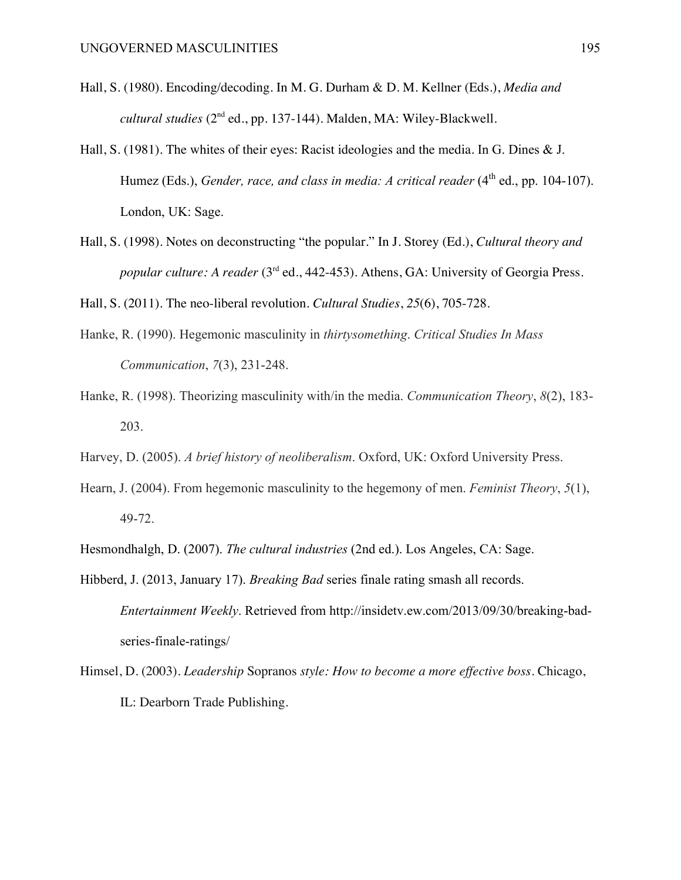- Hall, S. (1980). Encoding/decoding. In M. G. Durham & D. M. Kellner (Eds.), *Media and cultural studies* (2nd ed., pp. 137-144). Malden, MA: Wiley-Blackwell.
- Hall, S. (1981). The whites of their eyes: Racist ideologies and the media. In G. Dines & J. Humez (Eds.), *Gender, race, and class in media: A critical reader* (4<sup>th</sup> ed., pp. 104-107). London, UK: Sage.
- Hall, S. (1998). Notes on deconstructing "the popular." In J. Storey (Ed.), *Cultural theory and popular culture: A reader* (3<sup>rd</sup> ed., 442-453). Athens, GA: University of Georgia Press.

Hall, S. (2011). The neo-liberal revolution. *Cultural Studies*, *25*(6), 705-728.

- Hanke, R. (1990). Hegemonic masculinity in *thirtysomething*. *Critical Studies In Mass Communication*, *7*(3), 231-248.
- Hanke, R. (1998). Theorizing masculinity with/in the media. *Communication Theory*, *8*(2), 183- 203.
- Harvey, D. (2005). *A brief history of neoliberalism*. Oxford, UK: Oxford University Press.
- Hearn, J. (2004). From hegemonic masculinity to the hegemony of men. *Feminist Theory*, *5*(1), 49-72.
- Hesmondhalgh, D. (2007). *The cultural industries* (2nd ed.). Los Angeles, CA: Sage.
- Hibberd, J. (2013, January 17). *Breaking Bad* series finale rating smash all records. *Entertainment Weekly*. Retrieved from http://insidetv.ew.com/2013/09/30/breaking-badseries-finale-ratings/
- Himsel, D. (2003). *Leadership* Sopranos *style: How to become a more effective boss.* Chicago, IL: Dearborn Trade Publishing.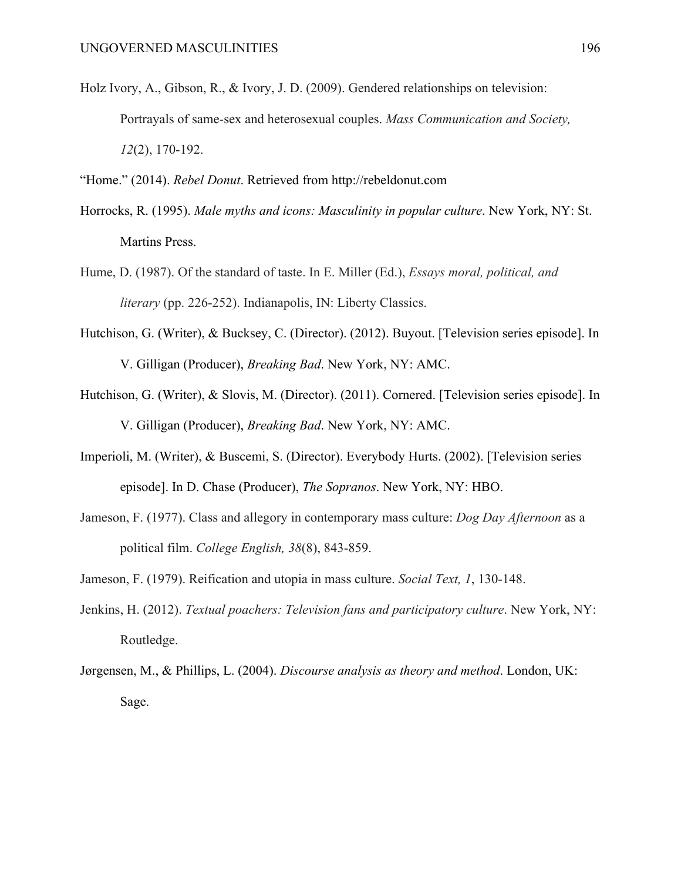Holz Ivory, A., Gibson, R., & Ivory, J. D. (2009). Gendered relationships on television: Portrayals of same-sex and heterosexual couples. *Mass Communication and Society, 12*(2), 170-192.

"Home." (2014). *Rebel Donut*. Retrieved from http://rebeldonut.com

- Horrocks, R. (1995). *Male myths and icons: Masculinity in popular culture*. New York, NY: St. Martins Press.
- Hume, D. (1987). Of the standard of taste. In E. Miller (Ed.), *Essays moral, political, and literary* (pp. 226-252). Indianapolis, IN: Liberty Classics.
- Hutchison, G. (Writer), & Bucksey, C. (Director). (2012). Buyout. [Television series episode]. In V. Gilligan (Producer), *Breaking Bad*. New York, NY: AMC.
- Hutchison, G. (Writer), & Slovis, M. (Director). (2011). Cornered. [Television series episode]. In V. Gilligan (Producer), *Breaking Bad*. New York, NY: AMC.
- Imperioli, M. (Writer), & Buscemi, S. (Director). Everybody Hurts. (2002). [Television series episode]. In D. Chase (Producer), *The Sopranos*. New York, NY: HBO.
- Jameson, F. (1977). Class and allegory in contemporary mass culture: *Dog Day Afternoon* as a political film. *College English, 38*(8), 843-859.
- Jameson, F. (1979). Reification and utopia in mass culture. *Social Text, 1*, 130-148.
- Jenkins, H. (2012). *Textual poachers: Television fans and participatory culture*. New York, NY: Routledge.
- Jørgensen, M., & Phillips, L. (2004). *Discourse analysis as theory and method*. London, UK: Sage.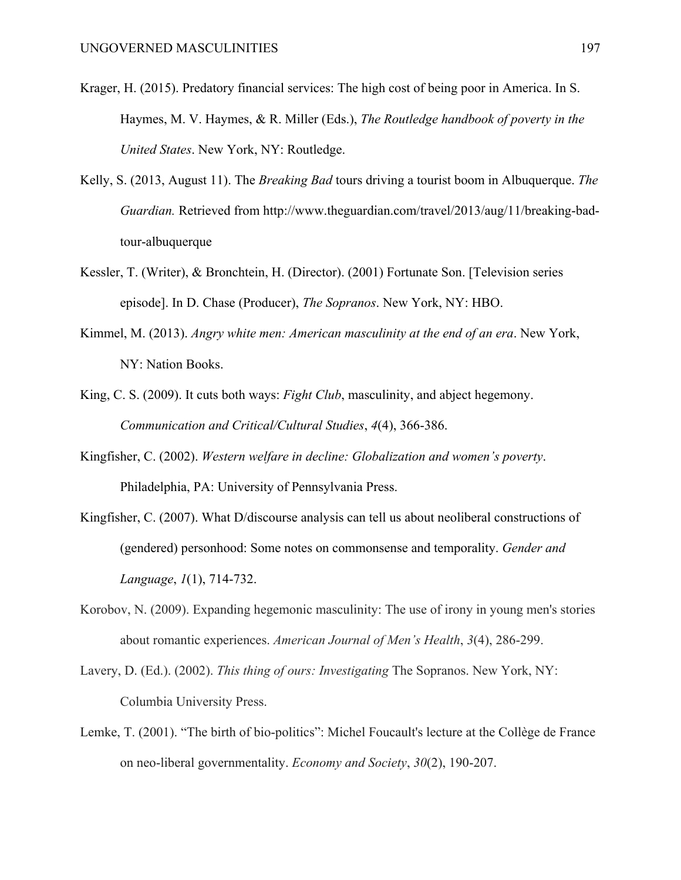- Krager, H. (2015). Predatory financial services: The high cost of being poor in America. In S. Haymes, M. V. Haymes, & R. Miller (Eds.), *The Routledge handbook of poverty in the United States*. New York, NY: Routledge.
- Kelly, S. (2013, August 11). The *Breaking Bad* tours driving a tourist boom in Albuquerque. *The Guardian.* Retrieved from http://www.theguardian.com/travel/2013/aug/11/breaking-badtour-albuquerque
- Kessler, T. (Writer), & Bronchtein, H. (Director). (2001) Fortunate Son. [Television series episode]. In D. Chase (Producer), *The Sopranos*. New York, NY: HBO.
- Kimmel, M. (2013). *Angry white men: American masculinity at the end of an era*. New York, NY: Nation Books.
- King, C. S. (2009). It cuts both ways: *Fight Club*, masculinity, and abject hegemony. *Communication and Critical/Cultural Studies*, *4*(4), 366-386.
- Kingfisher, C. (2002). *Western welfare in decline: Globalization and women's poverty*. Philadelphia, PA: University of Pennsylvania Press.
- Kingfisher, C. (2007). What D/discourse analysis can tell us about neoliberal constructions of (gendered) personhood: Some notes on commonsense and temporality. *Gender and Language*, *1*(1), 714-732.
- Korobov, N. (2009). Expanding hegemonic masculinity: The use of irony in young men's stories about romantic experiences. *American Journal of Men's Health*, *3*(4), 286-299.
- Lavery, D. (Ed.). (2002). *This thing of ours: Investigating* The Sopranos. New York, NY: Columbia University Press.
- Lemke, T. (2001). "The birth of bio-politics": Michel Foucault's lecture at the Collège de France on neo-liberal governmentality. *Economy and Society*, *30*(2), 190-207.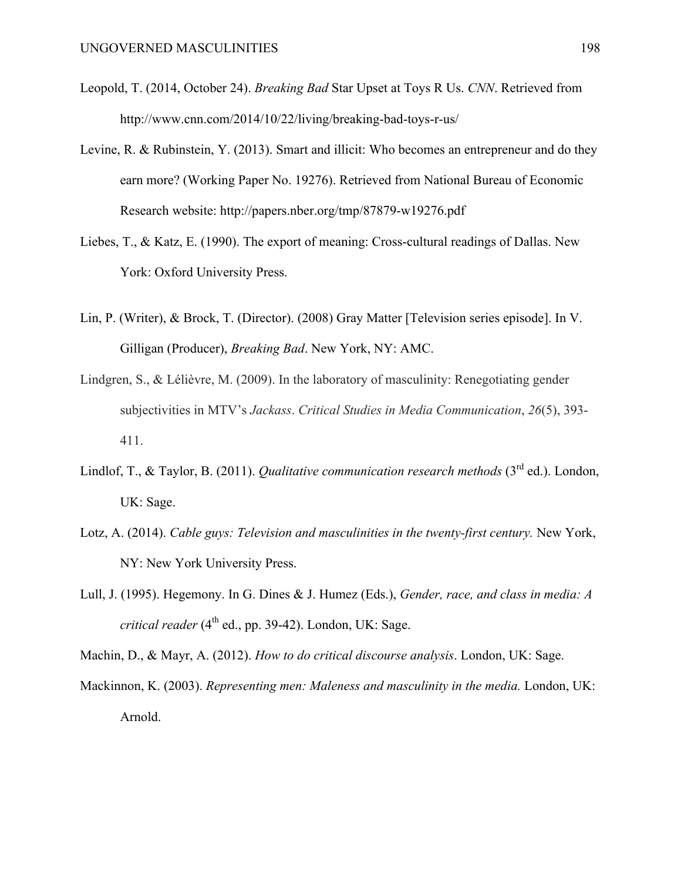- Leopold, T. (2014, October 24). *Breaking Bad* Star Upset at Toys R Us. *CNN*. Retrieved from http://www.cnn.com/2014/10/22/living/breaking-bad-toys-r-us/
- Levine, R. & Rubinstein, Y. (2013). Smart and illicit: Who becomes an entrepreneur and do they earn more? (Working Paper No. 19276). Retrieved from National Bureau of Economic Research website: http://papers.nber.org/tmp/87879-w19276.pdf
- Liebes, T., & Katz, E. (1990). The export of meaning: Cross-cultural readings of Dallas. New York: Oxford University Press.
- Lin, P. (Writer), & Brock, T. (Director). (2008) Gray Matter [Television series episode]. In V. Gilligan (Producer), *Breaking Bad*. New York, NY: AMC.
- Lindgren, S., & Lélièvre, M. (2009). In the laboratory of masculinity: Renegotiating gender subjectivities in MTV's *Jackass*. *Critical Studies in Media Communication*, *26*(5), 393- 411.
- Lindlof, T., & Taylor, B. (2011). *Qualitative communication research methods* (3<sup>rd</sup> ed.). London, UK: Sage.
- Lotz, A. (2014). *Cable guys: Television and masculinities in the twenty-first century.* New York, NY: New York University Press.
- Lull, J. (1995). Hegemony. In G. Dines & J. Humez (Eds.), *Gender, race, and class in media: A critical reader*  $(4<sup>th</sup>$  ed., pp. 39-42). London, UK: Sage.
- Machin, D., & Mayr, A. (2012). *How to do critical discourse analysis*. London, UK: Sage.
- Mackinnon, K. (2003). *Representing men: Maleness and masculinity in the media.* London, UK: Arnold.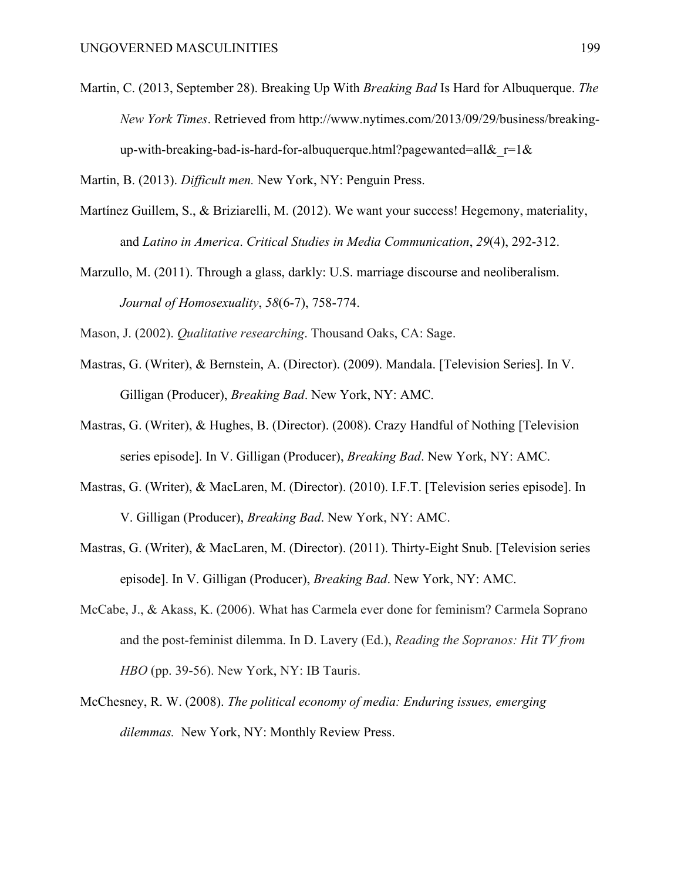Martin, C. (2013, September 28). Breaking Up With *Breaking Bad* Is Hard for Albuquerque. *The New York Times*. Retrieved from http://www.nytimes.com/2013/09/29/business/breakingup-with-breaking-bad-is-hard-for-albuquerque.html?pagewanted=all $\&r=1\&$ 

Martin, B. (2013). *Difficult men.* New York, NY: Penguin Press.

- Martínez Guillem, S., & Briziarelli, M. (2012). We want your success! Hegemony, materiality, and *Latino in America*. *Critical Studies in Media Communication*, *29*(4), 292-312.
- Marzullo, M. (2011). Through a glass, darkly: U.S. marriage discourse and neoliberalism. *Journal of Homosexuality*, *58*(6-7), 758-774.

Mason, J. (2002). *Qualitative researching*. Thousand Oaks, CA: Sage.

- Mastras, G. (Writer), & Bernstein, A. (Director). (2009). Mandala. [Television Series]. In V. Gilligan (Producer), *Breaking Bad*. New York, NY: AMC.
- Mastras, G. (Writer), & Hughes, B. (Director). (2008). Crazy Handful of Nothing [Television series episode]. In V. Gilligan (Producer), *Breaking Bad*. New York, NY: AMC.
- Mastras, G. (Writer), & MacLaren, M. (Director). (2010). I.F.T. [Television series episode]. In V. Gilligan (Producer), *Breaking Bad*. New York, NY: AMC.
- Mastras, G. (Writer), & MacLaren, M. (Director). (2011). Thirty-Eight Snub. [Television series episode]. In V. Gilligan (Producer), *Breaking Bad*. New York, NY: AMC.
- McCabe, J., & Akass, K. (2006). What has Carmela ever done for feminism? Carmela Soprano and the post-feminist dilemma. In D. Lavery (Ed.), *Reading the Sopranos: Hit TV from HBO* (pp. 39-56). New York, NY: IB Tauris.
- McChesney, R. W. (2008). *The political economy of media: Enduring issues, emerging dilemmas.* New York, NY: Monthly Review Press.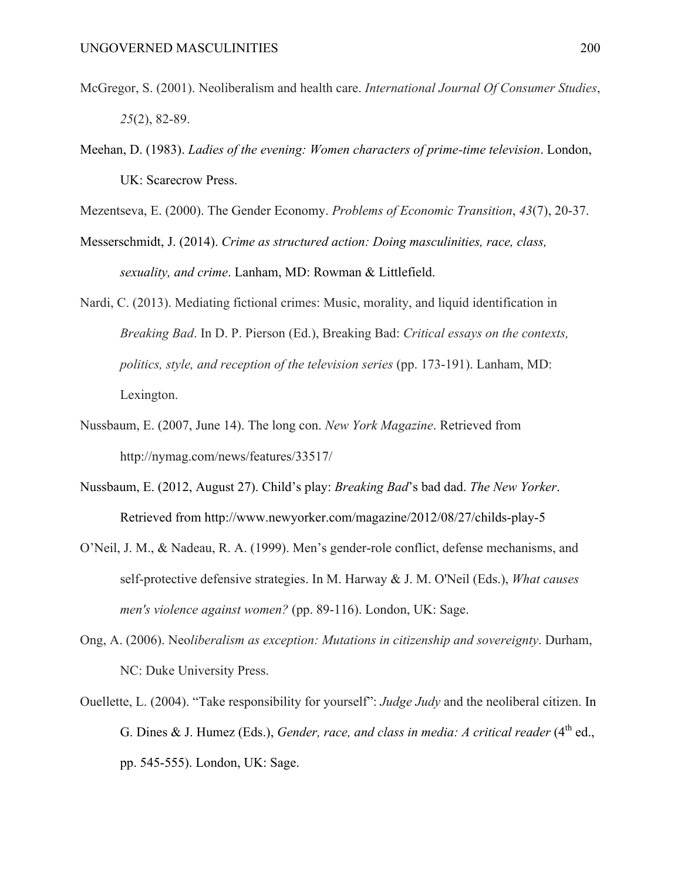- McGregor, S. (2001). Neoliberalism and health care. *International Journal Of Consumer Studies*, *25*(2), 82-89.
- Meehan, D. (1983). *Ladies of the evening: Women characters of prime-time television*. London, UK: Scarecrow Press.

Mezentseva, E. (2000). The Gender Economy. *Problems of Economic Transition*, *43*(7), 20-37.

- Messerschmidt, J. (2014). *Crime as structured action: Doing masculinities, race, class, sexuality, and crime*. Lanham, MD: Rowman & Littlefield.
- Nardi, C. (2013). Mediating fictional crimes: Music, morality, and liquid identification in *Breaking Bad*. In D. P. Pierson (Ed.), Breaking Bad: *Critical essays on the contexts, politics, style, and reception of the television series* (pp. 173-191). Lanham, MD: Lexington.
- Nussbaum, E. (2007, June 14). The long con. *New York Magazine*. Retrieved from http://nymag.com/news/features/33517/
- Nussbaum, E. (2012, August 27). Child's play: *Breaking Bad*'s bad dad. *The New Yorker*. Retrieved from http://www.newyorker.com/magazine/2012/08/27/childs-play-5
- O'Neil, J. M., & Nadeau, R. A. (1999). Men's gender-role conflict, defense mechanisms, and self-protective defensive strategies. In M. Harway & J. M. O'Neil (Eds.), *What causes men's violence against women?* (pp. 89-116). London, UK: Sage.
- Ong, A. (2006). Neo*liberalism as exception: Mutations in citizenship and sovereignty*. Durham, NC: Duke University Press.
- Ouellette, L. (2004). "Take responsibility for yourself": *Judge Judy* and the neoliberal citizen. In G. Dines & J. Humez (Eds.), *Gender, race, and class in media: A critical reader* (4<sup>th</sup> ed., pp. 545-555). London, UK: Sage.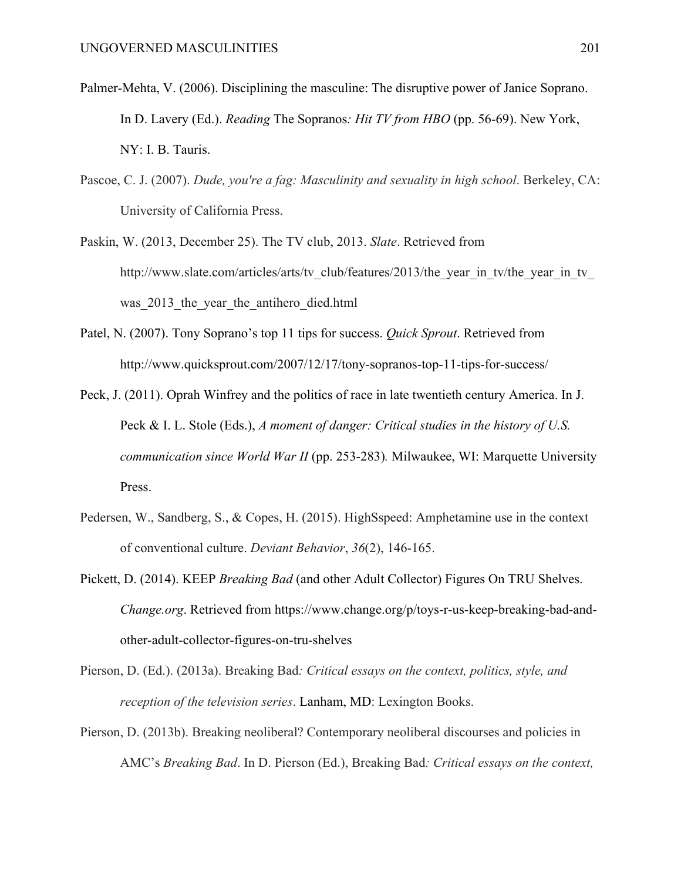- Palmer-Mehta, V. (2006). Disciplining the masculine: The disruptive power of Janice Soprano. In D. Lavery (Ed.). *Reading* The Sopranos*: Hit TV from HBO* (pp. 56-69). New York, NY: I. B. Tauris.
- Pascoe, C. J. (2007). *Dude, you're a fag: Masculinity and sexuality in high school*. Berkeley, CA: University of California Press.
- Paskin, W. (2013, December 25). The TV club, 2013. *Slate*. Retrieved from http://www.slate.com/articles/arts/tv\_club/features/2013/the\_year\_in\_tv/the\_year\_in\_tv was  $2013$  the year the antihero died.html
- Patel, N. (2007). Tony Soprano's top 11 tips for success. *Quick Sprout*. Retrieved from http://www.quicksprout.com/2007/12/17/tony-sopranos-top-11-tips-for-success/
- Peck, J. (2011). Oprah Winfrey and the politics of race in late twentieth century America. In J. Peck & I. L. Stole (Eds.), *A moment of danger: Critical studies in the history of U.S. communication since World War II* (pp. 253-283)*.* Milwaukee, WI: Marquette University Press.
- Pedersen, W., Sandberg, S., & Copes, H. (2015). HighSspeed: Amphetamine use in the context of conventional culture. *Deviant Behavior*, *36*(2), 146-165.
- Pickett, D. (2014). KEEP *Breaking Bad* (and other Adult Collector) Figures On TRU Shelves. *Change.org*. Retrieved from https://www.change.org/p/toys-r-us-keep-breaking-bad-andother-adult-collector-figures-on-tru-shelves
- Pierson, D. (Ed.). (2013a). Breaking Bad*: Critical essays on the context, politics, style, and reception of the television series*. Lanham, MD: Lexington Books.
- Pierson, D. (2013b). Breaking neoliberal? Contemporary neoliberal discourses and policies in AMC's *Breaking Bad*. In D. Pierson (Ed.), Breaking Bad*: Critical essays on the context,*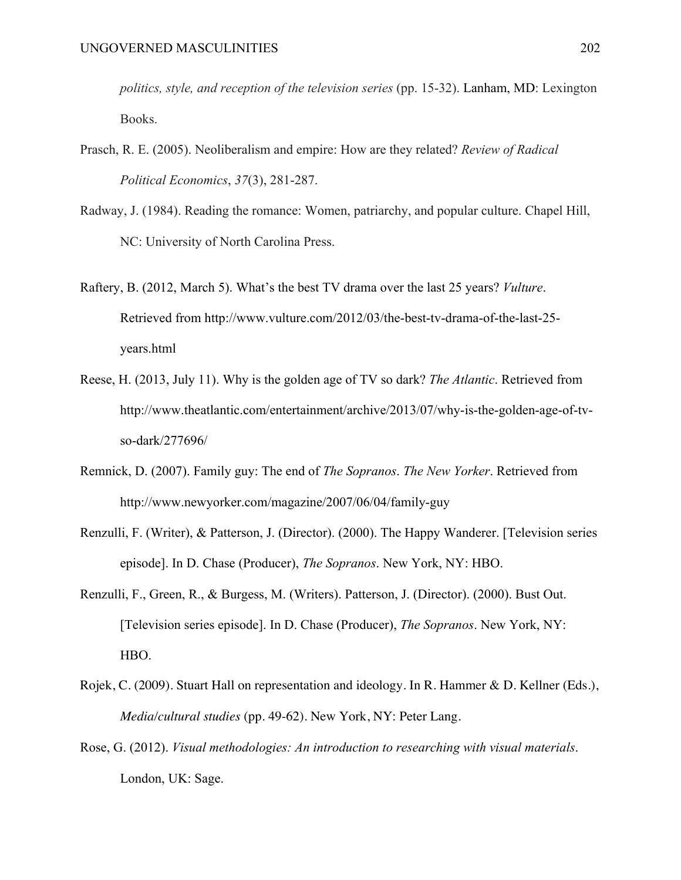*politics, style, and reception of the television series* (pp. 15-32). Lanham, MD: Lexington Books.

- Prasch, R. E. (2005). Neoliberalism and empire: How are they related? *Review of Radical Political Economics*, *37*(3), 281-287.
- Radway, J. (1984). Reading the romance: Women, patriarchy, and popular culture. Chapel Hill, NC: University of North Carolina Press.
- Raftery, B. (2012, March 5). What's the best TV drama over the last 25 years? *Vulture*. Retrieved from http://www.vulture.com/2012/03/the-best-tv-drama-of-the-last-25 years.html
- Reese, H. (2013, July 11). Why is the golden age of TV so dark? *The Atlantic*. Retrieved from http://www.theatlantic.com/entertainment/archive/2013/07/why-is-the-golden-age-of-tvso-dark/277696/
- Remnick, D. (2007). Family guy: The end of *The Sopranos*. *The New Yorker*. Retrieved from http://www.newyorker.com/magazine/2007/06/04/family-guy
- Renzulli, F. (Writer), & Patterson, J. (Director). (2000). The Happy Wanderer. [Television series episode]. In D. Chase (Producer), *The Sopranos*. New York, NY: HBO.
- Renzulli, F., Green, R., & Burgess, M. (Writers). Patterson, J. (Director). (2000). Bust Out. [Television series episode]. In D. Chase (Producer), *The Sopranos*. New York, NY: HBO.
- Rojek, C. (2009). Stuart Hall on representation and ideology. In R. Hammer & D. Kellner (Eds.), *Media/cultural studies* (pp. 49-62). New York, NY: Peter Lang.
- Rose, G. (2012). *Visual methodologies: An introduction to researching with visual materials*. London, UK: Sage.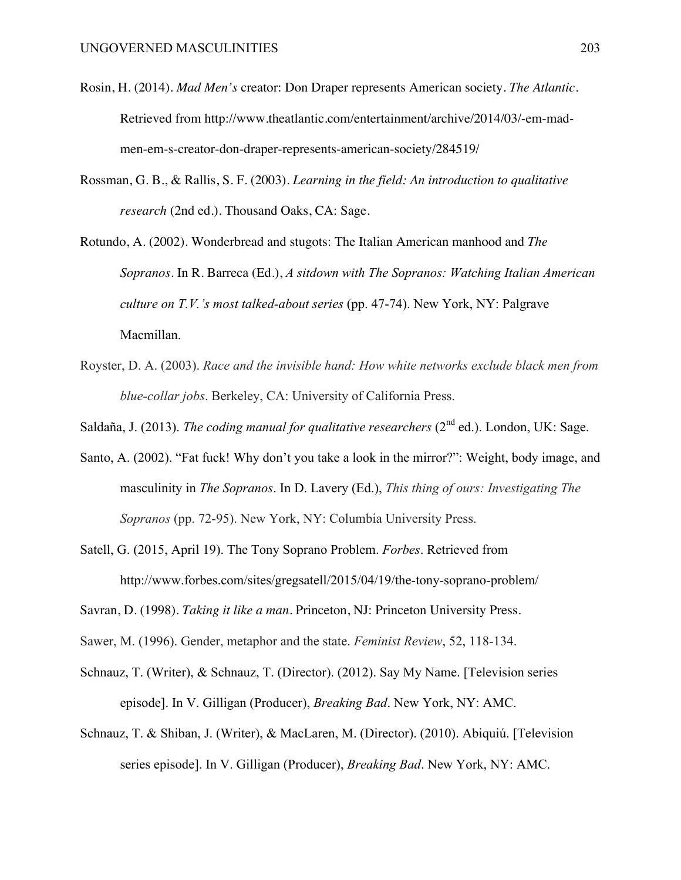- Rosin, H. (2014). *Mad Men's* creator: Don Draper represents American society. *The Atlantic*. Retrieved from http://www.theatlantic.com/entertainment/archive/2014/03/-em-madmen-em-s-creator-don-draper-represents-american-society/284519/
- Rossman, G. B., & Rallis, S. F. (2003). *Learning in the field: An introduction to qualitative research* (2nd ed.). Thousand Oaks, CA: Sage.
- Rotundo, A. (2002). Wonderbread and stugots: The Italian American manhood and *The Sopranos*. In R. Barreca (Ed.), *A sitdown with The Sopranos: Watching Italian American culture on T.V.'s most talked-about series* (pp. 47-74). New York, NY: Palgrave Macmillan.
- Royster, D. A. (2003). *Race and the invisible hand: How white networks exclude black men from blue-collar jobs*. Berkeley, CA: University of California Press.
- Saldaña, J. (2013). *The coding manual for qualitative researchers* (2<sup>nd</sup> ed.). London, UK: Sage.
- Santo, A. (2002). "Fat fuck! Why don't you take a look in the mirror?": Weight, body image, and masculinity in *The Sopranos*. In D. Lavery (Ed.), *This thing of ours: Investigating The Sopranos* (pp. 72-95). New York, NY: Columbia University Press.
- Satell, G. (2015, April 19). The Tony Soprano Problem. *Forbes*. Retrieved from http://www.forbes.com/sites/gregsatell/2015/04/19/the-tony-soprano-problem/

Savran, D. (1998). *Taking it like a man*. Princeton, NJ: Princeton University Press.

- Sawer, M. (1996). Gender, metaphor and the state. *Feminist Review*, 52, 118-134.
- Schnauz, T. (Writer), & Schnauz, T. (Director). (2012). Say My Name. [Television series episode]. In V. Gilligan (Producer), *Breaking Bad*. New York, NY: AMC.
- Schnauz, T. & Shiban, J. (Writer), & MacLaren, M. (Director). (2010). Abiquiú. [Television series episode]. In V. Gilligan (Producer), *Breaking Bad*. New York, NY: AMC.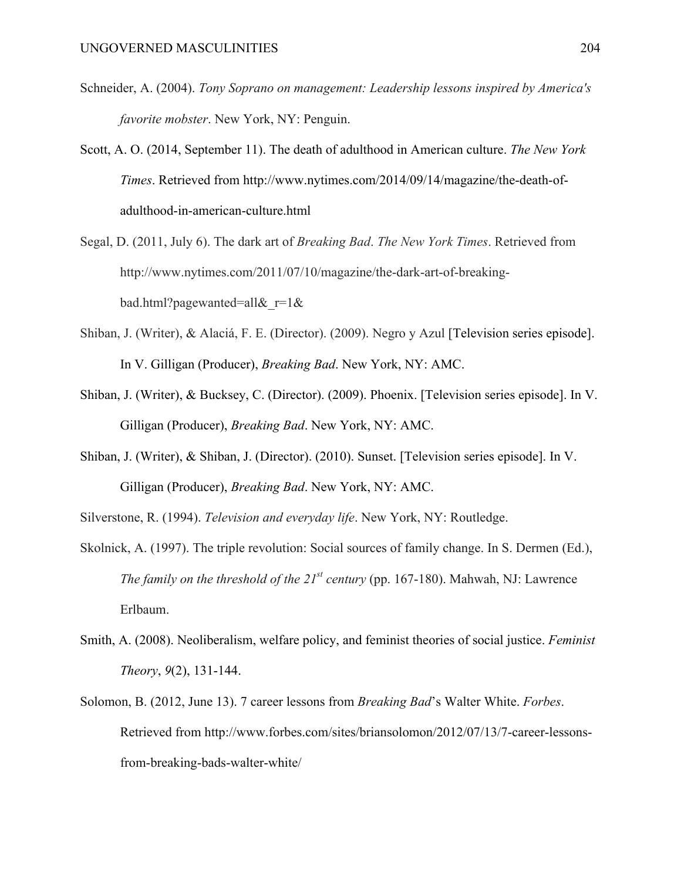- Schneider, A. (2004). *Tony Soprano on management: Leadership lessons inspired by America's favorite mobster*. New York, NY: Penguin.
- Scott, A. O. (2014, September 11). The death of adulthood in American culture. *The New York Times*. Retrieved from http://www.nytimes.com/2014/09/14/magazine/the-death-ofadulthood-in-american-culture.html
- Segal, D. (2011, July 6). The dark art of *Breaking Bad*. *The New York Times*. Retrieved from http://www.nytimes.com/2011/07/10/magazine/the-dark-art-of-breakingbad.html?pagewanted=all& $r=1$ &
- Shiban, J. (Writer), & Alaciá, F. E. (Director). (2009). Negro y Azul [Television series episode]. In V. Gilligan (Producer), *Breaking Bad*. New York, NY: AMC.
- Shiban, J. (Writer), & Bucksey, C. (Director). (2009). Phoenix. [Television series episode]. In V. Gilligan (Producer), *Breaking Bad*. New York, NY: AMC.
- Shiban, J. (Writer), & Shiban, J. (Director). (2010). Sunset. [Television series episode]. In V. Gilligan (Producer), *Breaking Bad*. New York, NY: AMC.
- Silverstone, R. (1994). *Television and everyday life*. New York, NY: Routledge.
- Skolnick, A. (1997). The triple revolution: Social sources of family change. In S. Dermen (Ed.), *The family on the threshold of the 21st century* (pp. 167-180). Mahwah, NJ: Lawrence Erlbaum.
- Smith, A. (2008). Neoliberalism, welfare policy, and feminist theories of social justice. *Feminist Theory*, *9*(2), 131-144.
- Solomon, B. (2012, June 13). 7 career lessons from *Breaking Bad*'s Walter White. *Forbes*. Retrieved from http://www.forbes.com/sites/briansolomon/2012/07/13/7-career-lessonsfrom-breaking-bads-walter-white/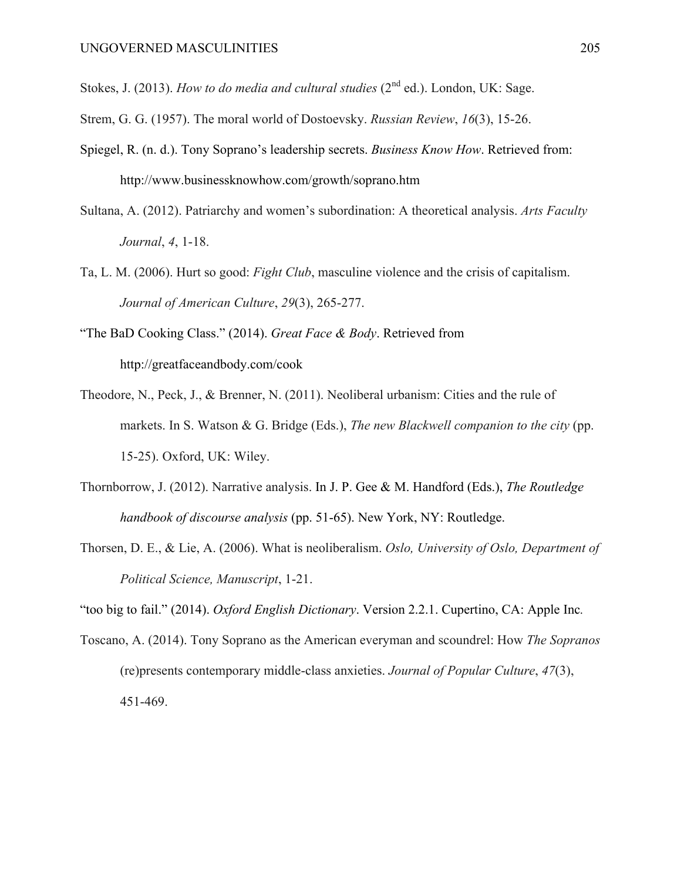Stokes, J. (2013). *How to do media and cultural studies* (2<sup>nd</sup> ed.). London, UK: Sage.

- Strem, G. G. (1957). The moral world of Dostoevsky. *Russian Review*, *16*(3), 15-26.
- Spiegel, R. (n. d.). Tony Soprano's leadership secrets. *Business Know How*. Retrieved from: http://www.businessknowhow.com/growth/soprano.htm
- Sultana, A. (2012). Patriarchy and women's subordination: A theoretical analysis. *Arts Faculty Journal*, *4*, 1-18.
- Ta, L. M. (2006). Hurt so good: *Fight Club*, masculine violence and the crisis of capitalism. *Journal of American Culture*, *29*(3), 265-277.
- "The BaD Cooking Class." (2014). *Great Face & Body*. Retrieved from http://greatfaceandbody.com/cook
- Theodore, N., Peck, J., & Brenner, N. (2011). Neoliberal urbanism: Cities and the rule of markets. In S. Watson & G. Bridge (Eds.), *The new Blackwell companion to the city* (pp. 15-25). Oxford, UK: Wiley.
- Thornborrow, J. (2012). Narrative analysis. In J. P. Gee & M. Handford (Eds.), *The Routledge handbook of discourse analysis* (pp. 51-65). New York, NY: Routledge.
- Thorsen, D. E., & Lie, A. (2006). What is neoliberalism. *Oslo, University of Oslo, Department of Political Science, Manuscript*, 1-21.

"too big to fail." (2014). *Oxford English Dictionary*. Version 2.2.1. Cupertino, CA: Apple Inc*.*

Toscano, A. (2014). Tony Soprano as the American everyman and scoundrel: How *The Sopranos* (re)presents contemporary middle-class anxieties. *Journal of Popular Culture*, *47*(3), 451-469.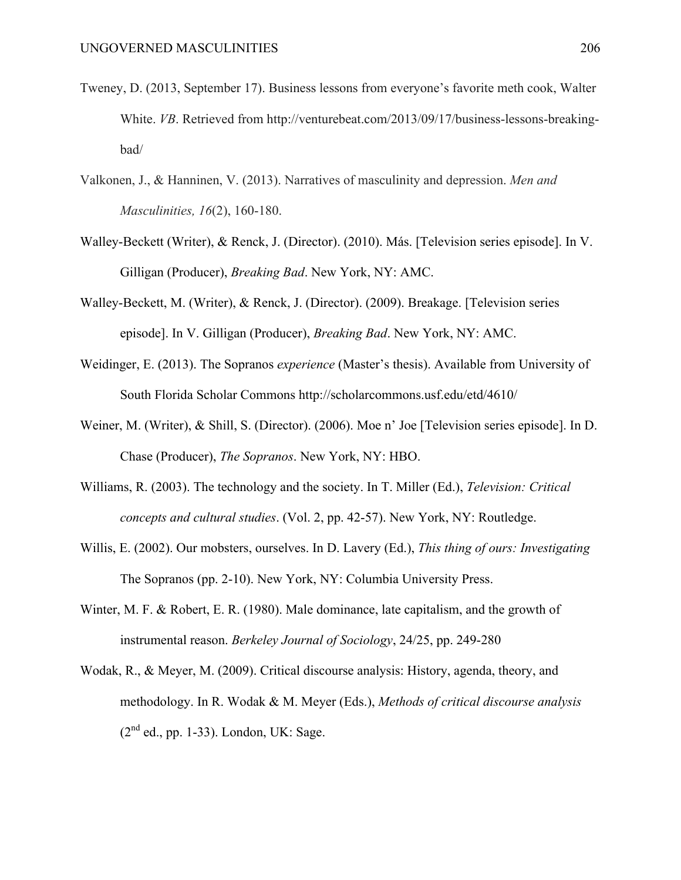- Tweney, D. (2013, September 17). Business lessons from everyone's favorite meth cook, Walter White. *VB*. Retrieved from http://venturebeat.com/2013/09/17/business-lessons-breakingbad/
- Valkonen, J., & Hanninen, V. (2013). Narratives of masculinity and depression. *Men and Masculinities, 16*(2), 160-180.
- Walley-Beckett (Writer), & Renck, J. (Director). (2010). Más. [Television series episode]. In V. Gilligan (Producer), *Breaking Bad*. New York, NY: AMC.
- Walley-Beckett, M. (Writer), & Renck, J. (Director). (2009). Breakage. [Television series episode]. In V. Gilligan (Producer), *Breaking Bad*. New York, NY: AMC.
- Weidinger, E. (2013). The Sopranos *experience* (Master's thesis). Available from University of South Florida Scholar Commons http://scholarcommons.usf.edu/etd/4610/
- Weiner, M. (Writer), & Shill, S. (Director). (2006). Moe n' Joe [Television series episode]. In D. Chase (Producer), *The Sopranos*. New York, NY: HBO.
- Williams, R. (2003). The technology and the society. In T. Miller (Ed.), *Television: Critical concepts and cultural studies*. (Vol. 2, pp. 42-57). New York, NY: Routledge.
- Willis, E. (2002). Our mobsters, ourselves. In D. Lavery (Ed.), *This thing of ours: Investigating*  The Sopranos (pp. 2-10). New York, NY: Columbia University Press.
- Winter, M. F. & Robert, E. R. (1980). Male dominance, late capitalism, and the growth of instrumental reason. *Berkeley Journal of Sociology*, 24/25, pp. 249-280
- Wodak, R., & Meyer, M. (2009). Critical discourse analysis: History, agenda, theory, and methodology. In R. Wodak & M. Meyer (Eds.), *Methods of critical discourse analysis*  $(2^{nd}$  ed., pp. 1-33). London, UK: Sage.